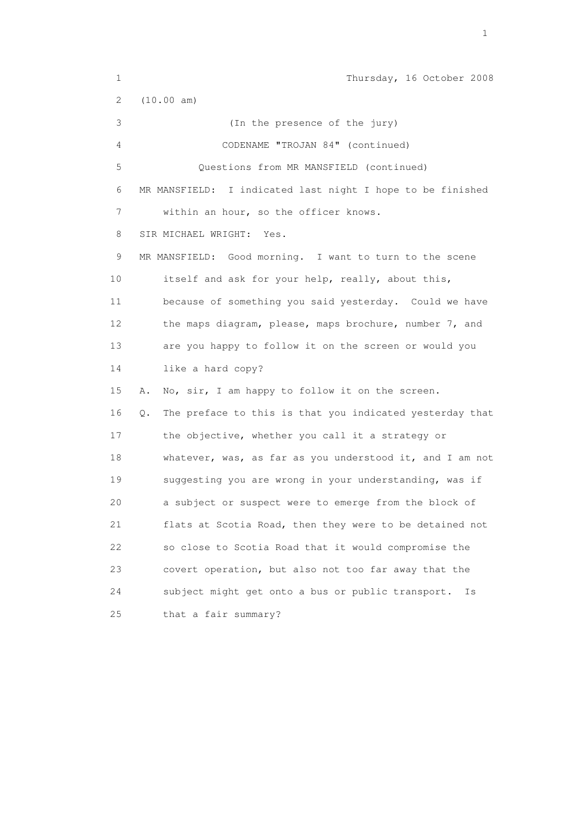1 Thursday, 16 October 2008 2 (10.00 am) 3 (In the presence of the jury) 4 CODENAME "TROJAN 84" (continued) 5 Questions from MR MANSFIELD (continued) 6 MR MANSFIELD: I indicated last night I hope to be finished 7 within an hour, so the officer knows. 8 SIR MICHAEL WRIGHT: Yes. 9 MR MANSFIELD: Good morning. I want to turn to the scene 10 itself and ask for your help, really, about this, 11 because of something you said yesterday. Could we have 12 the maps diagram, please, maps brochure, number 7, and 13 are you happy to follow it on the screen or would you 14 like a hard copy? 15 A. No, sir, I am happy to follow it on the screen. 16 Q. The preface to this is that you indicated yesterday that 17 the objective, whether you call it a strategy or 18 whatever, was, as far as you understood it, and I am not 19 suggesting you are wrong in your understanding, was if 20 a subject or suspect were to emerge from the block of 21 flats at Scotia Road, then they were to be detained not 22 so close to Scotia Road that it would compromise the 23 covert operation, but also not too far away that the 24 subject might get onto a bus or public transport. Is 25 that a fair summary?

the contract of the contract of the contract of the contract of the contract of the contract of the contract of the contract of the contract of the contract of the contract of the contract of the contract of the contract o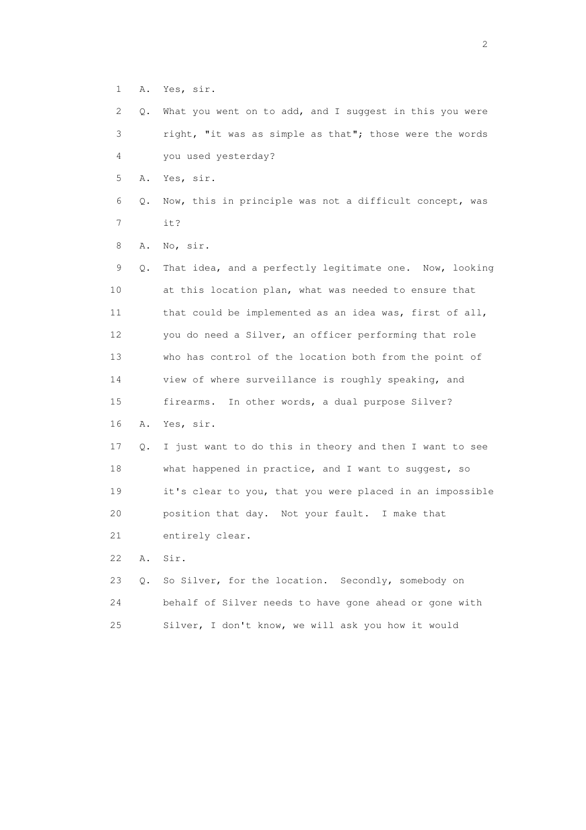1 A. Yes, sir.

 2 Q. What you went on to add, and I suggest in this you were 3 right, "it was as simple as that"; those were the words 4 you used yesterday?

5 A. Yes, sir.

 6 Q. Now, this in principle was not a difficult concept, was 7 it?

8 A. No, sir.

 9 Q. That idea, and a perfectly legitimate one. Now, looking 10 at this location plan, what was needed to ensure that 11 that could be implemented as an idea was, first of all, 12 you do need a Silver, an officer performing that role 13 who has control of the location both from the point of 14 view of where surveillance is roughly speaking, and 15 firearms. In other words, a dual purpose Silver? 16 A. Yes, sir. 17 Q. I just want to do this in theory and then I want to see 18 what happened in practice, and I want to suggest, so 19 it's clear to you, that you were placed in an impossible 20 position that day. Not your fault. I make that 21 entirely clear.

22 A. Sir.

 23 Q. So Silver, for the location. Secondly, somebody on 24 behalf of Silver needs to have gone ahead or gone with 25 Silver, I don't know, we will ask you how it would

 $\overline{2}$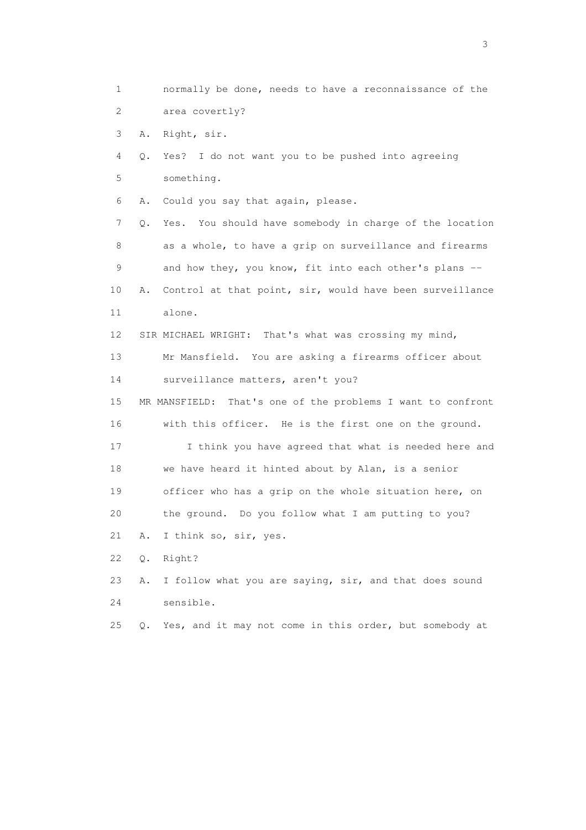1 normally be done, needs to have a reconnaissance of the 2 area covertly? 3 A. Right, sir. 4 Q. Yes? I do not want you to be pushed into agreeing 5 something. 6 A. Could you say that again, please. 7 Q. Yes. You should have somebody in charge of the location 8 as a whole, to have a grip on surveillance and firearms 9 and how they, you know, fit into each other's plans -- 10 A. Control at that point, sir, would have been surveillance 11 alone. 12 SIR MICHAEL WRIGHT: That's what was crossing my mind, 13 Mr Mansfield. You are asking a firearms officer about 14 surveillance matters, aren't you? 15 MR MANSFIELD: That's one of the problems I want to confront 16 with this officer. He is the first one on the ground. 17 I think you have agreed that what is needed here and 18 we have heard it hinted about by Alan, is a senior 19 officer who has a grip on the whole situation here, on 20 the ground. Do you follow what I am putting to you? 21 A. I think so, sir, yes. 22 Q. Right? 23 A. I follow what you are saying, sir, and that does sound 24 sensible. 25 Q. Yes, and it may not come in this order, but somebody at

 $\sim$  3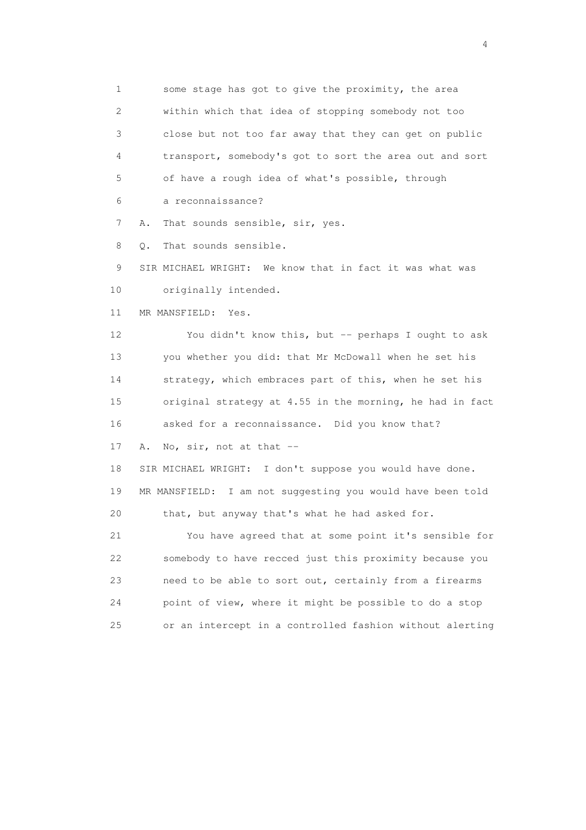1 some stage has got to give the proximity, the area 2 within which that idea of stopping somebody not too 3 close but not too far away that they can get on public 4 transport, somebody's got to sort the area out and sort 5 of have a rough idea of what's possible, through

6 a reconnaissance?

7 A. That sounds sensible, sir, yes.

8 Q. That sounds sensible.

9 SIR MICHAEL WRIGHT: We know that in fact it was what was

10 originally intended.

11 MR MANSFIELD: Yes.

 12 You didn't know this, but -- perhaps I ought to ask 13 you whether you did: that Mr McDowall when he set his 14 strategy, which embraces part of this, when he set his 15 original strategy at 4.55 in the morning, he had in fact 16 asked for a reconnaissance. Did you know that?

17 A. No, sir, not at that --

 18 SIR MICHAEL WRIGHT: I don't suppose you would have done. 19 MR MANSFIELD: I am not suggesting you would have been told 20 that, but anyway that's what he had asked for.

 21 You have agreed that at some point it's sensible for 22 somebody to have recced just this proximity because you 23 need to be able to sort out, certainly from a firearms 24 point of view, where it might be possible to do a stop 25 or an intercept in a controlled fashion without alerting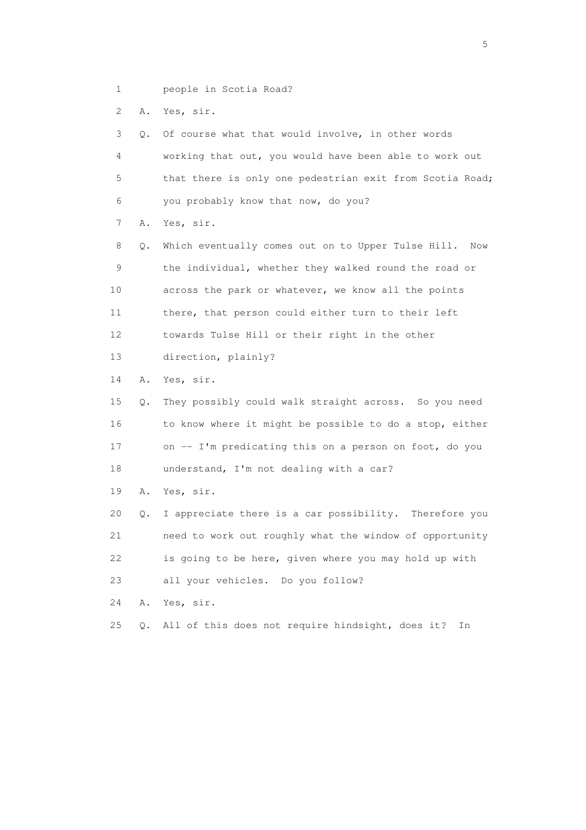1 people in Scotia Road?

2 A. Yes, sir.

 3 Q. Of course what that would involve, in other words 4 working that out, you would have been able to work out 5 that there is only one pedestrian exit from Scotia Road; 6 you probably know that now, do you? 7 A. Yes, sir. 8 Q. Which eventually comes out on to Upper Tulse Hill. Now 9 the individual, whether they walked round the road or 10 across the park or whatever, we know all the points 11 there, that person could either turn to their left 12 towards Tulse Hill or their right in the other 13 direction, plainly? 14 A. Yes, sir. 15 Q. They possibly could walk straight across. So you need 16 to know where it might be possible to do a stop, either 17 on -- I'm predicating this on a person on foot, do you 18 understand, I'm not dealing with a car? 19 A. Yes, sir. 20 Q. I appreciate there is a car possibility. Therefore you 21 need to work out roughly what the window of opportunity 22 is going to be here, given where you may hold up with 23 all your vehicles. Do you follow? 24 A. Yes, sir. 25 Q. All of this does not require hindsight, does it? In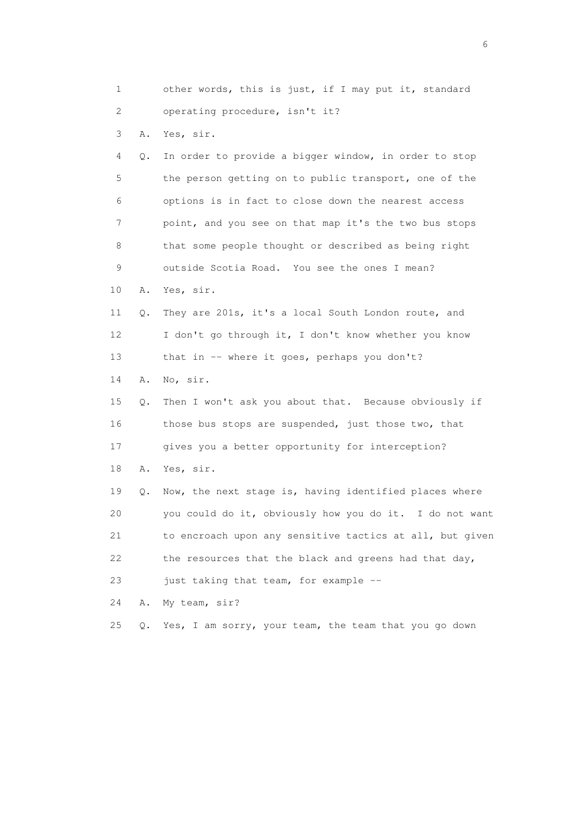1 other words, this is just, if I may put it, standard 2 operating procedure, isn't it? 3 A. Yes, sir. 4 Q. In order to provide a bigger window, in order to stop 5 the person getting on to public transport, one of the 6 options is in fact to close down the nearest access 7 point, and you see on that map it's the two bus stops 8 that some people thought or described as being right 9 outside Scotia Road. You see the ones I mean? 10 A. Yes, sir. 11 Q. They are 201s, it's a local South London route, and 12 I don't go through it, I don't know whether you know 13 that in -- where it goes, perhaps you don't? 14 A. No, sir. 15 Q. Then I won't ask you about that. Because obviously if 16 those bus stops are suspended, just those two, that 17 gives you a better opportunity for interception? 18 A. Yes, sir. 19 Q. Now, the next stage is, having identified places where 20 you could do it, obviously how you do it. I do not want 21 to encroach upon any sensitive tactics at all, but given 22 the resources that the black and greens had that day, 23 just taking that team, for example -- 24 A. My team, sir? 25 Q. Yes, I am sorry, your team, the team that you go down

 $\sim$  6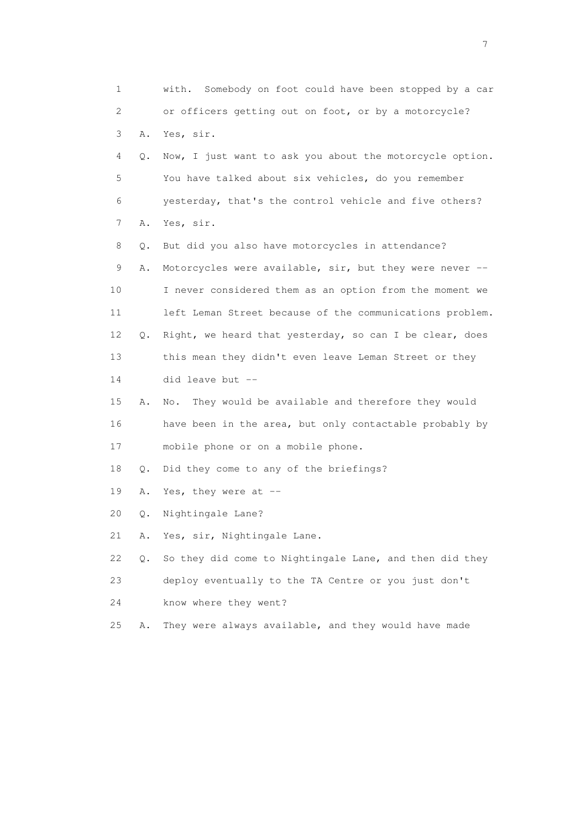1 with. Somebody on foot could have been stopped by a car 2 or officers getting out on foot, or by a motorcycle? 3 A. Yes, sir. 4 Q. Now, I just want to ask you about the motorcycle option. 5 You have talked about six vehicles, do you remember 6 yesterday, that's the control vehicle and five others? 7 A. Yes, sir. 8 Q. But did you also have motorcycles in attendance? 9 A. Motorcycles were available, sir, but they were never -- 10 I never considered them as an option from the moment we 11 left Leman Street because of the communications problem. 12 Q. Right, we heard that yesterday, so can I be clear, does 13 this mean they didn't even leave Leman Street or they 14 did leave but -- 15 A. No. They would be available and therefore they would 16 have been in the area, but only contactable probably by 17 mobile phone or on a mobile phone. 18 Q. Did they come to any of the briefings? 19 A. Yes, they were at -- 20 Q. Nightingale Lane? 21 A. Yes, sir, Nightingale Lane. 22 Q. So they did come to Nightingale Lane, and then did they 23 deploy eventually to the TA Centre or you just don't 24 know where they went? 25 A. They were always available, and they would have made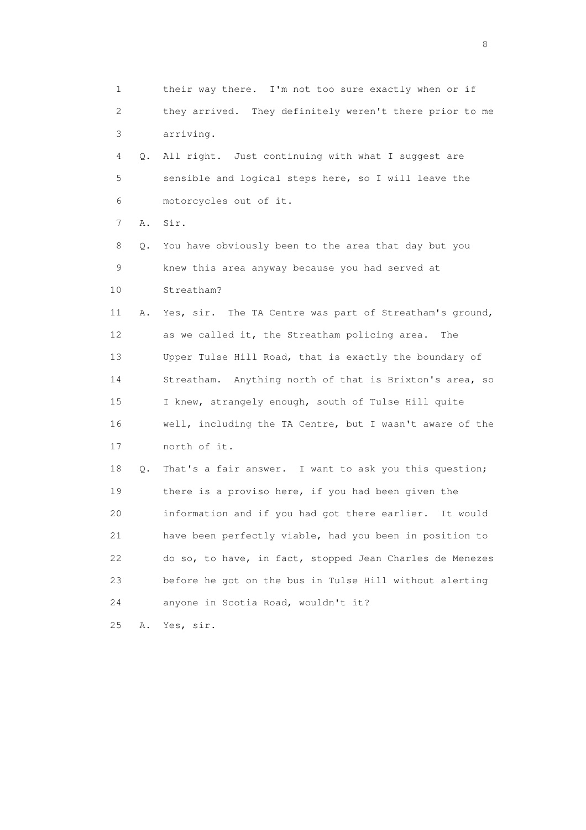1 their way there. I'm not too sure exactly when or if 2 they arrived. They definitely weren't there prior to me 3 arriving. 4 Q. All right. Just continuing with what I suggest are 5 sensible and logical steps here, so I will leave the 6 motorcycles out of it. 7 A. Sir. 8 Q. You have obviously been to the area that day but you 9 knew this area anyway because you had served at 10 Streatham? 11 A. Yes, sir. The TA Centre was part of Streatham's ground, 12 as we called it, the Streatham policing area. The 13 Upper Tulse Hill Road, that is exactly the boundary of 14 Streatham. Anything north of that is Brixton's area, so 15 I knew, strangely enough, south of Tulse Hill quite 16 well, including the TA Centre, but I wasn't aware of the 17 north of it. 18 Q. That's a fair answer. I want to ask you this question; 19 there is a proviso here, if you had been given the 20 information and if you had got there earlier. It would 21 have been perfectly viable, had you been in position to 22 do so, to have, in fact, stopped Jean Charles de Menezes 23 before he got on the bus in Tulse Hill without alerting 24 anyone in Scotia Road, wouldn't it? 25 A. Yes, sir.

en de la construction de la construction de la construction de la construction de la construction de la constr<br>18 de juny : la construction de la construction de la construction de la construction de la construction de l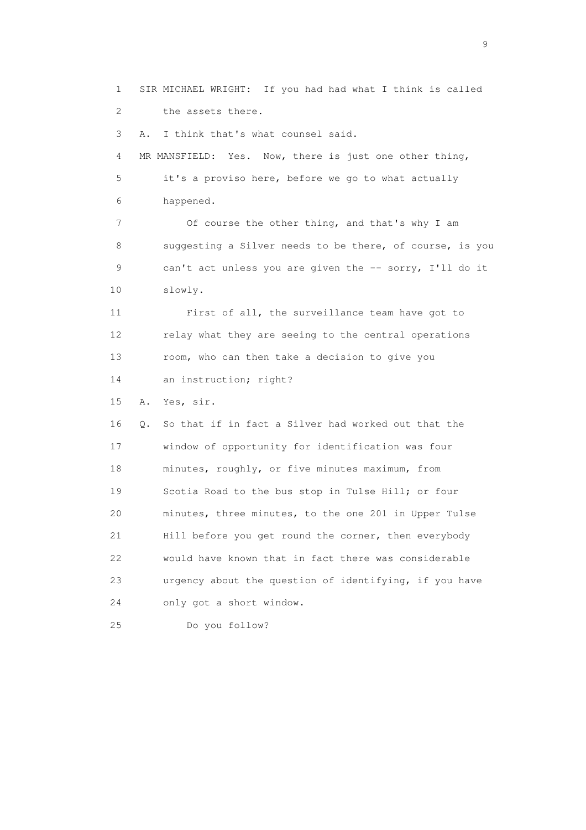1 SIR MICHAEL WRIGHT: If you had had what I think is called 2 the assets there.

3 A. I think that's what counsel said.

 4 MR MANSFIELD: Yes. Now, there is just one other thing, 5 it's a proviso here, before we go to what actually 6 happened.

 7 Of course the other thing, and that's why I am 8 suggesting a Silver needs to be there, of course, is you 9 can't act unless you are given the -- sorry, I'll do it 10 slowly.

 11 First of all, the surveillance team have got to 12 relay what they are seeing to the central operations 13 room, who can then take a decision to give you 14 an instruction; right?

15 A. Yes, sir.

 16 Q. So that if in fact a Silver had worked out that the 17 window of opportunity for identification was four 18 minutes, roughly, or five minutes maximum, from 19 Scotia Road to the bus stop in Tulse Hill; or four 20 minutes, three minutes, to the one 201 in Upper Tulse 21 Hill before you get round the corner, then everybody 22 would have known that in fact there was considerable 23 urgency about the question of identifying, if you have 24 only got a short window.

25 Do you follow?

en de la construction de la construction de la construction de la construction de la construction de la constr<br>1911 : la construction de la construction de la construction de la construction de la construction de la const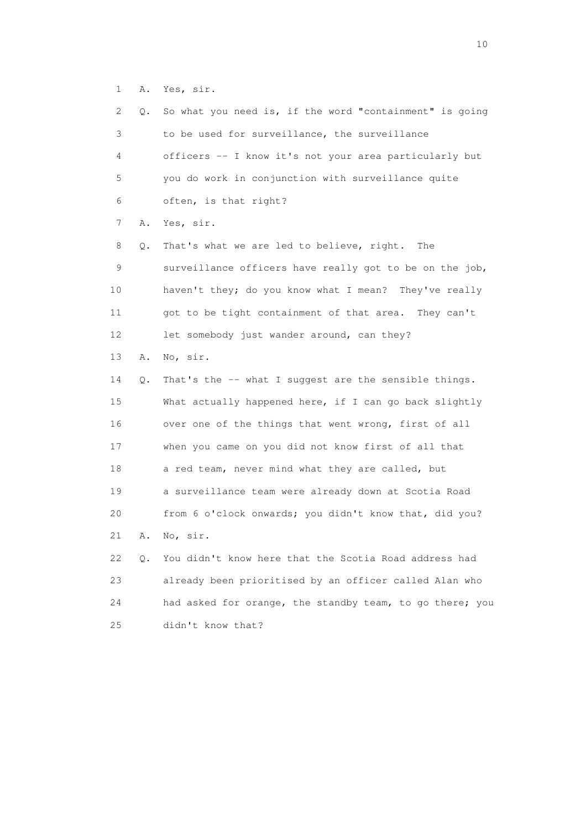1 A. Yes, sir.

| 2  | Q. | So what you need is, if the word "containment" is going  |
|----|----|----------------------------------------------------------|
| 3  |    | to be used for surveillance, the surveillance            |
| 4  |    | officers -- I know it's not your area particularly but   |
| 5  |    | you do work in conjunction with surveillance quite       |
| 6  |    | often, is that right?                                    |
| 7  | Α. | Yes, sir.                                                |
| 8  | Q. | That's what we are led to believe, right.<br>The         |
| 9  |    | surveillance officers have really got to be on the job,  |
| 10 |    | haven't they; do you know what I mean? They've really    |
| 11 |    | got to be tight containment of that area. They can't     |
| 12 |    | let somebody just wander around, can they?               |
| 13 | Α. | No, sir.                                                 |
| 14 | Q. | That's the -- what I suggest are the sensible things.    |
| 15 |    | What actually happened here, if I can go back slightly   |
| 16 |    | over one of the things that went wrong, first of all     |
| 17 |    | when you came on you did not know first of all that      |
| 18 |    | a red team, never mind what they are called, but         |
| 19 |    | a surveillance team were already down at Scotia Road     |
| 20 |    | from 6 o'clock onwards; you didn't know that, did you?   |
| 21 | Α. | No, sir.                                                 |
| 22 | Q. | You didn't know here that the Scotia Road address had    |
| 23 |    | already been prioritised by an officer called Alan who   |
| 24 |    | had asked for orange, the standby team, to go there; you |
| 25 |    | didn't know that?                                        |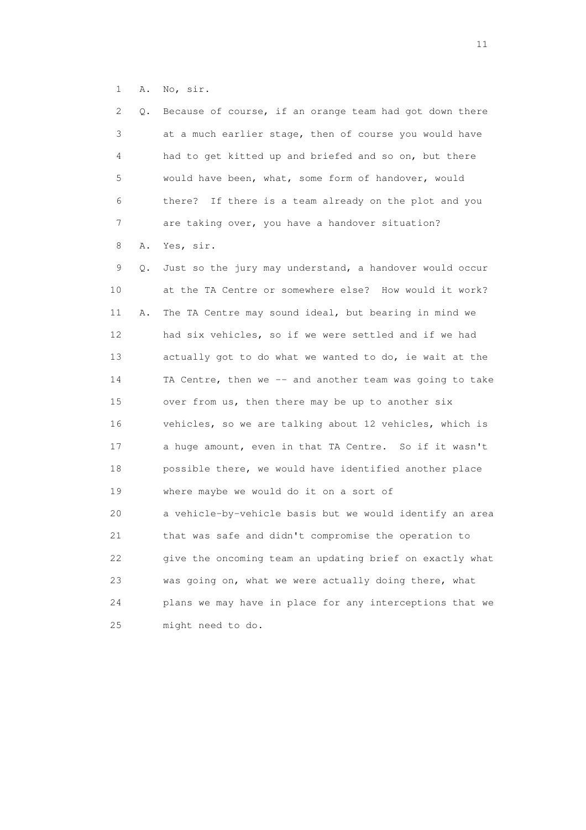1 A. No, sir.

| 2  | Q. | Because of course, if an orange team had got down there  |
|----|----|----------------------------------------------------------|
| 3  |    | at a much earlier stage, then of course you would have   |
| 4  |    | had to get kitted up and briefed and so on, but there    |
| 5  |    | would have been, what, some form of handover, would      |
| 6  |    | there? If there is a team already on the plot and you    |
| 7  |    | are taking over, you have a handover situation?          |
| 8  | Α. | Yes, sir.                                                |
| 9  | Q. | Just so the jury may understand, a handover would occur  |
| 10 |    | at the TA Centre or somewhere else? How would it work?   |
| 11 | Α. | The TA Centre may sound ideal, but bearing in mind we    |
| 12 |    | had six vehicles, so if we were settled and if we had    |
| 13 |    | actually got to do what we wanted to do, ie wait at the  |
| 14 |    | TA Centre, then we -- and another team was going to take |
| 15 |    | over from us, then there may be up to another six        |
| 16 |    | vehicles, so we are talking about 12 vehicles, which is  |
| 17 |    | a huge amount, even in that TA Centre. So if it wasn't   |
| 18 |    | possible there, we would have identified another place   |
| 19 |    | where maybe we would do it on a sort of                  |
| 20 |    | a vehicle-by-vehicle basis but we would identify an area |
| 21 |    | that was safe and didn't compromise the operation to     |
| 22 |    | give the oncoming team an updating brief on exactly what |
| 23 |    | was going on, what we were actually doing there, what    |
| 24 |    | plans we may have in place for any interceptions that we |
| 25 |    | might need to do.                                        |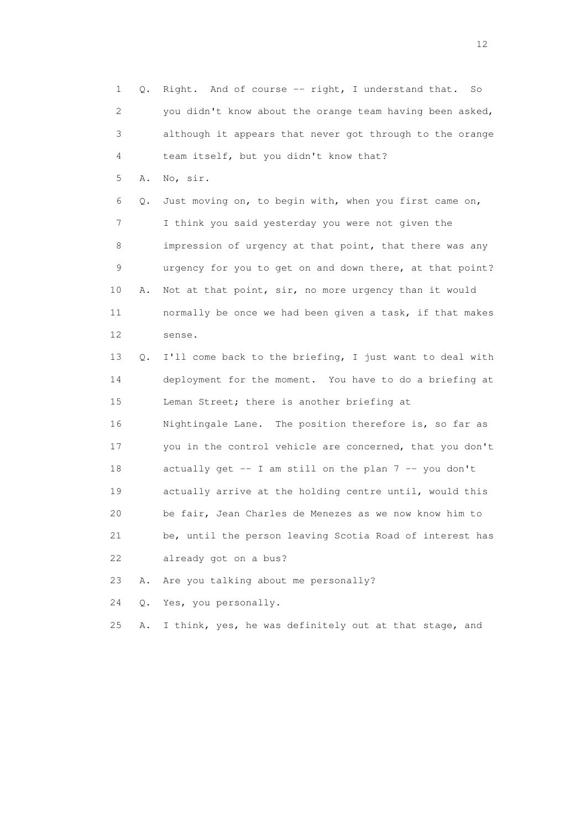1 Q. Right. And of course -- right, I understand that. So 2 you didn't know about the orange team having been asked, 3 although it appears that never got through to the orange 4 team itself, but you didn't know that? 5 A. No, sir. 6 Q. Just moving on, to begin with, when you first came on, 7 I think you said yesterday you were not given the 8 impression of urgency at that point, that there was any 9 urgency for you to get on and down there, at that point? 10 A. Not at that point, sir, no more urgency than it would 11 normally be once we had been given a task, if that makes 12 sense. 13 Q. I'll come back to the briefing, I just want to deal with 14 deployment for the moment. You have to do a briefing at 15 Leman Street; there is another briefing at 16 Nightingale Lane. The position therefore is, so far as 17 you in the control vehicle are concerned, that you don't 18 actually get -- I am still on the plan 7 -- you don't 19 actually arrive at the holding centre until, would this 20 be fair, Jean Charles de Menezes as we now know him to 21 be, until the person leaving Scotia Road of interest has 22 already got on a bus? 23 A. Are you talking about me personally? 24 Q. Yes, you personally.

25 A. I think, yes, he was definitely out at that stage, and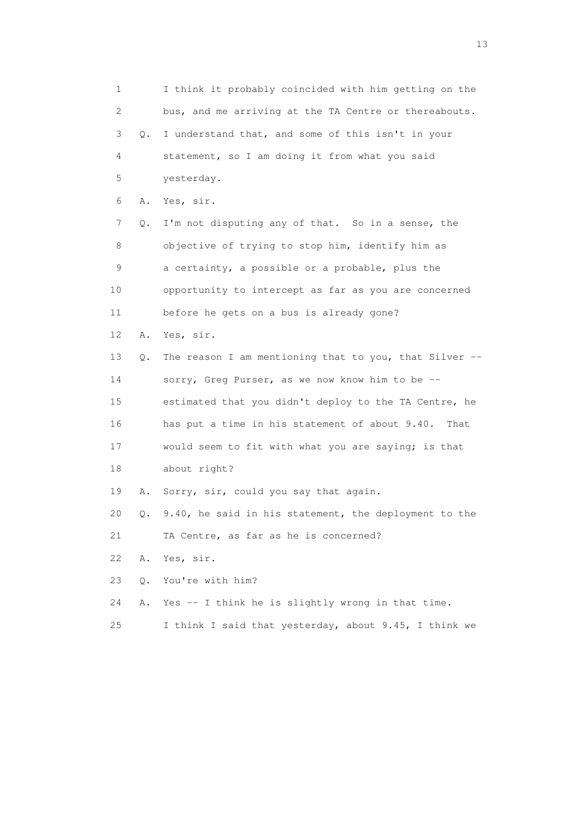1 I think it probably coincided with him getting on the 2 bus, and me arriving at the TA Centre or thereabouts. 3 Q. I understand that, and some of this isn't in your 4 statement, so I am doing it from what you said 5 yesterday. 6 A. Yes, sir. 7 Q. I'm not disputing any of that. So in a sense, the 8 objective of trying to stop him, identify him as 9 a certainty, a possible or a probable, plus the 10 opportunity to intercept as far as you are concerned 11 before he gets on a bus is already gone? 12 A. Yes, sir. 13 Q. The reason I am mentioning that to you, that Silver -- 14 sorry, Greg Purser, as we now know him to be -- 15 estimated that you didn't deploy to the TA Centre, he 16 has put a time in his statement of about 9.40. That 17 would seem to fit with what you are saying; is that 18 about right? 19 A. Sorry, sir, could you say that again. 20 Q. 9.40, he said in his statement, the deployment to the 21 TA Centre, as far as he is concerned? 22 A. Yes, sir. 23 Q. You're with him? 24 A. Yes -- I think he is slightly wrong in that time. 25 I think I said that yesterday, about 9.45, I think we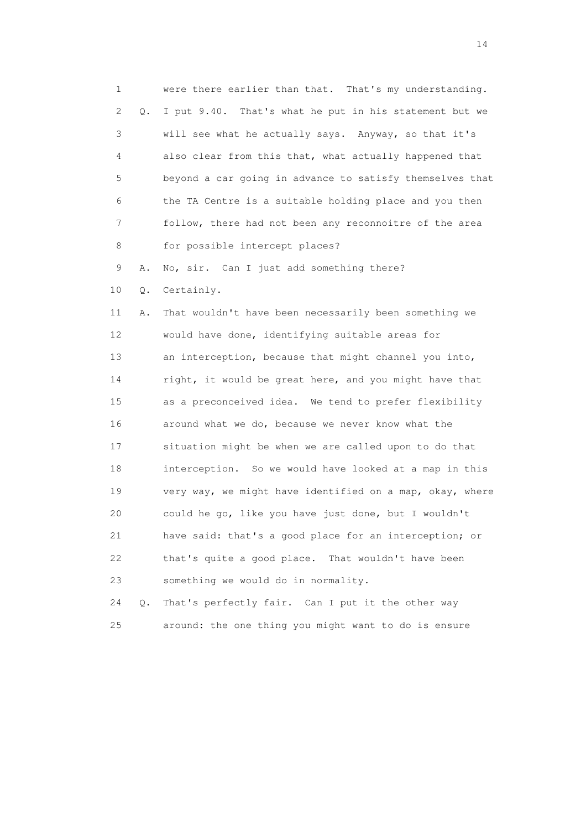1 were there earlier than that. That's my understanding. 2 Q. I put 9.40. That's what he put in his statement but we 3 will see what he actually says. Anyway, so that it's 4 also clear from this that, what actually happened that 5 beyond a car going in advance to satisfy themselves that 6 the TA Centre is a suitable holding place and you then 7 follow, there had not been any reconnoitre of the area 8 for possible intercept places?

9 A. No, sir. Can I just add something there?

10 Q. Certainly.

 11 A. That wouldn't have been necessarily been something we 12 would have done, identifying suitable areas for 13 an interception, because that might channel you into, 14 right, it would be great here, and you might have that 15 as a preconceived idea. We tend to prefer flexibility 16 around what we do, because we never know what the 17 situation might be when we are called upon to do that 18 interception. So we would have looked at a map in this 19 very way, we might have identified on a map, okay, where 20 could he go, like you have just done, but I wouldn't 21 have said: that's a good place for an interception; or 22 that's quite a good place. That wouldn't have been 23 something we would do in normality.

 24 Q. That's perfectly fair. Can I put it the other way 25 around: the one thing you might want to do is ensure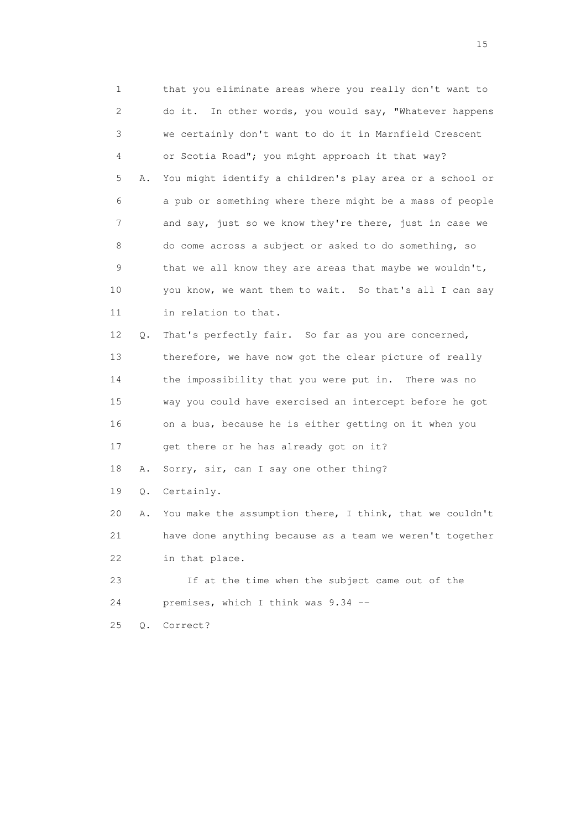1 that you eliminate areas where you really don't want to 2 do it. In other words, you would say, "Whatever happens 3 we certainly don't want to do it in Marnfield Crescent 4 or Scotia Road"; you might approach it that way? 5 A. You might identify a children's play area or a school or 6 a pub or something where there might be a mass of people 7 and say, just so we know they're there, just in case we 8 do come across a subject or asked to do something, so 9 that we all know they are areas that maybe we wouldn't, 10 you know, we want them to wait. So that's all I can say 11 in relation to that. 12 Q. That's perfectly fair. So far as you are concerned, 13 therefore, we have now got the clear picture of really 14 the impossibility that you were put in. There was no 15 way you could have exercised an intercept before he got 16 on a bus, because he is either getting on it when you 17 get there or he has already got on it? 18 A. Sorry, sir, can I say one other thing? 19 Q. Certainly. 20 A. You make the assumption there, I think, that we couldn't 21 have done anything because as a team we weren't together 22 in that place. 23 If at the time when the subject came out of the 24 premises, which I think was 9.34 --

25 Q. Correct?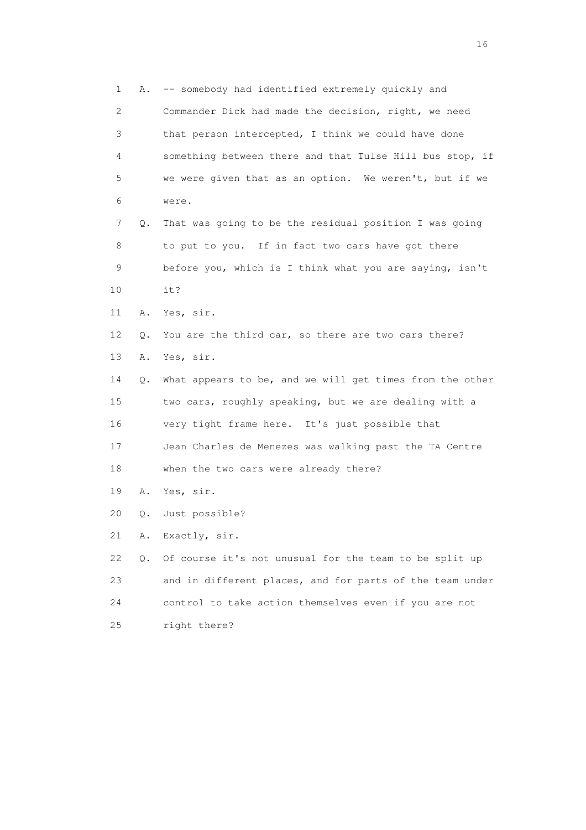1 A. -- somebody had identified extremely quickly and 2 Commander Dick had made the decision, right, we need 3 that person intercepted, I think we could have done 4 something between there and that Tulse Hill bus stop, if 5 we were given that as an option. We weren't, but if we 6 were. 7 Q. That was going to be the residual position I was going 8 to put to you. If in fact two cars have got there 9 before you, which is I think what you are saying, isn't 10 it? 11 A. Yes, sir. 12 Q. You are the third car, so there are two cars there? 13 A. Yes, sir. 14 Q. What appears to be, and we will get times from the other 15 two cars, roughly speaking, but we are dealing with a 16 very tight frame here. It's just possible that 17 Jean Charles de Menezes was walking past the TA Centre 18 when the two cars were already there? 19 A. Yes, sir. 20 Q. Just possible? 21 A. Exactly, sir. 22 Q. Of course it's not unusual for the team to be split up 23 and in different places, and for parts of the team under 24 control to take action themselves even if you are not 25 right there?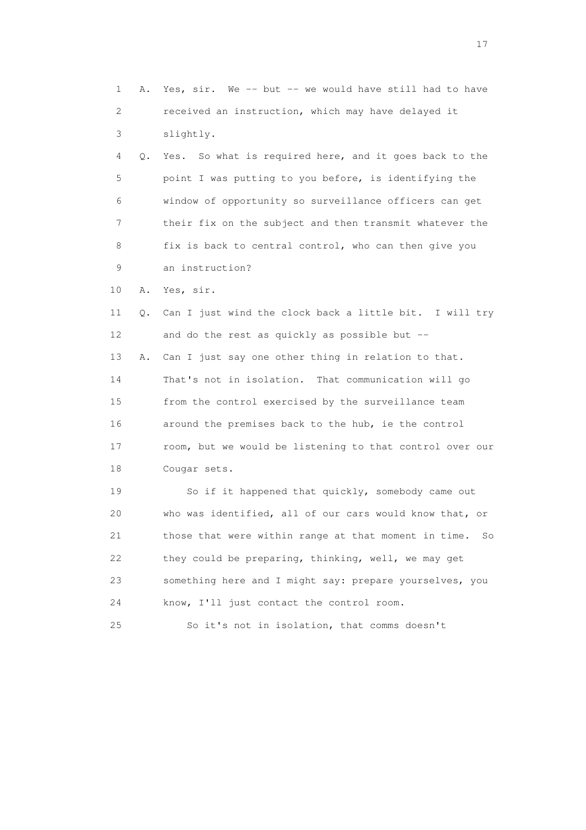1 A. Yes, sir. We -- but -- we would have still had to have 2 received an instruction, which may have delayed it 3 slightly. 4 Q. Yes. So what is required here, and it goes back to the 5 point I was putting to you before, is identifying the 6 window of opportunity so surveillance officers can get 7 their fix on the subject and then transmit whatever the 8 fix is back to central control, who can then give you 9 an instruction? 10 A. Yes, sir. 11 Q. Can I just wind the clock back a little bit. I will try 12 and do the rest as quickly as possible but -- 13 A. Can I just say one other thing in relation to that. 14 That's not in isolation. That communication will go 15 from the control exercised by the surveillance team 16 around the premises back to the hub, ie the control 17 room, but we would be listening to that control over our 18 Cougar sets. 19 So if it happened that quickly, somebody came out 20 who was identified, all of our cars would know that, or 21 those that were within range at that moment in time. So 22 they could be preparing, thinking, well, we may get 23 something here and I might say: prepare yourselves, you 24 know, I'll just contact the control room.

25 So it's not in isolation, that comms doesn't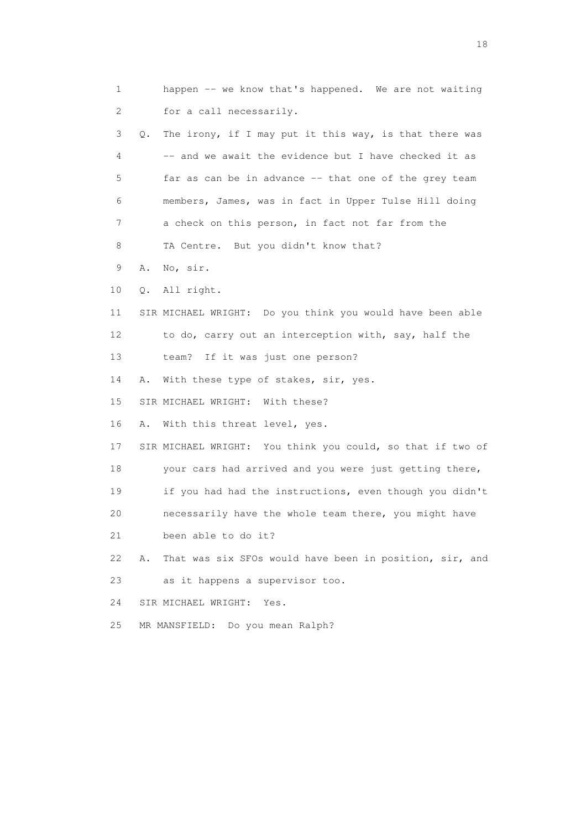1 happen -- we know that's happened. We are not waiting 2 for a call necessarily. 3 Q. The irony, if I may put it this way, is that there was 4 -- and we await the evidence but I have checked it as 5 far as can be in advance -- that one of the grey team 6 members, James, was in fact in Upper Tulse Hill doing 7 a check on this person, in fact not far from the 8 TA Centre. But you didn't know that? 9 A. No, sir. 10 Q. All right. 11 SIR MICHAEL WRIGHT: Do you think you would have been able 12 to do, carry out an interception with, say, half the 13 team? If it was just one person? 14 A. With these type of stakes, sir, yes. 15 SIR MICHAEL WRIGHT: With these? 16 A. With this threat level, yes. 17 SIR MICHAEL WRIGHT: You think you could, so that if two of 18 your cars had arrived and you were just getting there, 19 if you had had the instructions, even though you didn't 20 necessarily have the whole team there, you might have 21 been able to do it? 22 A. That was six SFOs would have been in position, sir, and 23 as it happens a supervisor too. 24 SIR MICHAEL WRIGHT: Yes. 25 MR MANSFIELD: Do you mean Ralph?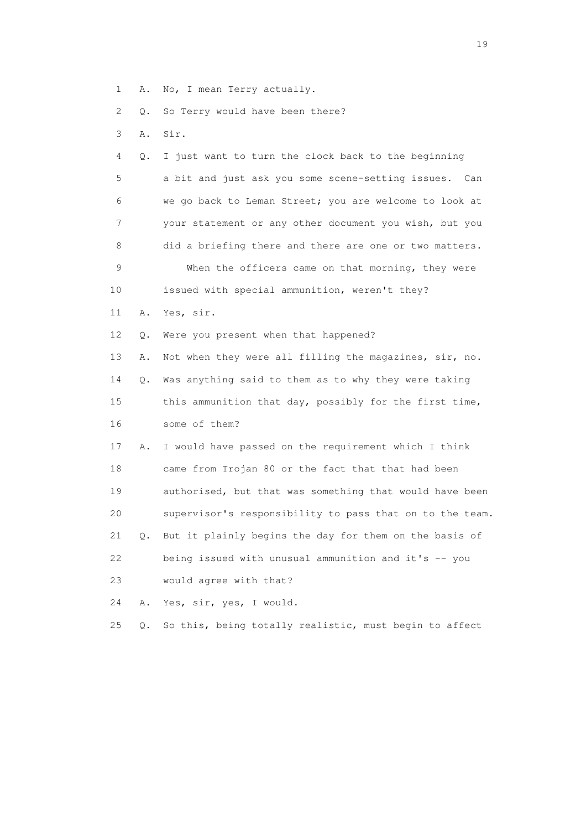1 A. No, I mean Terry actually.

2 Q. So Terry would have been there?

3 A. Sir.

 4 Q. I just want to turn the clock back to the beginning 5 a bit and just ask you some scene-setting issues. Can 6 we go back to Leman Street; you are welcome to look at 7 your statement or any other document you wish, but you 8 did a briefing there and there are one or two matters. 9 When the officers came on that morning, they were 10 issued with special ammunition, weren't they? 11 A. Yes, sir. 12 Q. Were you present when that happened? 13 A. Not when they were all filling the magazines, sir, no. 14 Q. Was anything said to them as to why they were taking 15 this ammunition that day, possibly for the first time, 16 some of them? 17 A. I would have passed on the requirement which I think 18 came from Trojan 80 or the fact that that had been 19 authorised, but that was something that would have been 20 supervisor's responsibility to pass that on to the team. 21 Q. But it plainly begins the day for them on the basis of 22 being issued with unusual ammunition and it's -- you 23 would agree with that? 24 A. Yes, sir, yes, I would. 25 Q. So this, being totally realistic, must begin to affect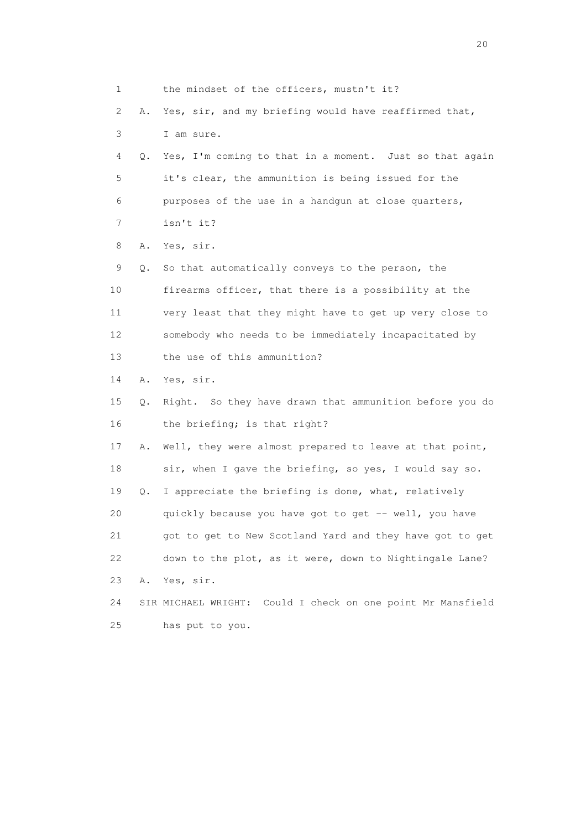1 the mindset of the officers, mustn't it? 2 A. Yes, sir, and my briefing would have reaffirmed that, 3 I am sure. 4 Q. Yes, I'm coming to that in a moment. Just so that again 5 it's clear, the ammunition is being issued for the 6 purposes of the use in a handgun at close quarters, 7 isn't it? 8 A. Yes, sir. 9 Q. So that automatically conveys to the person, the 10 firearms officer, that there is a possibility at the 11 very least that they might have to get up very close to 12 somebody who needs to be immediately incapacitated by 13 the use of this ammunition? 14 A. Yes, sir. 15 Q. Right. So they have drawn that ammunition before you do 16 the briefing; is that right? 17 A. Well, they were almost prepared to leave at that point, 18 sir, when I gave the briefing, so yes, I would say so. 19 Q. I appreciate the briefing is done, what, relatively 20 quickly because you have got to get -- well, you have 21 got to get to New Scotland Yard and they have got to get 22 down to the plot, as it were, down to Nightingale Lane? 23 A. Yes, sir. 24 SIR MICHAEL WRIGHT: Could I check on one point Mr Mansfield 25 has put to you.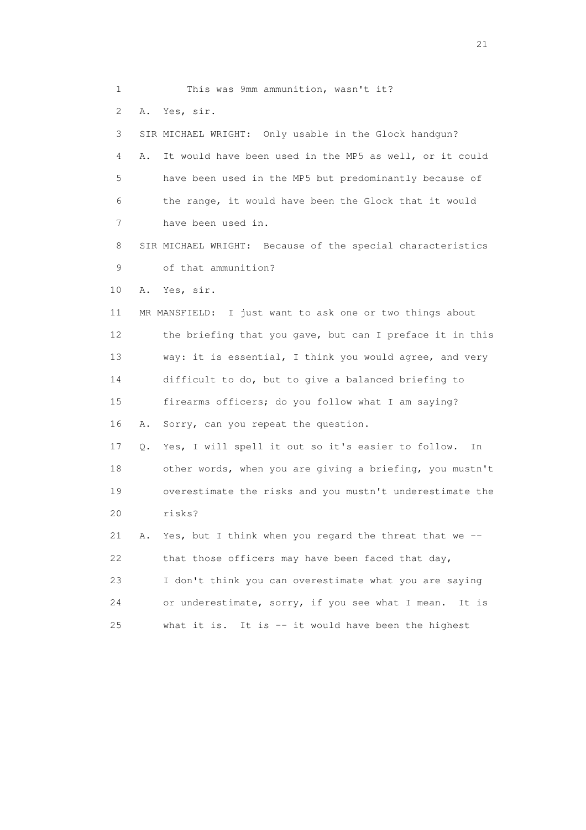1 This was 9mm ammunition, wasn't it? 2 A. Yes, sir. 3 SIR MICHAEL WRIGHT: Only usable in the Glock handgun? 4 A. It would have been used in the MP5 as well, or it could 5 have been used in the MP5 but predominantly because of 6 the range, it would have been the Glock that it would 7 have been used in. 8 SIR MICHAEL WRIGHT: Because of the special characteristics 9 of that ammunition? 10 A. Yes, sir. 11 MR MANSFIELD: I just want to ask one or two things about 12 the briefing that you gave, but can I preface it in this 13 way: it is essential, I think you would agree, and very 14 difficult to do, but to give a balanced briefing to 15 firearms officers; do you follow what I am saying? 16 A. Sorry, can you repeat the question. 17 Q. Yes, I will spell it out so it's easier to follow. In 18 other words, when you are giving a briefing, you mustn't 19 overestimate the risks and you mustn't underestimate the 20 risks? 21 A. Yes, but I think when you regard the threat that we -- 22 that those officers may have been faced that day, 23 I don't think you can overestimate what you are saying 24 or underestimate, sorry, if you see what I mean. It is 25 what it is. It is -- it would have been the highest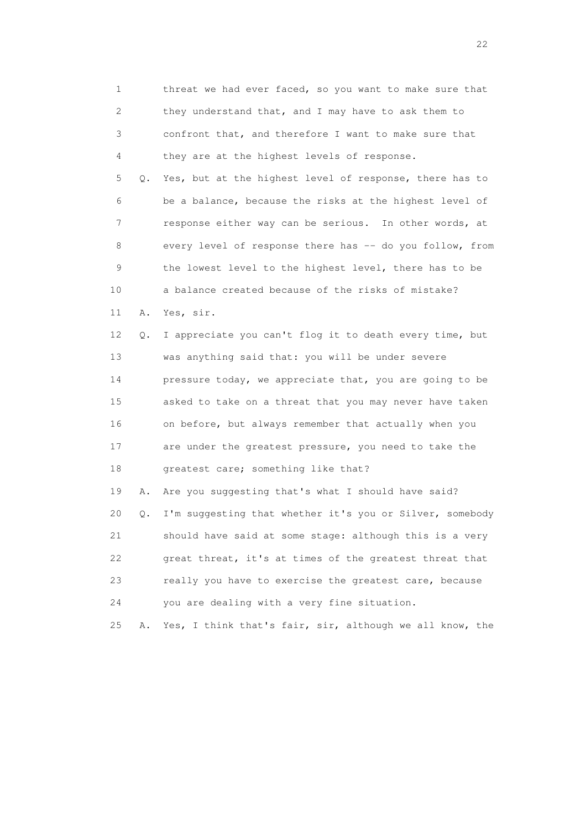1 threat we had ever faced, so you want to make sure that 2 they understand that, and I may have to ask them to 3 confront that, and therefore I want to make sure that 4 they are at the highest levels of response. 5 Q. Yes, but at the highest level of response, there has to 6 be a balance, because the risks at the highest level of 7 response either way can be serious. In other words, at 8 every level of response there has -- do you follow, from 9 the lowest level to the highest level, there has to be 10 a balance created because of the risks of mistake? 11 A. Yes, sir. 12 Q. I appreciate you can't flog it to death every time, but 13 was anything said that: you will be under severe 14 pressure today, we appreciate that, you are going to be 15 asked to take on a threat that you may never have taken 16 on before, but always remember that actually when you 17 are under the greatest pressure, you need to take the 18 greatest care; something like that? 19 A. Are you suggesting that's what I should have said? 20 Q. I'm suggesting that whether it's you or Silver, somebody 21 should have said at some stage: although this is a very 22 great threat, it's at times of the greatest threat that 23 really you have to exercise the greatest care, because 24 you are dealing with a very fine situation.

25 A. Yes, I think that's fair, sir, although we all know, the

22 and 22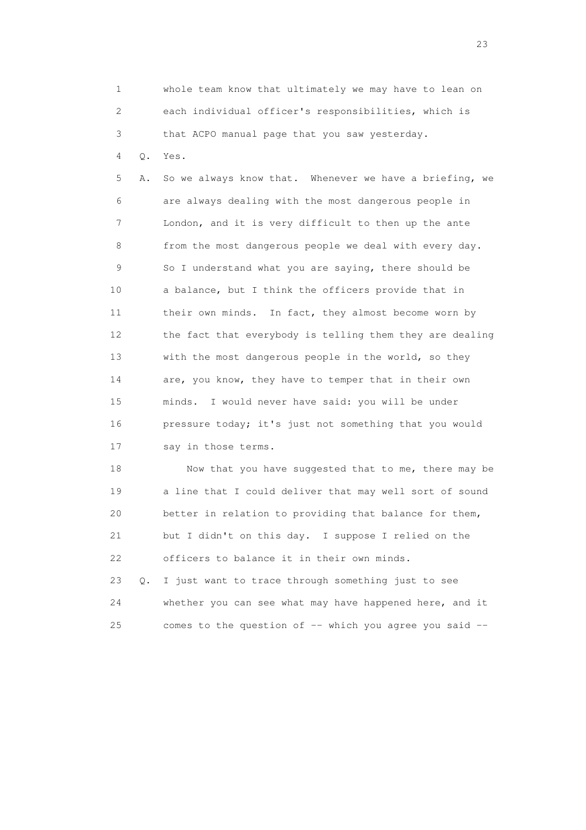1 whole team know that ultimately we may have to lean on 2 each individual officer's responsibilities, which is 3 that ACPO manual page that you saw yesterday.

4 Q. Yes.

 5 A. So we always know that. Whenever we have a briefing, we 6 are always dealing with the most dangerous people in 7 London, and it is very difficult to then up the ante 8 from the most dangerous people we deal with every day. 9 So I understand what you are saying, there should be 10 a balance, but I think the officers provide that in 11 their own minds. In fact, they almost become worn by 12 the fact that everybody is telling them they are dealing 13 with the most dangerous people in the world, so they 14 are, you know, they have to temper that in their own 15 minds. I would never have said: you will be under 16 pressure today; it's just not something that you would 17 say in those terms.

18 Now that you have suggested that to me, there may be 19 a line that I could deliver that may well sort of sound 20 better in relation to providing that balance for them, 21 but I didn't on this day. I suppose I relied on the 22 officers to balance it in their own minds.

 23 Q. I just want to trace through something just to see 24 whether you can see what may have happened here, and it 25 comes to the question of -- which you agree you said --

23 and 23 and 23 and 23 and 23 and 23 and 23 and 23 and 23 and 23 and 23 and 23 and 23 and 23 and 23 and 23 and 24 and 25 and 25 and 25 and 26 and 26 and 26 and 26 and 26 and 26 and 26 and 26 and 26 and 26 and 26 and 26 an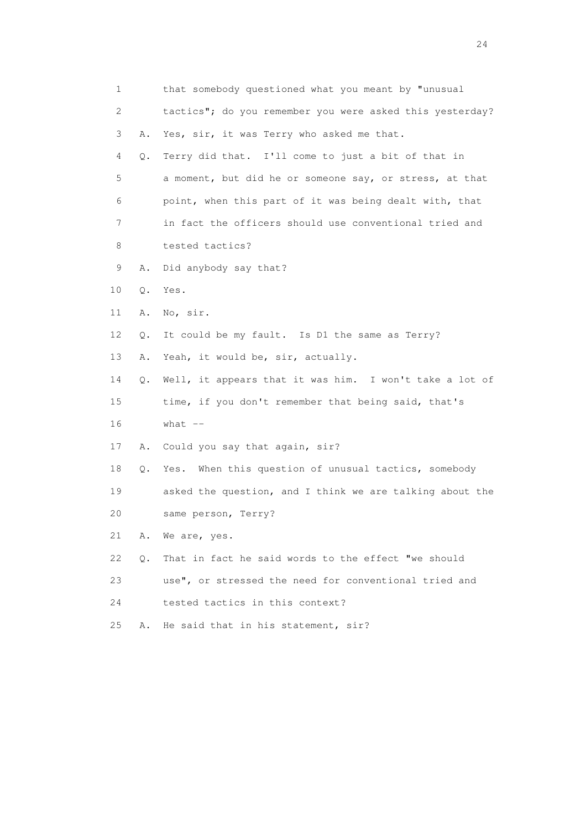| 1  |    | that somebody questioned what you meant by "unusual      |
|----|----|----------------------------------------------------------|
| 2  |    | tactics"; do you remember you were asked this yesterday? |
| 3  | Α. | Yes, sir, it was Terry who asked me that.                |
| 4  | Q. | Terry did that. I'll come to just a bit of that in       |
| 5  |    | a moment, but did he or someone say, or stress, at that  |
| 6  |    | point, when this part of it was being dealt with, that   |
| 7  |    | in fact the officers should use conventional tried and   |
| 8  |    | tested tactics?                                          |
| 9  | Α. | Did anybody say that?                                    |
| 10 | Q. | Yes.                                                     |
| 11 | Α. | No, sir.                                                 |
| 12 | Q. | It could be my fault. Is D1 the same as Terry?           |
| 13 | Α. | Yeah, it would be, sir, actually.                        |
| 14 | Q. | Well, it appears that it was him. I won't take a lot of  |
| 15 |    | time, if you don't remember that being said, that's      |
| 16 |    | what $--$                                                |
| 17 | Α. | Could you say that again, sir?                           |
| 18 | Q. | Yes. When this question of unusual tactics, somebody     |
| 19 |    | asked the question, and I think we are talking about the |
| 20 |    | same person, Terry?                                      |
| 21 | Α. | We are, yes.                                             |
| 22 | Q. | That in fact he said words to the effect "we should      |
| 23 |    | use", or stressed the need for conventional tried and    |
| 24 |    | tested tactics in this context?                          |
| 25 | Α. | He said that in his statement, sir?                      |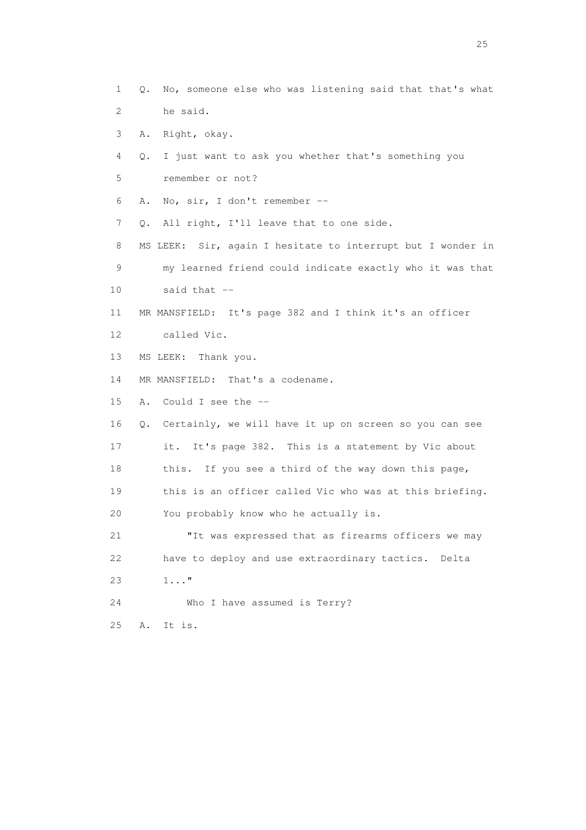1 Q. No, someone else who was listening said that that's what 2 he said. 3 A. Right, okay. 4 Q. I just want to ask you whether that's something you 5 remember or not? 6 A. No, sir, I don't remember -- 7 Q. All right, I'll leave that to one side. 8 MS LEEK: Sir, again I hesitate to interrupt but I wonder in 9 my learned friend could indicate exactly who it was that 10 said that -- 11 MR MANSFIELD: It's page 382 and I think it's an officer 12 called Vic. 13 MS LEEK: Thank you. 14 MR MANSFIELD: That's a codename. 15 A. Could I see the -- 16 Q. Certainly, we will have it up on screen so you can see 17 it. It's page 382. This is a statement by Vic about 18 this. If you see a third of the way down this page, 19 this is an officer called Vic who was at this briefing. 20 You probably know who he actually is. 21 "It was expressed that as firearms officers we may 22 have to deploy and use extraordinary tactics. Delta 23 1..." 24 Who I have assumed is Terry? 25 A. It is.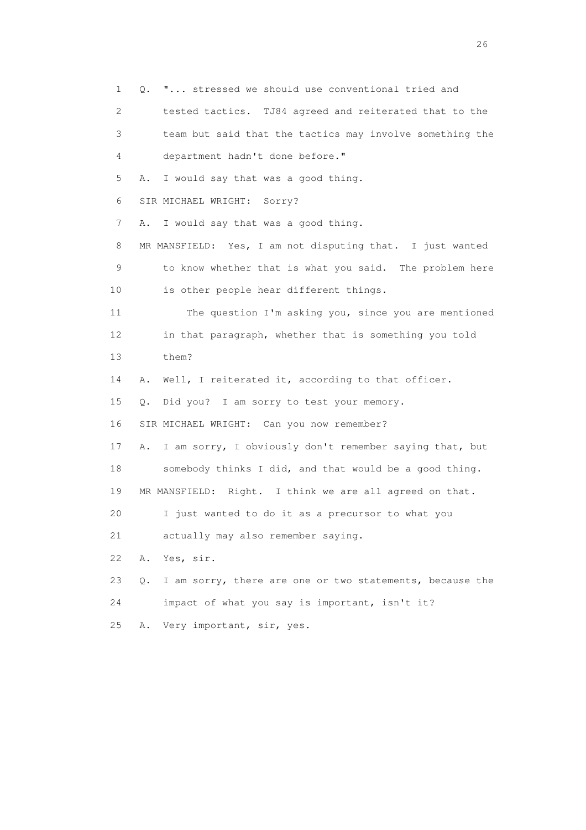1 Q. "... stressed we should use conventional tried and 2 tested tactics. TJ84 agreed and reiterated that to the 3 team but said that the tactics may involve something the 4 department hadn't done before." 5 A. I would say that was a good thing. 6 SIR MICHAEL WRIGHT: Sorry? 7 A. I would say that was a good thing. 8 MR MANSFIELD: Yes, I am not disputing that. I just wanted 9 to know whether that is what you said. The problem here 10 is other people hear different things. 11 The question I'm asking you, since you are mentioned 12 in that paragraph, whether that is something you told 13 them? 14 A. Well, I reiterated it, according to that officer. 15 Q. Did you? I am sorry to test your memory. 16 SIR MICHAEL WRIGHT: Can you now remember? 17 A. I am sorry, I obviously don't remember saying that, but 18 somebody thinks I did, and that would be a good thing. 19 MR MANSFIELD: Right. I think we are all agreed on that. 20 I just wanted to do it as a precursor to what you 21 actually may also remember saying. 22 A. Yes, sir. 23 Q. I am sorry, there are one or two statements, because the 24 impact of what you say is important, isn't it? 25 A. Very important, sir, yes.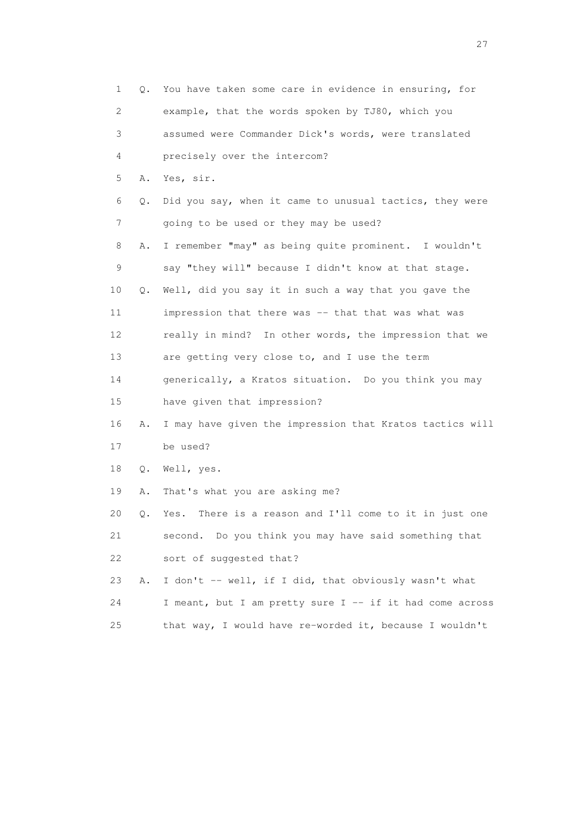| 1               | Q. | You have taken some care in evidence in ensuring, for     |
|-----------------|----|-----------------------------------------------------------|
| 2               |    | example, that the words spoken by TJ80, which you         |
| 3               |    | assumed were Commander Dick's words, were translated      |
| 4               |    | precisely over the intercom?                              |
| 5               | Α. | Yes, sir.                                                 |
| 6               | Q. | Did you say, when it came to unusual tactics, they were   |
| 7               |    | going to be used or they may be used?                     |
| 8               | Α. | I remember "may" as being quite prominent. I wouldn't     |
| $\mathsf 9$     |    | say "they will" because I didn't know at that stage.      |
| 10              | Q. | Well, did you say it in such a way that you gave the      |
| 11              |    | impression that there was -- that that was what was       |
| 12 <sup>°</sup> |    | really in mind? In other words, the impression that we    |
| 13              |    | are getting very close to, and I use the term             |
| 14              |    | generically, a Kratos situation. Do you think you may     |
| 15              |    | have given that impression?                               |
| 16              | Α. | I may have given the impression that Kratos tactics will  |
| 17              |    | be used?                                                  |
| 18              | Q. | Well, yes.                                                |
| 19              | Α. | That's what you are asking me?                            |
| 20              | Q. | There is a reason and I'll come to it in just one<br>Yes. |
| 21              |    | second. Do you think you may have said something that     |
| 22              |    | sort of suggested that?                                   |
| 23              | Α. | I don't -- well, if I did, that obviously wasn't what     |
| 24              |    | I meant, but I am pretty sure I -- if it had come across  |
| 25              |    | that way, I would have re-worded it, because I wouldn't   |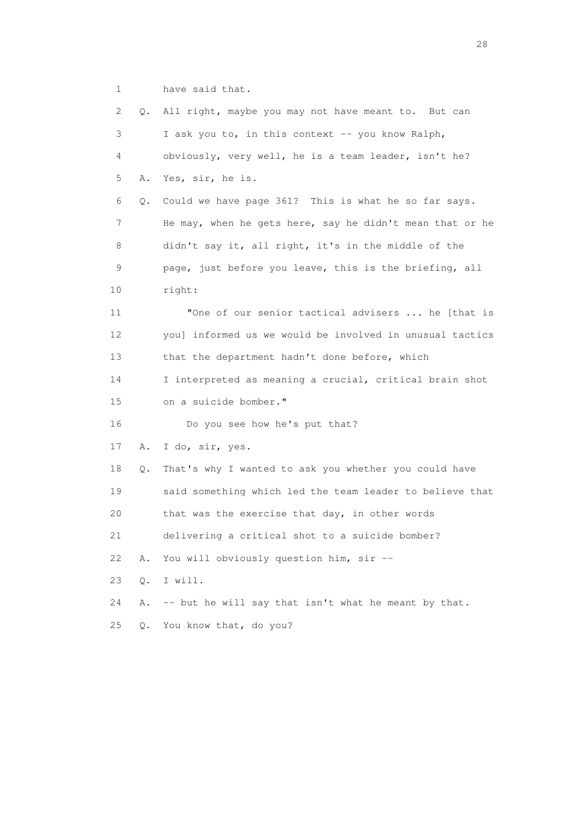1 have said that.

| 2               | Q. | All right, maybe you may not have meant to. But can      |
|-----------------|----|----------------------------------------------------------|
| 3               |    | I ask you to, in this context -- you know Ralph,         |
| 4               |    | obviously, very well, he is a team leader, isn't he?     |
| 5               | Α. | Yes, sir, he is.                                         |
| 6               | Q. | Could we have page 361? This is what he so far says.     |
| 7               |    | He may, when he gets here, say he didn't mean that or he |
| 8               |    | didn't say it, all right, it's in the middle of the      |
| 9               |    | page, just before you leave, this is the briefing, all   |
| 10              |    | right:                                                   |
| 11              |    | "One of our senior tactical advisers  he [that is        |
| 12 <sup>°</sup> |    | you] informed us we would be involved in unusual tactics |
| 13              |    | that the department hadn't done before, which            |
| 14              |    | I interpreted as meaning a crucial, critical brain shot  |
| 15              |    | on a suicide bomber."                                    |
| 16              |    | Do you see how he's put that?                            |
| 17              | Α. | I do, sir, yes.                                          |
| 18              | Q. | That's why I wanted to ask you whether you could have    |
| 19              |    | said something which led the team leader to believe that |
| 20              |    | that was the exercise that day, in other words           |
| 21              |    | delivering a critical shot to a suicide bomber?          |
| 22              | Α. | You will obviously question him, sir --                  |
| 23              | Q. | I will.                                                  |
| 24              | Α. | -- but he will say that isn't what he meant by that.     |
| 25              | Q. | You know that, do you?                                   |

28 and 28 and 28 and 28 and 28 and 28 and 28 and 28 and 28 and 28 and 28 and 28 and 28 and 28 and 28 and 28 and 28 and 28 and 28 and 28 and 28 and 28 and 28 and 28 and 28 and 28 and 28 and 28 and 28 and 28 and 28 and 28 an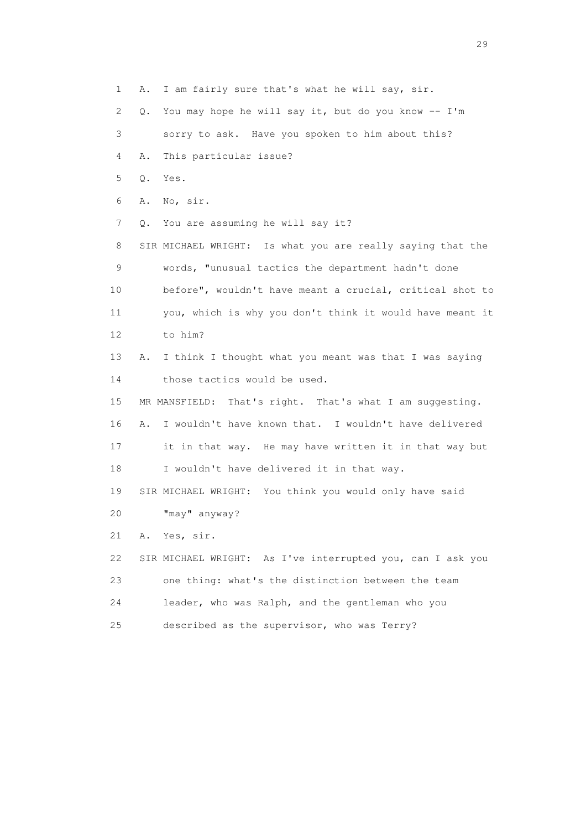1 A. I am fairly sure that's what he will say, sir.

2 Q. You may hope he will say it, but do you know -- I'm

3 sorry to ask. Have you spoken to him about this?

4 A. This particular issue?

5 Q. Yes.

6 A. No, sir.

7 Q. You are assuming he will say it?

 8 SIR MICHAEL WRIGHT: Is what you are really saying that the 9 words, "unusual tactics the department hadn't done 10 before", wouldn't have meant a crucial, critical shot to 11 you, which is why you don't think it would have meant it 12 to him?

 13 A. I think I thought what you meant was that I was saying 14 those tactics would be used.

 15 MR MANSFIELD: That's right. That's what I am suggesting. 16 A. I wouldn't have known that. I wouldn't have delivered 17 it in that way. He may have written it in that way but 18 I wouldn't have delivered it in that way.

19 SIR MICHAEL WRIGHT: You think you would only have said

20 "may" anyway?

21 A. Yes, sir.

 22 SIR MICHAEL WRIGHT: As I've interrupted you, can I ask you 23 one thing: what's the distinction between the team 24 leader, who was Ralph, and the gentleman who you 25 described as the supervisor, who was Terry?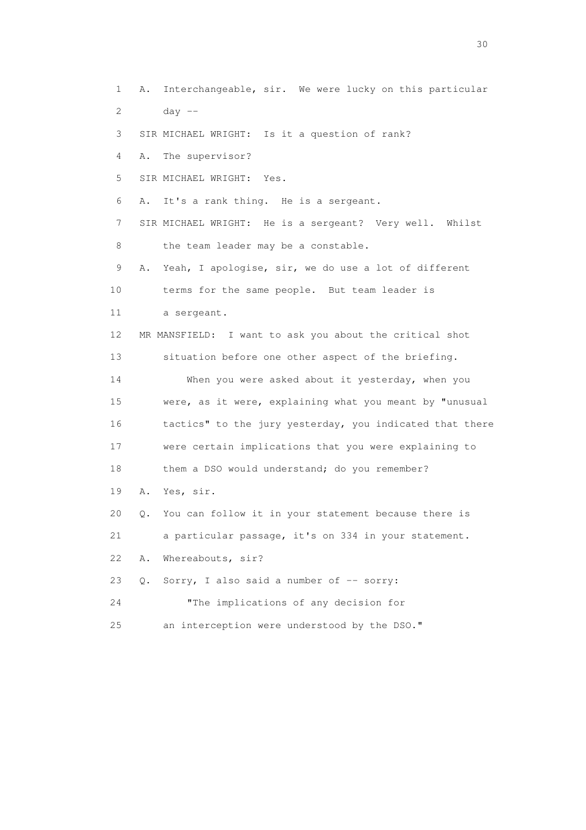1 A. Interchangeable, sir. We were lucky on this particular 2 day -- 3 SIR MICHAEL WRIGHT: Is it a question of rank? 4 A. The supervisor? 5 SIR MICHAEL WRIGHT: Yes. 6 A. It's a rank thing. He is a sergeant. 7 SIR MICHAEL WRIGHT: He is a sergeant? Very well. Whilst

8 the team leader may be a constable.

 9 A. Yeah, I apologise, sir, we do use a lot of different 10 terms for the same people. But team leader is 11 a sergeant. 12 MR MANSFIELD: I want to ask you about the critical shot 13 situation before one other aspect of the briefing. 14 When you were asked about it yesterday, when you 15 were, as it were, explaining what you meant by "unusual 16 tactics" to the jury yesterday, you indicated that there 17 were certain implications that you were explaining to 18 them a DSO would understand; do you remember? 19 A. Yes, sir. 20 Q. You can follow it in your statement because there is 21 a particular passage, it's on 334 in your statement. 22 A. Whereabouts, sir? 23 Q. Sorry, I also said a number of -- sorry: 24 "The implications of any decision for

25 an interception were understood by the DSO."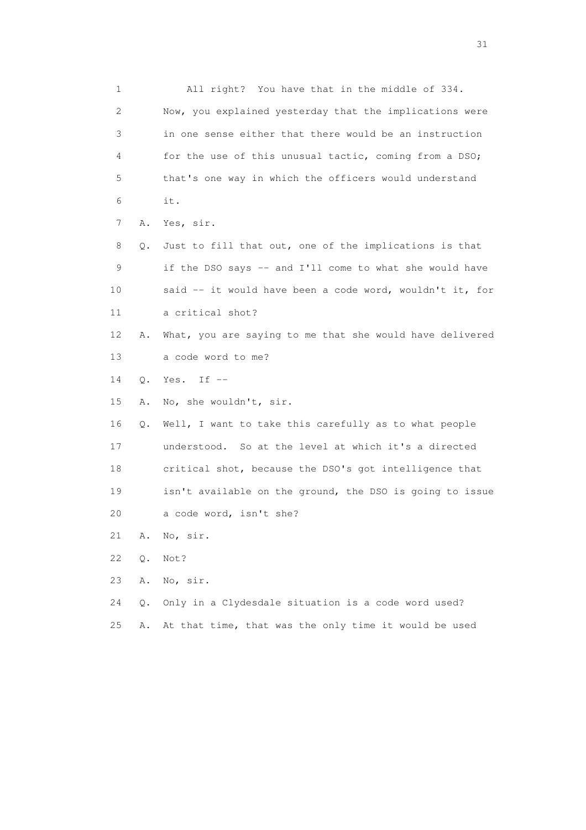1 All right? You have that in the middle of 334. 2 Now, you explained yesterday that the implications were 3 in one sense either that there would be an instruction 4 for the use of this unusual tactic, coming from a DSO; 5 that's one way in which the officers would understand 6 it. 7 A. Yes, sir. 8 Q. Just to fill that out, one of the implications is that 9 if the DSO says -- and I'll come to what she would have 10 said -- it would have been a code word, wouldn't it, for 11 a critical shot? 12 A. What, you are saying to me that she would have delivered 13 a code word to me? 14 Q. Yes. If -- 15 A. No, she wouldn't, sir. 16 Q. Well, I want to take this carefully as to what people 17 understood. So at the level at which it's a directed 18 critical shot, because the DSO's got intelligence that 19 isn't available on the ground, the DSO is going to issue 20 a code word, isn't she? 21 A. No, sir. 22 Q. Not? 23 A. No, sir. 24 Q. Only in a Clydesdale situation is a code word used? 25 A. At that time, that was the only time it would be used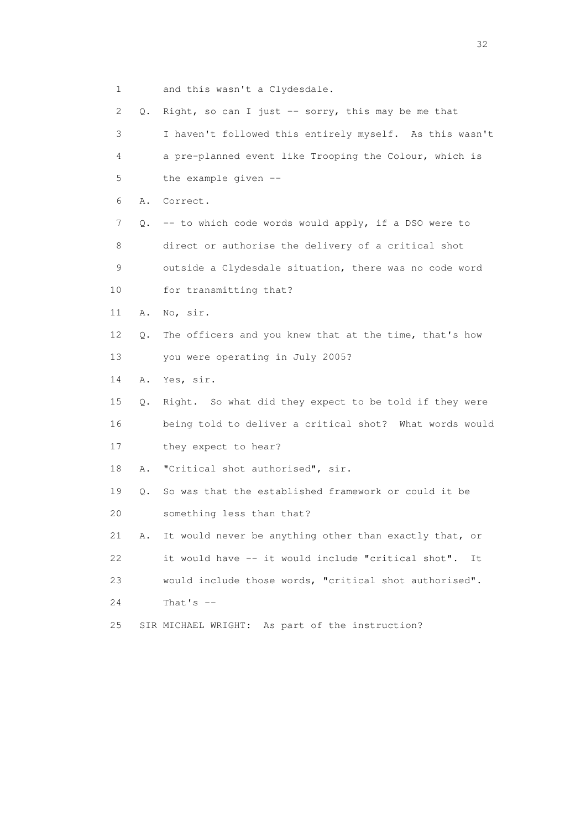| 2  | Q. | Right, so can I just -- sorry, this may be me that      |
|----|----|---------------------------------------------------------|
| 3  |    | I haven't followed this entirely myself. As this wasn't |
| 4  |    | a pre-planned event like Trooping the Colour, which is  |
| 5  |    | the example given --                                    |
| 6  | Α. | Correct.                                                |
| 7  |    | Q. -- to which code words would apply, if a DSO were to |
| 8  |    | direct or authorise the delivery of a critical shot     |
| 9  |    | outside a Clydesdale situation, there was no code word  |
| 10 |    | for transmitting that?                                  |
| 11 | Α. | No, sir.                                                |
| 12 | Q. | The officers and you knew that at the time, that's how  |
| 13 |    | you were operating in July 2005?                        |
| 14 | Α. | Yes, sir.                                               |
| 15 | Q. | Right. So what did they expect to be told if they were  |
| 16 |    | being told to deliver a critical shot? What words would |
| 17 |    | they expect to hear?                                    |
| 18 | Α. | "Critical shot authorised", sir.                        |
| 19 | Q. | So was that the established framework or could it be    |
| 20 |    | something less than that?                               |
| 21 | Α. | It would never be anything other than exactly that, or  |
| 22 |    | it would have -- it would include "critical shot". It   |
| 23 |    | would include those words, "critical shot authorised".  |
| 24 |    | That's $--$                                             |
| 25 |    | SIR MICHAEL WRIGHT: As part of the instruction?         |
|    |    |                                                         |

1 and this wasn't a Clydesdale.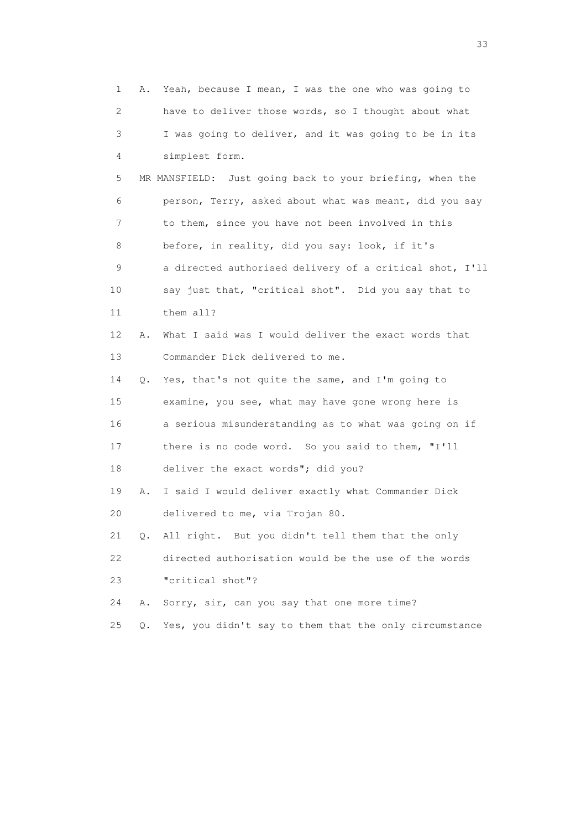1 A. Yeah, because I mean, I was the one who was going to 2 have to deliver those words, so I thought about what 3 I was going to deliver, and it was going to be in its 4 simplest form. 5 MR MANSFIELD: Just going back to your briefing, when the 6 person, Terry, asked about what was meant, did you say 7 to them, since you have not been involved in this 8 before, in reality, did you say: look, if it's 9 a directed authorised delivery of a critical shot, I'll 10 say just that, "critical shot". Did you say that to 11 them all? 12 A. What I said was I would deliver the exact words that 13 Commander Dick delivered to me. 14 Q. Yes, that's not quite the same, and I'm going to 15 examine, you see, what may have gone wrong here is 16 a serious misunderstanding as to what was going on if 17 there is no code word. So you said to them, "I'll 18 deliver the exact words"; did you? 19 A. I said I would deliver exactly what Commander Dick 20 delivered to me, via Trojan 80. 21 Q. All right. But you didn't tell them that the only 22 directed authorisation would be the use of the words 23 "critical shot"? 24 A. Sorry, sir, can you say that one more time? 25 Q. Yes, you didn't say to them that the only circumstance

<u>33</u> and the state of the state of the state of the state of the state of the state of the state of the state of the state of the state of the state of the state of the state of the state of the state of the state of the s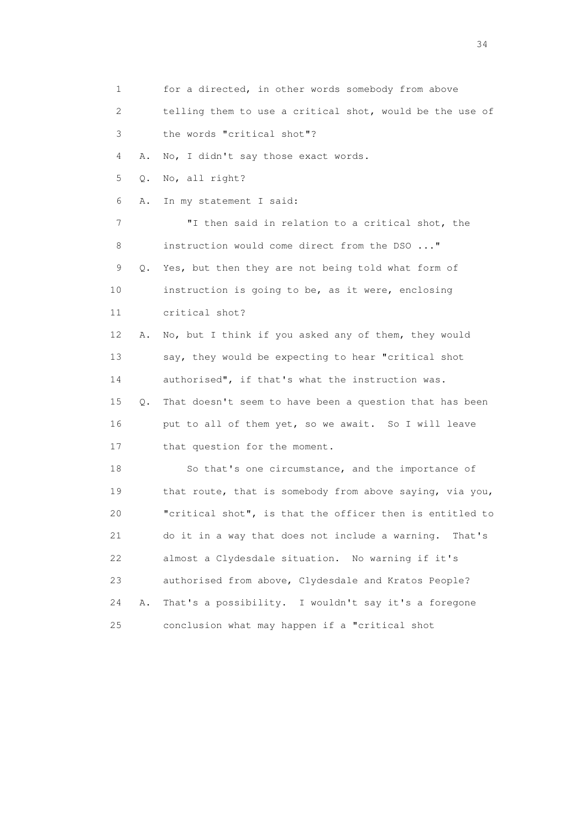1 for a directed, in other words somebody from above 2 telling them to use a critical shot, would be the use of 3 the words "critical shot"? 4 A. No, I didn't say those exact words. 5 Q. No, all right? 6 A. In my statement I said: 7 "I then said in relation to a critical shot, the 8 instruction would come direct from the DSO ..." 9 Q. Yes, but then they are not being told what form of 10 instruction is going to be, as it were, enclosing 11 critical shot? 12 A. No, but I think if you asked any of them, they would 13 say, they would be expecting to hear "critical shot 14 authorised", if that's what the instruction was. 15 Q. That doesn't seem to have been a question that has been 16 put to all of them yet, so we await. So I will leave 17 that question for the moment. 18 So that's one circumstance, and the importance of 19 that route, that is somebody from above saying, via you, 20 "critical shot", is that the officer then is entitled to 21 do it in a way that does not include a warning. That's 22 almost a Clydesdale situation. No warning if it's 23 authorised from above, Clydesdale and Kratos People? 24 A. That's a possibility. I wouldn't say it's a foregone 25 conclusion what may happen if a "critical shot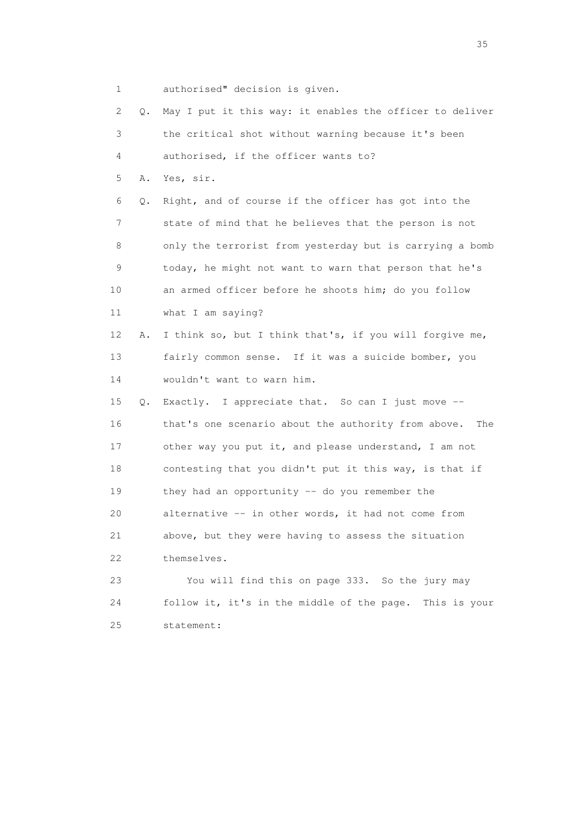1 authorised" decision is given.

| 2  | Q. | May I put it this way: it enables the officer to deliver   |
|----|----|------------------------------------------------------------|
| 3  |    | the critical shot without warning because it's been        |
| 4  |    | authorised, if the officer wants to?                       |
| 5  | Α. | Yes, sir.                                                  |
| 6  | Q. | Right, and of course if the officer has got into the       |
| 7  |    | state of mind that he believes that the person is not      |
| 8  |    | only the terrorist from yesterday but is carrying a bomb   |
| 9  |    | today, he might not want to warn that person that he's     |
| 10 |    | an armed officer before he shoots him; do you follow       |
| 11 |    | what I am saying?                                          |
| 12 | Α. | I think so, but I think that's, if you will forgive me,    |
| 13 |    | fairly common sense. If it was a suicide bomber, you       |
| 14 |    | wouldn't want to warn him.                                 |
| 15 | Q. | Exactly. I appreciate that. So can I just move --          |
| 16 |    | that's one scenario about the authority from above.<br>The |
| 17 |    | other way you put it, and please understand, I am not      |
| 18 |    | contesting that you didn't put it this way, is that if     |
| 19 |    | they had an opportunity $-$ do you remember the            |
| 20 |    | alternative -- in other words, it had not come from        |
| 21 |    | above, but they were having to assess the situation        |
| 22 |    | themselves.                                                |
| 23 |    | You will find this on page 333. So the jury may            |
| 24 |    | follow it, it's in the middle of the page.<br>This is your |
| 25 |    | statement:                                                 |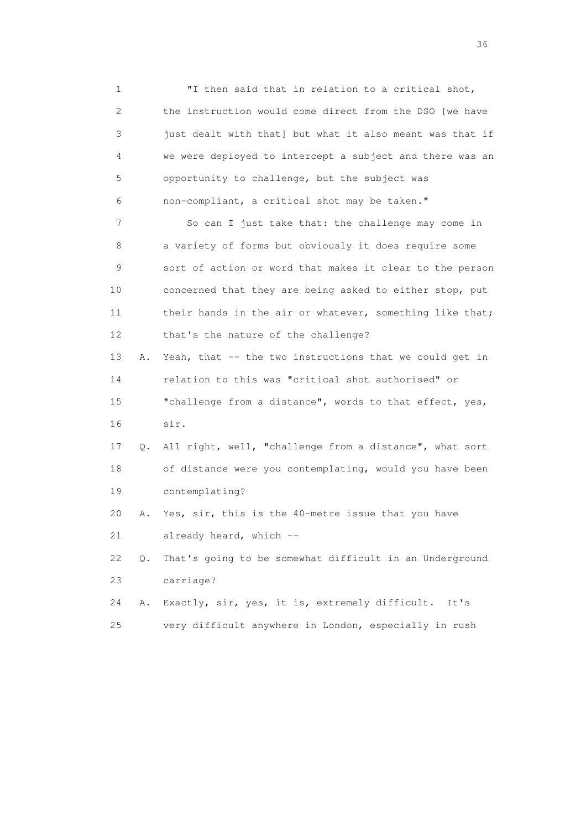1 "I then said that in relation to a critical shot, 2 the instruction would come direct from the DSO [we have 3 just dealt with that] but what it also meant was that if 4 we were deployed to intercept a subject and there was an 5 opportunity to challenge, but the subject was 6 non-compliant, a critical shot may be taken."

 7 So can I just take that: the challenge may come in 8 a variety of forms but obviously it does require some 9 sort of action or word that makes it clear to the person 10 concerned that they are being asked to either stop, put 11 their hands in the air or whatever, something like that; 12 that's the nature of the challenge?

13 A. Yeah, that -- the two instructions that we could get in 14 relation to this was "critical shot authorised" or 15 "challenge from a distance", words to that effect, yes, 16 sir.

 17 Q. All right, well, "challenge from a distance", what sort 18 of distance were you contemplating, would you have been 19 contemplating?

 20 A. Yes, sir, this is the 40-metre issue that you have 21 already heard, which --

 22 Q. That's going to be somewhat difficult in an Underground 23 carriage?

 24 A. Exactly, sir, yes, it is, extremely difficult. It's 25 very difficult anywhere in London, especially in rush

 $36<sup>2</sup>$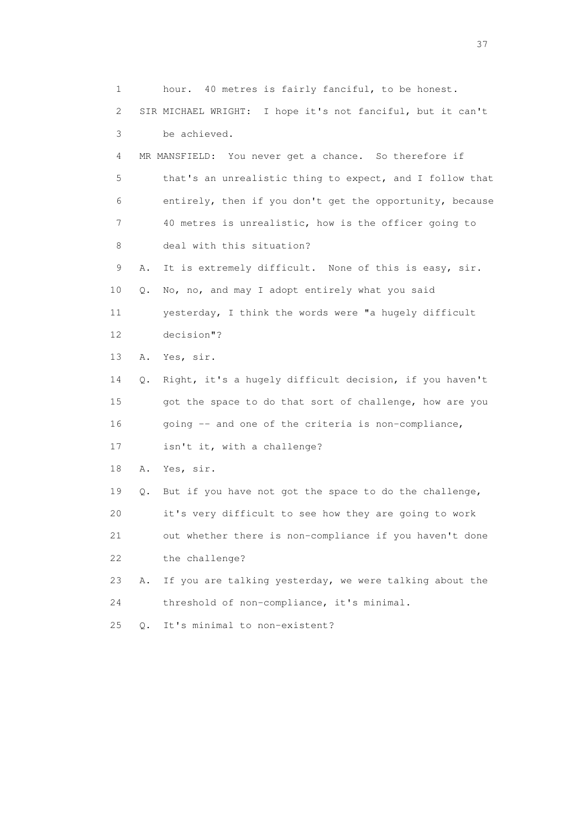1 hour. 40 metres is fairly fanciful, to be honest. 2 SIR MICHAEL WRIGHT: I hope it's not fanciful, but it can't 3 be achieved. 4 MR MANSFIELD: You never get a chance. So therefore if 5 that's an unrealistic thing to expect, and I follow that 6 entirely, then if you don't get the opportunity, because 7 40 metres is unrealistic, how is the officer going to 8 deal with this situation? 9 A. It is extremely difficult. None of this is easy, sir. 10 Q. No, no, and may I adopt entirely what you said 11 yesterday, I think the words were "a hugely difficult 12 decision"? 13 A. Yes, sir. 14 Q. Right, it's a hugely difficult decision, if you haven't 15 got the space to do that sort of challenge, how are you 16 going -- and one of the criteria is non-compliance, 17 isn't it, with a challenge? 18 A. Yes, sir. 19 Q. But if you have not got the space to do the challenge, 20 it's very difficult to see how they are going to work 21 out whether there is non-compliance if you haven't done 22 the challenge? 23 A. If you are talking yesterday, we were talking about the 24 threshold of non-compliance, it's minimal. 25 Q. It's minimal to non-existent?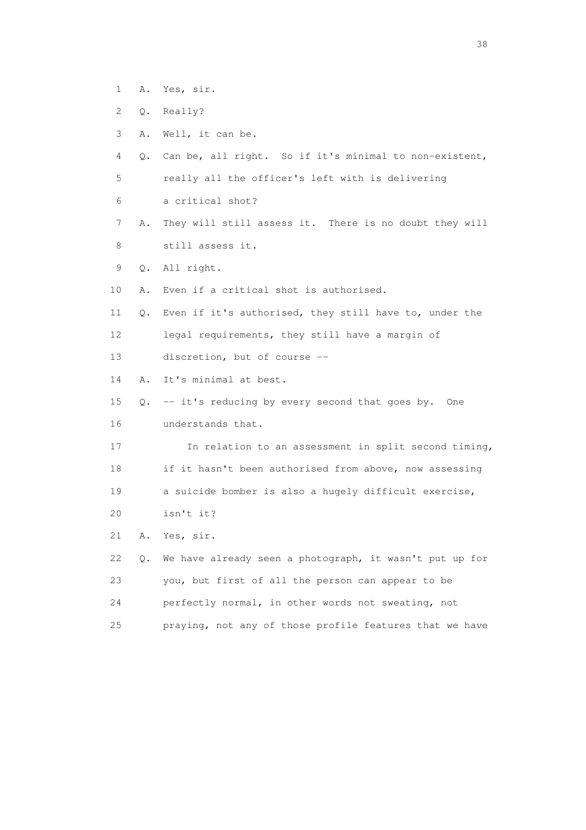- 1 A. Yes, sir.
- 2 Q. Really?
- 3 A. Well, it can be.
- 4 Q. Can be, all right. So if it's minimal to non-existent, 5 really all the officer's left with is delivering
- 
- 6 a critical shot?
- 7 A. They will still assess it. There is no doubt they will 8 still assess it.
- 9 Q. All right.
- 10 A. Even if a critical shot is authorised.
- 11 Q. Even if it's authorised, they still have to, under the 12 legal requirements, they still have a margin of
- 13 discretion, but of course --
- 14 A. It's minimal at best.
- 15 Q. -- it's reducing by every second that goes by. One 16 understands that.
- 17 In relation to an assessment in split second timing, 18 if it hasn't been authorised from above, now assessing 19 a suicide bomber is also a hugely difficult exercise, 20 isn't it?
- 21 A. Yes, sir.
- 22 Q. We have already seen a photograph, it wasn't put up for 23 you, but first of all the person can appear to be 24 perfectly normal, in other words not sweating, not 25 praying, not any of those profile features that we have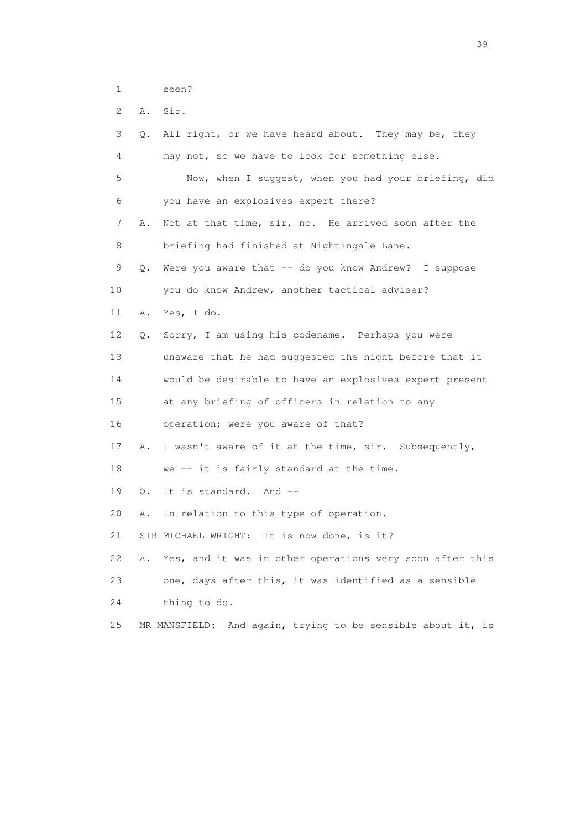1 seen?

2 A. Sir.

| 3  | Q. | All right, or we have heard about. They may be, they        |
|----|----|-------------------------------------------------------------|
| 4  |    | may not, so we have to look for something else.             |
| 5  |    | Now, when I suggest, when you had your briefing, did        |
| 6  |    | you have an explosives expert there?                        |
| 7  | Α. | Not at that time, sir, no. He arrived soon after the        |
| 8  |    | briefing had finished at Nightingale Lane.                  |
| 9  | Q. | Were you aware that -- do you know Andrew? I suppose        |
| 10 |    | you do know Andrew, another tactical adviser?               |
| 11 | Α. | Yes, I do.                                                  |
| 12 | Q. | Sorry, I am using his codename. Perhaps you were            |
| 13 |    | unaware that he had suggested the night before that it      |
| 14 |    | would be desirable to have an explosives expert present     |
| 15 |    | at any briefing of officers in relation to any              |
| 16 |    | operation; were you aware of that?                          |
| 17 | Α. | I wasn't aware of it at the time, sir. Subsequently,        |
| 18 |    | we -- it is fairly standard at the time.                    |
| 19 | Q. | It is standard. And --                                      |
| 20 | Α. | In relation to this type of operation.                      |
| 21 |    | SIR MICHAEL WRIGHT: It is now done, is it?                  |
| 22 | Α. | Yes, and it was in other operations very soon after this    |
| 23 |    | one, days after this, it was identified as a sensible       |
| 24 |    | thing to do.                                                |
| 25 |    | MR MANSFIELD: And again, trying to be sensible about it, is |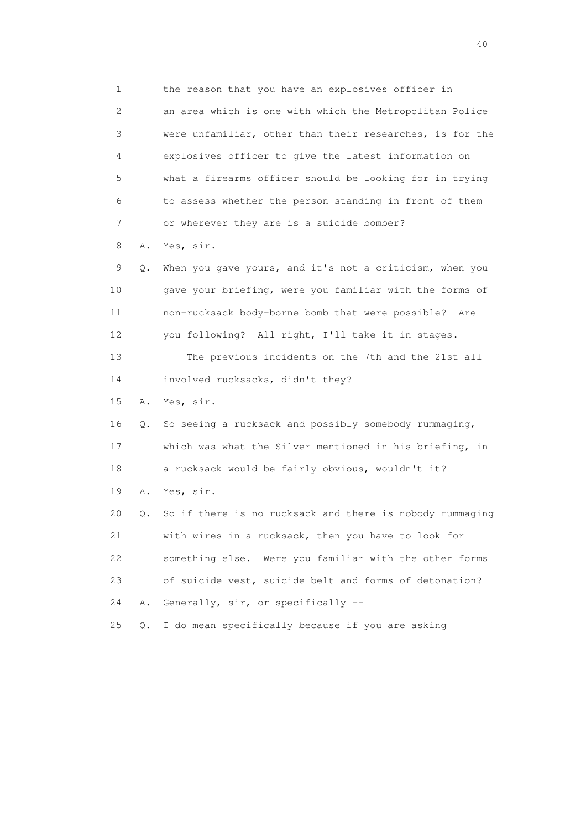1 the reason that you have an explosives officer in 2 an area which is one with which the Metropolitan Police 3 were unfamiliar, other than their researches, is for the 4 explosives officer to give the latest information on 5 what a firearms officer should be looking for in trying 6 to assess whether the person standing in front of them 7 or wherever they are is a suicide bomber?

8 A. Yes, sir.

 9 Q. When you gave yours, and it's not a criticism, when you 10 gave your briefing, were you familiar with the forms of 11 non-rucksack body-borne bomb that were possible? Are 12 you following? All right, I'll take it in stages. 13 The previous incidents on the 7th and the 21st all 14 involved rucksacks, didn't they? 15 A. Yes, sir. 16 Q. So seeing a rucksack and possibly somebody rummaging, 17 which was what the Silver mentioned in his briefing, in 18 a rucksack would be fairly obvious, wouldn't it? 19 A. Yes, sir. 20 Q. So if there is no rucksack and there is nobody rummaging

 21 with wires in a rucksack, then you have to look for 22 something else. Were you familiar with the other forms 23 of suicide vest, suicide belt and forms of detonation? 24 A. Generally, sir, or specifically --

25 Q. I do mean specifically because if you are asking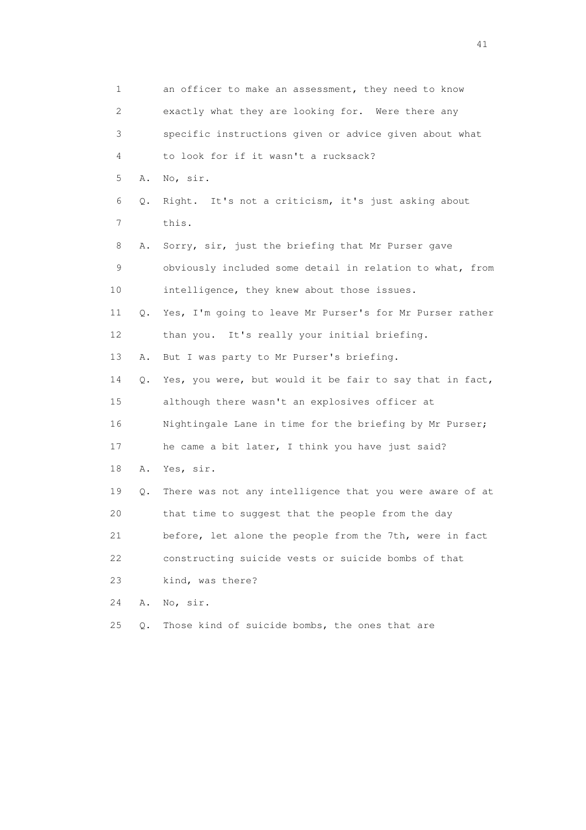| 1              |    | an officer to make an assessment, they need to know      |
|----------------|----|----------------------------------------------------------|
| 2              |    | exactly what they are looking for. Were there any        |
| 3              |    | specific instructions given or advice given about what   |
| 4              |    | to look for if it wasn't a rucksack?                     |
| 5              | Α. | No, sir.                                                 |
| 6              | Q. | Right. It's not a criticism, it's just asking about      |
| $\overline{7}$ |    | this.                                                    |
| 8              | Α. | Sorry, sir, just the briefing that Mr Purser gave        |
| 9              |    | obviously included some detail in relation to what, from |
| 10             |    | intelligence, they knew about those issues.              |
| 11             | Q. | Yes, I'm going to leave Mr Purser's for Mr Purser rather |
| 12             |    | than you. It's really your initial briefing.             |
| 13             | Α. | But I was party to Mr Purser's briefing.                 |
| 14             | Q. | Yes, you were, but would it be fair to say that in fact, |
| 15             |    | although there wasn't an explosives officer at           |
| 16             |    | Nightingale Lane in time for the briefing by Mr Purser;  |
| 17             |    | he came a bit later, I think you have just said?         |
| 18             | Α. | Yes, sir.                                                |
| 19             | Q. | There was not any intelligence that you were aware of at |
| 20             |    | that time to suggest that the people from the day        |
| 21             |    | before, let alone the people from the 7th, were in fact  |
| 22             |    | constructing suicide vests or suicide bombs of that      |
| 23             |    | kind, was there?                                         |
| 24             | Α. | No, sir.                                                 |
| 25             | Q. | Those kind of suicide bombs, the ones that are           |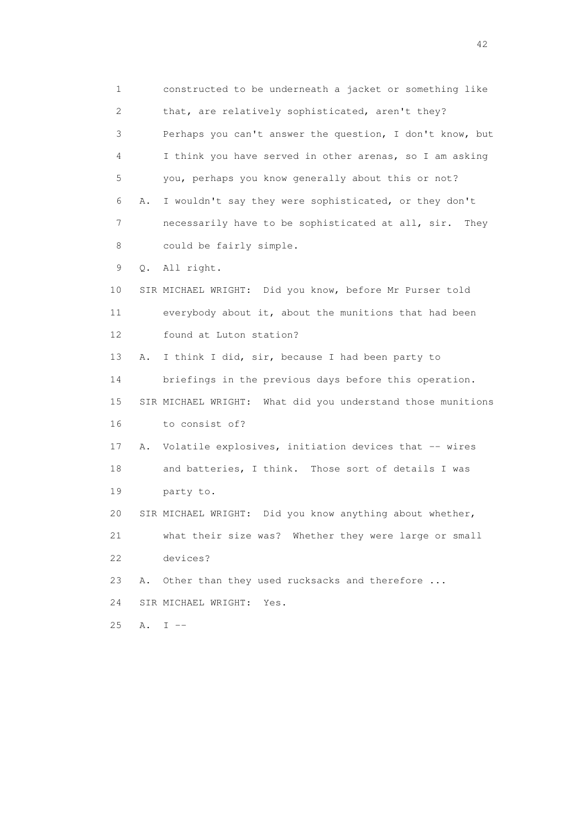1 constructed to be underneath a jacket or something like 2 that, are relatively sophisticated, aren't they? 3 Perhaps you can't answer the question, I don't know, but 4 I think you have served in other arenas, so I am asking 5 you, perhaps you know generally about this or not? 6 A. I wouldn't say they were sophisticated, or they don't 7 necessarily have to be sophisticated at all, sir. They 8 could be fairly simple. 9 Q. All right. 10 SIR MICHAEL WRIGHT: Did you know, before Mr Purser told 11 everybody about it, about the munitions that had been 12 found at Luton station? 13 A. I think I did, sir, because I had been party to 14 briefings in the previous days before this operation. 15 SIR MICHAEL WRIGHT: What did you understand those munitions 16 to consist of? 17 A. Volatile explosives, initiation devices that -- wires 18 and batteries, I think. Those sort of details I was 19 party to. 20 SIR MICHAEL WRIGHT: Did you know anything about whether, 21 what their size was? Whether they were large or small 22 devices? 23 A. Other than they used rucksacks and therefore ... 24 SIR MICHAEL WRIGHT: Yes. 25 A. I --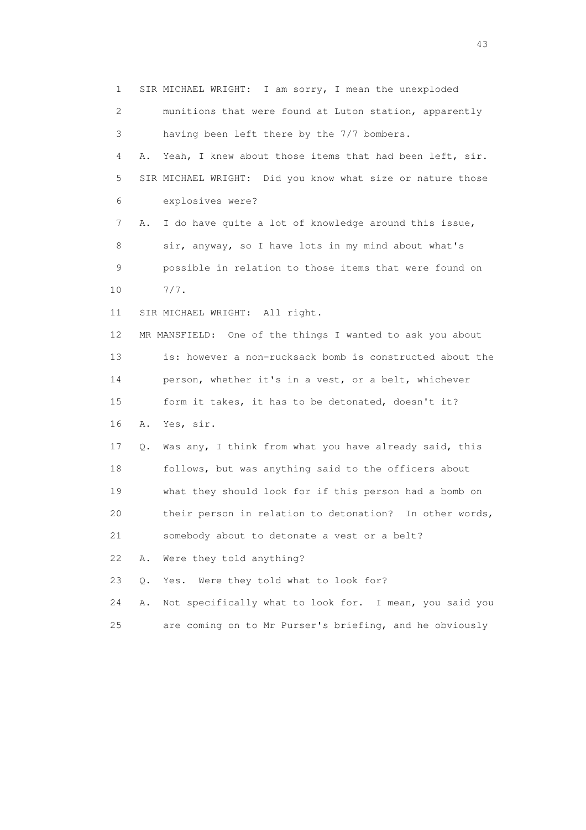1 SIR MICHAEL WRIGHT: I am sorry, I mean the unexploded 2 munitions that were found at Luton station, apparently 3 having been left there by the 7/7 bombers. 4 A. Yeah, I knew about those items that had been left, sir. 5 SIR MICHAEL WRIGHT: Did you know what size or nature those 6 explosives were? 7 A. I do have quite a lot of knowledge around this issue, 8 sir, anyway, so I have lots in my mind about what's 9 possible in relation to those items that were found on 10 7/7. 11 SIR MICHAEL WRIGHT: All right. 12 MR MANSFIELD: One of the things I wanted to ask you about 13 is: however a non-rucksack bomb is constructed about the 14 person, whether it's in a vest, or a belt, whichever 15 form it takes, it has to be detonated, doesn't it? 16 A. Yes, sir. 17 Q. Was any, I think from what you have already said, this 18 follows, but was anything said to the officers about 19 what they should look for if this person had a bomb on 20 their person in relation to detonation? In other words, 21 somebody about to detonate a vest or a belt? 22 A. Were they told anything? 23 Q. Yes. Were they told what to look for? 24 A. Not specifically what to look for. I mean, you said you 25 are coming on to Mr Purser's briefing, and he obviously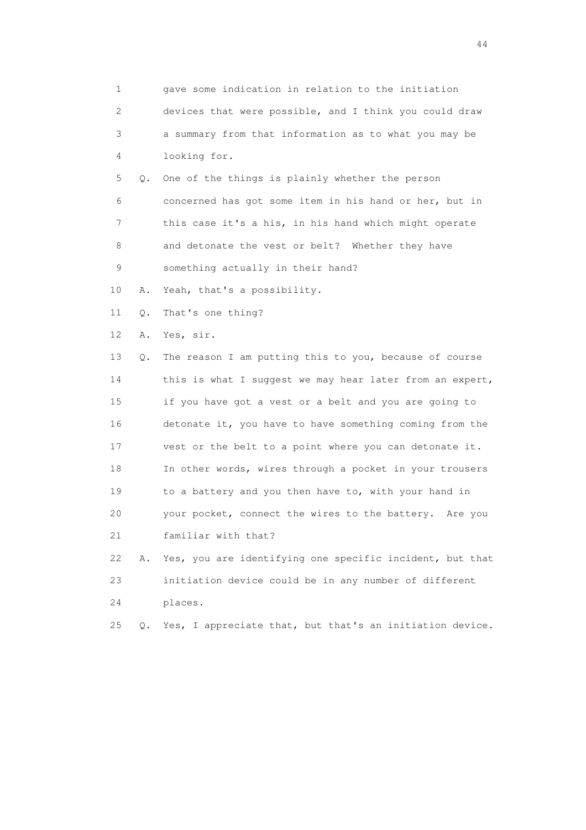| 1                         |    | gave some indication in relation to the initiation       |
|---------------------------|----|----------------------------------------------------------|
| $\mathbf{2}^{\mathsf{I}}$ |    | devices that were possible, and I think you could draw   |
| 3                         |    | a summary from that information as to what you may be    |
| 4                         |    | looking for.                                             |
| 5                         | Q. | One of the things is plainly whether the person          |
| 6                         |    | concerned has got some item in his hand or her, but in   |
| 7                         |    | this case it's a his, in his hand which might operate    |
| 8                         |    | and detonate the vest or belt? Whether they have         |
| 9                         |    | something actually in their hand?                        |
| 10                        | Α. | Yeah, that's a possibility.                              |
| 11                        | Q. | That's one thing?                                        |
| 12                        | Α. | Yes, sir.                                                |
| 13                        | Q. | The reason I am putting this to you, because of course   |
| 14                        |    | this is what I suggest we may hear later from an expert, |
| 15                        |    | if you have got a vest or a belt and you are going to    |
| 16                        |    | detonate it, you have to have something coming from the  |
| 17                        |    | vest or the belt to a point where you can detonate it.   |
| 18                        |    | In other words, wires through a pocket in your trousers  |
| 19                        |    | to a battery and you then have to, with your hand in     |
| 20                        |    | your pocket, connect the wires to the battery. Are you   |
| 21                        |    | familiar with that?                                      |
| 22                        | Α. | Yes, you are identifying one specific incident, but that |
| 23                        |    | initiation device could be in any number of different    |
| 24                        |    | places.                                                  |
| 25                        | Q. | Yes, I appreciate that, but that's an initiation device. |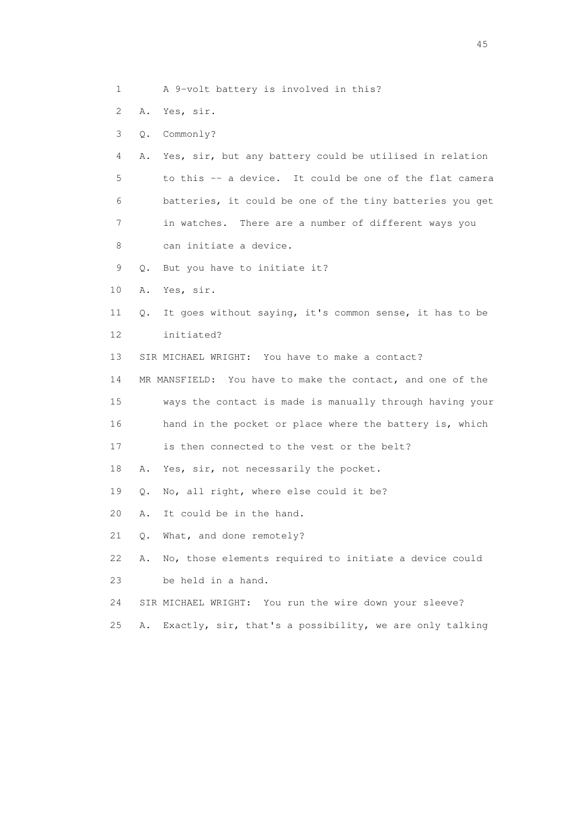- 1 A 9-volt battery is involved in this?
- 2 A. Yes, sir.
- 3 Q. Commonly?
- 4 A. Yes, sir, but any battery could be utilised in relation 5 to this -- a device. It could be one of the flat camera 6 batteries, it could be one of the tiny batteries you get 7 in watches. There are a number of different ways you 8 can initiate a device.
- 9 Q. But you have to initiate it?
- 10 A. Yes, sir.
- 11 Q. It goes without saying, it's common sense, it has to be 12 initiated?
- 13 SIR MICHAEL WRIGHT: You have to make a contact?

 14 MR MANSFIELD: You have to make the contact, and one of the 15 ways the contact is made is manually through having your 16 hand in the pocket or place where the battery is, which

- 17 is then connected to the vest or the belt?
- 18 A. Yes, sir, not necessarily the pocket.
- 19 Q. No, all right, where else could it be?
- 20 A. It could be in the hand.
- 21 Q. What, and done remotely?
- 22 A. No, those elements required to initiate a device could 23 be held in a hand.
- 24 SIR MICHAEL WRIGHT: You run the wire down your sleeve?
- 25 A. Exactly, sir, that's a possibility, we are only talking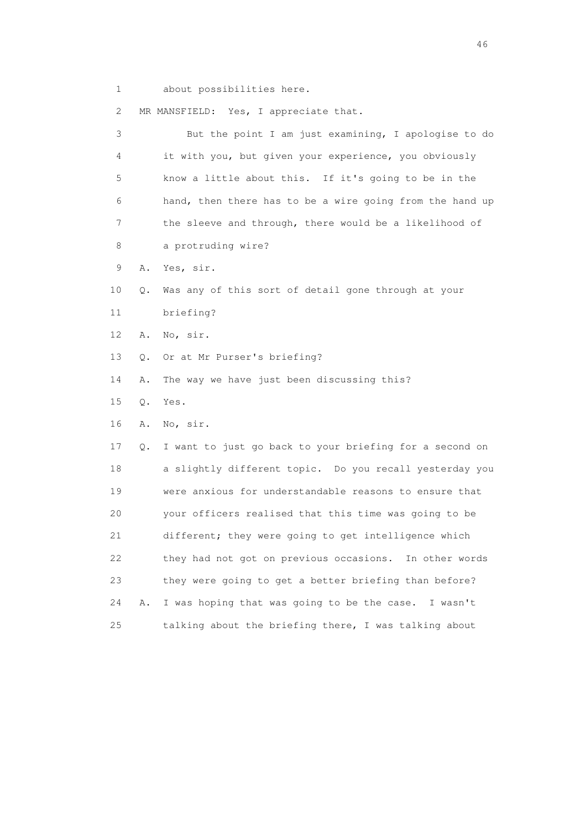1 about possibilities here.

2 MR MANSFIELD: Yes, I appreciate that.

| 3  | But the point I am just examining, I apologise to do          |
|----|---------------------------------------------------------------|
| 4  | it with you, but given your experience, you obviously         |
| 5  | know a little about this. If it's going to be in the          |
| 6  | hand, then there has to be a wire going from the hand up      |
| 7  | the sleeve and through, there would be a likelihood of        |
| 8  | a protruding wire?                                            |
| 9  | Yes, sir.<br>Α.                                               |
| 10 | Was any of this sort of detail gone through at your<br>Q.     |
| 11 | briefing?                                                     |
| 12 | No, sir.<br>Α.                                                |
| 13 | Or at Mr Purser's briefing?<br>Q.                             |
| 14 | The way we have just been discussing this?<br>Α.              |
| 15 | Yes.<br>Q.                                                    |
| 16 | No, sir.<br>Α.                                                |
| 17 | I want to just go back to your briefing for a second on<br>Q. |
| 18 | a slightly different topic. Do you recall yesterday you       |
| 19 | were anxious for understandable reasons to ensure that        |
| 20 | your officers realised that this time was going to be         |
| 21 | different; they were going to get intelligence which          |
| 22 | they had not got on previous occasions. In other words        |
| 23 | they were going to get a better briefing than before?         |
| 24 | I was hoping that was going to be the case. I wasn't<br>Α.    |
| 25 | talking about the briefing there, I was talking about         |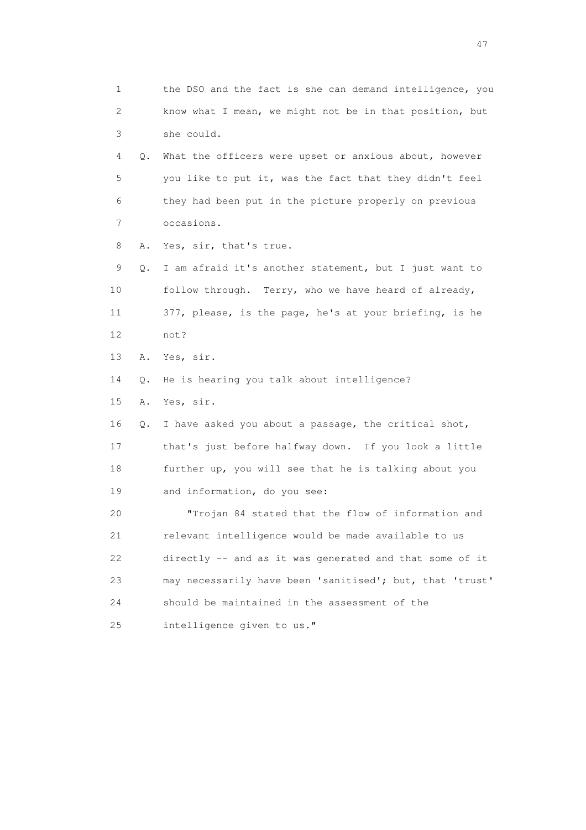1 the DSO and the fact is she can demand intelligence, you 2 know what I mean, we might not be in that position, but 3 she could. 4 Q. What the officers were upset or anxious about, however 5 you like to put it, was the fact that they didn't feel 6 they had been put in the picture properly on previous 7 occasions. 8 A. Yes, sir, that's true. 9 Q. I am afraid it's another statement, but I just want to 10 follow through. Terry, who we have heard of already, 11 377, please, is the page, he's at your briefing, is he 12 not? 13 A. Yes, sir. 14 Q. He is hearing you talk about intelligence? 15 A. Yes, sir. 16 Q. I have asked you about a passage, the critical shot, 17 that's just before halfway down. If you look a little 18 further up, you will see that he is talking about you 19 and information, do you see: 20 "Trojan 84 stated that the flow of information and 21 relevant intelligence would be made available to us 22 directly -- and as it was generated and that some of it 23 may necessarily have been 'sanitised'; but, that 'trust' 24 should be maintained in the assessment of the 25 intelligence given to us."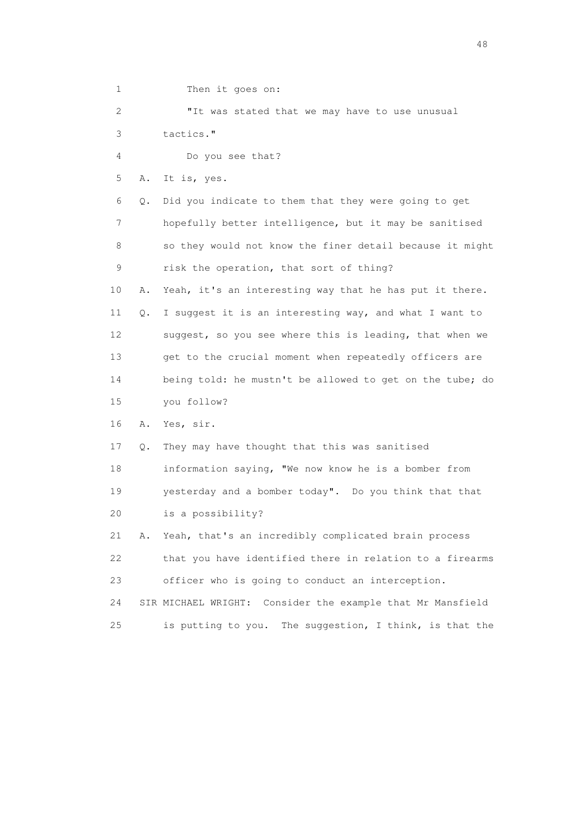1 Then it goes on: 2 "It was stated that we may have to use unusual 3 tactics." 4 Do you see that? 5 A. It is, yes. 6 Q. Did you indicate to them that they were going to get 7 hopefully better intelligence, but it may be sanitised 8 so they would not know the finer detail because it might 9 risk the operation, that sort of thing? 10 A. Yeah, it's an interesting way that he has put it there. 11 Q. I suggest it is an interesting way, and what I want to 12 suggest, so you see where this is leading, that when we 13 get to the crucial moment when repeatedly officers are 14 being told: he mustn't be allowed to get on the tube; do 15 you follow? 16 A. Yes, sir. 17 Q. They may have thought that this was sanitised 18 information saying, "We now know he is a bomber from 19 yesterday and a bomber today". Do you think that that 20 is a possibility? 21 A. Yeah, that's an incredibly complicated brain process 22 that you have identified there in relation to a firearms 23 officer who is going to conduct an interception. 24 SIR MICHAEL WRIGHT: Consider the example that Mr Mansfield 25 is putting to you. The suggestion, I think, is that the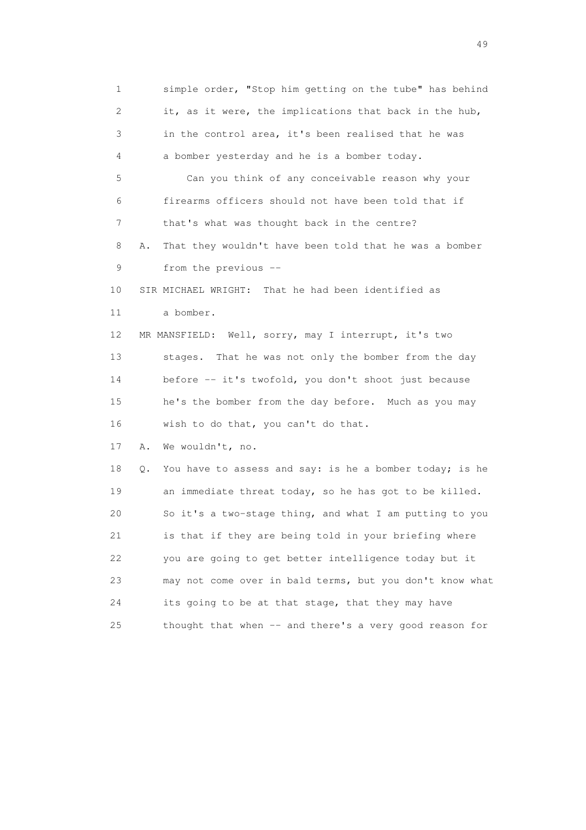1 simple order, "Stop him getting on the tube" has behind 2 it, as it were, the implications that back in the hub, 3 in the control area, it's been realised that he was 4 a bomber yesterday and he is a bomber today. 5 Can you think of any conceivable reason why your 6 firearms officers should not have been told that if 7 that's what was thought back in the centre? 8 A. That they wouldn't have been told that he was a bomber 9 from the previous -- 10 SIR MICHAEL WRIGHT: That he had been identified as 11 a bomber. 12 MR MANSFIELD: Well, sorry, may I interrupt, it's two 13 stages. That he was not only the bomber from the day 14 before -- it's twofold, you don't shoot just because 15 he's the bomber from the day before. Much as you may 16 wish to do that, you can't do that. 17 A. We wouldn't, no. 18 Q. You have to assess and say: is he a bomber today; is he 19 an immediate threat today, so he has got to be killed. 20 So it's a two-stage thing, and what I am putting to you 21 is that if they are being told in your briefing where 22 you are going to get better intelligence today but it 23 may not come over in bald terms, but you don't know what 24 its going to be at that stage, that they may have 25 thought that when -- and there's a very good reason for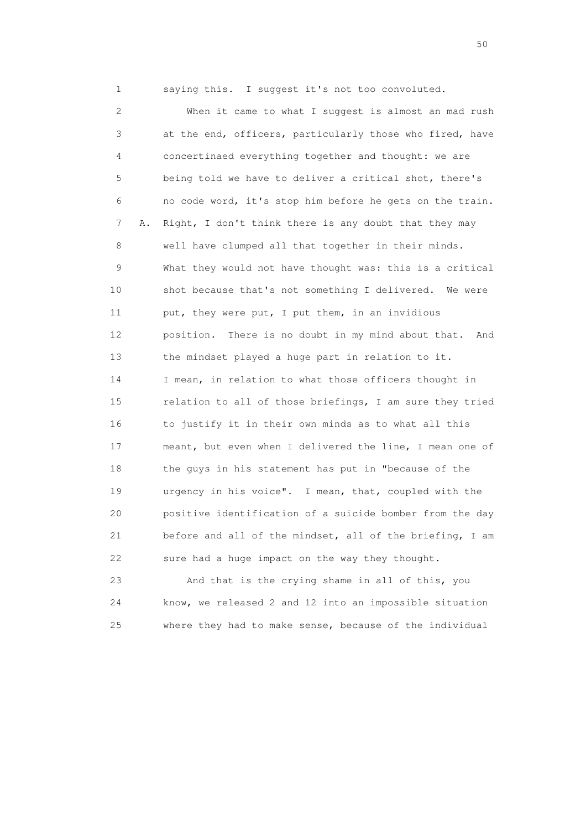1 saying this. I suggest it's not too convoluted.

 2 When it came to what I suggest is almost an mad rush 3 at the end, officers, particularly those who fired, have 4 concertinaed everything together and thought: we are 5 being told we have to deliver a critical shot, there's 6 no code word, it's stop him before he gets on the train. 7 A. Right, I don't think there is any doubt that they may 8 well have clumped all that together in their minds. 9 What they would not have thought was: this is a critical 10 shot because that's not something I delivered. We were 11 put, they were put, I put them, in an invidious 12 position. There is no doubt in my mind about that. And 13 the mindset played a huge part in relation to it. 14 I mean, in relation to what those officers thought in 15 relation to all of those briefings, I am sure they tried 16 to justify it in their own minds as to what all this 17 meant, but even when I delivered the line, I mean one of 18 the guys in his statement has put in "because of the 19 urgency in his voice". I mean, that, coupled with the 20 positive identification of a suicide bomber from the day 21 before and all of the mindset, all of the briefing, I am 22 sure had a huge impact on the way they thought.

 23 And that is the crying shame in all of this, you 24 know, we released 2 and 12 into an impossible situation 25 where they had to make sense, because of the individual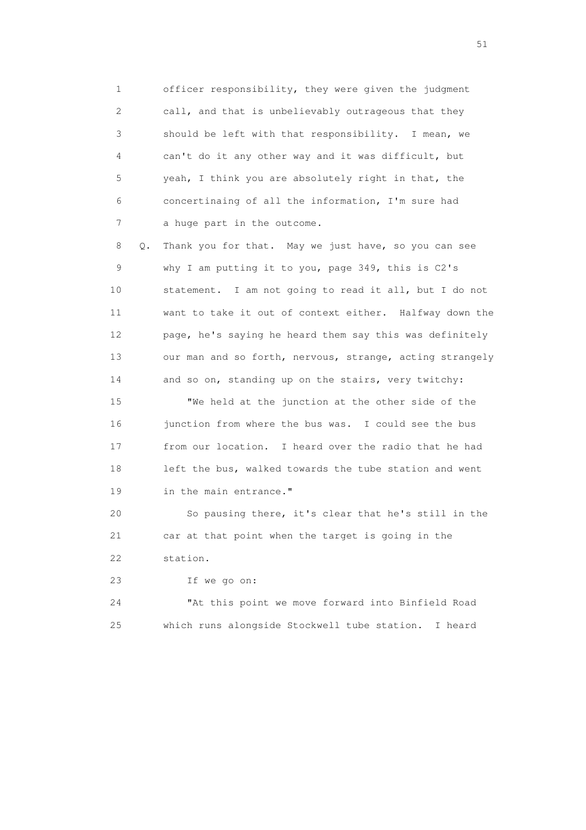1 officer responsibility, they were given the judgment 2 call, and that is unbelievably outrageous that they 3 should be left with that responsibility. I mean, we 4 can't do it any other way and it was difficult, but 5 yeah, I think you are absolutely right in that, the 6 concertinaing of all the information, I'm sure had 7 a huge part in the outcome.

 8 Q. Thank you for that. May we just have, so you can see 9 why I am putting it to you, page 349, this is C2's 10 statement. I am not going to read it all, but I do not 11 want to take it out of context either. Halfway down the 12 page, he's saying he heard them say this was definitely 13 our man and so forth, nervous, strange, acting strangely 14 and so on, standing up on the stairs, very twitchy:

 15 "We held at the junction at the other side of the 16 junction from where the bus was. I could see the bus 17 from our location. I heard over the radio that he had 18 left the bus, walked towards the tube station and went 19 in the main entrance."

 20 So pausing there, it's clear that he's still in the 21 car at that point when the target is going in the 22 station.

23 If we go on:

 24 "At this point we move forward into Binfield Road 25 which runs alongside Stockwell tube station. I heard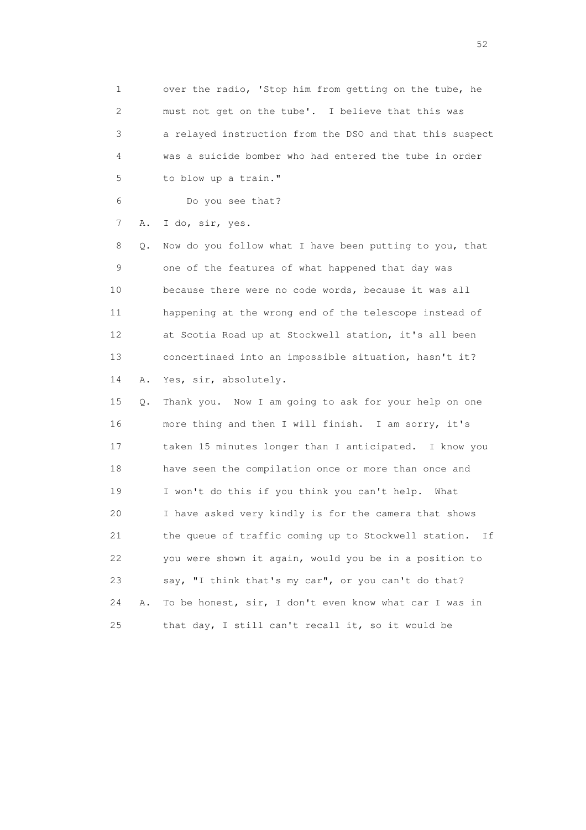1 over the radio, 'Stop him from getting on the tube, he 2 must not get on the tube'. I believe that this was 3 a relayed instruction from the DSO and that this suspect 4 was a suicide bomber who had entered the tube in order 5 to blow up a train."

6 Do you see that?

7 A. I do, sir, yes.

 8 Q. Now do you follow what I have been putting to you, that 9 one of the features of what happened that day was 10 because there were no code words, because it was all 11 happening at the wrong end of the telescope instead of 12 at Scotia Road up at Stockwell station, it's all been 13 concertinaed into an impossible situation, hasn't it? 14 A. Yes, sir, absolutely.

 15 Q. Thank you. Now I am going to ask for your help on one 16 more thing and then I will finish. I am sorry, it's 17 taken 15 minutes longer than I anticipated. I know you 18 have seen the compilation once or more than once and 19 I won't do this if you think you can't help. What 20 I have asked very kindly is for the camera that shows 21 the queue of traffic coming up to Stockwell station. If 22 you were shown it again, would you be in a position to 23 say, "I think that's my car", or you can't do that? 24 A. To be honest, sir, I don't even know what car I was in 25 that day, I still can't recall it, so it would be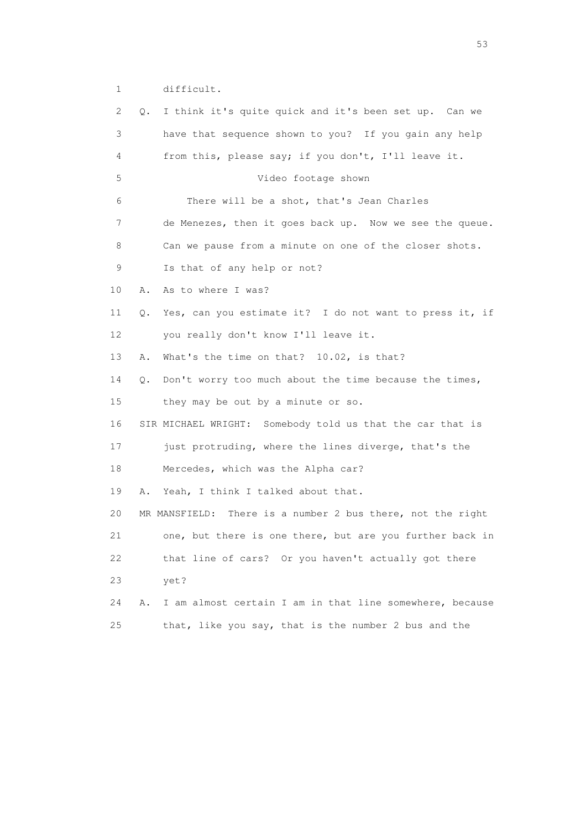1 difficult.

| 2. | Q. | I think it's quite quick and it's been set up. Can we      |
|----|----|------------------------------------------------------------|
| 3  |    | have that sequence shown to you? If you gain any help      |
| 4  |    | from this, please say; if you don't, I'll leave it.        |
| 5  |    | Video footage shown                                        |
| 6  |    | There will be a shot, that's Jean Charles                  |
| 7  |    | de Menezes, then it goes back up. Now we see the queue.    |
| 8  |    | Can we pause from a minute on one of the closer shots.     |
| 9  |    | Is that of any help or not?                                |
| 10 | Α. | As to where I was?                                         |
| 11 | Q. | Yes, can you estimate it? I do not want to press it, if    |
| 12 |    | you really don't know I'll leave it.                       |
| 13 | Α. | What's the time on that? 10.02, is that?                   |
| 14 | Q. | Don't worry too much about the time because the times,     |
| 15 |    | they may be out by a minute or so.                         |
| 16 |    | SIR MICHAEL WRIGHT: Somebody told us that the car that is  |
| 17 |    | just protruding, where the lines diverge, that's the       |
| 18 |    | Mercedes, which was the Alpha car?                         |
| 19 | Α. | Yeah, I think I talked about that.                         |
| 20 |    | MR MANSFIELD: There is a number 2 bus there, not the right |
| 21 |    | one, but there is one there, but are you further back in   |
| 22 |    | that line of cars? Or you haven't actually got there       |
| 23 |    | yet?                                                       |
| 24 | Α. | I am almost certain I am in that line somewhere, because   |
| 25 |    | that, like you say, that is the number 2 bus and the       |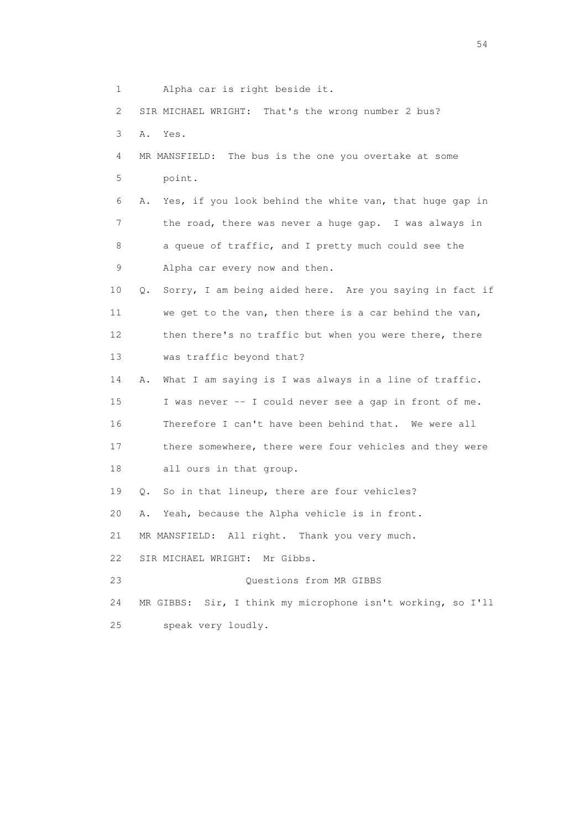1 Alpha car is right beside it. 2 SIR MICHAEL WRIGHT: That's the wrong number 2 bus? 3 A. Yes. 4 MR MANSFIELD: The bus is the one you overtake at some 5 point. 6 A. Yes, if you look behind the white van, that huge gap in 7 the road, there was never a huge gap. I was always in 8 a queue of traffic, and I pretty much could see the 9 Alpha car every now and then. 10 Q. Sorry, I am being aided here. Are you saying in fact if 11 we get to the van, then there is a car behind the van, 12 then there's no traffic but when you were there, there 13 was traffic beyond that? 14 A. What I am saying is I was always in a line of traffic. 15 I was never -- I could never see a gap in front of me. 16 Therefore I can't have been behind that. We were all 17 there somewhere, there were four vehicles and they were 18 all ours in that group. 19 Q. So in that lineup, there are four vehicles? 20 A. Yeah, because the Alpha vehicle is in front. 21 MR MANSFIELD: All right. Thank you very much. 22 SIR MICHAEL WRIGHT: Mr Gibbs. 23 Questions from MR GIBBS 24 MR GIBBS: Sir, I think my microphone isn't working, so I'll 25 speak very loudly.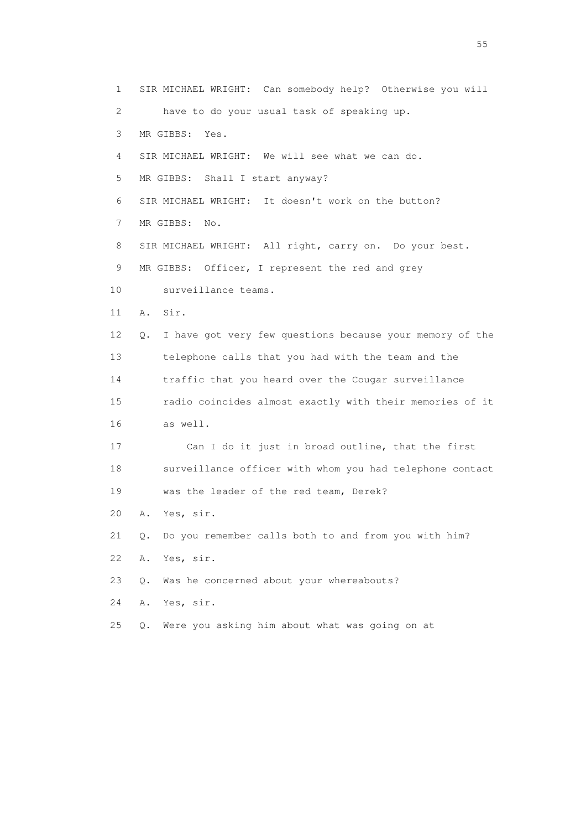1 SIR MICHAEL WRIGHT: Can somebody help? Otherwise you will 2 have to do your usual task of speaking up. 3 MR GIBBS: Yes. 4 SIR MICHAEL WRIGHT: We will see what we can do. 5 MR GIBBS: Shall I start anyway? 6 SIR MICHAEL WRIGHT: It doesn't work on the button? 7 MR GIBBS: No. 8 SIR MICHAEL WRIGHT: All right, carry on. Do your best. 9 MR GIBBS: Officer, I represent the red and grey 10 surveillance teams. 11 A. Sir. 12 Q. I have got very few questions because your memory of the 13 telephone calls that you had with the team and the 14 traffic that you heard over the Cougar surveillance 15 radio coincides almost exactly with their memories of it 16 as well. 17 Can I do it just in broad outline, that the first 18 surveillance officer with whom you had telephone contact 19 was the leader of the red team, Derek? 20 A. Yes, sir. 21 Q. Do you remember calls both to and from you with him? 22 A. Yes, sir. 23 Q. Was he concerned about your whereabouts? 24 A. Yes, sir. 25 Q. Were you asking him about what was going on at

the state of the state of the state of the state of the state of the state of the state of the state of the state of the state of the state of the state of the state of the state of the state of the state of the state of t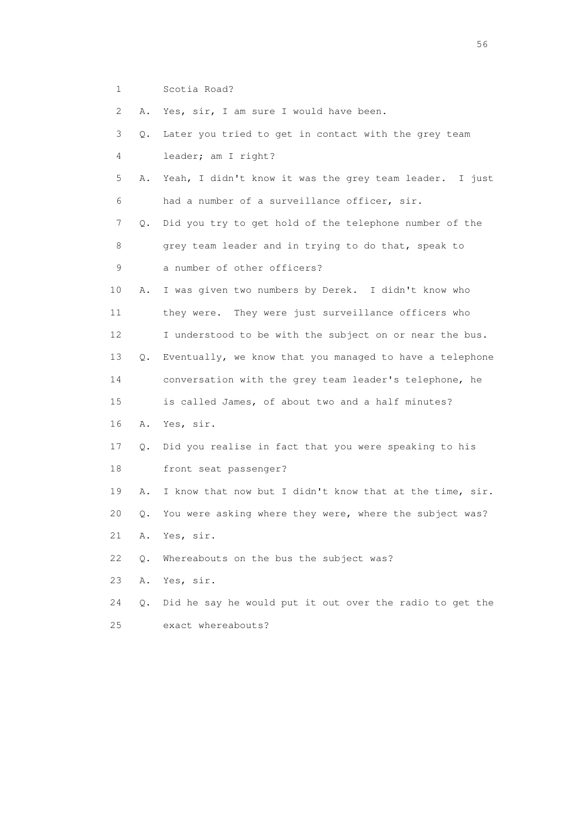1 Scotia Road?

2 A. Yes, sir, I am sure I would have been.

| 3  | Q. | Later you tried to get in contact with the grey team     |
|----|----|----------------------------------------------------------|
| 4  |    | leader; am I right?                                      |
| 5  | Α. | Yeah, I didn't know it was the grey team leader. I just  |
| 6  |    | had a number of a surveillance officer, sir.             |
| 7  | Q. | Did you try to get hold of the telephone number of the   |
| 8  |    | grey team leader and in trying to do that, speak to      |
| 9  |    | a number of other officers?                              |
| 10 | Α. | I was given two numbers by Derek. I didn't know who      |
| 11 |    | they were. They were just surveillance officers who      |
| 12 |    | I understood to be with the subject on or near the bus.  |
| 13 | Q. | Eventually, we know that you managed to have a telephone |
| 14 |    | conversation with the grey team leader's telephone, he   |
| 15 |    | is called James, of about two and a half minutes?        |
| 16 | Α. | Yes, sir.                                                |
| 17 | Q. | Did you realise in fact that you were speaking to his    |
| 18 |    | front seat passenger?                                    |
| 19 | Α. | I know that now but I didn't know that at the time, sir. |
| 20 | Q. | You were asking where they were, where the subject was?  |
| 21 | Α. | Yes, sir.                                                |
| 22 | Q. | Whereabouts on the bus the subject was?                  |
| 23 | Α. | Yes, sir.                                                |
| 24 | Q. | Did he say he would put it out over the radio to get the |
| 25 |    | exact whereabouts?                                       |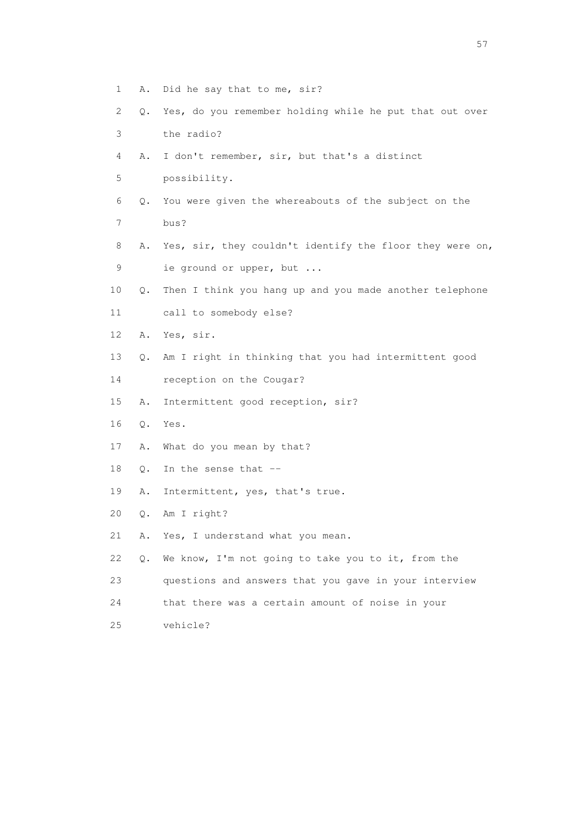- 1 A. Did he say that to me, sir?
- 2 Q. Yes, do you remember holding while he put that out over 3 the radio?
- 4 A. I don't remember, sir, but that's a distinct
- 5 possibility.
- 6 Q. You were given the whereabouts of the subject on the 7 bus?
- 8 A. Yes, sir, they couldn't identify the floor they were on, 9 ie ground or upper, but ...
- 10 Q. Then I think you hang up and you made another telephone
- 11 call to somebody else?
- 12 A. Yes, sir.
- 13 Q. Am I right in thinking that you had intermittent good
- 14 reception on the Cougar?
- 15 A. Intermittent good reception, sir?
- 16 Q. Yes.
- 17 A. What do you mean by that?
- 18 Q. In the sense that --
- 19 A. Intermittent, yes, that's true.
- 20 Q. Am I right?
- 21 A. Yes, I understand what you mean.
- 22 Q. We know, I'm not going to take you to it, from the
- 23 questions and answers that you gave in your interview
- 24 that there was a certain amount of noise in your
- 25 vehicle?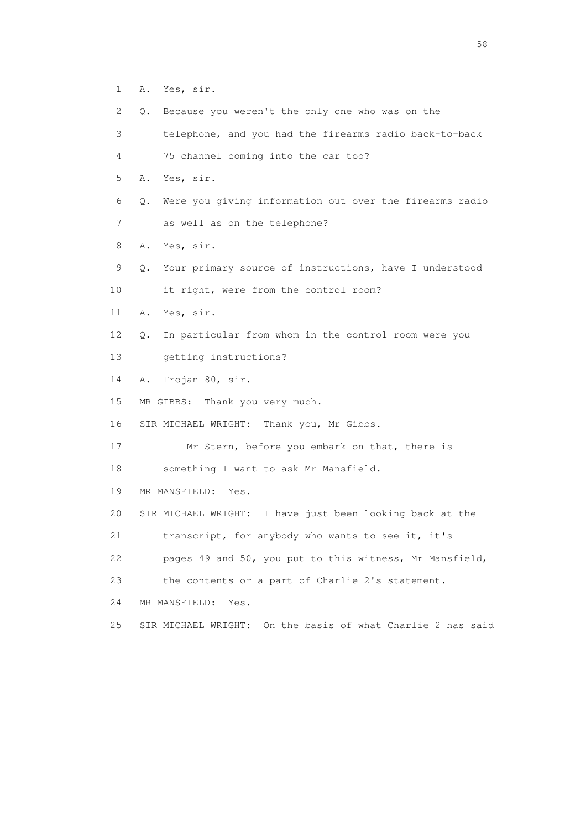- 1 A. Yes, sir.
- 2 Q. Because you weren't the only one who was on the
- 3 telephone, and you had the firearms radio back-to-back
- 4 75 channel coming into the car too?
- 5 A. Yes, sir.
- 6 Q. Were you giving information out over the firearms radio
- 7 as well as on the telephone?
- 8 A. Yes, sir.
- 9 Q. Your primary source of instructions, have I understood
- 10 it right, were from the control room?
- 11 A. Yes, sir.
- 12 Q. In particular from whom in the control room were you
- 13 getting instructions?
- 14 A. Trojan 80, sir.
- 15 MR GIBBS: Thank you very much.
- 16 SIR MICHAEL WRIGHT: Thank you, Mr Gibbs.
- 17 Mr Stern, before you embark on that, there is
- 18 something I want to ask Mr Mansfield.
- 19 MR MANSFIELD: Yes.
- 20 SIR MICHAEL WRIGHT: I have just been looking back at the
- 21 transcript, for anybody who wants to see it, it's
- 22 pages 49 and 50, you put to this witness, Mr Mansfield,
- 23 the contents or a part of Charlie 2's statement.
- 24 MR MANSFIELD: Yes.
- 25 SIR MICHAEL WRIGHT: On the basis of what Charlie 2 has said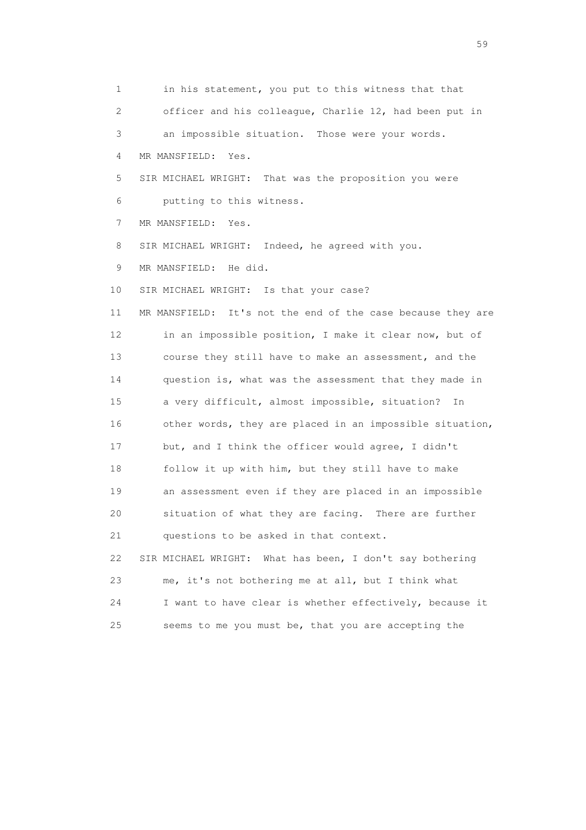1 in his statement, you put to this witness that that 2 officer and his colleague, Charlie 12, had been put in 3 an impossible situation. Those were your words. 4 MR MANSFIELD: Yes. 5 SIR MICHAEL WRIGHT: That was the proposition you were 6 putting to this witness. 7 MR MANSFIELD: Yes. 8 SIR MICHAEL WRIGHT: Indeed, he agreed with you. 9 MR MANSFIELD: He did. 10 SIR MICHAEL WRIGHT: Is that your case? 11 MR MANSFIELD: It's not the end of the case because they are 12 in an impossible position, I make it clear now, but of 13 course they still have to make an assessment, and the 14 question is, what was the assessment that they made in 15 a very difficult, almost impossible, situation? In 16 other words, they are placed in an impossible situation, 17 but, and I think the officer would agree, I didn't 18 follow it up with him, but they still have to make 19 an assessment even if they are placed in an impossible 20 situation of what they are facing. There are further 21 questions to be asked in that context. 22 SIR MICHAEL WRIGHT: What has been, I don't say bothering 23 me, it's not bothering me at all, but I think what 24 I want to have clear is whether effectively, because it 25 seems to me you must be, that you are accepting the

 $59<sub>2</sub>$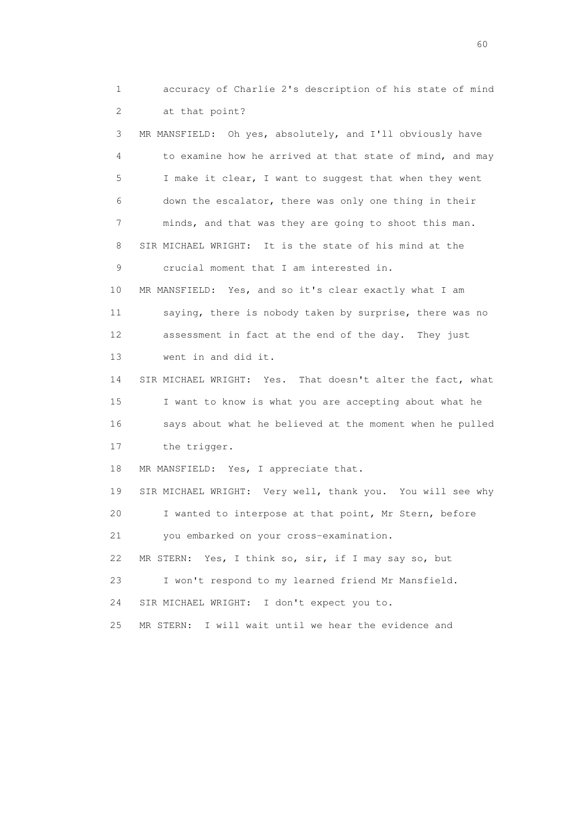1 accuracy of Charlie 2's description of his state of mind 2 at that point?

 3 MR MANSFIELD: Oh yes, absolutely, and I'll obviously have 4 to examine how he arrived at that state of mind, and may 5 I make it clear, I want to suggest that when they went 6 down the escalator, there was only one thing in their 7 minds, and that was they are going to shoot this man. 8 SIR MICHAEL WRIGHT: It is the state of his mind at the 9 crucial moment that I am interested in. 10 MR MANSFIELD: Yes, and so it's clear exactly what I am 11 saying, there is nobody taken by surprise, there was no 12 assessment in fact at the end of the day. They just 13 went in and did it. 14 SIR MICHAEL WRIGHT: Yes. That doesn't alter the fact, what 15 I want to know is what you are accepting about what he 16 says about what he believed at the moment when he pulled 17 the trigger. 18 MR MANSFIELD: Yes, I appreciate that. 19 SIR MICHAEL WRIGHT: Very well, thank you. You will see why 20 I wanted to interpose at that point, Mr Stern, before 21 you embarked on your cross-examination. 22 MR STERN: Yes, I think so, sir, if I may say so, but 23 I won't respond to my learned friend Mr Mansfield.

24 SIR MICHAEL WRIGHT: I don't expect you to.

25 MR STERN: I will wait until we hear the evidence and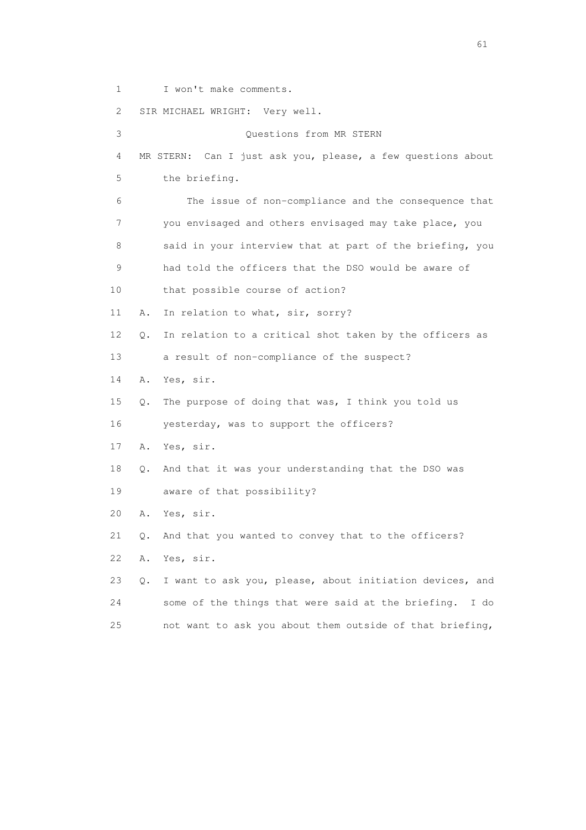1 I won't make comments.

 2 SIR MICHAEL WRIGHT: Very well. 3 Questions from MR STERN 4 MR STERN: Can I just ask you, please, a few questions about 5 the briefing. 6 The issue of non-compliance and the consequence that 7 you envisaged and others envisaged may take place, you 8 said in your interview that at part of the briefing, you 9 had told the officers that the DSO would be aware of 10 that possible course of action? 11 A. In relation to what, sir, sorry? 12 Q. In relation to a critical shot taken by the officers as 13 a result of non-compliance of the suspect? 14 A. Yes, sir. 15 Q. The purpose of doing that was, I think you told us 16 yesterday, was to support the officers? 17 A. Yes, sir. 18 Q. And that it was your understanding that the DSO was 19 aware of that possibility? 20 A. Yes, sir. 21 Q. And that you wanted to convey that to the officers? 22 A. Yes, sir. 23 Q. I want to ask you, please, about initiation devices, and 24 some of the things that were said at the briefing. I do 25 not want to ask you about them outside of that briefing,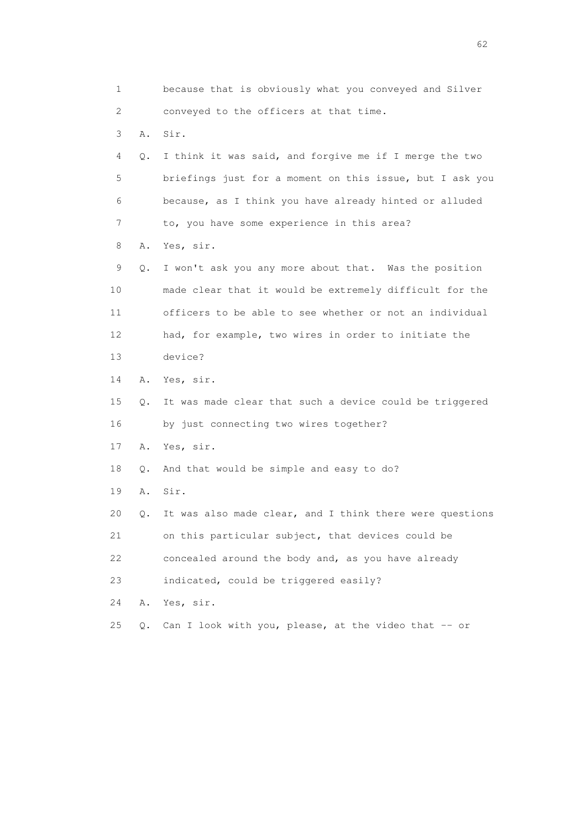1 because that is obviously what you conveyed and Silver 2 conveyed to the officers at that time. 3 A. Sir. 4 Q. I think it was said, and forgive me if I merge the two 5 briefings just for a moment on this issue, but I ask you 6 because, as I think you have already hinted or alluded 7 to, you have some experience in this area? 8 A. Yes, sir. 9 Q. I won't ask you any more about that. Was the position 10 made clear that it would be extremely difficult for the 11 officers to be able to see whether or not an individual 12 had, for example, two wires in order to initiate the 13 device? 14 A. Yes, sir. 15 Q. It was made clear that such a device could be triggered 16 by just connecting two wires together? 17 A. Yes, sir. 18 Q. And that would be simple and easy to do? 19 A. Sir. 20 Q. It was also made clear, and I think there were questions 21 on this particular subject, that devices could be 22 concealed around the body and, as you have already 23 indicated, could be triggered easily? 24 A. Yes, sir. 25  $Q.$  Can I look with you, please, at the video that  $-$  or

 $\sim$  62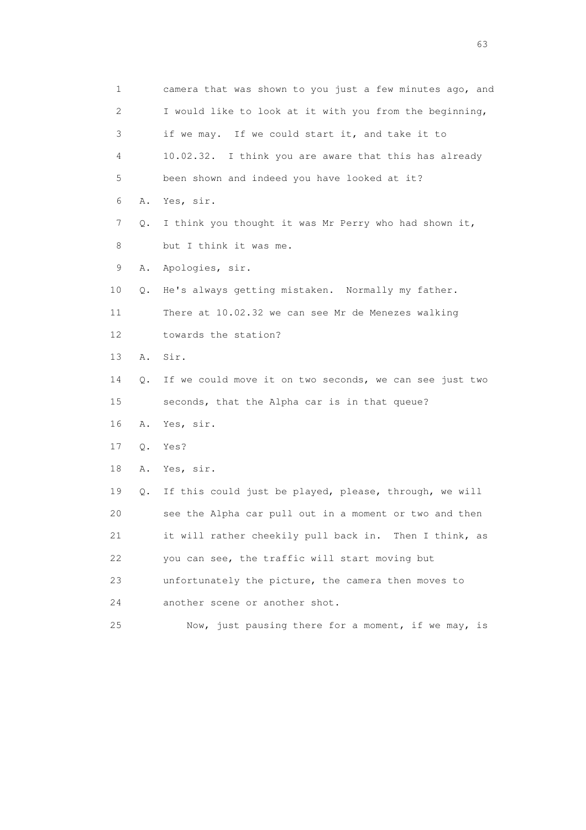1 camera that was shown to you just a few minutes ago, and 2 I would like to look at it with you from the beginning, 3 if we may. If we could start it, and take it to 4 10.02.32. I think you are aware that this has already 5 been shown and indeed you have looked at it? 6 A. Yes, sir. 7 Q. I think you thought it was Mr Perry who had shown it, 8 but I think it was me. 9 A. Apologies, sir. 10 Q. He's always getting mistaken. Normally my father. 11 There at 10.02.32 we can see Mr de Menezes walking 12 towards the station? 13 A. Sir. 14 Q. If we could move it on two seconds, we can see just two 15 seconds, that the Alpha car is in that queue? 16 A. Yes, sir. 17 Q. Yes? 18 A. Yes, sir. 19 Q. If this could just be played, please, through, we will 20 see the Alpha car pull out in a moment or two and then 21 it will rather cheekily pull back in. Then I think, as 22 you can see, the traffic will start moving but 23 unfortunately the picture, the camera then moves to 24 another scene or another shot. 25 Now, just pausing there for a moment, if we may, is

experience of the contract of the contract of the contract of the contract of the contract of the contract of the contract of the contract of the contract of the contract of the contract of the contract of the contract of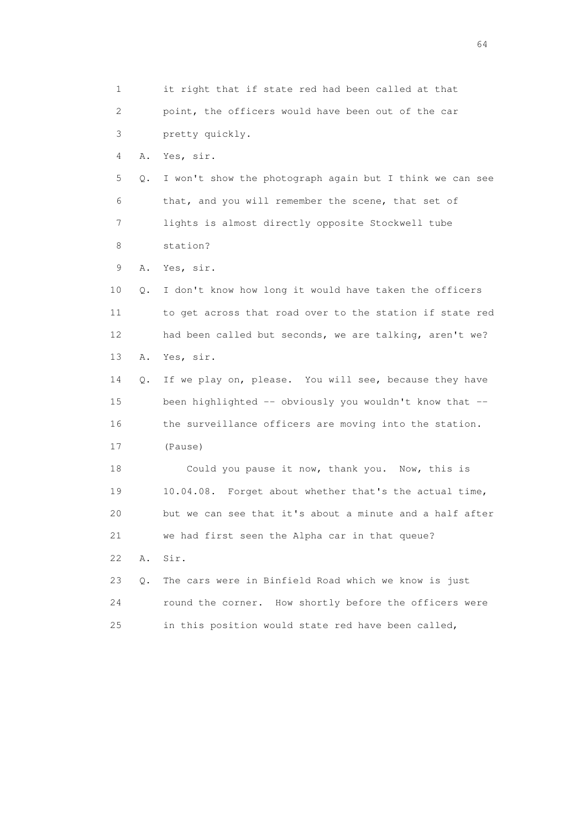1 it right that if state red had been called at that 2 point, the officers would have been out of the car 3 pretty quickly. 4 A. Yes, sir. 5 Q. I won't show the photograph again but I think we can see 6 that, and you will remember the scene, that set of 7 lights is almost directly opposite Stockwell tube 8 station? 9 A. Yes, sir. 10 Q. I don't know how long it would have taken the officers 11 to get across that road over to the station if state red 12 had been called but seconds, we are talking, aren't we? 13 A. Yes, sir. 14 Q. If we play on, please. You will see, because they have 15 been highlighted -- obviously you wouldn't know that -- 16 the surveillance officers are moving into the station. 17 (Pause) 18 Could you pause it now, thank you. Now, this is 19 10.04.08. Forget about whether that's the actual time, 20 but we can see that it's about a minute and a half after 21 we had first seen the Alpha car in that queue? 22 A. Sir. 23 Q. The cars were in Binfield Road which we know is just 24 round the corner. How shortly before the officers were 25 in this position would state red have been called,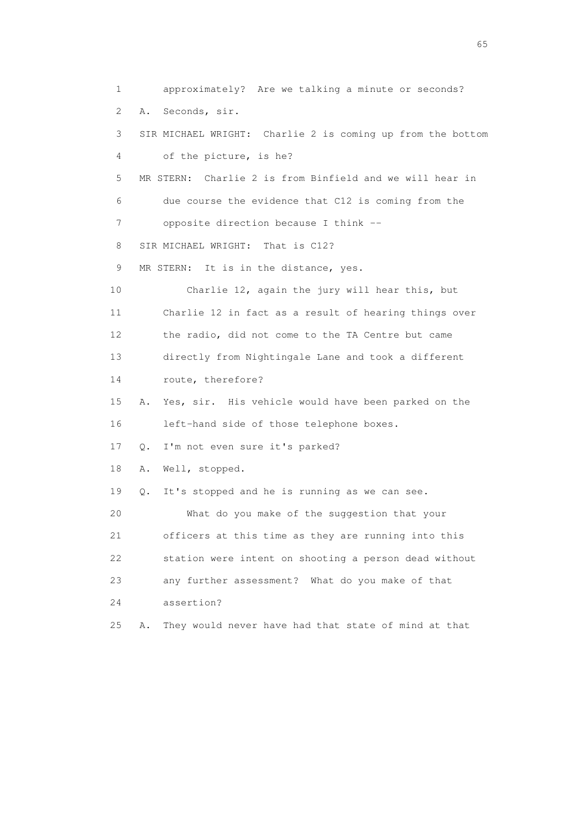1 approximately? Are we talking a minute or seconds? 2 A. Seconds, sir. 3 SIR MICHAEL WRIGHT: Charlie 2 is coming up from the bottom 4 of the picture, is he? 5 MR STERN: Charlie 2 is from Binfield and we will hear in 6 due course the evidence that C12 is coming from the 7 opposite direction because I think -- 8 SIR MICHAEL WRIGHT: That is C12? 9 MR STERN: It is in the distance, yes. 10 Charlie 12, again the jury will hear this, but 11 Charlie 12 in fact as a result of hearing things over 12 the radio, did not come to the TA Centre but came 13 directly from Nightingale Lane and took a different 14 route, therefore? 15 A. Yes, sir. His vehicle would have been parked on the 16 left-hand side of those telephone boxes. 17 Q. I'm not even sure it's parked? 18 A. Well, stopped. 19 Q. It's stopped and he is running as we can see. 20 What do you make of the suggestion that your 21 officers at this time as they are running into this 22 station were intent on shooting a person dead without 23 any further assessment? What do you make of that 24 assertion? 25 A. They would never have had that state of mind at that

 $\sim$  65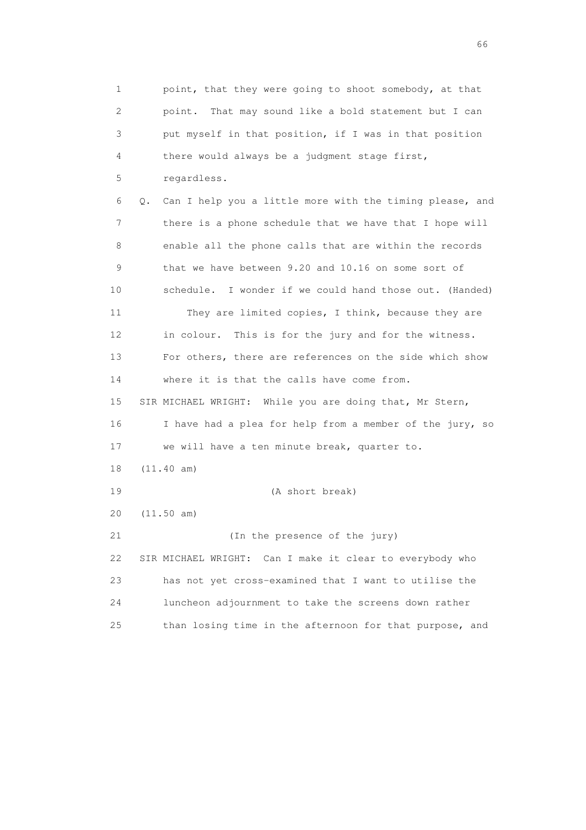1 point, that they were going to shoot somebody, at that 2 point. That may sound like a bold statement but I can 3 put myself in that position, if I was in that position 4 there would always be a judgment stage first, 5 regardless. 6 Q. Can I help you a little more with the timing please, and 7 there is a phone schedule that we have that I hope will 8 enable all the phone calls that are within the records 9 that we have between 9.20 and 10.16 on some sort of 10 schedule. I wonder if we could hand those out. (Handed) 11 They are limited copies, I think, because they are 12 in colour. This is for the jury and for the witness. 13 For others, there are references on the side which show 14 where it is that the calls have come from. 15 SIR MICHAEL WRIGHT: While you are doing that, Mr Stern, 16 I have had a plea for help from a member of the jury, so 17 we will have a ten minute break, quarter to. 18 (11.40 am) 19 (A short break) 20 (11.50 am) 21 (In the presence of the jury) 22 SIR MICHAEL WRIGHT: Can I make it clear to everybody who 23 has not yet cross-examined that I want to utilise the 24 luncheon adjournment to take the screens down rather 25 than losing time in the afternoon for that purpose, and

 $\sim$  66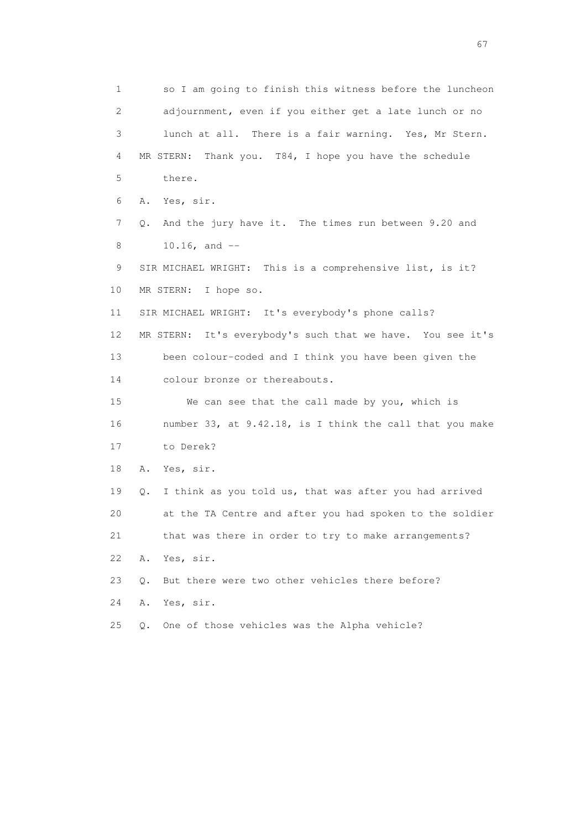1 so I am going to finish this witness before the luncheon 2 adjournment, even if you either get a late lunch or no 3 lunch at all. There is a fair warning. Yes, Mr Stern. 4 MR STERN: Thank you. T84, I hope you have the schedule 5 there. 6 A. Yes, sir. 7 Q. And the jury have it. The times run between 9.20 and 8 10.16, and -- 9 SIR MICHAEL WRIGHT: This is a comprehensive list, is it? 10 MR STERN: I hope so. 11 SIR MICHAEL WRIGHT: It's everybody's phone calls? 12 MR STERN: It's everybody's such that we have. You see it's 13 been colour-coded and I think you have been given the 14 colour bronze or thereabouts. 15 We can see that the call made by you, which is 16 number 33, at 9.42.18, is I think the call that you make 17 to Derek? 18 A. Yes, sir. 19 Q. I think as you told us, that was after you had arrived 20 at the TA Centre and after you had spoken to the soldier 21 that was there in order to try to make arrangements? 22 A. Yes, sir. 23 Q. But there were two other vehicles there before? 24 A. Yes, sir. 25 Q. One of those vehicles was the Alpha vehicle?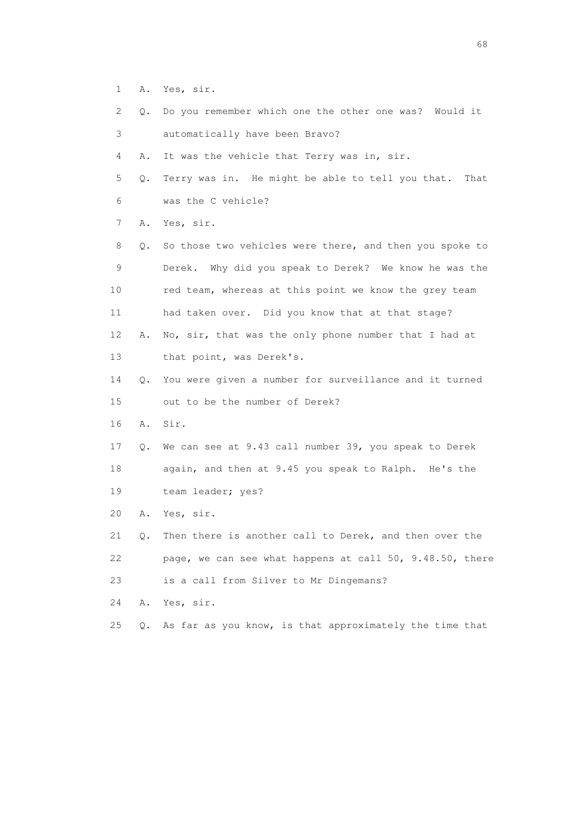- 1 A. Yes, sir.
- 2 Q. Do you remember which one the other one was? Would it 3 automatically have been Bravo?

4 A. It was the vehicle that Terry was in, sir.

 5 Q. Terry was in. He might be able to tell you that. That 6 was the C vehicle?

7 A. Yes, sir.

 8 Q. So those two vehicles were there, and then you spoke to 9 Derek. Why did you speak to Derek? We know he was the 10 red team, whereas at this point we know the grey team 11 had taken over. Did you know that at that stage? 12 A. No, sir, that was the only phone number that I had at 13 that point, was Derek's.

- 14 Q. You were given a number for surveillance and it turned 15 out to be the number of Derek?
- 16 A. Sir.
- 17 Q. We can see at 9.43 call number 39, you speak to Derek 18 again, and then at 9.45 you speak to Ralph. He's the 19 team leader; yes?
- 20 A. Yes, sir.

 21 Q. Then there is another call to Derek, and then over the 22 page, we can see what happens at call 50, 9.48.50, there 23 is a call from Silver to Mr Dingemans?

24 A. Yes, sir.

25 Q. As far as you know, is that approximately the time that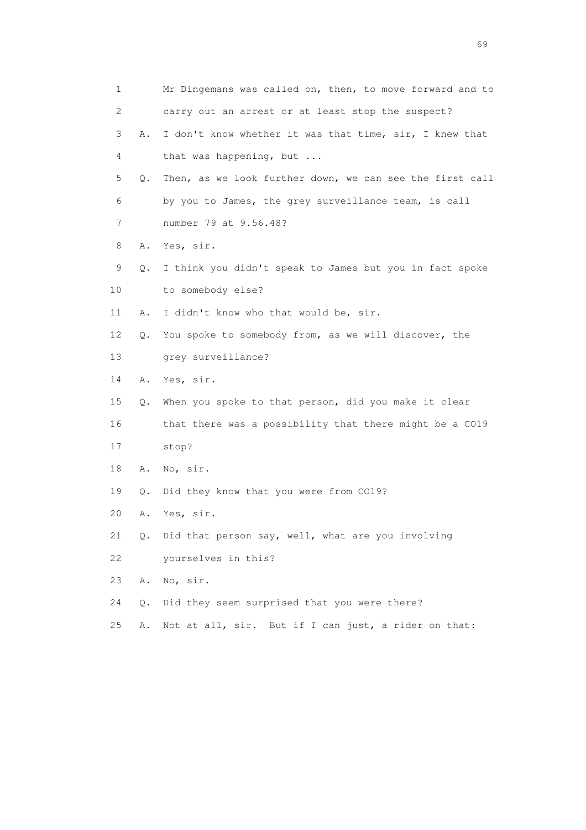| 1  |    | Mr Dingemans was called on, then, to move forward and to |
|----|----|----------------------------------------------------------|
| 2  |    | carry out an arrest or at least stop the suspect?        |
| 3  | Α. | I don't know whether it was that time, sir, I knew that  |
| 4  |    | that was happening, but                                  |
| 5  | Q. | Then, as we look further down, we can see the first call |
| 6  |    | by you to James, the grey surveillance team, is call     |
| 7  |    | number 79 at 9.56.48?                                    |
| 8  | Α. | Yes, sir.                                                |
| 9  | Q. | I think you didn't speak to James but you in fact spoke  |
| 10 |    | to somebody else?                                        |
| 11 | Α. | I didn't know who that would be, sir.                    |
| 12 | Q. | You spoke to somebody from, as we will discover, the     |
| 13 |    | grey surveillance?                                       |
| 14 | Α. | Yes, sir.                                                |
| 15 | Q. | When you spoke to that person, did you make it clear     |
| 16 |    | that there was a possibility that there might be a CO19  |
| 17 |    | stop?                                                    |
| 18 | Α. | No, sir.                                                 |
| 19 | Q. | Did they know that you were from CO19?                   |
| 20 | Α. | Yes, sir.                                                |
| 21 | Q. | Did that person say, well, what are you involving        |
| 22 |    | yourselves in this?                                      |
| 23 | Α. | No, sir.                                                 |
| 24 | Q. | Did they seem surprised that you were there?             |
| 25 | Α. | Not at all, sir. But if I can just, a rider on that:     |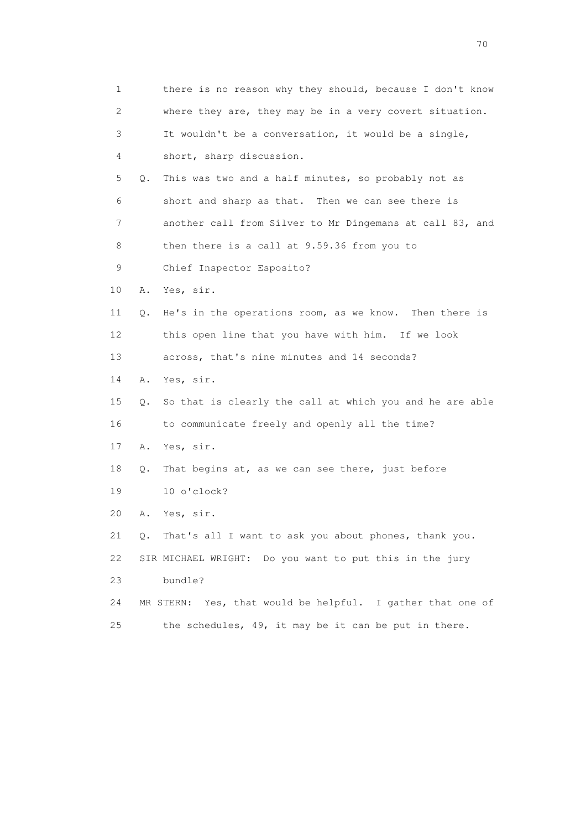1 there is no reason why they should, because I don't know 2 where they are, they may be in a very covert situation. 3 It wouldn't be a conversation, it would be a single, 4 short, sharp discussion. 5 Q. This was two and a half minutes, so probably not as 6 short and sharp as that. Then we can see there is 7 another call from Silver to Mr Dingemans at call 83, and 8 then there is a call at 9.59.36 from you to 9 Chief Inspector Esposito? 10 A. Yes, sir. 11 Q. He's in the operations room, as we know. Then there is 12 this open line that you have with him. If we look 13 across, that's nine minutes and 14 seconds? 14 A. Yes, sir. 15 Q. So that is clearly the call at which you and he are able 16 to communicate freely and openly all the time? 17 A. Yes, sir. 18 Q. That begins at, as we can see there, just before 19 10 o'clock? 20 A. Yes, sir. 21 Q. That's all I want to ask you about phones, thank you. 22 SIR MICHAEL WRIGHT: Do you want to put this in the jury 23 bundle? 24 MR STERN: Yes, that would be helpful. I gather that one of 25 the schedules, 49, it may be it can be put in there.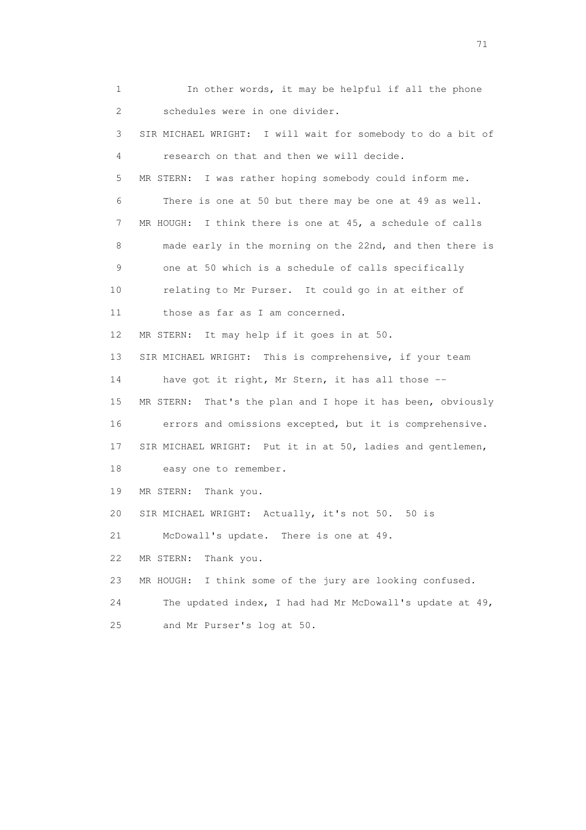1 In other words, it may be helpful if all the phone 2 schedules were in one divider. 3 SIR MICHAEL WRIGHT: I will wait for somebody to do a bit of 4 research on that and then we will decide. 5 MR STERN: I was rather hoping somebody could inform me. 6 There is one at 50 but there may be one at 49 as well. 7 MR HOUGH: I think there is one at 45, a schedule of calls 8 made early in the morning on the 22nd, and then there is 9 one at 50 which is a schedule of calls specifically 10 relating to Mr Purser. It could go in at either of 11 those as far as I am concerned. 12 MR STERN: It may help if it goes in at 50. 13 SIR MICHAEL WRIGHT: This is comprehensive, if your team 14 have got it right, Mr Stern, it has all those -- 15 MR STERN: That's the plan and I hope it has been, obviously 16 errors and omissions excepted, but it is comprehensive. 17 SIR MICHAEL WRIGHT: Put it in at 50, ladies and gentlemen, 18 easy one to remember. 19 MR STERN: Thank you. 20 SIR MICHAEL WRIGHT: Actually, it's not 50. 50 is 21 McDowall's update. There is one at 49. 22 MR STERN: Thank you. 23 MR HOUGH: I think some of the jury are looking confused. 24 The updated index, I had had Mr McDowall's update at 49, 25 and Mr Purser's log at 50.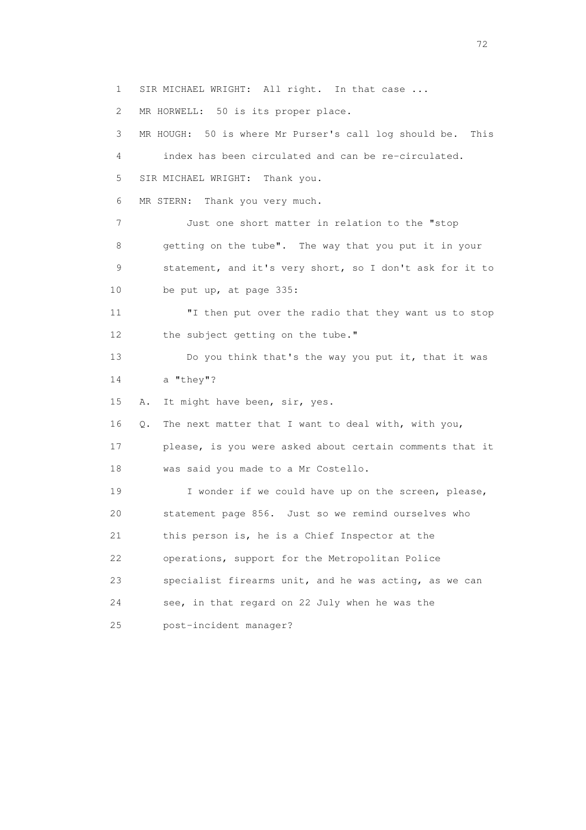1 SIR MICHAEL WRIGHT: All right. In that case ... 2 MR HORWELL: 50 is its proper place. 3 MR HOUGH: 50 is where Mr Purser's call log should be. This 4 index has been circulated and can be re-circulated. 5 SIR MICHAEL WRIGHT: Thank you. 6 MR STERN: Thank you very much. 7 Just one short matter in relation to the "stop 8 getting on the tube". The way that you put it in your 9 statement, and it's very short, so I don't ask for it to 10 be put up, at page 335: 11 "I then put over the radio that they want us to stop 12 the subject getting on the tube." 13 Do you think that's the way you put it, that it was 14 a "they"? 15 A. It might have been, sir, yes. 16 Q. The next matter that I want to deal with, with you, 17 please, is you were asked about certain comments that it 18 was said you made to a Mr Costello. 19 I wonder if we could have up on the screen, please, 20 statement page 856. Just so we remind ourselves who 21 this person is, he is a Chief Inspector at the 22 operations, support for the Metropolitan Police 23 specialist firearms unit, and he was acting, as we can 24 see, in that regard on 22 July when he was the 25 post-incident manager?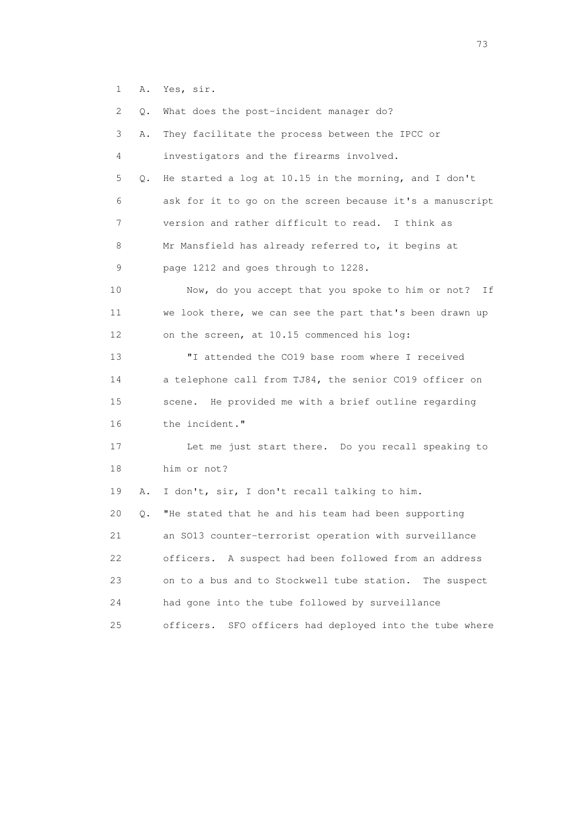1 A. Yes, sir.

 2 Q. What does the post-incident manager do? 3 A. They facilitate the process between the IPCC or 4 investigators and the firearms involved. 5 Q. He started a log at 10.15 in the morning, and I don't 6 ask for it to go on the screen because it's a manuscript 7 version and rather difficult to read. I think as 8 Mr Mansfield has already referred to, it begins at 9 page 1212 and goes through to 1228. 10 Now, do you accept that you spoke to him or not? If 11 we look there, we can see the part that's been drawn up 12 on the screen, at 10.15 commenced his log: 13 "I attended the CO19 base room where I received 14 a telephone call from TJ84, the senior CO19 officer on 15 scene. He provided me with a brief outline regarding 16 the incident." 17 Let me just start there. Do you recall speaking to 18 him or not? 19 A. I don't, sir, I don't recall talking to him. 20 Q. "He stated that he and his team had been supporting 21 an SO13 counter-terrorist operation with surveillance 22 officers. A suspect had been followed from an address 23 on to a bus and to Stockwell tube station. The suspect 24 had gone into the tube followed by surveillance 25 officers. SFO officers had deployed into the tube where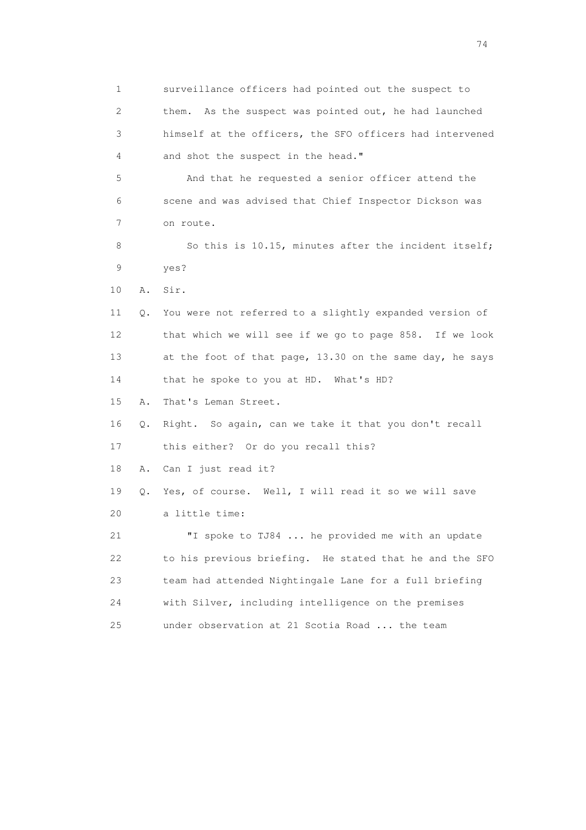1 surveillance officers had pointed out the suspect to 2 them. As the suspect was pointed out, he had launched 3 himself at the officers, the SFO officers had intervened 4 and shot the suspect in the head." 5 And that he requested a senior officer attend the 6 scene and was advised that Chief Inspector Dickson was 7 on route. 8 So this is 10.15, minutes after the incident itself; 9 yes? 10 A. Sir. 11 Q. You were not referred to a slightly expanded version of 12 that which we will see if we go to page 858. If we look 13 at the foot of that page, 13.30 on the same day, he says 14 that he spoke to you at HD. What's HD? 15 A. That's Leman Street. 16 Q. Right. So again, can we take it that you don't recall 17 this either? Or do you recall this? 18 A. Can I just read it? 19 Q. Yes, of course. Well, I will read it so we will save 20 a little time: 21 "I spoke to TJ84 ... he provided me with an update 22 to his previous briefing. He stated that he and the SFO 23 team had attended Nightingale Lane for a full briefing 24 with Silver, including intelligence on the premises 25 under observation at 21 Scotia Road ... the team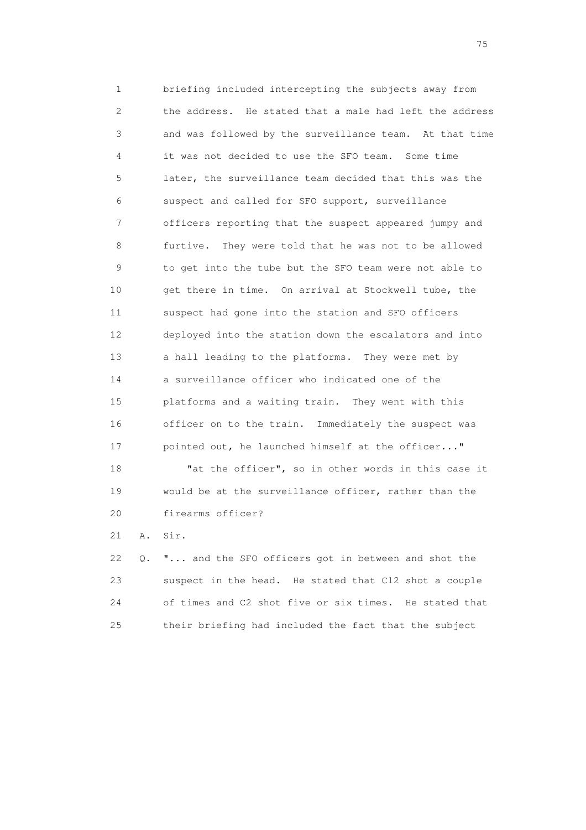1 briefing included intercepting the subjects away from 2 the address. He stated that a male had left the address 3 and was followed by the surveillance team. At that time 4 it was not decided to use the SFO team. Some time 5 later, the surveillance team decided that this was the 6 suspect and called for SFO support, surveillance 7 officers reporting that the suspect appeared jumpy and 8 furtive. They were told that he was not to be allowed 9 to get into the tube but the SFO team were not able to 10 get there in time. On arrival at Stockwell tube, the 11 suspect had gone into the station and SFO officers 12 deployed into the station down the escalators and into 13 a hall leading to the platforms. They were met by 14 a surveillance officer who indicated one of the 15 platforms and a waiting train. They went with this 16 officer on to the train. Immediately the suspect was 17 pointed out, he launched himself at the officer..."

 18 "at the officer", so in other words in this case it 19 would be at the surveillance officer, rather than the 20 firearms officer?

21 A. Sir.

 22 Q. "... and the SFO officers got in between and shot the 23 suspect in the head. He stated that C12 shot a couple 24 of times and C2 shot five or six times. He stated that 25 their briefing had included the fact that the subject

na matsay na katalog as na kasang na mga 175 may 2008. Ang isang isang nagsang nagsang nagsang nagsang nagsang<br>Tagapang nagsang nagsang nagsang nagsang nagsang nagsang nagsang nagsang nagsang nagsang nagsang nagsang nagsa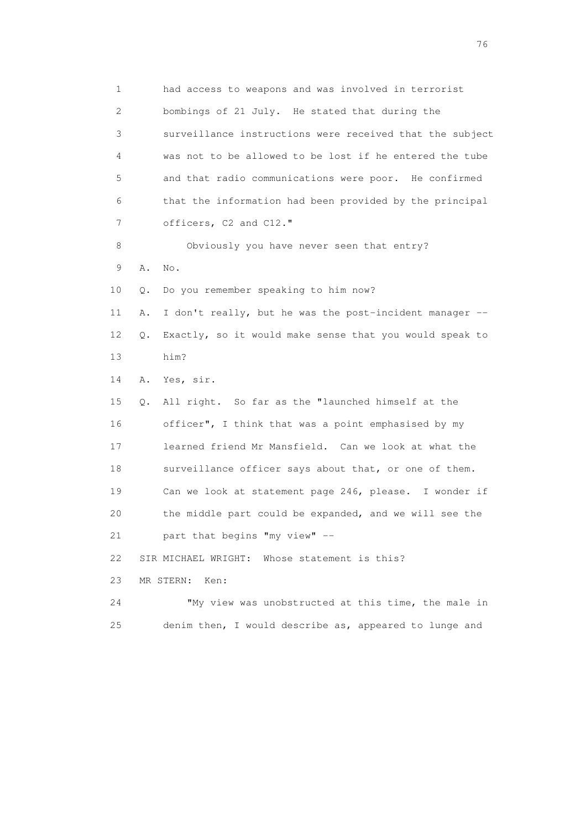1 had access to weapons and was involved in terrorist 2 bombings of 21 July. He stated that during the 3 surveillance instructions were received that the subject 4 was not to be allowed to be lost if he entered the tube 5 and that radio communications were poor. He confirmed 6 that the information had been provided by the principal 7 officers, C2 and C12." 8 Obviously you have never seen that entry? 9 A. No. 10 Q. Do you remember speaking to him now? 11 A. I don't really, but he was the post-incident manager -- 12 Q. Exactly, so it would make sense that you would speak to 13 him? 14 A. Yes, sir. 15 Q. All right. So far as the "launched himself at the 16 officer", I think that was a point emphasised by my 17 learned friend Mr Mansfield. Can we look at what the 18 surveillance officer says about that, or one of them. 19 Can we look at statement page 246, please. I wonder if 20 the middle part could be expanded, and we will see the 21 part that begins "my view" -- 22 SIR MICHAEL WRIGHT: Whose statement is this? 23 MR STERN: Ken: 24 "My view was unobstructed at this time, the male in 25 denim then, I would describe as, appeared to lunge and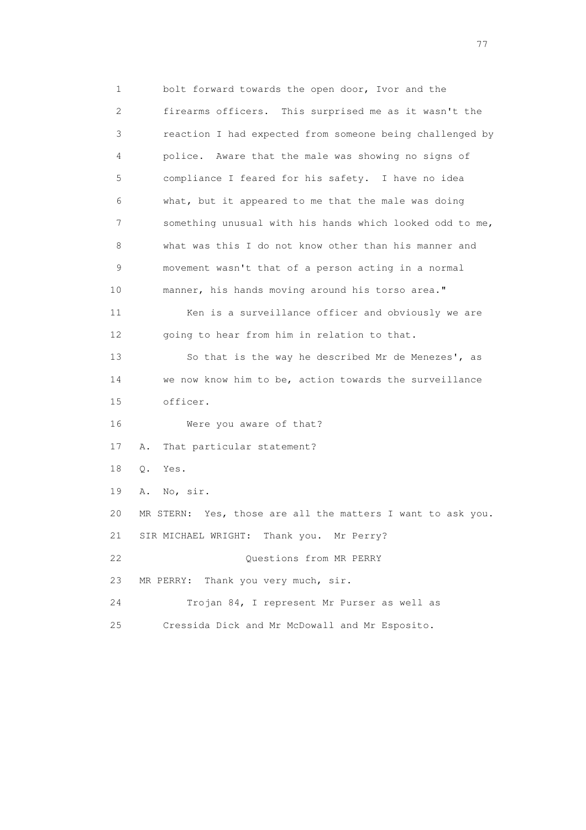1 bolt forward towards the open door, Ivor and the 2 firearms officers. This surprised me as it wasn't the 3 reaction I had expected from someone being challenged by 4 police. Aware that the male was showing no signs of 5 compliance I feared for his safety. I have no idea 6 what, but it appeared to me that the male was doing 7 something unusual with his hands which looked odd to me, 8 what was this I do not know other than his manner and 9 movement wasn't that of a person acting in a normal 10 manner, his hands moving around his torso area." 11 Ken is a surveillance officer and obviously we are 12 going to hear from him in relation to that. 13 So that is the way he described Mr de Menezes', as 14 we now know him to be, action towards the surveillance 15 officer. 16 Were you aware of that? 17 A. That particular statement? 18 Q. Yes. 19 A. No, sir. 20 MR STERN: Yes, those are all the matters I want to ask you. 21 SIR MICHAEL WRIGHT: Thank you. Mr Perry? 22 Ouestions from MR PERRY 23 MR PERRY: Thank you very much, sir. 24 Trojan 84, I represent Mr Purser as well as 25 Cressida Dick and Mr McDowall and Mr Esposito.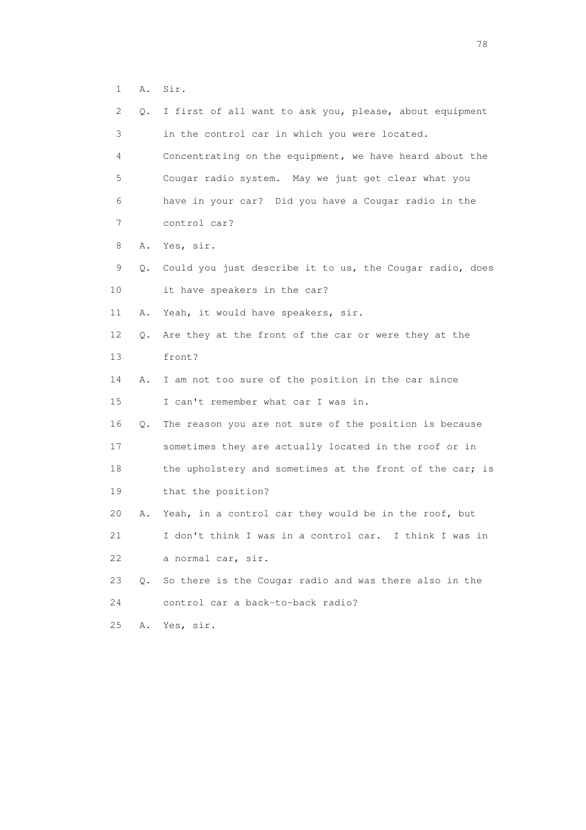1 A. Sir.

| $\mathbf{2}^{\mathsf{I}}$ | Q. | I first of all want to ask you, please, about equipment  |
|---------------------------|----|----------------------------------------------------------|
| 3                         |    | in the control car in which you were located.            |
| 4                         |    | Concentrating on the equipment, we have heard about the  |
| 5                         |    | Cougar radio system. May we just get clear what you      |
| 6                         |    | have in your car? Did you have a Cougar radio in the     |
| 7                         |    | control car?                                             |
| 8                         | Α. | Yes, sir.                                                |
| 9                         | Q. | Could you just describe it to us, the Cougar radio, does |
| 10                        |    | it have speakers in the car?                             |
| 11                        | Α. | Yeah, it would have speakers, sir.                       |
| 12                        | Q. | Are they at the front of the car or were they at the     |
| 13                        |    | front?                                                   |
| 14                        | Α. | I am not too sure of the position in the car since       |
| 15                        |    | I can't remember what car I was in.                      |
| 16                        | Q. | The reason you are not sure of the position is because   |
| 17                        |    | sometimes they are actually located in the roof or in    |
| 18                        |    | the upholstery and sometimes at the front of the car; is |
| 19                        |    | that the position?                                       |
| 20                        | Α. | Yeah, in a control car they would be in the roof, but    |
| 21                        |    | I don't think I was in a control car. I think I was in   |
| 22                        |    | a normal car, sir.                                       |
| 23                        | Q. | So there is the Cougar radio and was there also in the   |
| 24                        |    | control car a back-to-back radio?                        |
| 25                        | Α. | Yes, sir.                                                |

n and the state of the state of the state of the state of the state of the state of the state of the state of the state of the state of the state of the state of the state of the state of the state of the state of the stat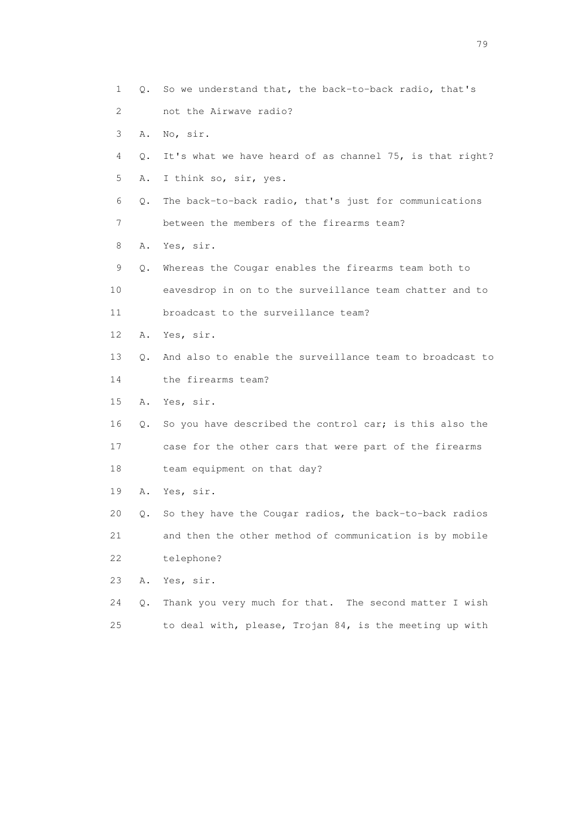1 Q. So we understand that, the back-to-back radio, that's 2 not the Airwave radio? 3 A. No, sir. 4 Q. It's what we have heard of as channel 75, is that right? 5 A. I think so, sir, yes. 6 Q. The back-to-back radio, that's just for communications 7 between the members of the firearms team? 8 A. Yes, sir. 9 Q. Whereas the Cougar enables the firearms team both to 10 eavesdrop in on to the surveillance team chatter and to 11 broadcast to the surveillance team? 12 A. Yes, sir. 13 Q. And also to enable the surveillance team to broadcast to 14 the firearms team? 15 A. Yes, sir. 16 Q. So you have described the control car; is this also the 17 case for the other cars that were part of the firearms 18 team equipment on that day? 19 A. Yes, sir. 20 Q. So they have the Cougar radios, the back-to-back radios 21 and then the other method of communication is by mobile 22 telephone? 23 A. Yes, sir. 24 Q. Thank you very much for that. The second matter I wish 25 to deal with, please, Trojan 84, is the meeting up with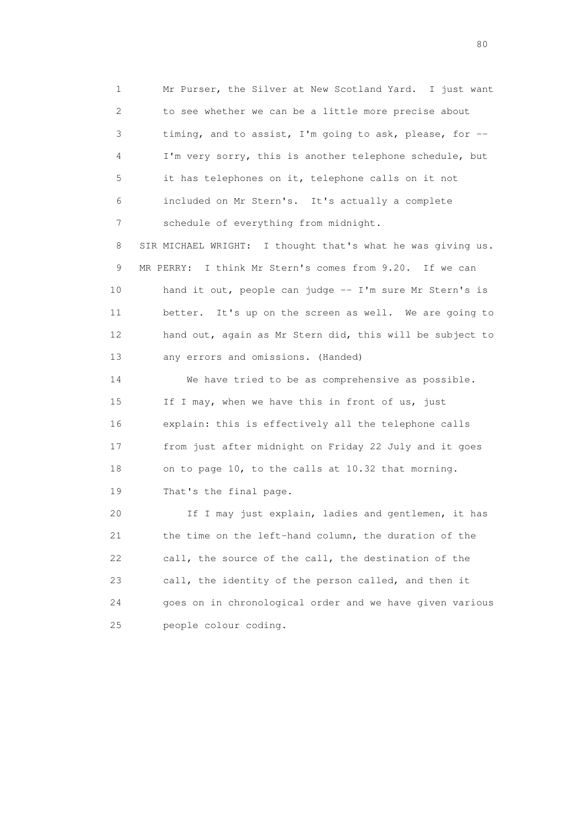1 Mr Purser, the Silver at New Scotland Yard. I just want 2 to see whether we can be a little more precise about 3 timing, and to assist, I'm going to ask, please, for -- 4 I'm very sorry, this is another telephone schedule, but 5 it has telephones on it, telephone calls on it not 6 included on Mr Stern's. It's actually a complete 7 schedule of everything from midnight.

 8 SIR MICHAEL WRIGHT: I thought that's what he was giving us. 9 MR PERRY: I think Mr Stern's comes from 9.20. If we can 10 hand it out, people can judge -- I'm sure Mr Stern's is 11 better. It's up on the screen as well. We are going to 12 hand out, again as Mr Stern did, this will be subject to 13 any errors and omissions. (Handed)

 14 We have tried to be as comprehensive as possible. 15 If I may, when we have this in front of us, just 16 explain: this is effectively all the telephone calls 17 from just after midnight on Friday 22 July and it goes 18 on to page 10, to the calls at 10.32 that morning. 19 That's the final page.

 20 If I may just explain, ladies and gentlemen, it has 21 the time on the left-hand column, the duration of the 22 call, the source of the call, the destination of the 23 call, the identity of the person called, and then it 24 goes on in chronological order and we have given various 25 people colour coding.

entration of the state of the state of the state of the state of the state of the state of the state of the state of the state of the state of the state of the state of the state of the state of the state of the state of t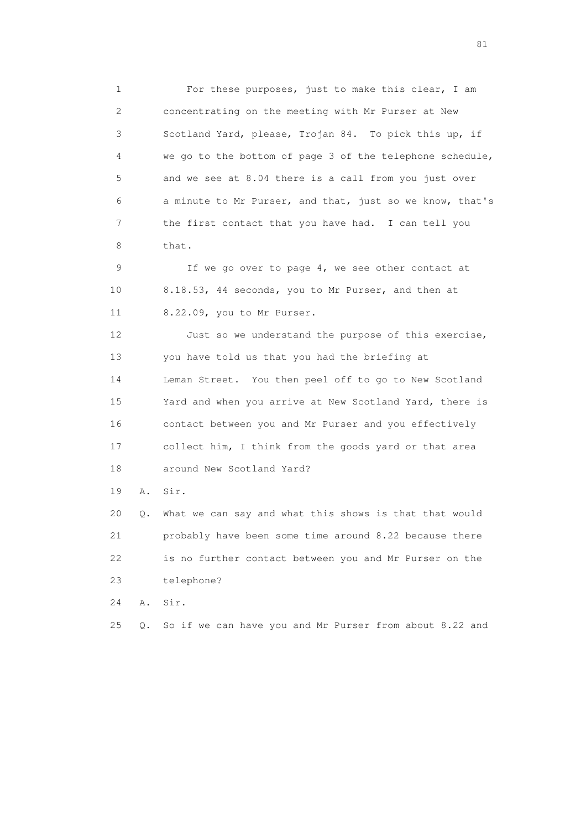1 For these purposes, just to make this clear, I am 2 concentrating on the meeting with Mr Purser at New 3 Scotland Yard, please, Trojan 84. To pick this up, if 4 we go to the bottom of page 3 of the telephone schedule, 5 and we see at 8.04 there is a call from you just over 6 a minute to Mr Purser, and that, just so we know, that's 7 the first contact that you have had. I can tell you 8 that.

 9 If we go over to page 4, we see other contact at 10 8.18.53, 44 seconds, you to Mr Purser, and then at 11 8.22.09, you to Mr Purser.

12 Just so we understand the purpose of this exercise, 13 you have told us that you had the briefing at 14 Leman Street. You then peel off to go to New Scotland 15 Yard and when you arrive at New Scotland Yard, there is 16 contact between you and Mr Purser and you effectively 17 collect him, I think from the goods yard or that area 18 around New Scotland Yard?

19 A. Sir.

20 Q. What we can say and what this shows is that that would 21 probably have been some time around 8.22 because there 22 is no further contact between you and Mr Purser on the 23 telephone?

24 A. Sir.

25 Q. So if we can have you and Mr Purser from about 8.22 and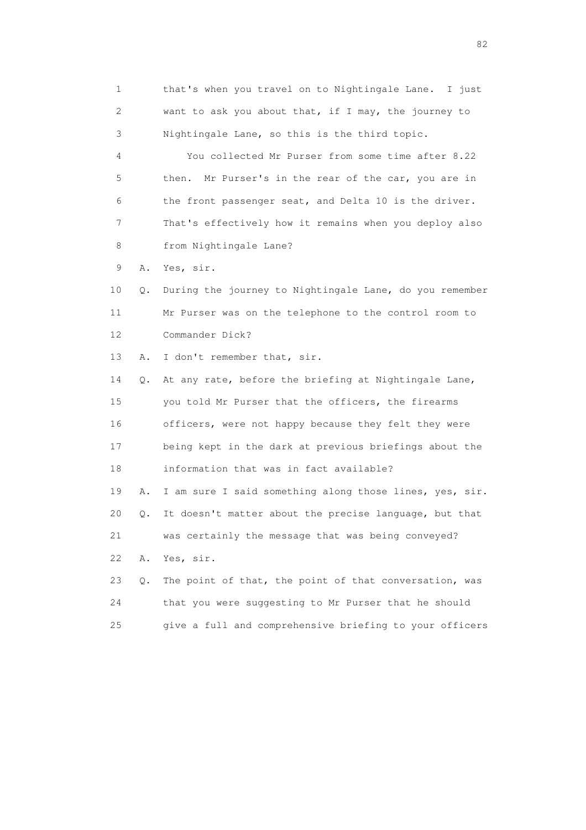1 that's when you travel on to Nightingale Lane. I just 2 want to ask you about that, if I may, the journey to 3 Nightingale Lane, so this is the third topic. 4 You collected Mr Purser from some time after 8.22 5 then. Mr Purser's in the rear of the car, you are in 6 the front passenger seat, and Delta 10 is the driver. 7 That's effectively how it remains when you deploy also 8 from Nightingale Lane? 9 A. Yes, sir. 10 Q. During the journey to Nightingale Lane, do you remember 11 Mr Purser was on the telephone to the control room to 12 Commander Dick? 13 A. I don't remember that, sir. 14 Q. At any rate, before the briefing at Nightingale Lane, 15 you told Mr Purser that the officers, the firearms 16 officers, were not happy because they felt they were 17 being kept in the dark at previous briefings about the 18 information that was in fact available? 19 A. I am sure I said something along those lines, yes, sir. 20 Q. It doesn't matter about the precise language, but that 21 was certainly the message that was being conveyed? 22 A. Yes, sir.

|    | 23 Q. The point of that, the point of that conversation, was |
|----|--------------------------------------------------------------|
| 24 | that you were suggesting to Mr Purser that he should         |
| 25 | give a full and comprehensive briefing to your officers      |

experience of the state of the state of the state of the state of the state of the state of the state of the s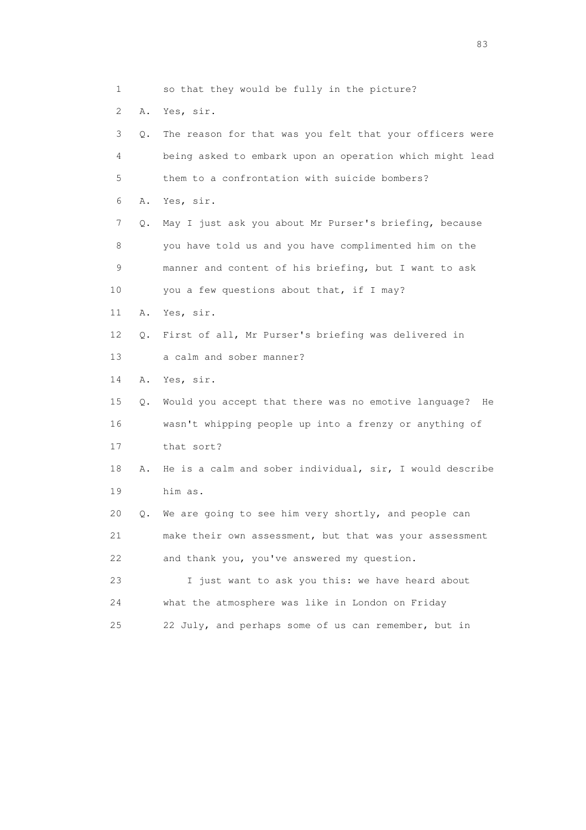1 so that they would be fully in the picture? 2 A. Yes, sir. 3 Q. The reason for that was you felt that your officers were 4 being asked to embark upon an operation which might lead 5 them to a confrontation with suicide bombers? 6 A. Yes, sir. 7 Q. May I just ask you about Mr Purser's briefing, because 8 you have told us and you have complimented him on the 9 manner and content of his briefing, but I want to ask 10 you a few questions about that, if I may? 11 A. Yes, sir. 12 Q. First of all, Mr Purser's briefing was delivered in 13 a calm and sober manner? 14 A. Yes, sir. 15 Q. Would you accept that there was no emotive language? He 16 wasn't whipping people up into a frenzy or anything of 17 that sort? 18 A. He is a calm and sober individual, sir, I would describe 19 him as. 20 Q. We are going to see him very shortly, and people can 21 make their own assessment, but that was your assessment 22 and thank you, you've answered my question. 23 I just want to ask you this: we have heard about 24 what the atmosphere was like in London on Friday 25 22 July, and perhaps some of us can remember, but in

experience and the contract of the contract of the contract of the contract of the contract of the contract of the contract of the contract of the contract of the contract of the contract of the contract of the contract of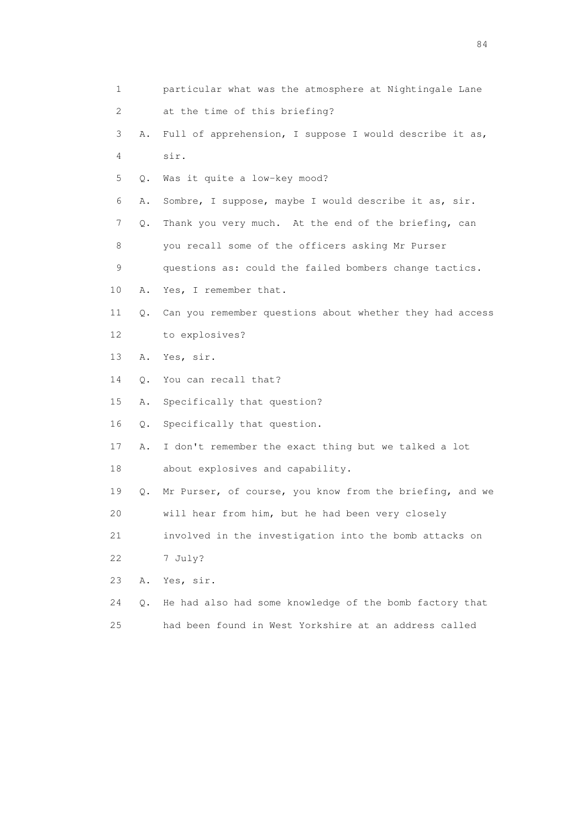1 particular what was the atmosphere at Nightingale Lane 2 at the time of this briefing? 3 A. Full of apprehension, I suppose I would describe it as, 4 sir. 5 Q. Was it quite a low-key mood? 6 A. Sombre, I suppose, maybe I would describe it as, sir. 7 Q. Thank you very much. At the end of the briefing, can 8 you recall some of the officers asking Mr Purser 9 questions as: could the failed bombers change tactics. 10 A. Yes, I remember that. 11 Q. Can you remember questions about whether they had access 12 to explosives? 13 A. Yes, sir. 14 Q. You can recall that? 15 A. Specifically that question? 16 Q. Specifically that question. 17 A. I don't remember the exact thing but we talked a lot 18 about explosives and capability. 19 Q. Mr Purser, of course, you know from the briefing, and we 20 will hear from him, but he had been very closely 21 involved in the investigation into the bomb attacks on 22 7 July? 23 A. Yes, sir. 24 Q. He had also had some knowledge of the bomb factory that 25 had been found in West Yorkshire at an address called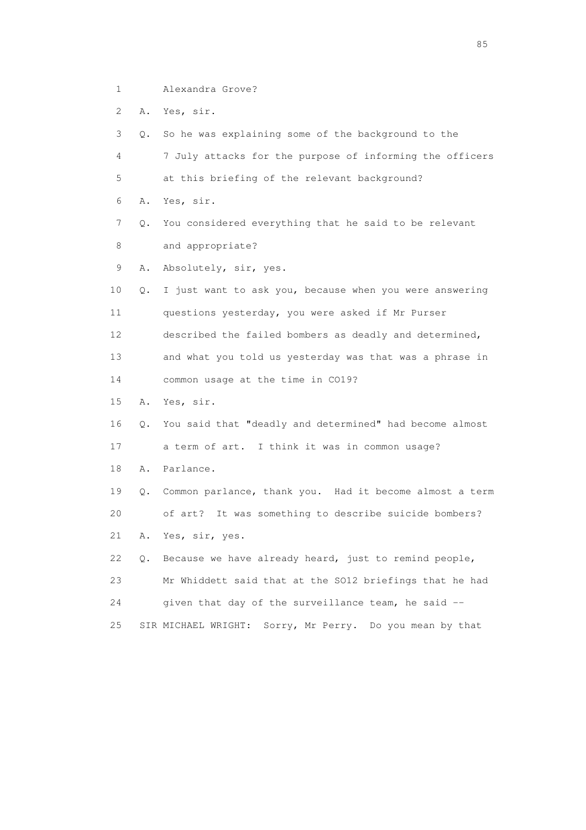- 1 Alexandra Grove?
- 2 A. Yes, sir.

 3 Q. So he was explaining some of the background to the 4 7 July attacks for the purpose of informing the officers 5 at this briefing of the relevant background? 6 A. Yes, sir. 7 Q. You considered everything that he said to be relevant 8 and appropriate? 9 A. Absolutely, sir, yes. 10 Q. I just want to ask you, because when you were answering 11 questions yesterday, you were asked if Mr Purser 12 described the failed bombers as deadly and determined, 13 and what you told us yesterday was that was a phrase in 14 common usage at the time in CO19? 15 A. Yes, sir. 16 Q. You said that "deadly and determined" had become almost 17 a term of art. I think it was in common usage? 18 A. Parlance. 19 Q. Common parlance, thank you. Had it become almost a term 20 of art? It was something to describe suicide bombers? 21 A. Yes, sir, yes. 22 Q. Because we have already heard, just to remind people, 23 Mr Whiddett said that at the SO12 briefings that he had 24 given that day of the surveillance team, he said -- 25 SIR MICHAEL WRIGHT: Sorry, Mr Perry. Do you mean by that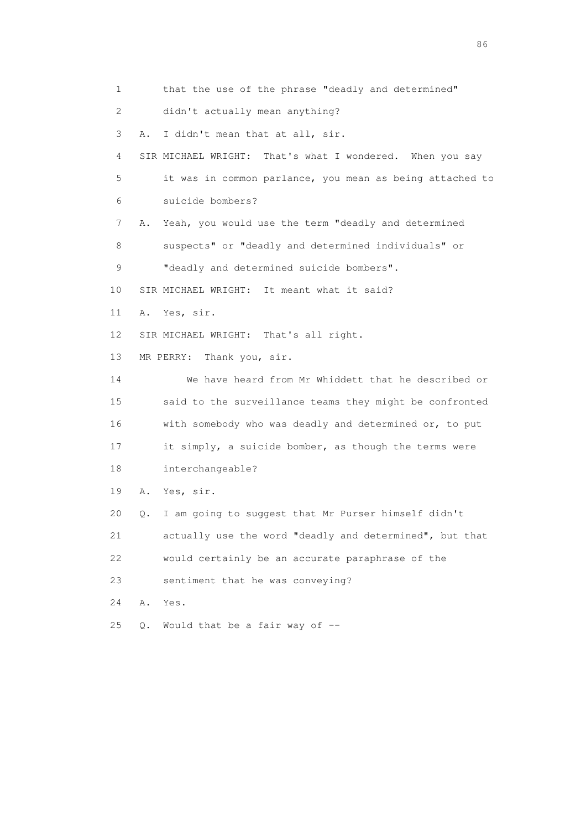1 that the use of the phrase "deadly and determined" 2 didn't actually mean anything? 3 A. I didn't mean that at all, sir. 4 SIR MICHAEL WRIGHT: That's what I wondered. When you say 5 it was in common parlance, you mean as being attached to 6 suicide bombers? 7 A. Yeah, you would use the term "deadly and determined 8 suspects" or "deadly and determined individuals" or 9 "deadly and determined suicide bombers". 10 SIR MICHAEL WRIGHT: It meant what it said? 11 A. Yes, sir. 12 SIR MICHAEL WRIGHT: That's all right. 13 MR PERRY: Thank you, sir. 14 We have heard from Mr Whiddett that he described or 15 said to the surveillance teams they might be confronted 16 with somebody who was deadly and determined or, to put 17 it simply, a suicide bomber, as though the terms were 18 interchangeable? 19 A. Yes, sir. 20 Q. I am going to suggest that Mr Purser himself didn't 21 actually use the word "deadly and determined", but that 22 would certainly be an accurate paraphrase of the 23 sentiment that he was conveying? 24 A. Yes. 25  $Q.$  Would that be a fair way of  $-$ 

entration of the contract of the contract of the contract of the contract of the contract of the contract of the contract of the contract of the contract of the contract of the contract of the contract of the contract of t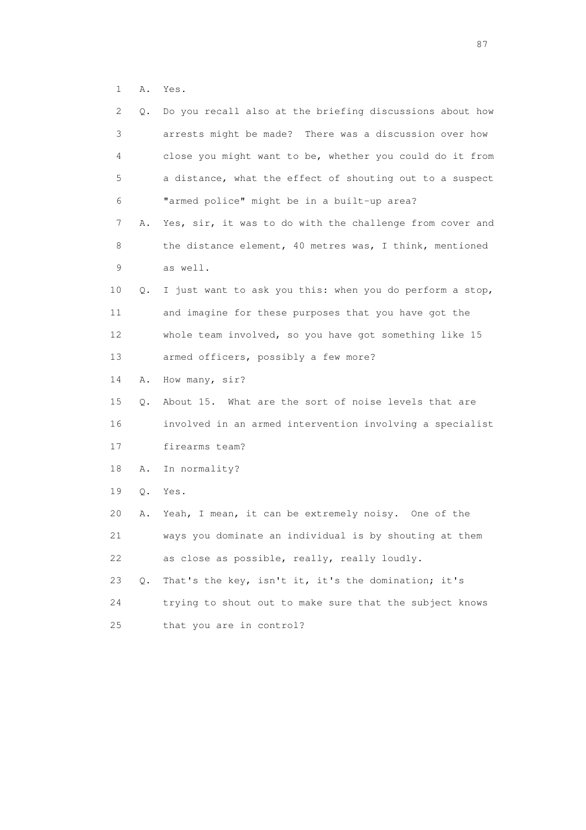1 A. Yes.

| $\mathbf{2}^{\mathsf{I}}$ | Q.    | Do you recall also at the briefing discussions about how |
|---------------------------|-------|----------------------------------------------------------|
| 3                         |       | arrests might be made? There was a discussion over how   |
| 4                         |       | close you might want to be, whether you could do it from |
| 5                         |       | a distance, what the effect of shouting out to a suspect |
| 6                         |       | "armed police" might be in a built-up area?              |
| 7                         | Α.    | Yes, sir, it was to do with the challenge from cover and |
| 8                         |       | the distance element, 40 metres was, I think, mentioned  |
| 9                         |       | as well.                                                 |
| 10                        | Q.    | I just want to ask you this: when you do perform a stop, |
| 11                        |       | and imagine for these purposes that you have got the     |
| 12                        |       | whole team involved, so you have got something like 15   |
| 13                        |       | armed officers, possibly a few more?                     |
| 14                        | Α.    | How many, sir?                                           |
| 15                        | Q.    | About 15. What are the sort of noise levels that are     |
| 16                        |       | involved in an armed intervention involving a specialist |
| 17                        |       | firearms team?                                           |
| 18                        | Α.    | In normality?                                            |
| 19                        | $Q$ . | Yes.                                                     |
| 20                        | Α.    | Yeah, I mean, it can be extremely noisy. One of the      |
| 21                        |       | ways you dominate an individual is by shouting at them   |
| 22                        |       | as close as possible, really, really loudly.             |
| 23                        | Q.    | That's the key, isn't it, it's the domination; it's      |
| 24                        |       | trying to shout out to make sure that the subject knows  |
| 25                        |       | that you are in control?                                 |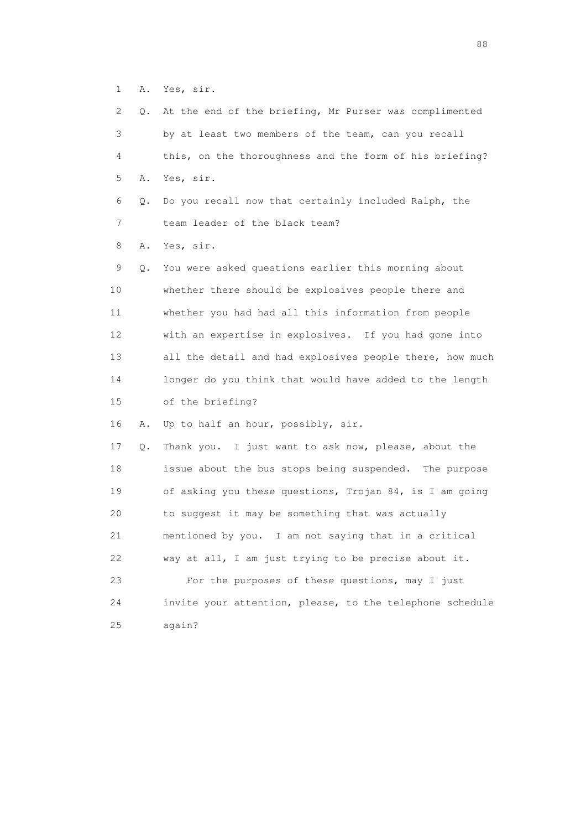1 A. Yes, sir.

| 2  | Q. | At the end of the briefing, Mr Purser was complimented   |
|----|----|----------------------------------------------------------|
| 3  |    | by at least two members of the team, can you recall      |
| 4  |    | this, on the thoroughness and the form of his briefing?  |
| 5  | Α. | Yes, sir.                                                |
| 6  | Q. | Do you recall now that certainly included Ralph, the     |
| 7  |    | team leader of the black team?                           |
| 8  | Α. | Yes, sir.                                                |
| 9  | Q. | You were asked questions earlier this morning about      |
| 10 |    | whether there should be explosives people there and      |
| 11 |    | whether you had had all this information from people     |
| 12 |    | with an expertise in explosives. If you had gone into    |
| 13 |    | all the detail and had explosives people there, how much |
| 14 |    | longer do you think that would have added to the length  |
| 15 |    | of the briefing?                                         |
| 16 | Α. | Up to half an hour, possibly, sir.                       |
| 17 | Q. | Thank you. I just want to ask now, please, about the     |
| 18 |    | issue about the bus stops being suspended. The purpose   |
| 19 |    | of asking you these questions, Trojan 84, is I am going  |
| 20 |    | to suggest it may be something that was actually         |
| 21 |    | mentioned by you. I am not saying that in a critical     |
| 22 |    | way at all, I am just trying to be precise about it.     |
| 23 |    | For the purposes of these questions, may I just          |
| 24 |    | invite your attention, please, to the telephone schedule |
| 25 |    | again?                                                   |

en de la construction de la construction de la construction de la construction de la construction de la constr<br>1880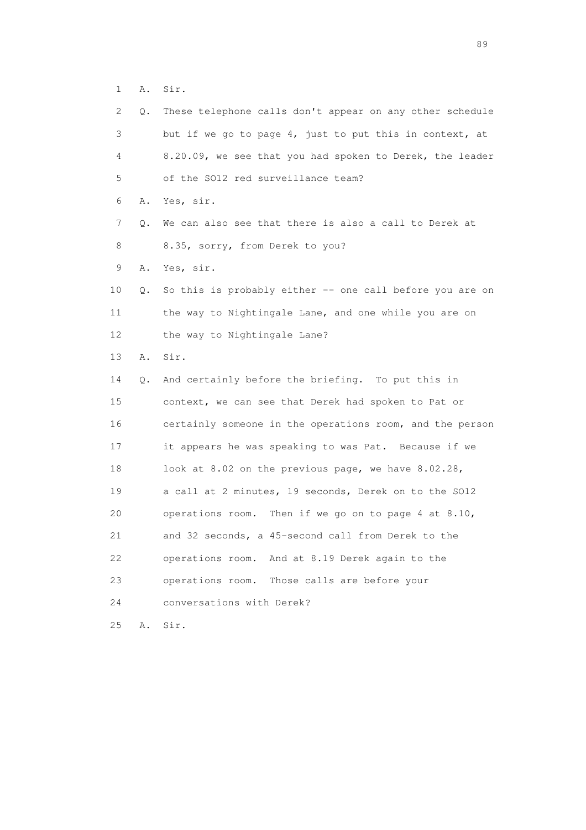1 A. Sir.

| 2  | Q. | These telephone calls don't appear on any other schedule |
|----|----|----------------------------------------------------------|
| 3  |    | but if we go to page 4, just to put this in context, at  |
| 4  |    | 8.20.09, we see that you had spoken to Derek, the leader |
| 5  |    | of the SO12 red surveillance team?                       |
| 6  | Α. | Yes, sir.                                                |
| 7  | Q. | We can also see that there is also a call to Derek at    |
| 8  |    | 8.35, sorry, from Derek to you?                          |
| 9  | Α. | Yes, sir.                                                |
| 10 | Q. | So this is probably either -- one call before you are on |
| 11 |    | the way to Nightingale Lane, and one while you are on    |
| 12 |    | the way to Nightingale Lane?                             |
| 13 | Α. | Sir.                                                     |
| 14 | Q. | And certainly before the briefing. To put this in        |
| 15 |    | context, we can see that Derek had spoken to Pat or      |
| 16 |    | certainly someone in the operations room, and the person |
| 17 |    | it appears he was speaking to was Pat. Because if we     |
| 18 |    | look at 8.02 on the previous page, we have 8.02.28,      |
| 19 |    | a call at 2 minutes, 19 seconds, Derek on to the SO12    |
| 20 |    | operations room. Then if we go on to page 4 at 8.10,     |
| 21 |    | and 32 seconds, a 45-second call from Derek to the       |
| 22 |    | operations room.<br>And at 8.19 Derek again to the       |
| 23 |    | operations room.<br>Those calls are before your          |
| 24 |    | conversations with Derek?                                |
| 25 | Α. | Sir.                                                     |

en andere en de la seule de la constantin de la constantin de la constantin de la constantin de la constantin<br>189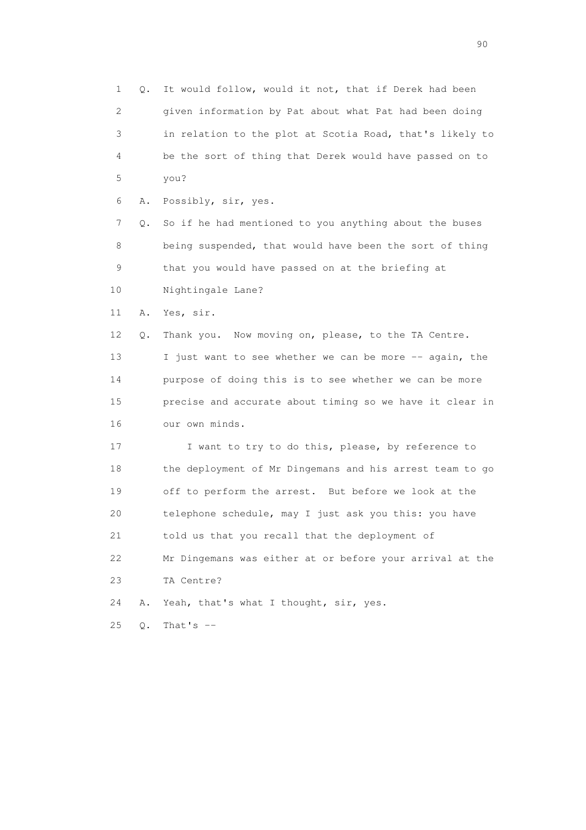1 Q. It would follow, would it not, that if Derek had been 2 given information by Pat about what Pat had been doing 3 in relation to the plot at Scotia Road, that's likely to 4 be the sort of thing that Derek would have passed on to 5 you? 6 A. Possibly, sir, yes. 7 Q. So if he had mentioned to you anything about the buses 8 being suspended, that would have been the sort of thing 9 that you would have passed on at the briefing at 10 Nightingale Lane? 11 A. Yes, sir. 12 Q. Thank you. Now moving on, please, to the TA Centre. 13 I just want to see whether we can be more -- again, the 14 purpose of doing this is to see whether we can be more 15 precise and accurate about timing so we have it clear in 16 our own minds. 17 I want to try to do this, please, by reference to 18 the deployment of Mr Dingemans and his arrest team to go 19 off to perform the arrest. But before we look at the 20 telephone schedule, may I just ask you this: you have 21 told us that you recall that the deployment of 22 Mr Dingemans was either at or before your arrival at the 23 TA Centre? 24 A. Yeah, that's what I thought, sir, yes. 25 Q. That's --

entration of the contract of the contract of the contract of the contract of the contract of the contract of the contract of the contract of the contract of the contract of the contract of the contract of the contract of t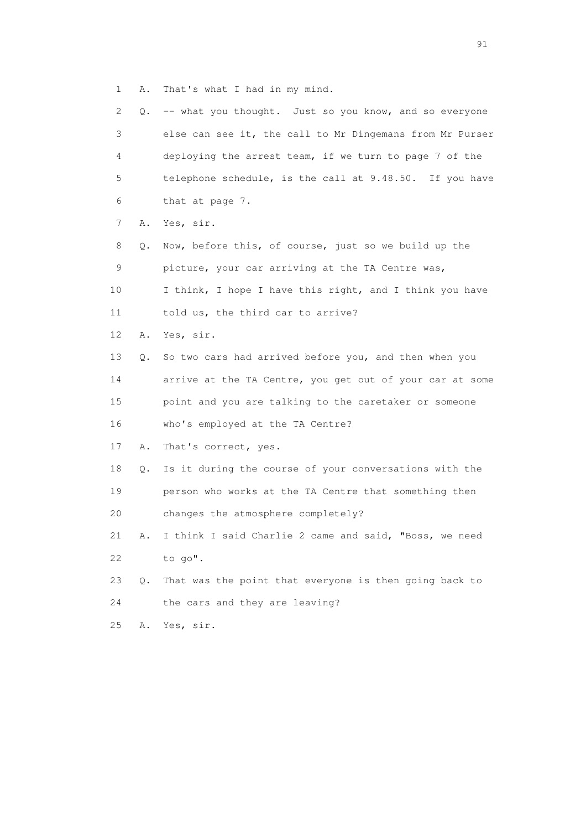1 A. That's what I had in my mind.

| 2  |    | Q. -- what you thought. Just so you know, and so everyone |
|----|----|-----------------------------------------------------------|
| 3  |    | else can see it, the call to Mr Dingemans from Mr Purser  |
| 4  |    | deploying the arrest team, if we turn to page 7 of the    |
| 5  |    | telephone schedule, is the call at 9.48.50. If you have   |
| 6  |    | that at page 7.                                           |
| 7  | Α. | Yes, sir.                                                 |
| 8  | Q. | Now, before this, of course, just so we build up the      |
| 9  |    | picture, your car arriving at the TA Centre was,          |
| 10 |    | I think, I hope I have this right, and I think you have   |
| 11 |    | told us, the third car to arrive?                         |
| 12 | Α. | Yes, sir.                                                 |
| 13 | Q. | So two cars had arrived before you, and then when you     |
| 14 |    | arrive at the TA Centre, you get out of your car at some  |
| 15 |    | point and you are talking to the caretaker or someone     |
| 16 |    | who's employed at the TA Centre?                          |
| 17 | Α. | That's correct, yes.                                      |
| 18 | Q. | Is it during the course of your conversations with the    |
| 19 |    | person who works at the TA Centre that something then     |
| 20 |    | changes the atmosphere completely?                        |
| 21 | Α. | I think I said Charlie 2 came and said, "Boss, we need    |
| 22 |    | to go".                                                   |
| 23 | Q. | That was the point that everyone is then going back to    |
| 24 |    | the cars and they are leaving?                            |
| 25 | Α. | Yes, sir.                                                 |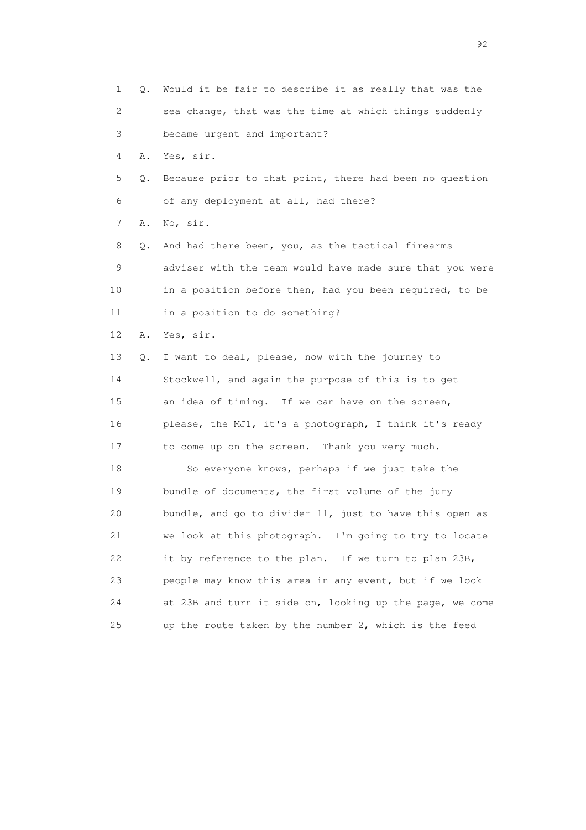1 Q. Would it be fair to describe it as really that was the 2 sea change, that was the time at which things suddenly 3 became urgent and important? 4 A. Yes, sir. 5 Q. Because prior to that point, there had been no question 6 of any deployment at all, had there? 7 A. No, sir. 8 Q. And had there been, you, as the tactical firearms 9 adviser with the team would have made sure that you were 10 in a position before then, had you been required, to be 11 in a position to do something? 12 A. Yes, sir. 13 Q. I want to deal, please, now with the journey to 14 Stockwell, and again the purpose of this is to get 15 an idea of timing. If we can have on the screen, 16 please, the MJ1, it's a photograph, I think it's ready 17 to come up on the screen. Thank you very much. 18 So everyone knows, perhaps if we just take the 19 bundle of documents, the first volume of the jury 20 bundle, and go to divider 11, just to have this open as 21 we look at this photograph. I'm going to try to locate 22 it by reference to the plan. If we turn to plan 23B, 23 people may know this area in any event, but if we look 24 at 23B and turn it side on, looking up the page, we come 25 up the route taken by the number 2, which is the feed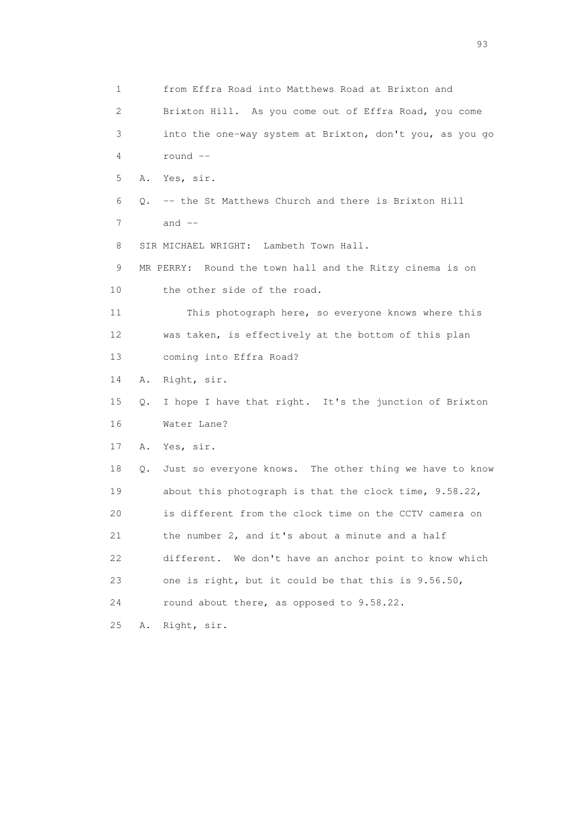1 from Effra Road into Matthews Road at Brixton and 2 Brixton Hill. As you come out of Effra Road, you come 3 into the one-way system at Brixton, don't you, as you go 4 round -- 5 A. Yes, sir. 6 Q. -- the St Matthews Church and there is Brixton Hill  $7$  and  $-$  8 SIR MICHAEL WRIGHT: Lambeth Town Hall. 9 MR PERRY: Round the town hall and the Ritzy cinema is on 10 the other side of the road. 11 This photograph here, so everyone knows where this 12 was taken, is effectively at the bottom of this plan 13 coming into Effra Road? 14 A. Right, sir. 15 Q. I hope I have that right. It's the junction of Brixton 16 Water Lane? 17 A. Yes, sir. 18 Q. Just so everyone knows. The other thing we have to know 19 about this photograph is that the clock time, 9.58.22, 20 is different from the clock time on the CCTV camera on 21 the number 2, and it's about a minute and a half 22 different. We don't have an anchor point to know which 23 one is right, but it could be that this is 9.56.50, 24 round about there, as opposed to 9.58.22. 25 A. Right, sir.

experience of the contract of the contract of the contract of the contract of the contract of the contract of the contract of the contract of the contract of the contract of the contract of the contract of the contract of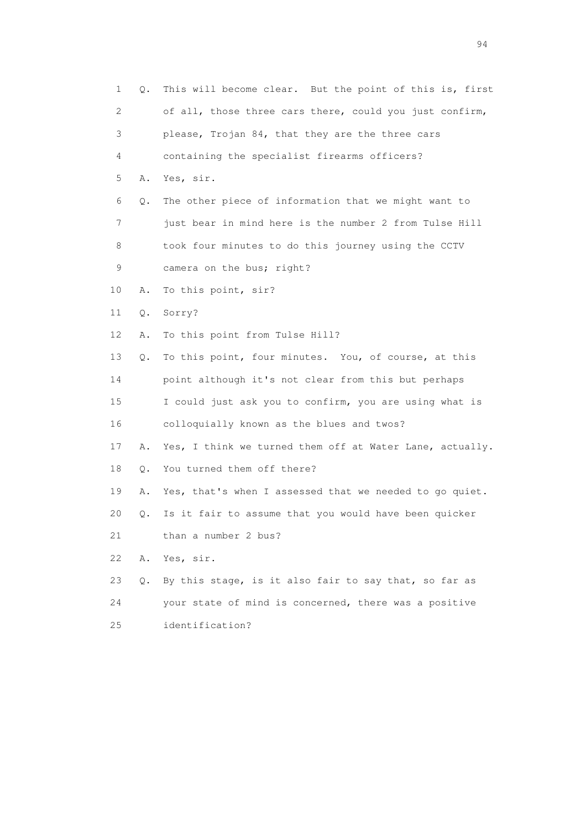| 1  | Q. | This will become clear. But the point of this is, first  |
|----|----|----------------------------------------------------------|
| 2  |    | of all, those three cars there, could you just confirm,  |
| 3  |    | please, Trojan 84, that they are the three cars          |
| 4  |    | containing the specialist firearms officers?             |
| 5  | Α. | Yes, sir.                                                |
| 6  | Q. | The other piece of information that we might want to     |
| 7  |    | just bear in mind here is the number 2 from Tulse Hill   |
| 8  |    | took four minutes to do this journey using the CCTV      |
| 9  |    | camera on the bus; right?                                |
| 10 | Α. | To this point, sir?                                      |
| 11 | Q. | Sorry?                                                   |
| 12 | Α. | To this point from Tulse Hill?                           |
| 13 | Q. | To this point, four minutes. You, of course, at this     |
| 14 |    | point although it's not clear from this but perhaps      |
| 15 |    | I could just ask you to confirm, you are using what is   |
| 16 |    | colloquially known as the blues and twos?                |
| 17 | Α. | Yes, I think we turned them off at Water Lane, actually. |
| 18 | Q. | You turned them off there?                               |
| 19 | Α. | Yes, that's when I assessed that we needed to go quiet.  |
| 20 | Q. | Is it fair to assume that you would have been quicker    |
| 21 |    | than a number 2 bus?                                     |
| 22 | Α. | Yes, sir.                                                |
| 23 | Q. | By this stage, is it also fair to say that, so far as    |
| 24 |    | your state of mind is concerned, there was a positive    |
| 25 |    | identification?                                          |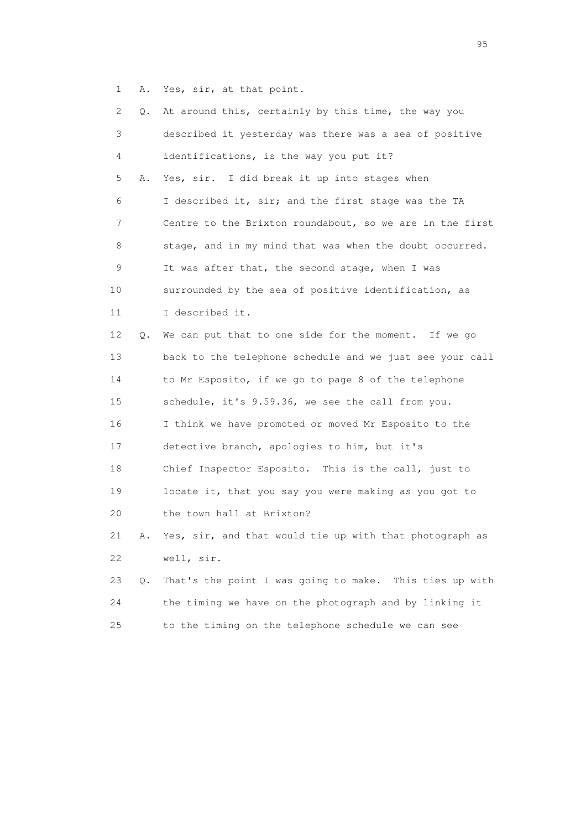1 A. Yes, sir, at that point.

| 2  | Q. | At around this, certainly by this time, the way you      |
|----|----|----------------------------------------------------------|
| 3  |    | described it yesterday was there was a sea of positive   |
| 4  |    | identifications, is the way you put it?                  |
| 5  | Α. | Yes, sir. I did break it up into stages when             |
| 6  |    | I described it, sir; and the first stage was the TA      |
| 7  |    | Centre to the Brixton roundabout, so we are in the first |
| 8  |    | stage, and in my mind that was when the doubt occurred.  |
| 9  |    | It was after that, the second stage, when I was          |
| 10 |    | surrounded by the sea of positive identification, as     |
| 11 |    | I described it.                                          |
| 12 | Q. | We can put that to one side for the moment. If we go     |
| 13 |    | back to the telephone schedule and we just see your call |
| 14 |    | to Mr Esposito, if we go to page 8 of the telephone      |
| 15 |    | schedule, it's 9.59.36, we see the call from you.        |
| 16 |    | I think we have promoted or moved Mr Esposito to the     |
| 17 |    | detective branch, apologies to him, but it's             |
| 18 |    | Chief Inspector Esposito. This is the call, just to      |
| 19 |    | locate it, that you say you were making as you got to    |
| 20 |    | the town hall at Brixton?                                |
| 21 | Α. | Yes, sir, and that would tie up with that photograph as  |
| 22 |    | well, sir.                                               |
| 23 | О. | That's the point I was going to make. This ties up with  |
| 24 |    | the timing we have on the photograph and by linking it   |
| 25 |    | to the timing on the telephone schedule we can see       |
|    |    |                                                          |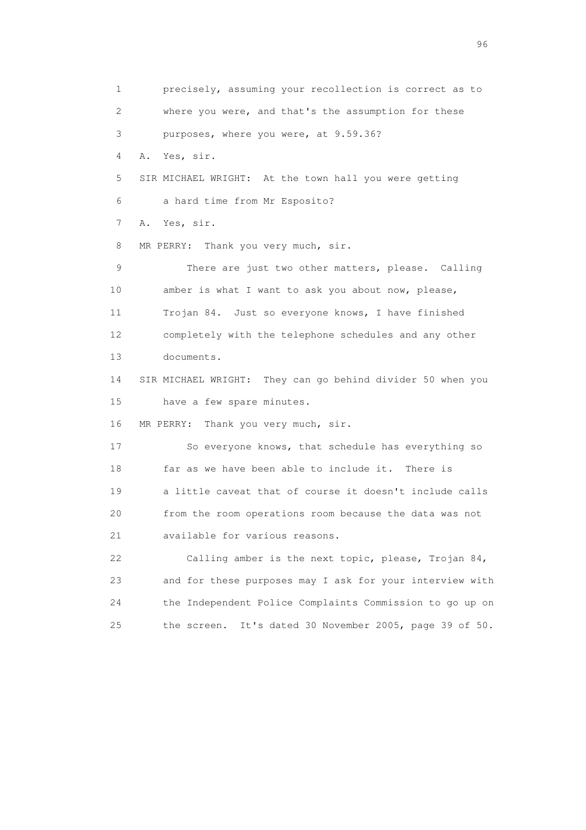1 precisely, assuming your recollection is correct as to 2 where you were, and that's the assumption for these 3 purposes, where you were, at 9.59.36? 4 A. Yes, sir. 5 SIR MICHAEL WRIGHT: At the town hall you were getting 6 a hard time from Mr Esposito? 7 A. Yes, sir. 8 MR PERRY: Thank you very much, sir. 9 There are just two other matters, please. Calling 10 amber is what I want to ask you about now, please, 11 Trojan 84. Just so everyone knows, I have finished 12 completely with the telephone schedules and any other 13 documents. 14 SIR MICHAEL WRIGHT: They can go behind divider 50 when you 15 have a few spare minutes. 16 MR PERRY: Thank you very much, sir. 17 So everyone knows, that schedule has everything so 18 far as we have been able to include it. There is 19 a little caveat that of course it doesn't include calls 20 from the room operations room because the data was not 21 available for various reasons. 22 Calling amber is the next topic, please, Trojan 84, 23 and for these purposes may I ask for your interview with 24 the Independent Police Complaints Commission to go up on 25 the screen. It's dated 30 November 2005, page 39 of 50.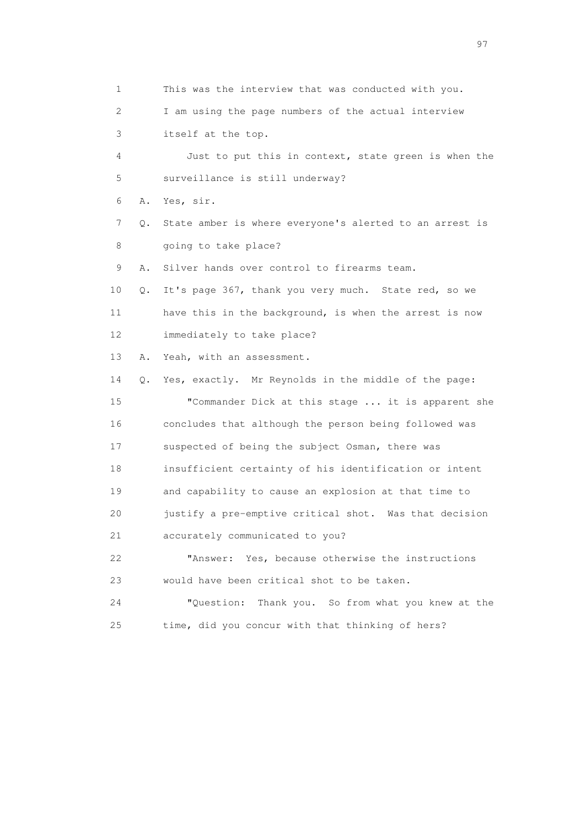1 This was the interview that was conducted with you. 2 I am using the page numbers of the actual interview 3 itself at the top. 4 Just to put this in context, state green is when the 5 surveillance is still underway? 6 A. Yes, sir. 7 Q. State amber is where everyone's alerted to an arrest is 8 going to take place? 9 A. Silver hands over control to firearms team. 10 Q. It's page 367, thank you very much. State red, so we 11 have this in the background, is when the arrest is now 12 immediately to take place? 13 A. Yeah, with an assessment. 14 Q. Yes, exactly. Mr Reynolds in the middle of the page: 15 "Commander Dick at this stage ... it is apparent she 16 concludes that although the person being followed was 17 suspected of being the subject Osman, there was 18 insufficient certainty of his identification or intent 19 and capability to cause an explosion at that time to 20 justify a pre-emptive critical shot. Was that decision 21 accurately communicated to you? 22 "Answer: Yes, because otherwise the instructions 23 would have been critical shot to be taken. 24 "Question: Thank you. So from what you knew at the 25 time, did you concur with that thinking of hers?

experience of the contract of the contract of the contract of the contract of the contract of the contract of the contract of the contract of the contract of the contract of the contract of the contract of the contract of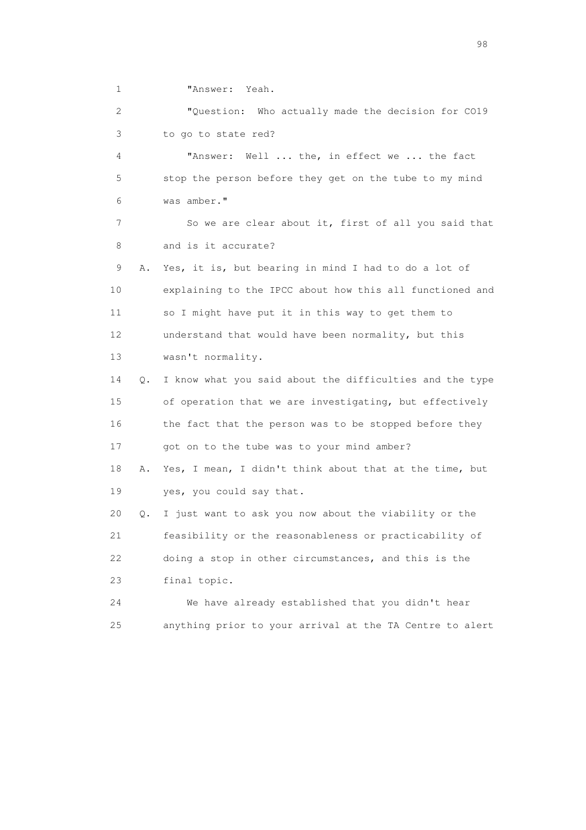1 "Answer: Yeah.

 2 "Question: Who actually made the decision for CO19 3 to go to state red?

 4 "Answer: Well ... the, in effect we ... the fact 5 stop the person before they get on the tube to my mind 6 was amber."

 7 So we are clear about it, first of all you said that 8 and is it accurate?

 9 A. Yes, it is, but bearing in mind I had to do a lot of 10 explaining to the IPCC about how this all functioned and 11 so I might have put it in this way to get them to 12 understand that would have been normality, but this 13 wasn't normality.

 14 Q. I know what you said about the difficulties and the type 15 of operation that we are investigating, but effectively 16 the fact that the person was to be stopped before they 17 got on to the tube was to your mind amber?

 18 A. Yes, I mean, I didn't think about that at the time, but 19 yes, you could say that.

 20 Q. I just want to ask you now about the viability or the 21 feasibility or the reasonableness or practicability of 22 doing a stop in other circumstances, and this is the 23 final topic.

 24 We have already established that you didn't hear 25 anything prior to your arrival at the TA Centre to alert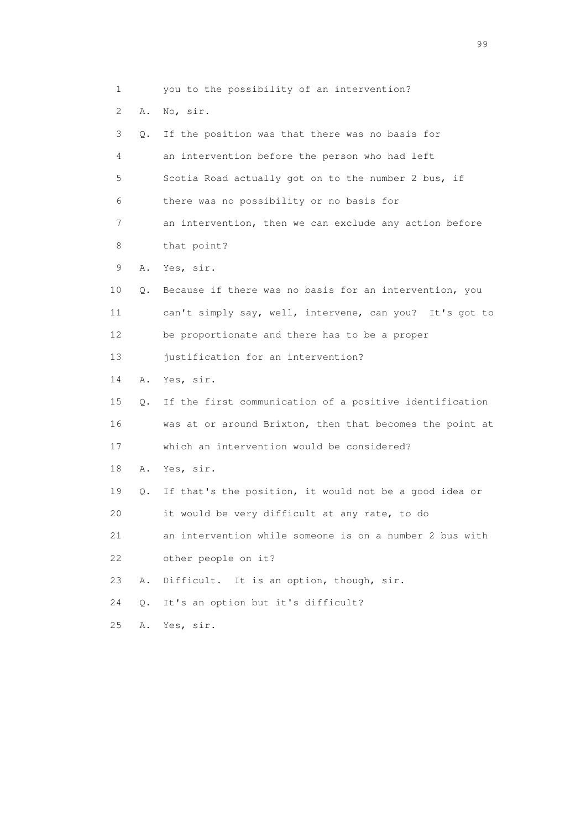1 you to the possibility of an intervention? 2 A. No, sir. 3 Q. If the position was that there was no basis for 4 an intervention before the person who had left 5 Scotia Road actually got on to the number 2 bus, if 6 there was no possibility or no basis for 7 an intervention, then we can exclude any action before 8 that point? 9 A. Yes, sir. 10 Q. Because if there was no basis for an intervention, you 11 can't simply say, well, intervene, can you? It's got to 12 be proportionate and there has to be a proper 13 justification for an intervention? 14 A. Yes, sir. 15 Q. If the first communication of a positive identification 16 was at or around Brixton, then that becomes the point at 17 which an intervention would be considered? 18 A. Yes, sir. 19 Q. If that's the position, it would not be a good idea or 20 it would be very difficult at any rate, to do 21 an intervention while someone is on a number 2 bus with 22 other people on it? 23 A. Difficult. It is an option, though, sir. 24 Q. It's an option but it's difficult? 25 A. Yes, sir.

en de la construction de la construction de la construction de la construction de la construction de la constr<br>1990 : le construction de la construction de la construction de la construction de la construction de la const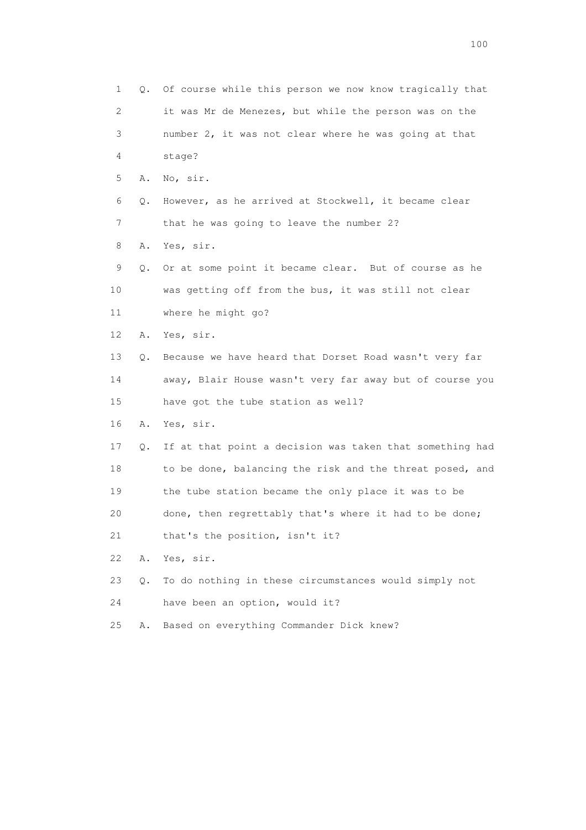1 Q. Of course while this person we now know tragically that 2 it was Mr de Menezes, but while the person was on the 3 number 2, it was not clear where he was going at that 4 stage? 5 A. No, sir. 6 Q. However, as he arrived at Stockwell, it became clear 7 that he was going to leave the number 2? 8 A. Yes, sir. 9 Q. Or at some point it became clear. But of course as he 10 was getting off from the bus, it was still not clear 11 where he might go? 12 A. Yes, sir. 13 Q. Because we have heard that Dorset Road wasn't very far 14 away, Blair House wasn't very far away but of course you 15 have got the tube station as well? 16 A. Yes, sir. 17 Q. If at that point a decision was taken that something had 18 to be done, balancing the risk and the threat posed, and 19 the tube station became the only place it was to be 20 done, then regrettably that's where it had to be done; 21 that's the position, isn't it? 22 A. Yes, sir. 23 Q. To do nothing in these circumstances would simply not 24 have been an option, would it? 25 A. Based on everything Commander Dick knew?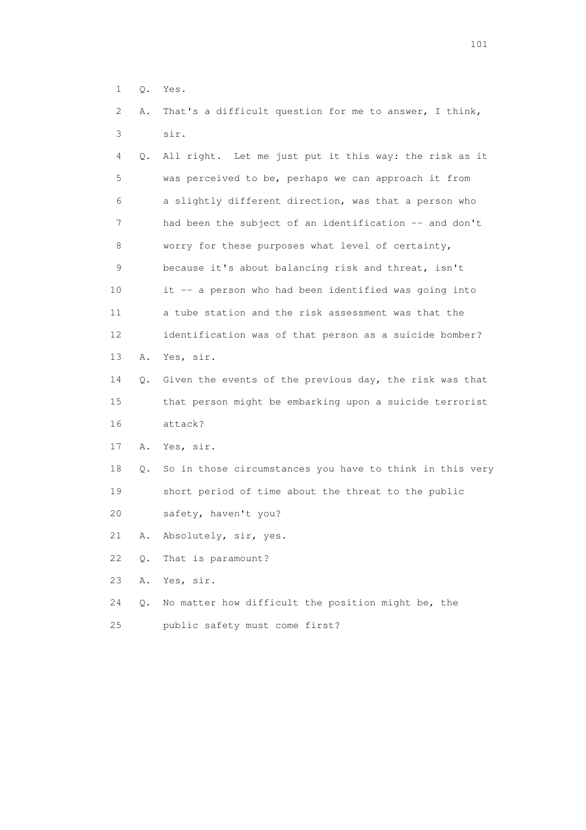- 1 Q. Yes.
- 2 A. That's a difficult question for me to answer, I think, 3 sir.

| 4  | Q. All right. Let me just put it this way: the risk as it  |
|----|------------------------------------------------------------|
| 5  | was perceived to be, perhaps we can approach it from       |
| 6  | a slightly different direction, was that a person who      |
| 7  | had been the subject of an identification -- and don't     |
| 8  | worry for these purposes what level of certainty,          |
| 9  | because it's about balancing risk and threat, isn't        |
| 10 | it -- a person who had been identified was going into      |
| 11 | a tube station and the risk assessment was that the        |
| 12 | identification was of that person as a suicide bomber?     |
| 13 | A. Yes, sir.                                               |
| 14 | Q. Given the events of the previous day, the risk was that |
| 15 | that person might be embarking upon a suicide terrorist    |
| 16 | attack?                                                    |

- 17 A. Yes, sir.
- 18 Q. So in those circumstances you have to think in this very 19 short period of time about the threat to the public
- 20 safety, haven't you?
- 21 A. Absolutely, sir, yes.
- 22 Q. That is paramount?
- 23 A. Yes, sir.
- 24 Q. No matter how difficult the position might be, the
- 25 public safety must come first?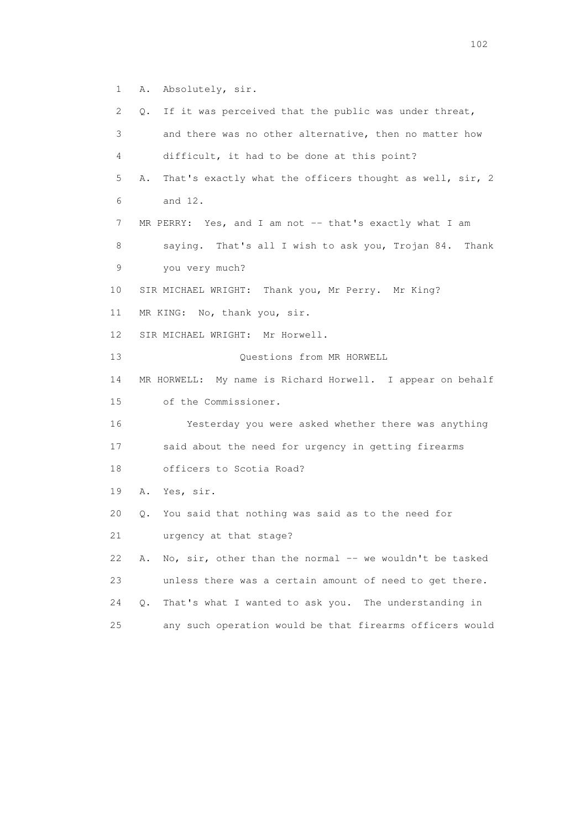1 A. Absolutely, sir.

 2 Q. If it was perceived that the public was under threat, 3 and there was no other alternative, then no matter how 4 difficult, it had to be done at this point? 5 A. That's exactly what the officers thought as well, sir, 2 6 and 12. 7 MR PERRY: Yes, and I am not -- that's exactly what I am 8 saying. That's all I wish to ask you, Trojan 84. Thank 9 you very much? 10 SIR MICHAEL WRIGHT: Thank you, Mr Perry. Mr King? 11 MR KING: No, thank you, sir. 12 SIR MICHAEL WRIGHT: Mr Horwell. 13 Questions from MR HORWELL 14 MR HORWELL: My name is Richard Horwell. I appear on behalf 15 of the Commissioner. 16 Yesterday you were asked whether there was anything 17 said about the need for urgency in getting firearms 18 officers to Scotia Road? 19 A. Yes, sir. 20 Q. You said that nothing was said as to the need for 21 urgency at that stage? 22 A. No,  $\sin$ , other than the normal -- we wouldn't be tasked 23 unless there was a certain amount of need to get there. 24 Q. That's what I wanted to ask you. The understanding in 25 any such operation would be that firearms officers would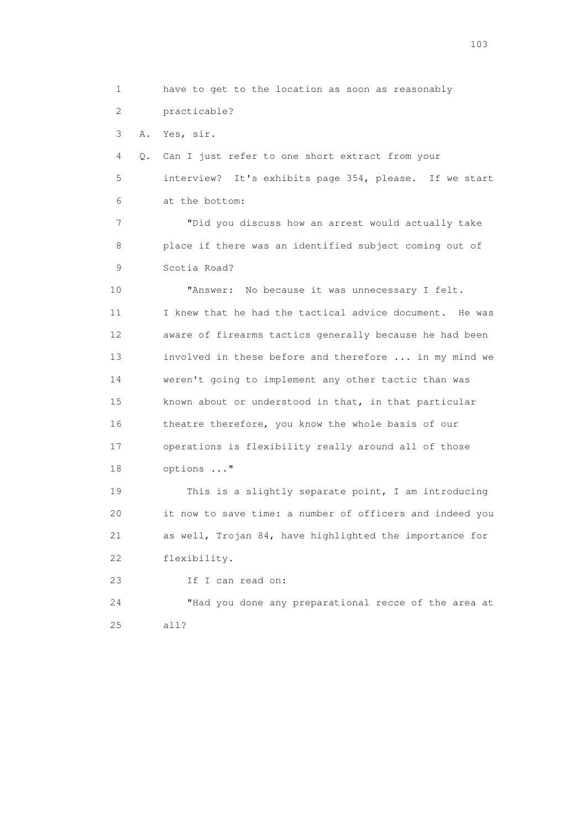1 have to get to the location as soon as reasonably 2 practicable? 3 A. Yes, sir. 4 Q. Can I just refer to one short extract from your 5 interview? It's exhibits page 354, please. If we start 6 at the bottom: 7 "Did you discuss how an arrest would actually take 8 place if there was an identified subject coming out of 9 Scotia Road? 10 "Answer: No because it was unnecessary I felt. 11 I knew that he had the tactical advice document. He was 12 aware of firearms tactics generally because he had been 13 involved in these before and therefore ... in my mind we 14 weren't going to implement any other tactic than was 15 known about or understood in that, in that particular 16 theatre therefore, you know the whole basis of our 17 operations is flexibility really around all of those 18 options ..." 19 This is a slightly separate point, I am introducing 20 it now to save time: a number of officers and indeed you 21 as well, Trojan 84, have highlighted the importance for 22 flexibility. 23 If I can read on: 24 "Had you done any preparational recce of the area at 25 all?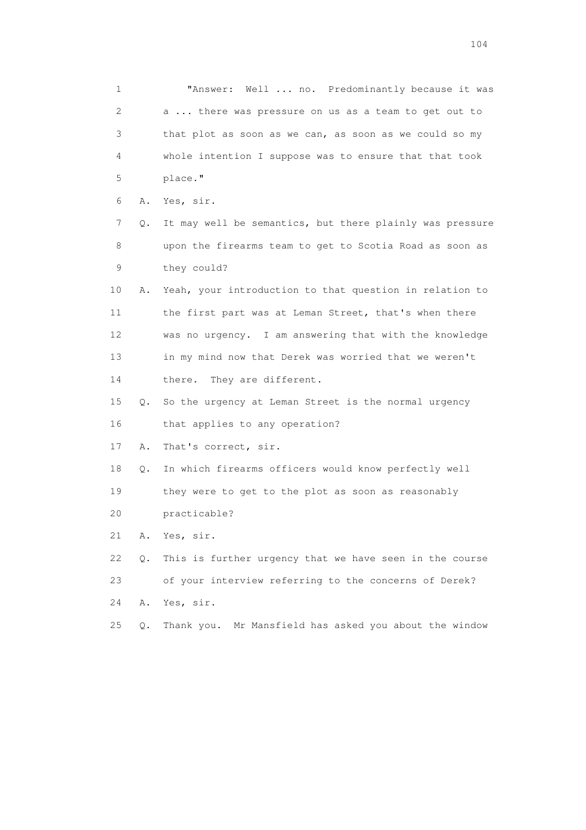1 "Answer: Well ... no. Predominantly because it was 2 a ... there was pressure on us as a team to get out to 3 that plot as soon as we can, as soon as we could so my 4 whole intention I suppose was to ensure that that took 5 place." 6 A. Yes, sir. 7 Q. It may well be semantics, but there plainly was pressure 8 upon the firearms team to get to Scotia Road as soon as 9 they could? 10 A. Yeah, your introduction to that question in relation to 11 the first part was at Leman Street, that's when there 12 was no urgency. I am answering that with the knowledge 13 in my mind now that Derek was worried that we weren't 14 there. They are different. 15 Q. So the urgency at Leman Street is the normal urgency 16 that applies to any operation? 17 A. That's correct, sir. 18 Q. In which firearms officers would know perfectly well 19 they were to get to the plot as soon as reasonably 20 practicable? 21 A. Yes, sir. 22 Q. This is further urgency that we have seen in the course 23 of your interview referring to the concerns of Derek? 24 A. Yes, sir. 25 Q. Thank you. Mr Mansfield has asked you about the window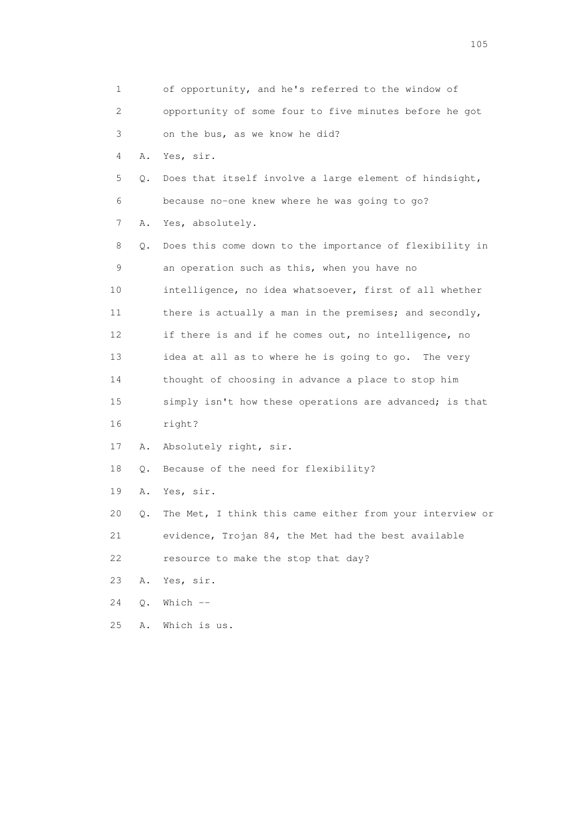|    | 1                         | of opportunity, and he's referred to the window of       |
|----|---------------------------|----------------------------------------------------------|
|    | $\mathbf{2}^{\mathsf{I}}$ | opportunity of some four to five minutes before he got   |
|    | 3                         | on the bus, as we know he did?                           |
|    | 4<br>Α.                   | Yes, sir.                                                |
|    | 5<br>Q.                   | Does that itself involve a large element of hindsight,   |
|    | 6                         | because no-one knew where he was going to go?            |
|    | 7<br>Α.                   | Yes, absolutely.                                         |
|    | 8<br>Q.                   | Does this come down to the importance of flexibility in  |
|    | 9                         | an operation such as this, when you have no              |
| 10 |                           | intelligence, no idea whatsoever, first of all whether   |
| 11 |                           | there is actually a man in the premises; and secondly,   |
| 12 |                           | if there is and if he comes out, no intelligence, no     |
| 13 |                           | idea at all as to where he is going to go. The very      |
| 14 |                           | thought of choosing in advance a place to stop him       |
| 15 |                           | simply isn't how these operations are advanced; is that  |
| 16 |                           | right?                                                   |
| 17 | Α.                        | Absolutely right, sir.                                   |
| 18 | Q.                        | Because of the need for flexibility?                     |
| 19 | Α.                        | Yes, sir.                                                |
| 20 | Q.                        | The Met, I think this came either from your interview or |
| 21 |                           | evidence, Trojan 84, the Met had the best available      |
| 22 |                           | resource to make the stop that day?                      |
| 23 | Α.                        | Yes, sir.                                                |
| 24 | $Q$ .                     | Which $--$                                               |
| 25 | Α.                        | Which is us.                                             |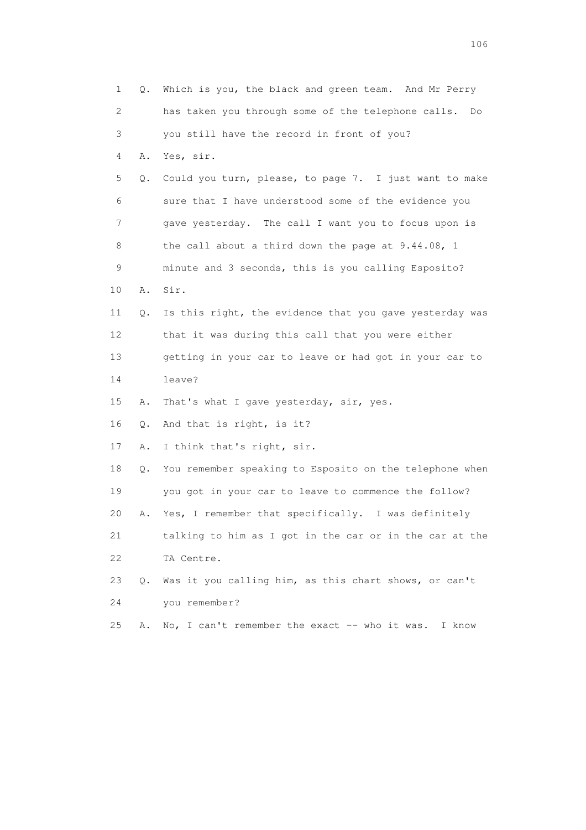| $\mathbf 1$ | Q.        | Which is you, the black and green team. And Mr Perry     |
|-------------|-----------|----------------------------------------------------------|
| 2           |           | has taken you through some of the telephone calls.<br>Do |
| 3           |           | you still have the record in front of you?               |
| 4           | Α.        | Yes, sir.                                                |
| 5           | Q.        | Could you turn, please, to page 7. I just want to make   |
| 6           |           | sure that I have understood some of the evidence you     |
| 7           |           | gave yesterday. The call I want you to focus upon is     |
| 8           |           | the call about a third down the page at 9.44.08, 1       |
| 9           |           | minute and 3 seconds, this is you calling Esposito?      |
| 10          | Α.        | Sir.                                                     |
| 11          | Q.        | Is this right, the evidence that you gave yesterday was  |
| 12          |           | that it was during this call that you were either        |
| 13          |           | getting in your car to leave or had got in your car to   |
| 14          |           | leave?                                                   |
| 15          | Α.        | That's what I gave yesterday, sir, yes.                  |
| 16          | Q.        | And that is right, is it?                                |
| 17          | Α.        | I think that's right, sir.                               |
| 18          | Q.        | You remember speaking to Esposito on the telephone when  |
| 19          |           | you got in your car to leave to commence the follow?     |
| 20          | Α.        | Yes, I remember that specifically. I was definitely      |
| 21          |           | talking to him as I got in the car or in the car at the  |
| 22          |           | TA Centre.                                               |
| 23          | $\circ$ . | Was it you calling him, as this chart shows, or can't    |
| 24          |           | you remember?                                            |
| 25          | Α.        | No, I can't remember the exact -- who it was. I know     |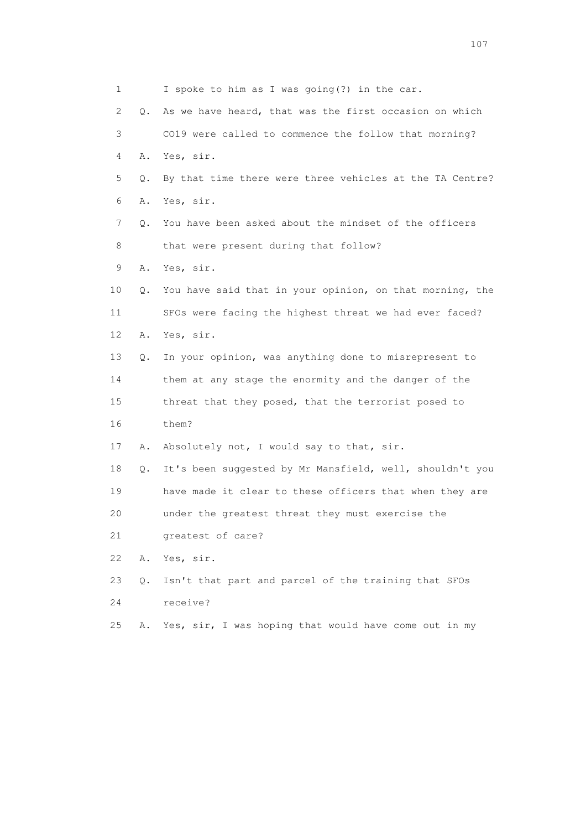1 I spoke to him as I was going(?) in the car. 2 Q. As we have heard, that was the first occasion on which 3 CO19 were called to commence the follow that morning? 4 A. Yes, sir. 5 Q. By that time there were three vehicles at the TA Centre? 6 A. Yes, sir. 7 Q. You have been asked about the mindset of the officers 8 that were present during that follow? 9 A. Yes, sir. 10 Q. You have said that in your opinion, on that morning, the 11 SFOs were facing the highest threat we had ever faced? 12 A. Yes, sir. 13 Q. In your opinion, was anything done to misrepresent to 14 them at any stage the enormity and the danger of the 15 threat that they posed, that the terrorist posed to 16 them? 17 A. Absolutely not, I would say to that, sir. 18 Q. It's been suggested by Mr Mansfield, well, shouldn't you 19 have made it clear to these officers that when they are 20 under the greatest threat they must exercise the 21 greatest of care? 22 A. Yes, sir. 23 Q. Isn't that part and parcel of the training that SFOs 24 receive? 25 A. Yes, sir, I was hoping that would have come out in my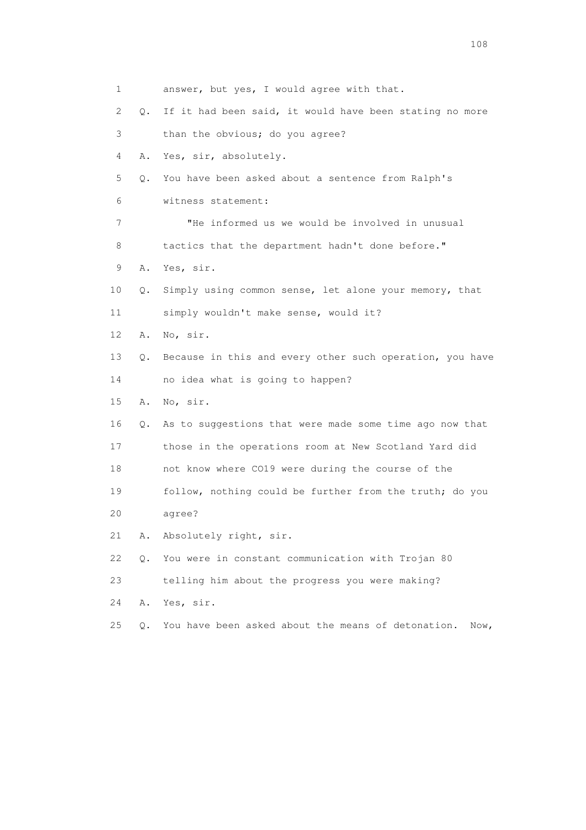1 answer, but yes, I would agree with that. 2 Q. If it had been said, it would have been stating no more 3 than the obvious; do you agree? 4 A. Yes, sir, absolutely. 5 Q. You have been asked about a sentence from Ralph's 6 witness statement: 7 "He informed us we would be involved in unusual 8 tactics that the department hadn't done before." 9 A. Yes, sir. 10 Q. Simply using common sense, let alone your memory, that 11 simply wouldn't make sense, would it? 12 A. No, sir. 13 Q. Because in this and every other such operation, you have 14 no idea what is going to happen? 15 A. No, sir. 16 Q. As to suggestions that were made some time ago now that 17 those in the operations room at New Scotland Yard did 18 not know where CO19 were during the course of the 19 follow, nothing could be further from the truth; do you 20 agree? 21 A. Absolutely right, sir. 22 Q. You were in constant communication with Trojan 80 23 telling him about the progress you were making? 24 A. Yes, sir. 25 Q. You have been asked about the means of detonation. Now,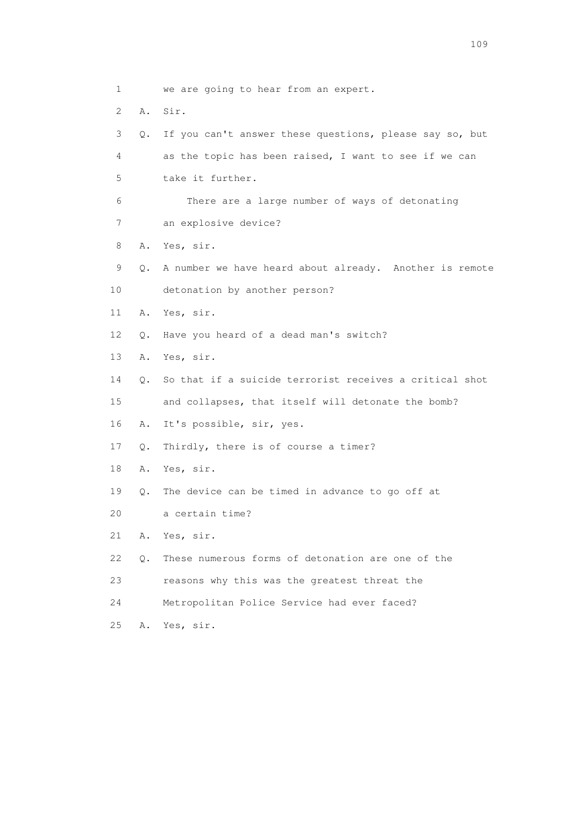1 we are going to hear from an expert. 2 A. Sir. 3 Q. If you can't answer these questions, please say so, but 4 as the topic has been raised, I want to see if we can 5 take it further. 6 There are a large number of ways of detonating 7 an explosive device? 8 A. Yes, sir. 9 Q. A number we have heard about already. Another is remote 10 detonation by another person? 11 A. Yes, sir. 12 Q. Have you heard of a dead man's switch? 13 A. Yes, sir. 14 Q. So that if a suicide terrorist receives a critical shot 15 and collapses, that itself will detonate the bomb? 16 A. It's possible, sir, yes. 17 Q. Thirdly, there is of course a timer? 18 A. Yes, sir. 19 Q. The device can be timed in advance to go off at 20 a certain time? 21 A. Yes, sir. 22 Q. These numerous forms of detonation are one of the 23 reasons why this was the greatest threat the 24 Metropolitan Police Service had ever faced? 25 A. Yes, sir.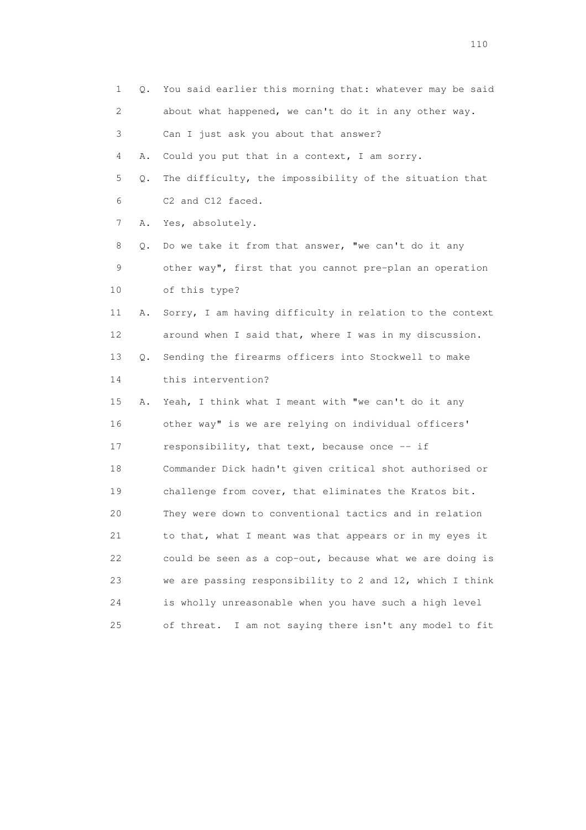| 1                         | 0. | You said earlier this morning that: whatever may be said   |
|---------------------------|----|------------------------------------------------------------|
| $\mathbf{2}^{\mathsf{I}}$ |    | about what happened, we can't do it in any other way.      |
| 3                         |    | Can I just ask you about that answer?                      |
| 4                         | Α. | Could you put that in a context, I am sorry.               |
| 5                         | Q. | The difficulty, the impossibility of the situation that    |
| 6                         |    | C2 and C12 faced.                                          |
| 7                         | Α. | Yes, absolutely.                                           |
| 8                         | Q. | Do we take it from that answer, "we can't do it any        |
| 9                         |    | other way", first that you cannot pre-plan an operation    |
| 10                        |    | of this type?                                              |
| 11                        | Α. | Sorry, I am having difficulty in relation to the context   |
| 12                        |    | around when I said that, where I was in my discussion.     |
| 13                        | Q. | Sending the firearms officers into Stockwell to make       |
| 14                        |    | this intervention?                                         |
| 15                        | Α. | Yeah, I think what I meant with "we can't do it any        |
| 16                        |    | other way" is we are relying on individual officers'       |
| 17                        |    | responsibility, that text, because once $-$ if             |
| 18                        |    | Commander Dick hadn't given critical shot authorised or    |
| 19                        |    | challenge from cover, that eliminates the Kratos bit.      |
| 20                        |    | They were down to conventional tactics and in relation     |
| 21                        |    | to that, what I meant was that appears or in my eyes it    |
| 22                        |    | could be seen as a cop-out, because what we are doing is   |
| 23                        |    | we are passing responsibility to 2 and 12, which I think   |
| 24                        |    | is wholly unreasonable when you have such a high level     |
| 25                        |    | I am not saying there isn't any model to fit<br>of threat. |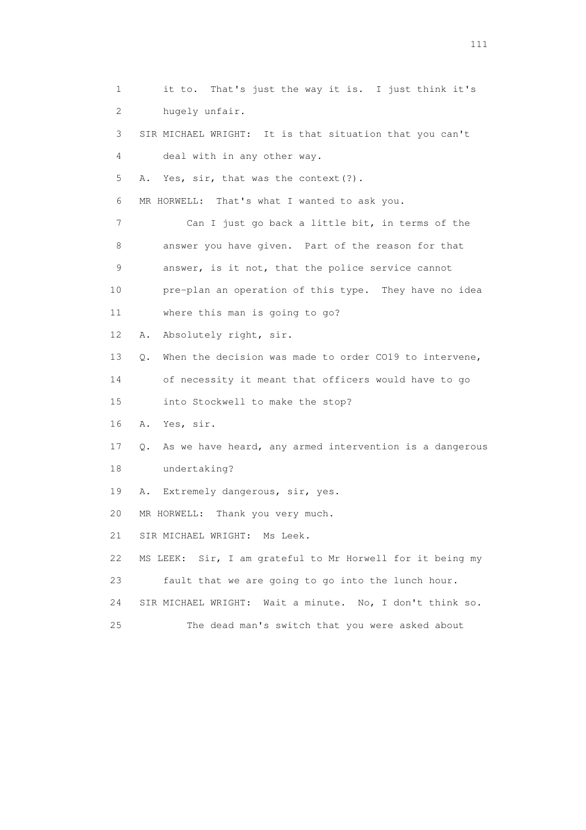1 it to. That's just the way it is. I just think it's 2 hugely unfair. 3 SIR MICHAEL WRIGHT: It is that situation that you can't 4 deal with in any other way. 5 A. Yes, sir, that was the context(?). 6 MR HORWELL: That's what I wanted to ask you. 7 Can I just go back a little bit, in terms of the 8 answer you have given. Part of the reason for that 9 answer, is it not, that the police service cannot 10 pre-plan an operation of this type. They have no idea 11 where this man is going to go? 12 A. Absolutely right, sir. 13 Q. When the decision was made to order CO19 to intervene, 14 of necessity it meant that officers would have to go 15 into Stockwell to make the stop? 16 A. Yes, sir. 17 Q. As we have heard, any armed intervention is a dangerous 18 undertaking? 19 A. Extremely dangerous, sir, yes. 20 MR HORWELL: Thank you very much. 21 SIR MICHAEL WRIGHT: Ms Leek. 22 MS LEEK: Sir, I am grateful to Mr Horwell for it being my 23 fault that we are going to go into the lunch hour. 24 SIR MICHAEL WRIGHT: Wait a minute. No, I don't think so. 25 The dead man's switch that you were asked about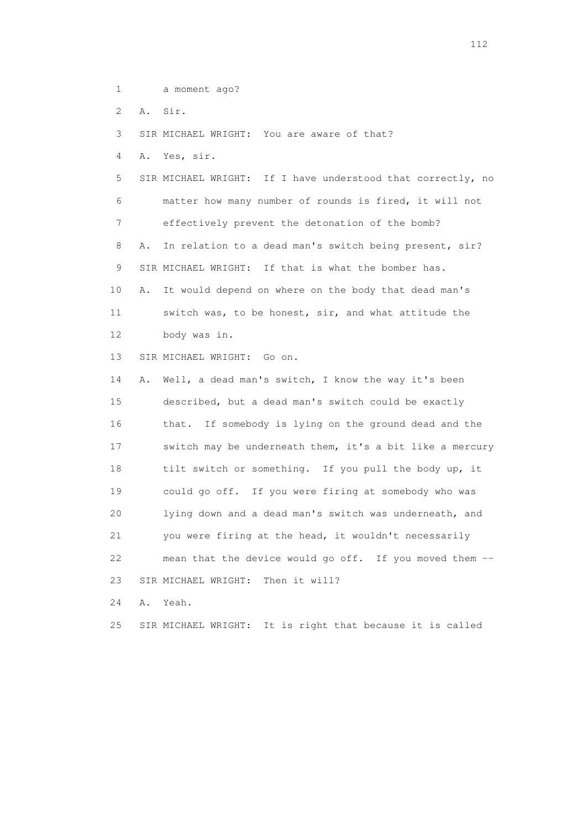1 a moment ago?

2 A. Sir.

3 SIR MICHAEL WRIGHT: You are aware of that?

4 A. Yes, sir.

 5 SIR MICHAEL WRIGHT: If I have understood that correctly, no 6 matter how many number of rounds is fired, it will not 7 effectively prevent the detonation of the bomb? 8 A. In relation to a dead man's switch being present, sir? 9 SIR MICHAEL WRIGHT: If that is what the bomber has. 10 A. It would depend on where on the body that dead man's 11 switch was, to be honest, sir, and what attitude the 12 body was in.

13 SIR MICHAEL WRIGHT: Go on.

 14 A. Well, a dead man's switch, I know the way it's been 15 described, but a dead man's switch could be exactly 16 that. If somebody is lying on the ground dead and the 17 switch may be underneath them, it's a bit like a mercury 18 tilt switch or something. If you pull the body up, it 19 could go off. If you were firing at somebody who was 20 lying down and a dead man's switch was underneath, and 21 you were firing at the head, it wouldn't necessarily 22 mean that the device would go off. If you moved them -- 23 SIR MICHAEL WRIGHT: Then it will?

24 A. Yeah.

25 SIR MICHAEL WRIGHT: It is right that because it is called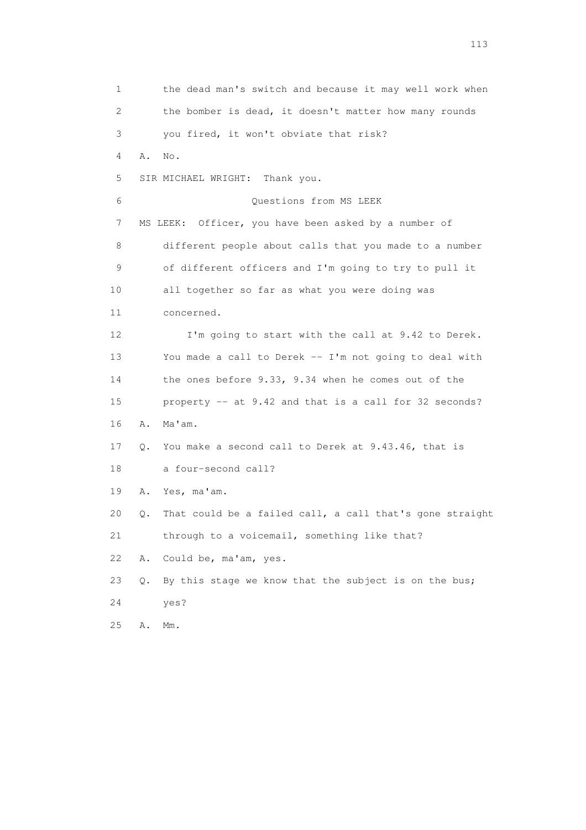1 the dead man's switch and because it may well work when 2 the bomber is dead, it doesn't matter how many rounds 3 you fired, it won't obviate that risk? 4 A. No. 5 SIR MICHAEL WRIGHT: Thank you. 6 Questions from MS LEEK 7 MS LEEK: Officer, you have been asked by a number of 8 different people about calls that you made to a number 9 of different officers and I'm going to try to pull it 10 all together so far as what you were doing was 11 concerned. 12 I'm going to start with the call at 9.42 to Derek. 13 You made a call to Derek -- I'm not going to deal with 14 the ones before 9.33, 9.34 when he comes out of the 15 property -- at 9.42 and that is a call for 32 seconds? 16 A. Ma'am. 17 Q. You make a second call to Derek at 9.43.46, that is 18 a four-second call? 19 A. Yes, ma'am. 20 Q. That could be a failed call, a call that's gone straight 21 through to a voicemail, something like that? 22 A. Could be, ma'am, yes. 23 Q. By this stage we know that the subject is on the bus; 24 yes? 25 A. Mm.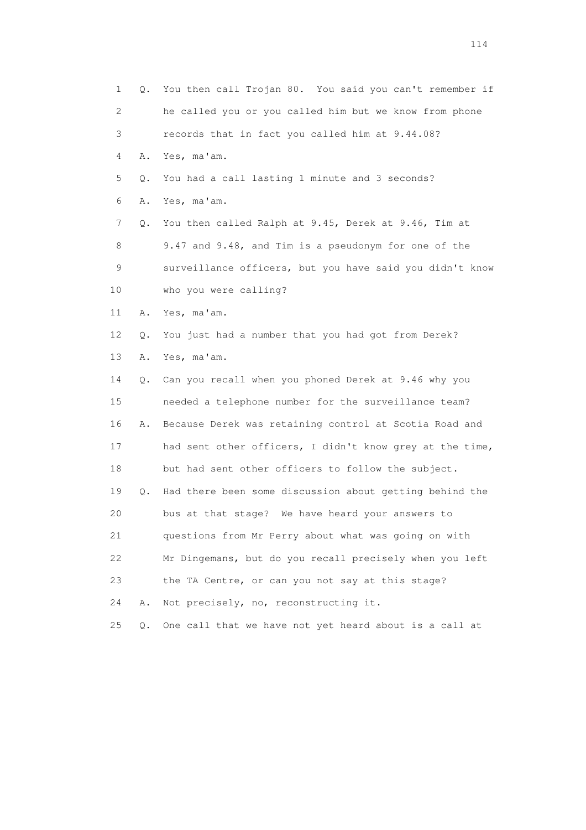1 Q. You then call Trojan 80. You said you can't remember if 2 he called you or you called him but we know from phone 3 records that in fact you called him at 9.44.08? 4 A. Yes, ma'am. 5 Q. You had a call lasting 1 minute and 3 seconds? 6 A. Yes, ma'am. 7 Q. You then called Ralph at 9.45, Derek at 9.46, Tim at 8 9.47 and 9.48, and Tim is a pseudonym for one of the 9 surveillance officers, but you have said you didn't know 10 who you were calling? 11 A. Yes, ma'am. 12 Q. You just had a number that you had got from Derek? 13 A. Yes, ma'am. 14 Q. Can you recall when you phoned Derek at 9.46 why you 15 needed a telephone number for the surveillance team? 16 A. Because Derek was retaining control at Scotia Road and 17 had sent other officers, I didn't know grey at the time, 18 but had sent other officers to follow the subject. 19 Q. Had there been some discussion about getting behind the 20 bus at that stage? We have heard your answers to 21 questions from Mr Perry about what was going on with 22 Mr Dingemans, but do you recall precisely when you left 23 the TA Centre, or can you not say at this stage? 24 A. Not precisely, no, reconstructing it. 25 Q. One call that we have not yet heard about is a call at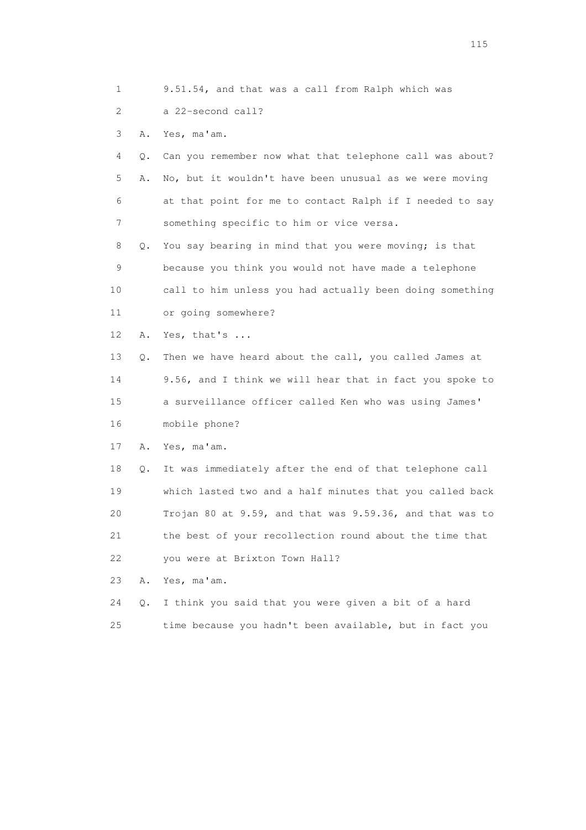1 9.51.54, and that was a call from Ralph which was

2 a 22-second call?

3 A. Yes, ma'am.

 4 Q. Can you remember now what that telephone call was about? 5 A. No, but it wouldn't have been unusual as we were moving 6 at that point for me to contact Ralph if I needed to say 7 something specific to him or vice versa.

 8 Q. You say bearing in mind that you were moving; is that 9 because you think you would not have made a telephone 10 call to him unless you had actually been doing something 11 or going somewhere?

12 A. Yes, that's ...

 13 Q. Then we have heard about the call, you called James at 14 9.56, and I think we will hear that in fact you spoke to 15 a surveillance officer called Ken who was using James' 16 mobile phone?

17 A. Yes, ma'am.

 18 Q. It was immediately after the end of that telephone call 19 which lasted two and a half minutes that you called back 20 Trojan 80 at 9.59, and that was 9.59.36, and that was to 21 the best of your recollection round about the time that 22 you were at Brixton Town Hall?

23 A. Yes, ma'am.

 24 Q. I think you said that you were given a bit of a hard 25 time because you hadn't been available, but in fact you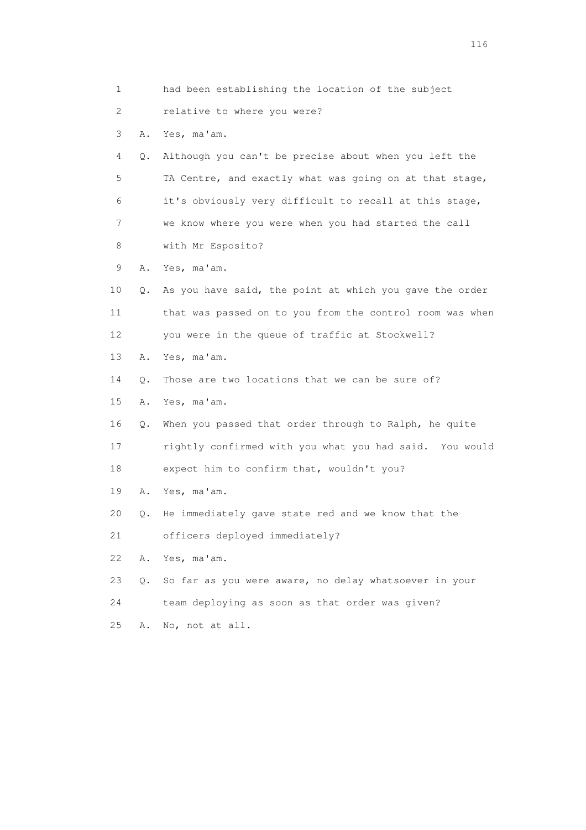1 had been establishing the location of the subject 2 relative to where you were? 3 A. Yes, ma'am. 4 Q. Although you can't be precise about when you left the 5 TA Centre, and exactly what was going on at that stage, 6 it's obviously very difficult to recall at this stage, 7 we know where you were when you had started the call 8 with Mr Esposito? 9 A. Yes, ma'am. 10 Q. As you have said, the point at which you gave the order 11 that was passed on to you from the control room was when 12 you were in the queue of traffic at Stockwell? 13 A. Yes, ma'am. 14 Q. Those are two locations that we can be sure of? 15 A. Yes, ma'am. 16 Q. When you passed that order through to Ralph, he quite 17 rightly confirmed with you what you had said. You would 18 expect him to confirm that, wouldn't you? 19 A. Yes, ma'am. 20 Q. He immediately gave state red and we know that the 21 officers deployed immediately? 22 A. Yes, ma'am. 23 Q. So far as you were aware, no delay whatsoever in your 24 team deploying as soon as that order was given? 25 A. No, not at all.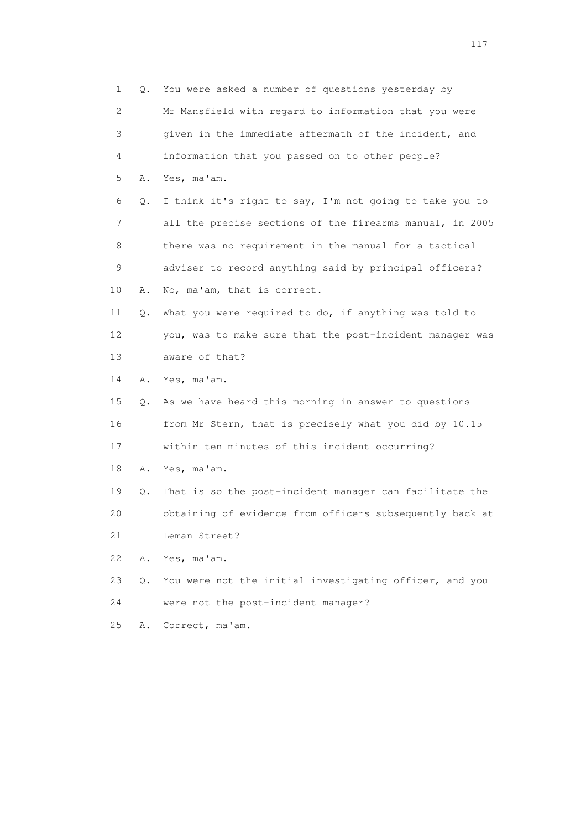| 1                         | 0.    | You were asked a number of questions yesterday by        |
|---------------------------|-------|----------------------------------------------------------|
| $\mathbf{2}^{\mathsf{I}}$ |       | Mr Mansfield with regard to information that you were    |
| 3                         |       | given in the immediate aftermath of the incident, and    |
| 4                         |       | information that you passed on to other people?          |
| 5                         | Α.    | Yes, ma'am.                                              |
| 6                         | $Q$ . | I think it's right to say, I'm not going to take you to  |
| 7                         |       | all the precise sections of the firearms manual, in 2005 |
| 8                         |       | there was no requirement in the manual for a tactical    |
| 9                         |       | adviser to record anything said by principal officers?   |
| 10                        | Α.    | No, ma'am, that is correct.                              |
| 11                        | Q.    | What you were required to do, if anything was told to    |
| 12                        |       | you, was to make sure that the post-incident manager was |
| 13                        |       | aware of that?                                           |
| 14                        | Α.    | Yes, ma'am.                                              |
| 15                        | Q.    | As we have heard this morning in answer to questions     |
| 16                        |       | from Mr Stern, that is precisely what you did by 10.15   |
| 17                        |       | within ten minutes of this incident occurring?           |
| 18                        | Α.    | Yes, ma'am.                                              |
| 19                        | Q.    | That is so the post-incident manager can facilitate the  |
| 20                        |       | obtaining of evidence from officers subsequently back at |
| 21                        |       | Leman Street?                                            |
| 22                        | Α.    | Yes, ma'am.                                              |
| 23                        | Q.    | You were not the initial investigating officer, and you  |
| 24                        |       | were not the post-incident manager?                      |
| 25                        | Α.    | Correct, ma'am.                                          |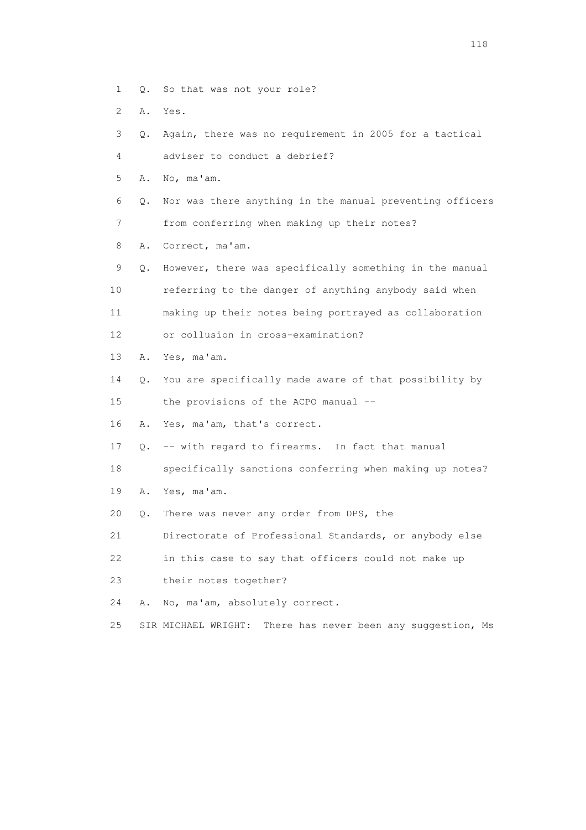- 1 Q. So that was not your role?
- 2 A. Yes.
- 3 Q. Again, there was no requirement in 2005 for a tactical
- 4 adviser to conduct a debrief?
- 5 A. No, ma'am.
- 6 Q. Nor was there anything in the manual preventing officers 7 from conferring when making up their notes?
- 8 A. Correct, ma'am.
- 9 Q. However, there was specifically something in the manual 10 referring to the danger of anything anybody said when 11 making up their notes being portrayed as collaboration 12 or collusion in cross-examination?
- 13 A. Yes, ma'am.
- 14 Q. You are specifically made aware of that possibility by
- 15 the provisions of the ACPO manual --
- 16 A. Yes, ma'am, that's correct.
- 17 Q. -- with regard to firearms. In fact that manual
- 18 specifically sanctions conferring when making up notes?
- 19 A. Yes, ma'am.
- 20 Q. There was never any order from DPS, the
- 21 Directorate of Professional Standards, or anybody else
- 22 in this case to say that officers could not make up
- 23 their notes together?
- 24 A. No, ma'am, absolutely correct.
- 25 SIR MICHAEL WRIGHT: There has never been any suggestion, Ms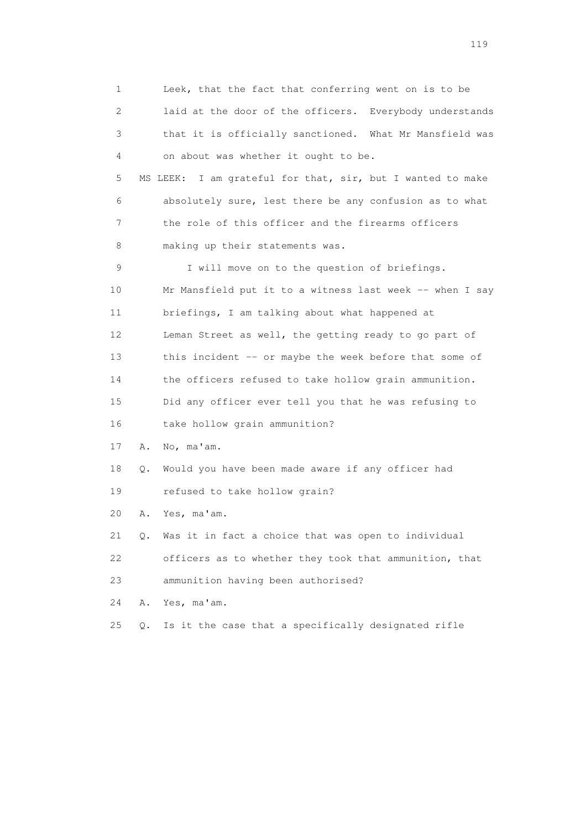1 Leek, that the fact that conferring went on is to be 2 laid at the door of the officers. Everybody understands 3 that it is officially sanctioned. What Mr Mansfield was 4 on about was whether it ought to be. 5 MS LEEK: I am grateful for that, sir, but I wanted to make 6 absolutely sure, lest there be any confusion as to what 7 the role of this officer and the firearms officers 8 making up their statements was. 9 I will move on to the question of briefings. 10 Mr Mansfield put it to a witness last week -- when I say 11 briefings, I am talking about what happened at 12 Leman Street as well, the getting ready to go part of 13 this incident -- or maybe the week before that some of 14 the officers refused to take hollow grain ammunition. 15 Did any officer ever tell you that he was refusing to 16 take hollow grain ammunition? 17 A. No, ma'am. 18 Q. Would you have been made aware if any officer had 19 refused to take hollow grain? 20 A. Yes, ma'am. 21 Q. Was it in fact a choice that was open to individual 22 officers as to whether they took that ammunition, that 23 ammunition having been authorised? 24 A. Yes, ma'am. 25 Q. Is it the case that a specifically designated rifle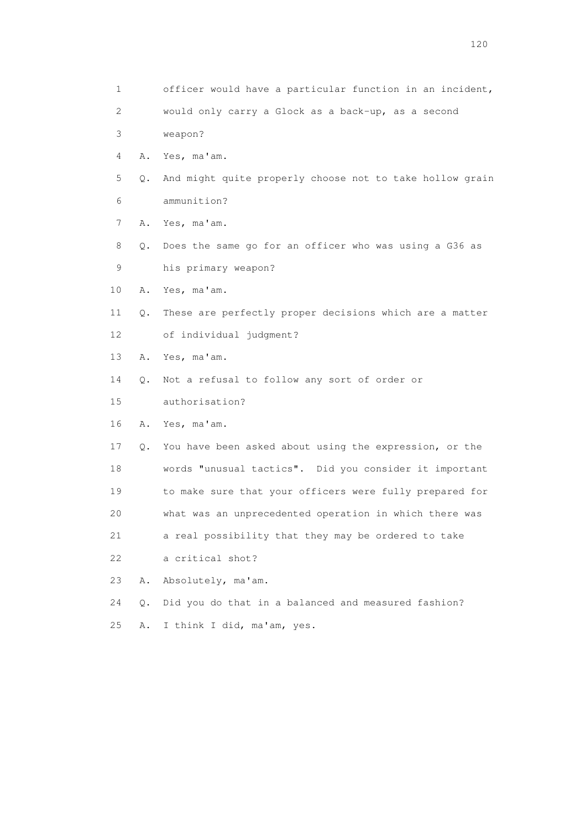1 officer would have a particular function in an incident, 2 would only carry a Glock as a back-up, as a second 3 weapon? 4 A. Yes, ma'am. 5 Q. And might quite properly choose not to take hollow grain 6 ammunition? 7 A. Yes, ma'am. 8 Q. Does the same go for an officer who was using a G36 as 9 his primary weapon? 10 A. Yes, ma'am. 11 Q. These are perfectly proper decisions which are a matter 12 of individual judgment? 13 A. Yes, ma'am. 14 Q. Not a refusal to follow any sort of order or 15 authorisation? 16 A. Yes, ma'am. 17 Q. You have been asked about using the expression, or the 18 words "unusual tactics". Did you consider it important 19 to make sure that your officers were fully prepared for 20 what was an unprecedented operation in which there was 21 a real possibility that they may be ordered to take 22 a critical shot? 23 A. Absolutely, ma'am. 24 Q. Did you do that in a balanced and measured fashion? 25 A. I think I did, ma'am, yes.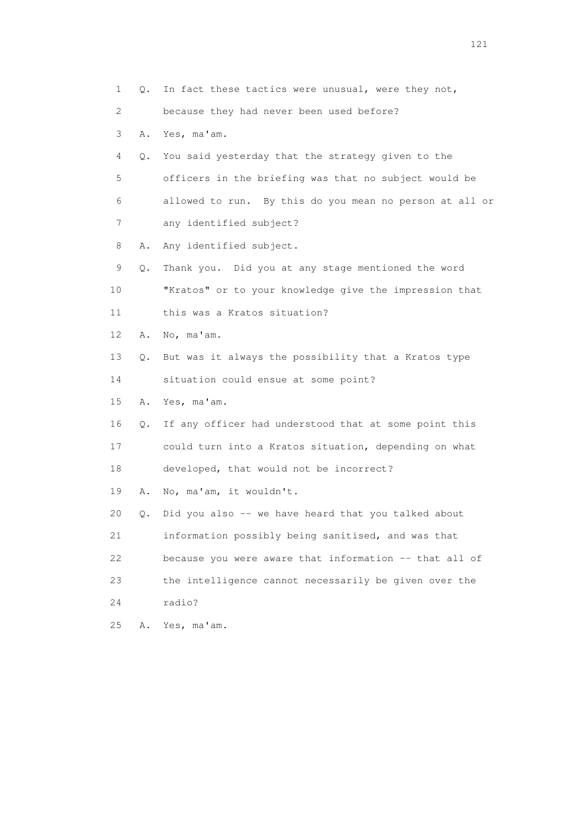1 Q. In fact these tactics were unusual, were they not, 2 because they had never been used before? 3 A. Yes, ma'am. 4 Q. You said yesterday that the strategy given to the 5 officers in the briefing was that no subject would be 6 allowed to run. By this do you mean no person at all or 7 any identified subject? 8 A. Any identified subject. 9 Q. Thank you. Did you at any stage mentioned the word 10 "Kratos" or to your knowledge give the impression that 11 this was a Kratos situation? 12 A. No, ma'am. 13 Q. But was it always the possibility that a Kratos type 14 situation could ensue at some point? 15 A. Yes, ma'am. 16 Q. If any officer had understood that at some point this 17 could turn into a Kratos situation, depending on what 18 developed, that would not be incorrect? 19 A. No, ma'am, it wouldn't. 20 Q. Did you also -- we have heard that you talked about 21 information possibly being sanitised, and was that 22 because you were aware that information -- that all of 23 the intelligence cannot necessarily be given over the 24 radio? 25 A. Yes, ma'am.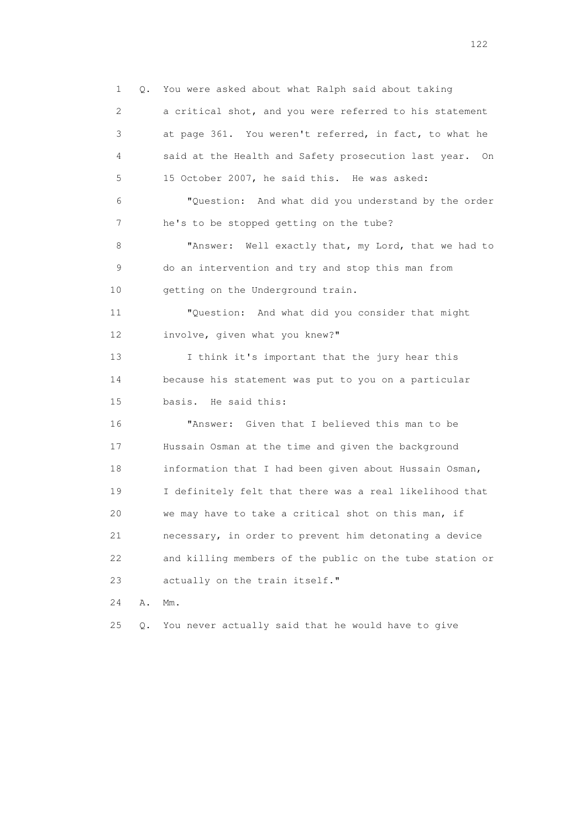1 Q. You were asked about what Ralph said about taking 2 a critical shot, and you were referred to his statement 3 at page 361. You weren't referred, in fact, to what he 4 said at the Health and Safety prosecution last year. On 5 15 October 2007, he said this. He was asked: 6 "Question: And what did you understand by the order 7 he's to be stopped getting on the tube? 8 "Answer: Well exactly that, my Lord, that we had to 9 do an intervention and try and stop this man from 10 getting on the Underground train. 11 "Question: And what did you consider that might 12 involve, given what you knew?" 13 I think it's important that the jury hear this 14 because his statement was put to you on a particular 15 basis. He said this: 16 "Answer: Given that I believed this man to be 17 Hussain Osman at the time and given the background 18 information that I had been given about Hussain Osman, 19 I definitely felt that there was a real likelihood that 20 we may have to take a critical shot on this man, if 21 necessary, in order to prevent him detonating a device 22 and killing members of the public on the tube station or 23 actually on the train itself." 24 A. Mm. 25 Q. You never actually said that he would have to give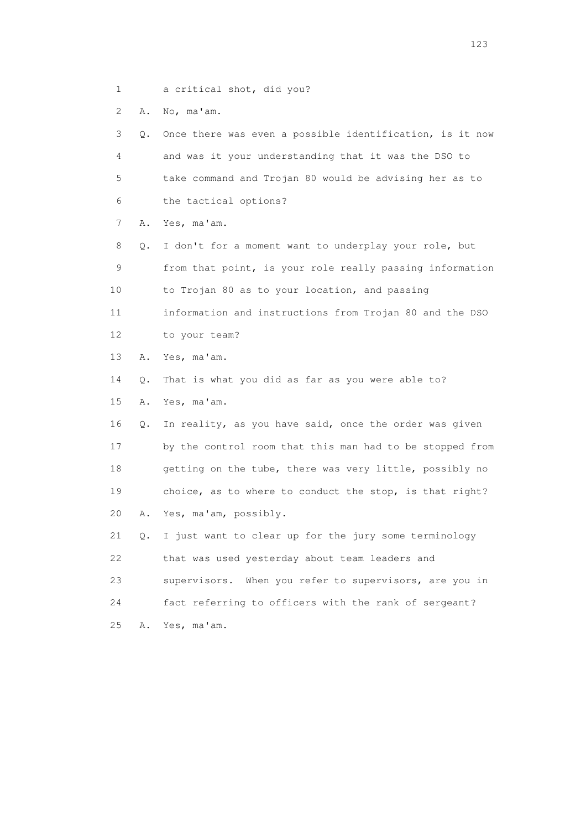1 a critical shot, did you?

2 A. No, ma'am.

| 3               | Q. | Once there was even a possible identification, is it now |
|-----------------|----|----------------------------------------------------------|
| 4               |    | and was it your understanding that it was the DSO to     |
| 5               |    | take command and Trojan 80 would be advising her as to   |
| 6               |    | the tactical options?                                    |
| 7               | Α. | Yes, ma'am.                                              |
| 8               | Q. | I don't for a moment want to underplay your role, but    |
| 9               |    | from that point, is your role really passing information |
| 10              |    | to Trojan 80 as to your location, and passing            |
| 11              |    | information and instructions from Trojan 80 and the DSO  |
| 12 <sup>°</sup> |    | to your team?                                            |
| 13              | Α. | Yes, ma'am.                                              |
| 14              | О. | That is what you did as far as you were able to?         |
| 15              | Α. | Yes, ma'am.                                              |
| 16              | Q. | In reality, as you have said, once the order was given   |
| 17              |    | by the control room that this man had to be stopped from |
| 18              |    | getting on the tube, there was very little, possibly no  |
| 19              |    | choice, as to where to conduct the stop, is that right?  |
| 20              | Α. | Yes, ma'am, possibly.                                    |
| 21              | Q. | I just want to clear up for the jury some terminology    |
| 22              |    | that was used yesterday about team leaders and           |
| 23              |    | supervisors. When you refer to supervisors, are you in   |
| 24              |    | fact referring to officers with the rank of sergeant?    |
| 25              | Α. | Yes, ma'am.                                              |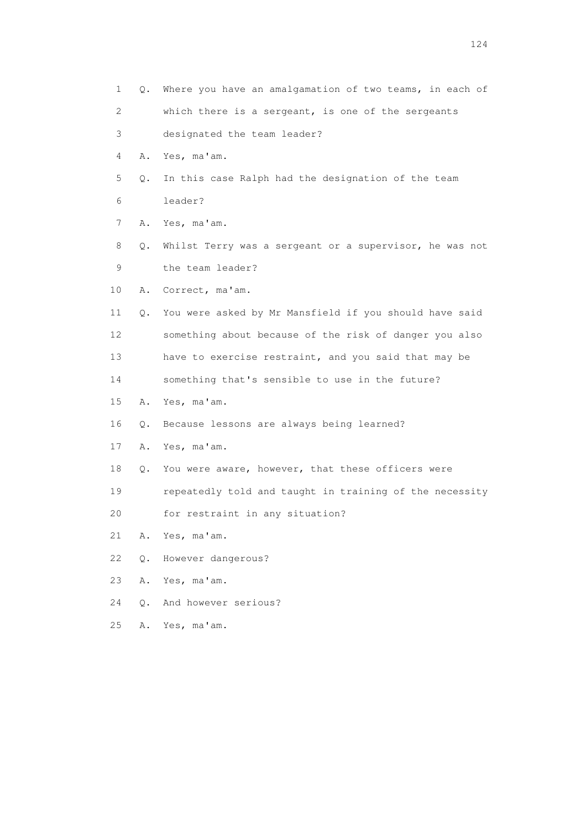1 Q. Where you have an amalgamation of two teams, in each of 2 which there is a sergeant, is one of the sergeants 3 designated the team leader? 4 A. Yes, ma'am. 5 Q. In this case Ralph had the designation of the team 6 leader? 7 A. Yes, ma'am. 8 Q. Whilst Terry was a sergeant or a supervisor, he was not 9 the team leader? 10 A. Correct, ma'am. 11 Q. You were asked by Mr Mansfield if you should have said 12 something about because of the risk of danger you also 13 have to exercise restraint, and you said that may be 14 something that's sensible to use in the future? 15 A. Yes, ma'am. 16 Q. Because lessons are always being learned? 17 A. Yes, ma'am. 18 Q. You were aware, however, that these officers were 19 repeatedly told and taught in training of the necessity 20 for restraint in any situation? 21 A. Yes, ma'am. 22 Q. However dangerous? 23 A. Yes, ma'am. 24 Q. And however serious? 25 A. Yes, ma'am.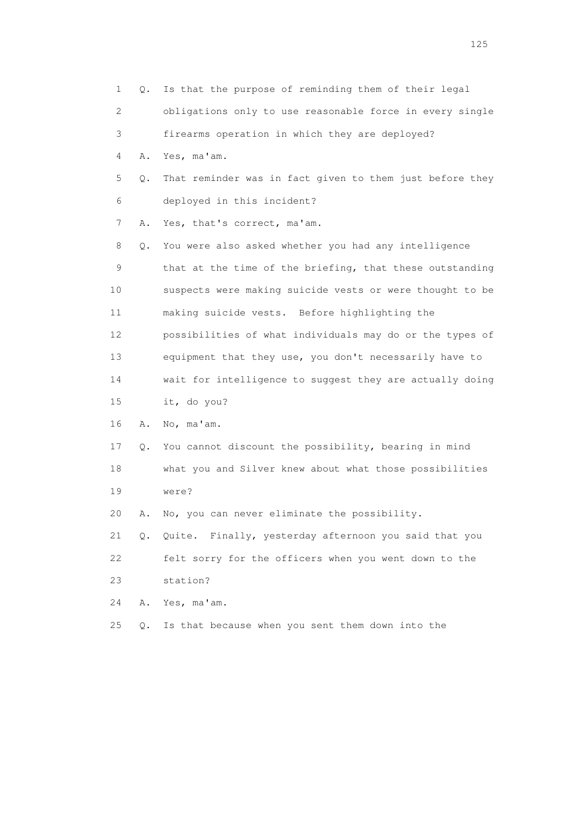| 1  | Q.    | Is that the purpose of reminding them of their legal     |
|----|-------|----------------------------------------------------------|
| 2  |       | obligations only to use reasonable force in every single |
| 3  |       | firearms operation in which they are deployed?           |
| 4  | Α.    | Yes, ma'am.                                              |
| 5  | Q.    | That reminder was in fact given to them just before they |
| 6  |       | deployed in this incident?                               |
| 7  | Α.    | Yes, that's correct, ma'am.                              |
| 8  | Q.    | You were also asked whether you had any intelligence     |
| 9  |       | that at the time of the briefing, that these outstanding |
| 10 |       | suspects were making suicide vests or were thought to be |
| 11 |       | making suicide vests. Before highlighting the            |
| 12 |       | possibilities of what individuals may do or the types of |
| 13 |       | equipment that they use, you don't necessarily have to   |
| 14 |       | wait for intelligence to suggest they are actually doing |
| 15 |       | it, do you?                                              |
| 16 | Α.    | No, ma'am.                                               |
| 17 | Q.    | You cannot discount the possibility, bearing in mind     |
| 18 |       | what you and Silver knew about what those possibilities  |
| 19 |       | were?                                                    |
| 20 | Α.    | No, you can never eliminate the possibility.             |
| 21 | $Q$ . | Quite. Finally, yesterday afternoon you said that you    |
| 22 |       | felt sorry for the officers when you went down to the    |
| 23 |       | station?                                                 |
| 24 | Α.    | Yes, ma'am.                                              |
| 25 | Q.    | Is that because when you sent them down into the         |
|    |       |                                                          |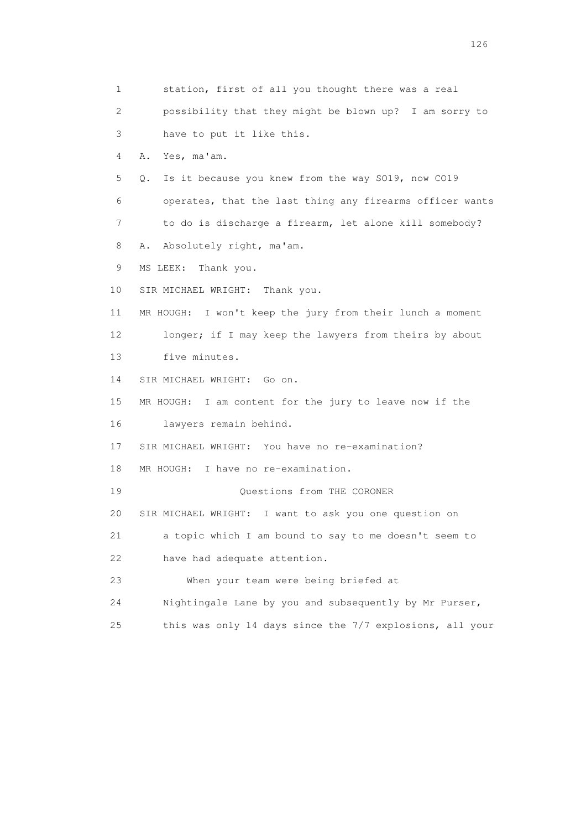1 station, first of all you thought there was a real 2 possibility that they might be blown up? I am sorry to 3 have to put it like this. 4 A. Yes, ma'am. 5 Q. Is it because you knew from the way SO19, now CO19 6 operates, that the last thing any firearms officer wants 7 to do is discharge a firearm, let alone kill somebody? 8 A. Absolutely right, ma'am. 9 MS LEEK: Thank you. 10 SIR MICHAEL WRIGHT: Thank you. 11 MR HOUGH: I won't keep the jury from their lunch a moment 12 longer; if I may keep the lawyers from theirs by about 13 five minutes. 14 SIR MICHAEL WRIGHT: Go on. 15 MR HOUGH: I am content for the jury to leave now if the 16 lawyers remain behind. 17 SIR MICHAEL WRIGHT: You have no re-examination? 18 MR HOUGH: I have no re-examination. 19 Questions from THE CORONER 20 SIR MICHAEL WRIGHT: I want to ask you one question on 21 a topic which I am bound to say to me doesn't seem to 22 have had adequate attention. 23 When your team were being briefed at 24 Nightingale Lane by you and subsequently by Mr Purser, 25 this was only 14 days since the 7/7 explosions, all your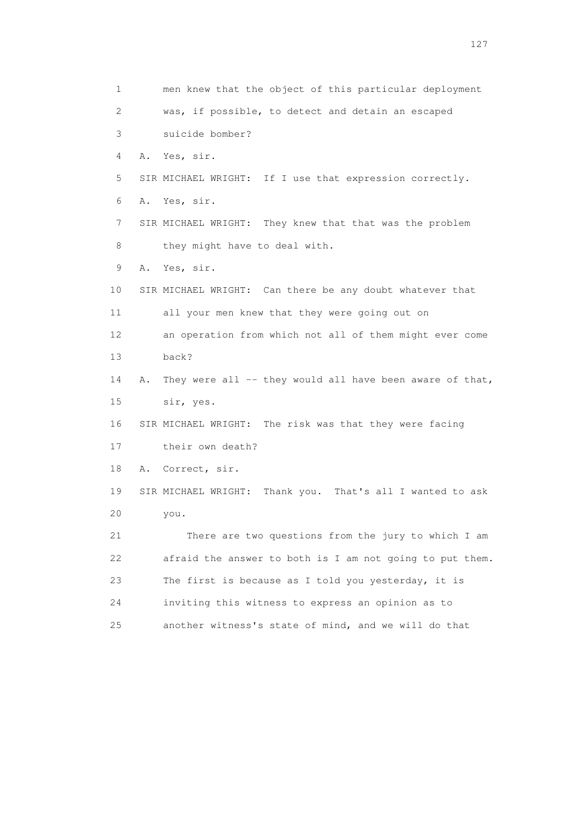1 men knew that the object of this particular deployment 2 was, if possible, to detect and detain an escaped 3 suicide bomber? 4 A. Yes, sir. 5 SIR MICHAEL WRIGHT: If I use that expression correctly. 6 A. Yes, sir. 7 SIR MICHAEL WRIGHT: They knew that that was the problem 8 they might have to deal with. 9 A. Yes, sir. 10 SIR MICHAEL WRIGHT: Can there be any doubt whatever that 11 all your men knew that they were going out on 12 an operation from which not all of them might ever come 13 back? 14 A. They were all -- they would all have been aware of that, 15 sir, yes. 16 SIR MICHAEL WRIGHT: The risk was that they were facing 17 their own death? 18 A. Correct, sir. 19 SIR MICHAEL WRIGHT: Thank you. That's all I wanted to ask 20 you. 21 There are two questions from the jury to which I am 22 afraid the answer to both is I am not going to put them. 23 The first is because as I told you yesterday, it is 24 inviting this witness to express an opinion as to 25 another witness's state of mind, and we will do that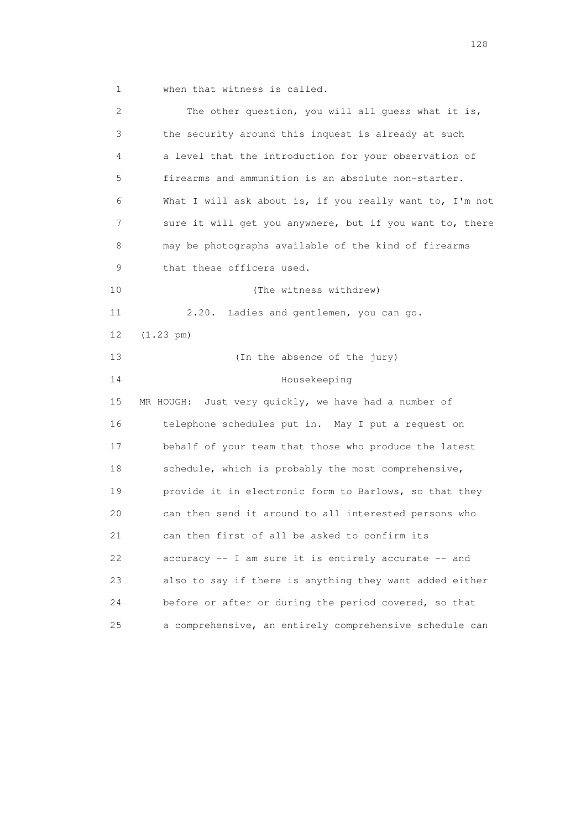1 when that witness is called.

 2 The other question, you will all guess what it is, 3 the security around this inquest is already at such 4 a level that the introduction for your observation of 5 firearms and ammunition is an absolute non-starter. 6 What I will ask about is, if you really want to, I'm not 7 sure it will get you anywhere, but if you want to, there 8 may be photographs available of the kind of firearms 9 that these officers used. 10 (The witness withdrew) 11 2.20. Ladies and gentlemen, you can go. 12 (1.23 pm) 13 (In the absence of the jury) 14 Housekeeping 15 MR HOUGH: Just very quickly, we have had a number of 16 telephone schedules put in. May I put a request on 17 behalf of your team that those who produce the latest 18 schedule, which is probably the most comprehensive, 19 provide it in electronic form to Barlows, so that they 20 can then send it around to all interested persons who 21 can then first of all be asked to confirm its 22 accuracy -- I am sure it is entirely accurate -- and 23 also to say if there is anything they want added either 24 before or after or during the period covered, so that 25 a comprehensive, an entirely comprehensive schedule can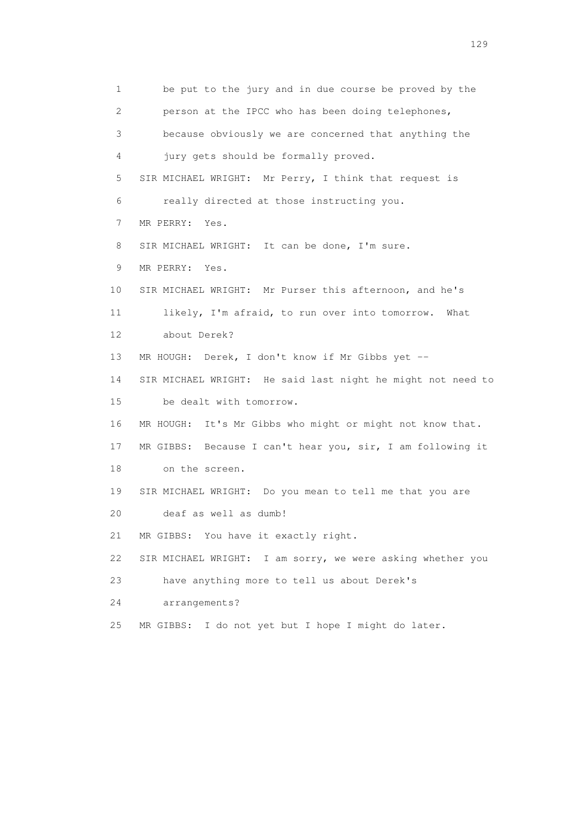1 be put to the jury and in due course be proved by the 2 person at the IPCC who has been doing telephones, 3 because obviously we are concerned that anything the 4 jury gets should be formally proved. 5 SIR MICHAEL WRIGHT: Mr Perry, I think that request is 6 really directed at those instructing you. 7 MR PERRY: Yes. 8 SIR MICHAEL WRIGHT: It can be done, I'm sure. 9 MR PERRY: Yes. 10 SIR MICHAEL WRIGHT: Mr Purser this afternoon, and he's 11 likely, I'm afraid, to run over into tomorrow. What 12 about Derek? 13 MR HOUGH: Derek, I don't know if Mr Gibbs yet -- 14 SIR MICHAEL WRIGHT: He said last night he might not need to 15 be dealt with tomorrow. 16 MR HOUGH: It's Mr Gibbs who might or might not know that. 17 MR GIBBS: Because I can't hear you, sir, I am following it 18 on the screen. 19 SIR MICHAEL WRIGHT: Do you mean to tell me that you are 20 deaf as well as dumb! 21 MR GIBBS: You have it exactly right. 22 SIR MICHAEL WRIGHT: I am sorry, we were asking whether you 23 have anything more to tell us about Derek's 24 arrangements? 25 MR GIBBS: I do not yet but I hope I might do later.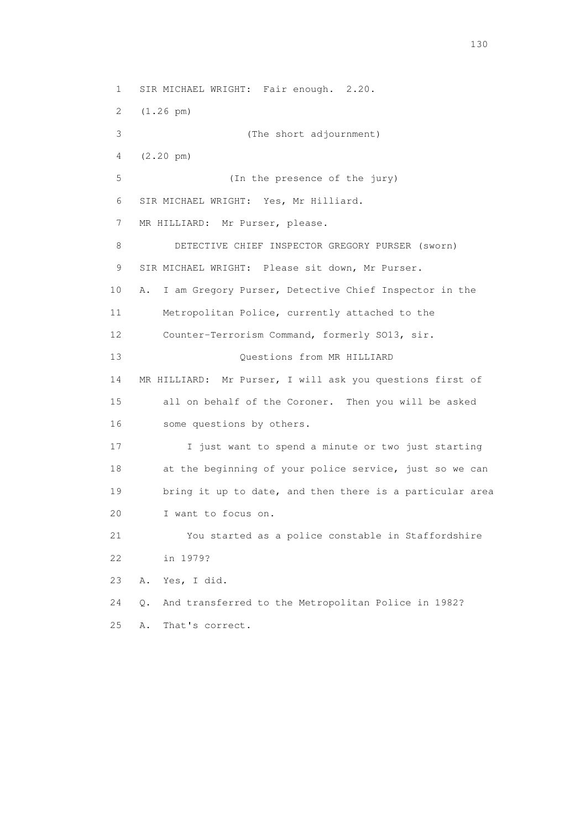1 SIR MICHAEL WRIGHT: Fair enough. 2.20. 2 (1.26 pm) 3 (The short adjournment) 4 (2.20 pm) 5 (In the presence of the jury) 6 SIR MICHAEL WRIGHT: Yes, Mr Hilliard. 7 MR HILLIARD: Mr Purser, please. 8 DETECTIVE CHIEF INSPECTOR GREGORY PURSER (sworn) 9 SIR MICHAEL WRIGHT: Please sit down, Mr Purser. 10 A. I am Gregory Purser, Detective Chief Inspector in the 11 Metropolitan Police, currently attached to the 12 Counter-Terrorism Command, formerly SO13, sir. 13 Ouestions from MR HILLIARD 14 MR HILLIARD: Mr Purser, I will ask you questions first of 15 all on behalf of the Coroner. Then you will be asked 16 some questions by others. 17 I just want to spend a minute or two just starting 18 at the beginning of your police service, just so we can 19 bring it up to date, and then there is a particular area 20 I want to focus on. 21 You started as a police constable in Staffordshire 22 in 1979? 23 A. Yes, I did. 24 Q. And transferred to the Metropolitan Police in 1982? 25 A. That's correct.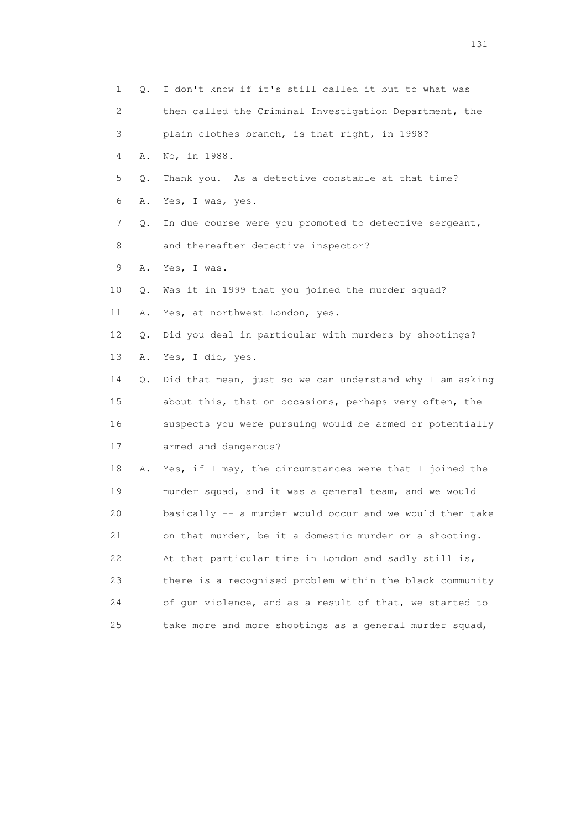|    | 1<br>0. | I don't know if it's still called it but to what was     |
|----|---------|----------------------------------------------------------|
|    | 2       | then called the Criminal Investigation Department, the   |
| 3  |         | plain clothes branch, is that right, in 1998?            |
|    | 4<br>Α. | No, in 1988.                                             |
| 5  | Q.      | Thank you. As a detective constable at that time?        |
| 6  | Α.      | Yes, I was, yes.                                         |
| 7  | Q.      | In due course were you promoted to detective sergeant,   |
| 8  |         | and thereafter detective inspector?                      |
| 9  | Α.      | Yes, I was.                                              |
| 10 | Q.      | Was it in 1999 that you joined the murder squad?         |
| 11 | Α.      | Yes, at northwest London, yes.                           |
| 12 | Q.      | Did you deal in particular with murders by shootings?    |
| 13 | Α.      | Yes, I did, yes.                                         |
| 14 | Q.      | Did that mean, just so we can understand why I am asking |
| 15 |         | about this, that on occasions, perhaps very often, the   |
| 16 |         | suspects you were pursuing would be armed or potentially |
| 17 |         | armed and dangerous?                                     |
| 18 | Α.      | Yes, if I may, the circumstances were that I joined the  |
| 19 |         | murder squad, and it was a general team, and we would    |
| 20 |         | basically -- a murder would occur and we would then take |
| 21 |         | on that murder, be it a domestic murder or a shooting.   |
| 22 |         | At that particular time in London and sadly still is,    |
| 23 |         | there is a recognised problem within the black community |
| 24 |         | of gun violence, and as a result of that, we started to  |
| 25 |         | take more and more shootings as a general murder squad,  |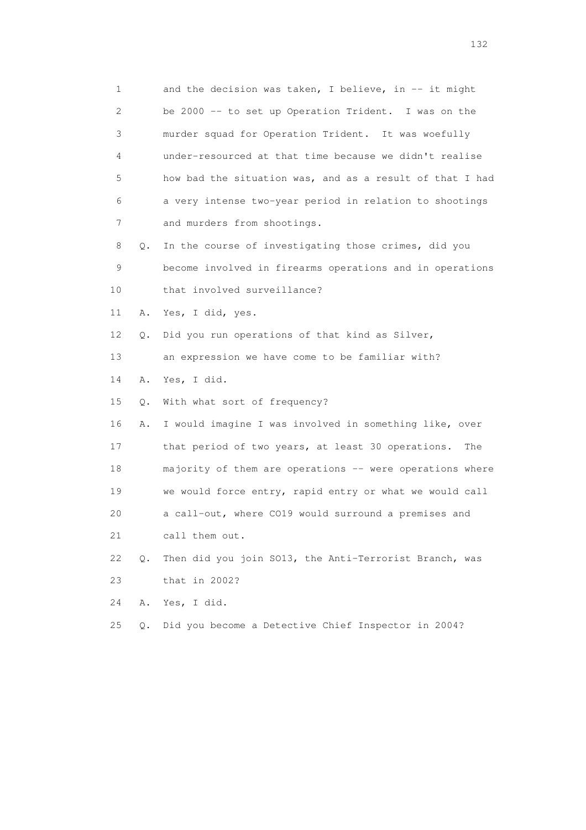| $\mathbf 1$ |       | and the decision was taken, I believe, in -- it might    |
|-------------|-------|----------------------------------------------------------|
| 2           |       | be 2000 -- to set up Operation Trident. I was on the     |
| 3           |       | murder squad for Operation Trident. It was woefully      |
| 4           |       | under-resourced at that time because we didn't realise   |
| 5           |       | how bad the situation was, and as a result of that I had |
| 6           |       | a very intense two-year period in relation to shootings  |
| 7           |       | and murders from shootings.                              |
| 8           | Q.    | In the course of investigating those crimes, did you     |
| 9           |       | become involved in firearms operations and in operations |
| 10          |       | that involved surveillance?                              |
| 11          | Α.    | Yes, I did, yes.                                         |
| 12          | Q.    | Did you run operations of that kind as Silver,           |
| 13          |       | an expression we have come to be familiar with?          |
| 14          | Α.    | Yes, I did.                                              |
| 15          | Q.    | With what sort of frequency?                             |
| 16          | Α.    | I would imagine I was involved in something like, over   |
| 17          |       | that period of two years, at least 30 operations.<br>The |
| 18          |       | majority of them are operations -- were operations where |
| 19          |       | we would force entry, rapid entry or what we would call  |
| 20          |       | a call-out, where CO19 would surround a premises and     |
| 21          |       | call them out.                                           |
| 22          | $Q$ . | Then did you join S013, the Anti-Terrorist Branch, was   |
| 23          |       | that in 2002?                                            |
| 24          | Α.    | Yes, I did.                                              |
| 25          | $Q$ . | Did you become a Detective Chief Inspector in 2004?      |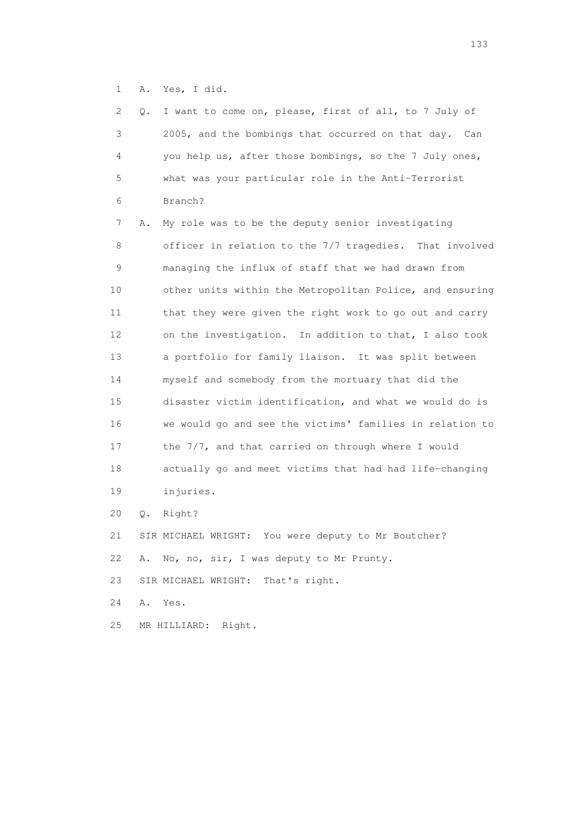1 A. Yes, I did.

| 2  | Q. | I want to come on, please, first of all, to 7 July of    |
|----|----|----------------------------------------------------------|
| 3  |    | 2005, and the bombings that occurred on that day. Can    |
| 4  |    | you help us, after those bombings, so the 7 July ones,   |
| 5  |    | what was your particular role in the Anti-Terrorist      |
| 6  |    | Branch?                                                  |
| 7  | Α. | My role was to be the deputy senior investigating        |
| 8  |    | officer in relation to the 7/7 tragedies. That involved  |
| 9  |    | managing the influx of staff that we had drawn from      |
| 10 |    | other units within the Metropolitan Police, and ensuring |
| 11 |    | that they were given the right work to go out and carry  |
| 12 |    | on the investigation. In addition to that, I also took   |
| 13 |    | a portfolio for family liaison. It was split between     |
| 14 |    | myself and somebody from the mortuary that did the       |
| 15 |    | disaster victim identification, and what we would do is  |
| 16 |    | we would go and see the victims' families in relation to |
| 17 |    | the 7/7, and that carried on through where I would       |
| 18 |    | actually go and meet victims that had had life-changing  |
| 19 |    | injuries.                                                |
| 20 | Q. | Right?                                                   |
| 21 |    | SIR MICHAEL WRIGHT: You were deputy to Mr Boutcher?      |
| 22 | Α. | No, no, sir, I was deputy to Mr Prunty.                  |
| 23 |    | SIR MICHAEL WRIGHT:<br>That's right.                     |
| 24 | Α. | Yes.                                                     |
|    |    |                                                          |

25 MR HILLIARD: Right.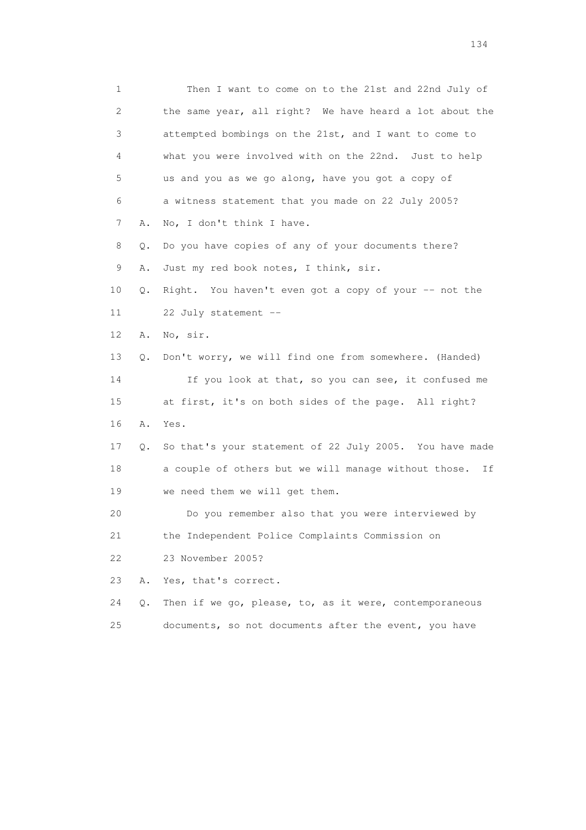1 Then I want to come on to the 21st and 22nd July of 2 the same year, all right? We have heard a lot about the 3 attempted bombings on the 21st, and I want to come to 4 what you were involved with on the 22nd. Just to help 5 us and you as we go along, have you got a copy of 6 a witness statement that you made on 22 July 2005? 7 A. No, I don't think I have. 8 Q. Do you have copies of any of your documents there? 9 A. Just my red book notes, I think, sir. 10 Q. Right. You haven't even got a copy of your -- not the 11 22 July statement -- 12 A. No, sir. 13 Q. Don't worry, we will find one from somewhere. (Handed) 14 If you look at that, so you can see, it confused me 15 at first, it's on both sides of the page. All right? 16 A. Yes. 17 Q. So that's your statement of 22 July 2005. You have made 18 a couple of others but we will manage without those. If 19 we need them we will get them. 20 Do you remember also that you were interviewed by 21 the Independent Police Complaints Commission on 22 23 November 2005? 23 A. Yes, that's correct. 24 Q. Then if we go, please, to, as it were, contemporaneous 25 documents, so not documents after the event, you have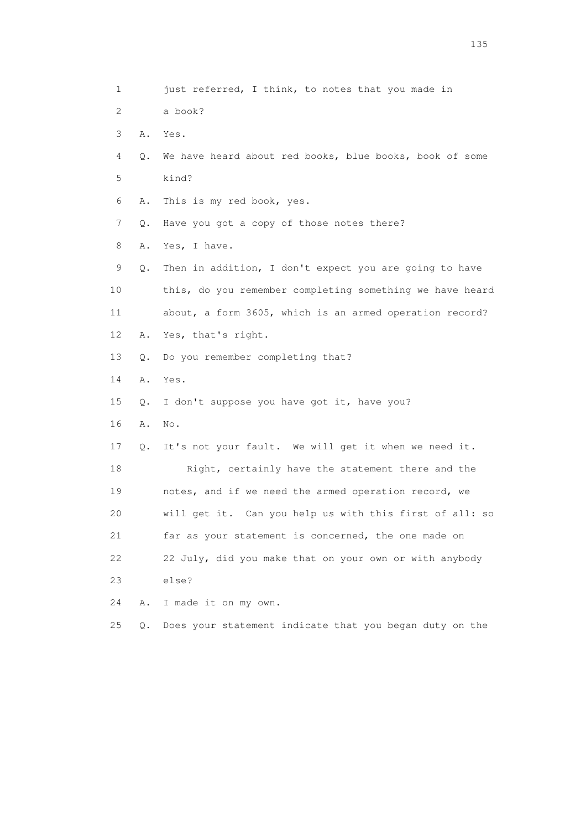1 just referred, I think, to notes that you made in 2 a book? 3 A. Yes. 4 Q. We have heard about red books, blue books, book of some 5 kind? 6 A. This is my red book, yes. 7 Q. Have you got a copy of those notes there? 8 A. Yes, I have. 9 Q. Then in addition, I don't expect you are going to have 10 this, do you remember completing something we have heard 11 about, a form 3605, which is an armed operation record? 12 A. Yes, that's right. 13 Q. Do you remember completing that? 14 A. Yes. 15 Q. I don't suppose you have got it, have you? 16 A. No. 17 Q. It's not your fault. We will get it when we need it. 18 Right, certainly have the statement there and the 19 notes, and if we need the armed operation record, we 20 will get it. Can you help us with this first of all: so 21 far as your statement is concerned, the one made on 22 22 July, did you make that on your own or with anybody 23 else? 24 A. I made it on my own. 25 Q. Does your statement indicate that you began duty on the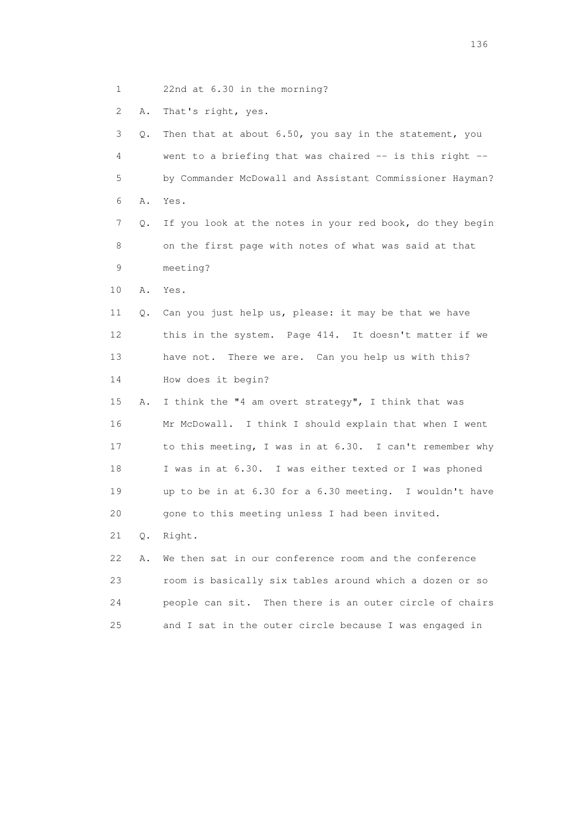1 22nd at 6.30 in the morning?

2 A. That's right, yes.

| 3               | Q. | Then that at about 6.50, you say in the statement, you   |
|-----------------|----|----------------------------------------------------------|
| 4               |    | went to a briefing that was chaired -- is this right --  |
| 5               |    | by Commander McDowall and Assistant Commissioner Hayman? |
| 6               | Α. | Yes.                                                     |
| 7               | Q. | If you look at the notes in your red book, do they begin |
| 8               |    | on the first page with notes of what was said at that    |
| 9               |    | meeting?                                                 |
| 10              | Α. | Yes.                                                     |
| 11              | Q. | Can you just help us, please: it may be that we have     |
| 12 <sup>°</sup> |    | this in the system. Page 414. It doesn't matter if we    |
| 13              |    | have not. There we are. Can you help us with this?       |
| 14              |    | How does it begin?                                       |
| 15              | Α. | I think the "4 am overt strategy", I think that was      |
| 16              |    | Mr McDowall. I think I should explain that when I went   |
| 17              |    | to this meeting, I was in at 6.30. I can't remember why  |
| 18              |    | I was in at 6.30. I was either texted or I was phoned    |
| 19              |    | up to be in at 6.30 for a 6.30 meeting. I wouldn't have  |
| 20              |    | gone to this meeting unless I had been invited.          |
| 21              | Q. | Right.                                                   |
| 22              | Α. | We then sat in our conference room and the conference    |
| 23              |    | room is basically six tables around which a dozen or so  |
| 24              |    | people can sit. Then there is an outer circle of chairs  |
| 25              |    | and I sat in the outer circle because I was engaged in   |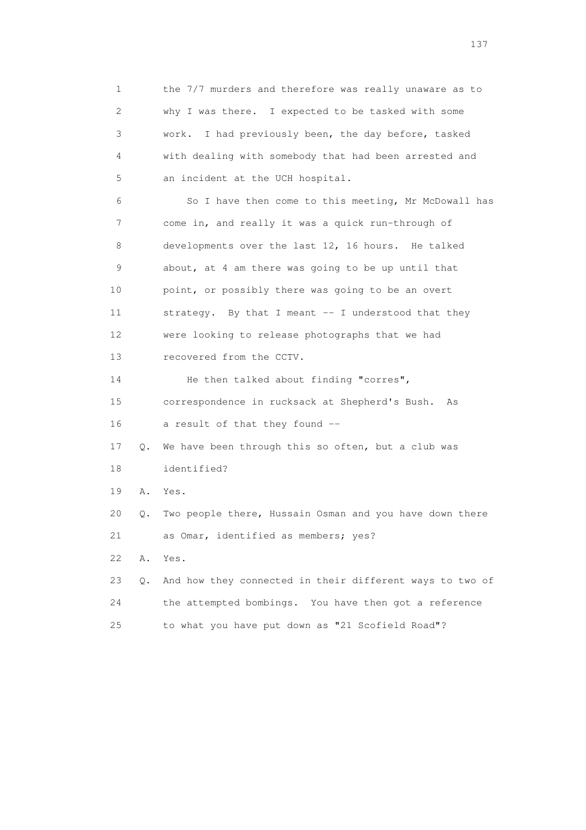1 the 7/7 murders and therefore was really unaware as to 2 why I was there. I expected to be tasked with some 3 work. I had previously been, the day before, tasked 4 with dealing with somebody that had been arrested and 5 an incident at the UCH hospital. 6 So I have then come to this meeting, Mr McDowall has 7 come in, and really it was a quick run-through of 8 developments over the last 12, 16 hours. He talked 9 about, at 4 am there was going to be up until that 10 point, or possibly there was going to be an overt 11 strategy. By that I meant -- I understood that they 12 were looking to release photographs that we had 13 recovered from the CCTV. 14 He then talked about finding "corres", 15 correspondence in rucksack at Shepherd's Bush. As 16 a result of that they found -- 17 Q. We have been through this so often, but a club was 18 identified? 19 A. Yes. 20 Q. Two people there, Hussain Osman and you have down there 21 as Omar, identified as members; yes? 22 A. Yes. 23 Q. And how they connected in their different ways to two of 24 the attempted bombings. You have then got a reference 25 to what you have put down as "21 Scofield Road"?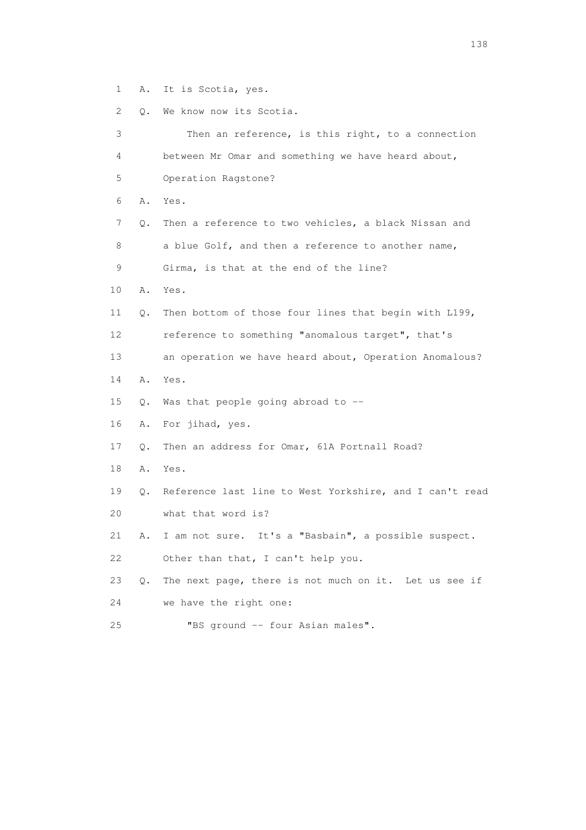1 A. It is Scotia, yes.

2 Q. We know now its Scotia.

| 3  |    | Then an reference, is this right, to a connection       |
|----|----|---------------------------------------------------------|
| 4  |    | between Mr Omar and something we have heard about,      |
| 5  |    | Operation Ragstone?                                     |
| 6  | Α. | Yes.                                                    |
| 7  | Q. | Then a reference to two vehicles, a black Nissan and    |
| 8  |    | a blue Golf, and then a reference to another name,      |
| 9  |    | Girma, is that at the end of the line?                  |
| 10 | Α. | Yes.                                                    |
| 11 | Q. | Then bottom of those four lines that begin with L199,   |
| 12 |    | reference to something "anomalous target", that's       |
| 13 |    | an operation we have heard about, Operation Anomalous?  |
| 14 | Α. | Yes.                                                    |
| 15 | Q. | Was that people going abroad to --                      |
| 16 | Α. | For jihad, yes.                                         |
| 17 | Q. | Then an address for Omar, 61A Portnall Road?            |
| 18 | Α. | Yes.                                                    |
| 19 | 0. | Reference last line to West Yorkshire, and I can't read |
| 20 |    | what that word is?                                      |
| 21 | Α. | I am not sure. It's a "Basbain", a possible suspect.    |
| 22 |    | Other than that, I can't help you.                      |
| 23 | Q. | The next page, there is not much on it. Let us see if   |
| 24 |    | we have the right one:                                  |
| 25 |    | "BS ground -- four Asian males".                        |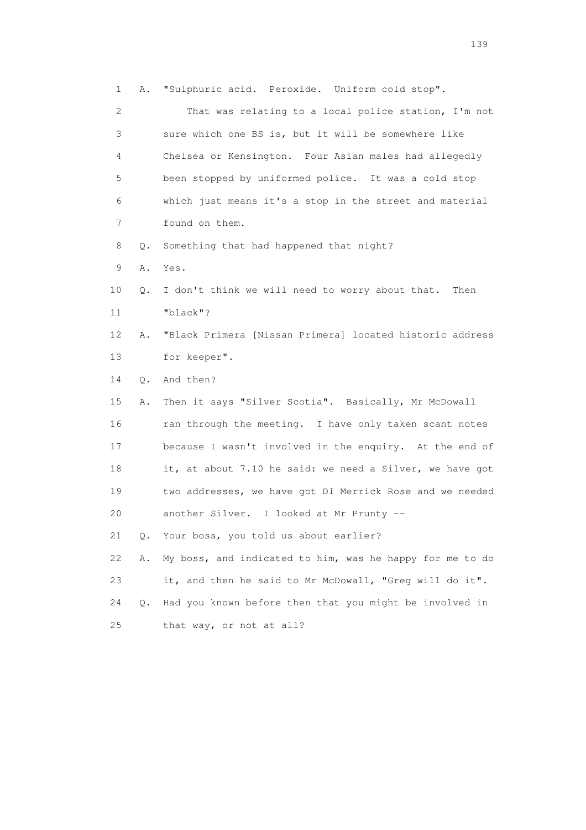1 A. "Sulphuric acid. Peroxide. Uniform cold stop". 2 That was relating to a local police station, I'm not 3 sure which one BS is, but it will be somewhere like 4 Chelsea or Kensington. Four Asian males had allegedly 5 been stopped by uniformed police. It was a cold stop 6 which just means it's a stop in the street and material 7 found on them. 8 Q. Something that had happened that night? 9 A. Yes. 10 Q. I don't think we will need to worry about that. Then 11 "black"? 12 A. "Black Primera [Nissan Primera] located historic address 13 for keeper". 14 Q. And then? 15 A. Then it says "Silver Scotia". Basically, Mr McDowall 16 ran through the meeting. I have only taken scant notes 17 because I wasn't involved in the enquiry. At the end of 18 it, at about 7.10 he said: we need a Silver, we have got 19 two addresses, we have got DI Merrick Rose and we needed 20 another Silver. I looked at Mr Prunty -- 21 Q. Your boss, you told us about earlier? 22 A. My boss, and indicated to him, was he happy for me to do 23 it, and then he said to Mr McDowall, "Greg will do it". 24 Q. Had you known before then that you might be involved in 25 that way, or not at all?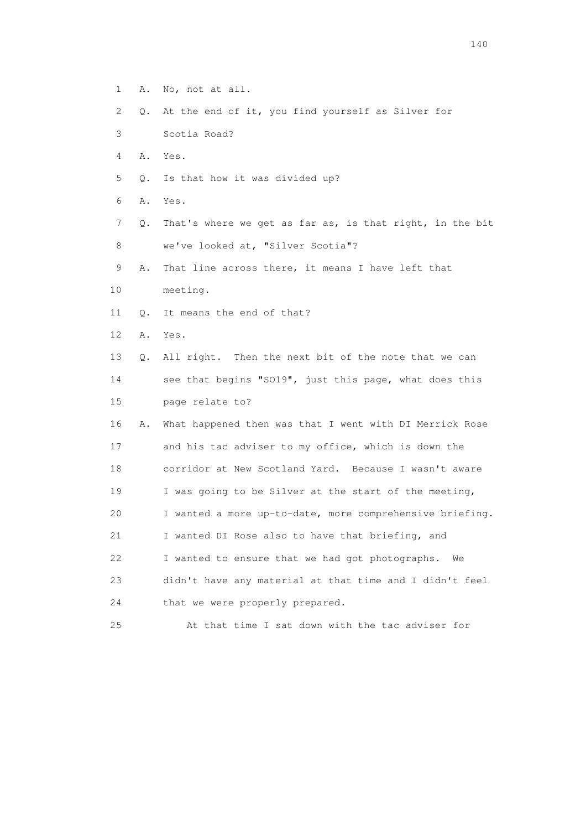1 A. No, not at all. 2 Q. At the end of it, you find yourself as Silver for 3 Scotia Road? 4 A. Yes. 5 Q. Is that how it was divided up? 6 A. Yes. 7 Q. That's where we get as far as, is that right, in the bit 8 we've looked at, "Silver Scotia"? 9 A. That line across there, it means I have left that 10 meeting. 11 Q. It means the end of that? 12 A. Yes. 13 Q. All right. Then the next bit of the note that we can 14 see that begins "SO19", just this page, what does this 15 page relate to? 16 A. What happened then was that I went with DI Merrick Rose 17 and his tac adviser to my office, which is down the 18 corridor at New Scotland Yard. Because I wasn't aware 19 I was going to be Silver at the start of the meeting, 20 I wanted a more up-to-date, more comprehensive briefing. 21 I wanted DI Rose also to have that briefing, and 22 I wanted to ensure that we had got photographs. We 23 didn't have any material at that time and I didn't feel 24 that we were properly prepared. 25 At that time I sat down with the tac adviser for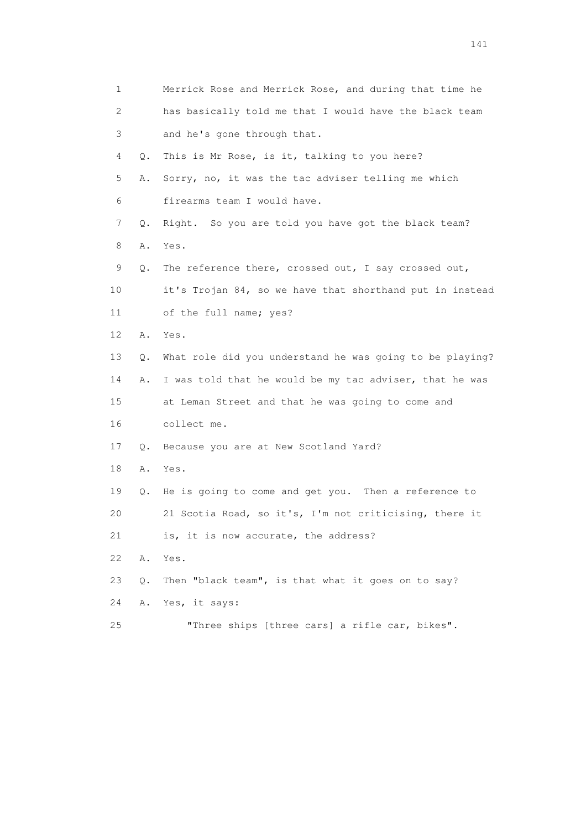| 1  |    | Merrick Rose and Merrick Rose, and during that time he   |
|----|----|----------------------------------------------------------|
| 2  |    | has basically told me that I would have the black team   |
| 3  |    | and he's gone through that.                              |
| 4  | Q. | This is Mr Rose, is it, talking to you here?             |
| 5  | Α. | Sorry, no, it was the tac adviser telling me which       |
| 6  |    | firearms team I would have.                              |
| 7  | Q. | Right. So you are told you have got the black team?      |
| 8  | Α. | Yes.                                                     |
| 9  | Q. | The reference there, crossed out, I say crossed out,     |
| 10 |    | it's Trojan 84, so we have that shorthand put in instead |
| 11 |    | of the full name; yes?                                   |
| 12 | Α. | Yes.                                                     |
| 13 | Q. | What role did you understand he was going to be playing? |
| 14 | Α. | I was told that he would be my tac adviser, that he was  |
| 15 |    | at Leman Street and that he was going to come and        |
| 16 |    | collect me.                                              |
| 17 | Q. | Because you are at New Scotland Yard?                    |
| 18 | Α. | Yes.                                                     |
| 19 | Q. | He is going to come and get you. Then a reference to     |
| 20 |    | 21 Scotia Road, so it's, I'm not criticising, there it   |
| 21 |    | is, it is now accurate, the address?                     |
| 22 | Α. | Yes.                                                     |
| 23 | Q. | Then "black team", is that what it goes on to say?       |
| 24 | Α. | Yes, it says:                                            |
| 25 |    | "Three ships [three cars] a rifle car, bikes".           |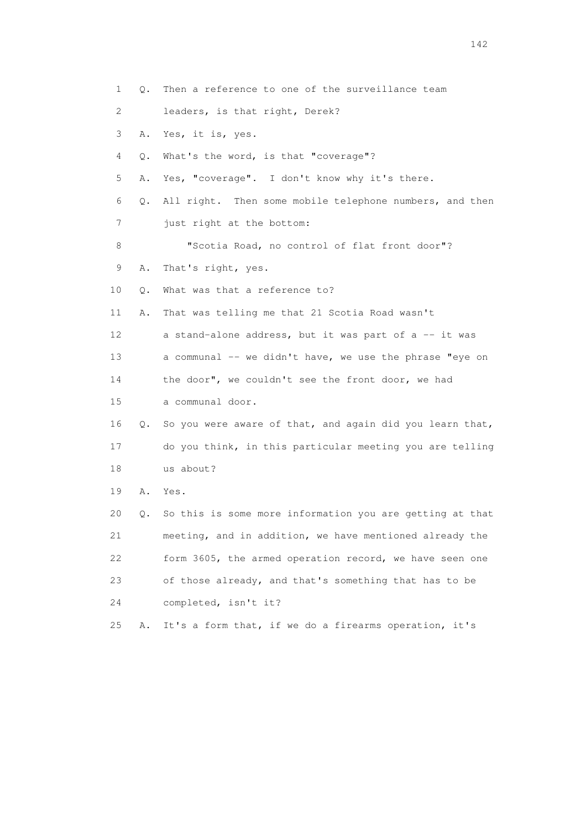1 Q. Then a reference to one of the surveillance team 2 leaders, is that right, Derek? 3 A. Yes, it is, yes. 4 Q. What's the word, is that "coverage"? 5 A. Yes, "coverage". I don't know why it's there. 6 Q. All right. Then some mobile telephone numbers, and then 7 just right at the bottom: 8 "Scotia Road, no control of flat front door"? 9 A. That's right, yes. 10 Q. What was that a reference to? 11 A. That was telling me that 21 Scotia Road wasn't 12 a stand-alone address, but it was part of a -- it was 13 a communal -- we didn't have, we use the phrase "eye on 14 the door", we couldn't see the front door, we had 15 a communal door. 16 Q. So you were aware of that, and again did you learn that, 17 do you think, in this particular meeting you are telling 18 us about? 19 A. Yes. 20 Q. So this is some more information you are getting at that 21 meeting, and in addition, we have mentioned already the 22 form 3605, the armed operation record, we have seen one 23 of those already, and that's something that has to be 24 completed, isn't it? 25 A. It's a form that, if we do a firearms operation, it's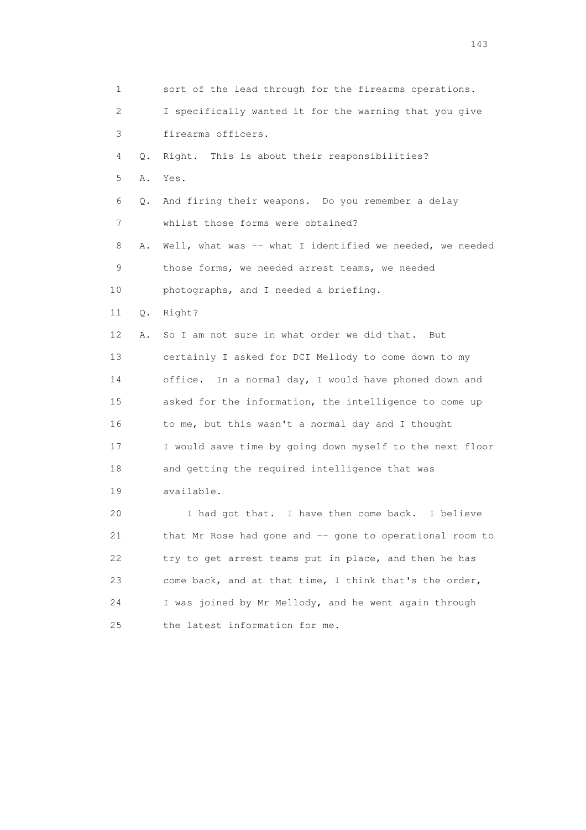1 sort of the lead through for the firearms operations. 2 I specifically wanted it for the warning that you give 3 firearms officers. 4 Q. Right. This is about their responsibilities? 5 A. Yes. 6 Q. And firing their weapons. Do you remember a delay 7 whilst those forms were obtained? 8 A. Well, what was -- what I identified we needed, we needed 9 those forms, we needed arrest teams, we needed 10 photographs, and I needed a briefing. 11 Q. Right? 12 A. So I am not sure in what order we did that. But 13 certainly I asked for DCI Mellody to come down to my 14 office. In a normal day, I would have phoned down and 15 asked for the information, the intelligence to come up 16 to me, but this wasn't a normal day and I thought 17 I would save time by going down myself to the next floor 18 and getting the required intelligence that was 19 available. 20 I had got that. I have then come back. I believe 21 that Mr Rose had gone and -- gone to operational room to 22 try to get arrest teams put in place, and then he has 23 come back, and at that time, I think that's the order, 24 I was joined by Mr Mellody, and he went again through 25 the latest information for me.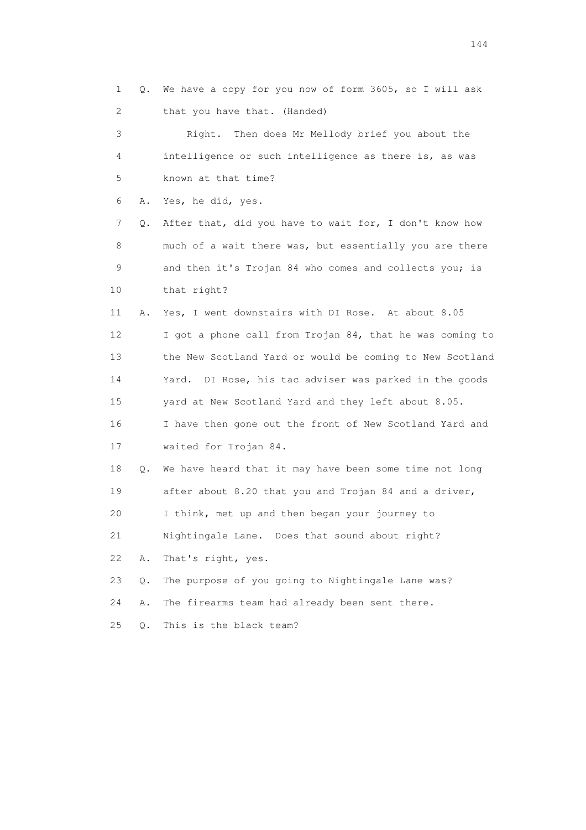1 Q. We have a copy for you now of form 3605, so I will ask 2 that you have that. (Handed)

 3 Right. Then does Mr Mellody brief you about the 4 intelligence or such intelligence as there is, as was 5 known at that time?

6 A. Yes, he did, yes.

 7 Q. After that, did you have to wait for, I don't know how 8 much of a wait there was, but essentially you are there 9 and then it's Trojan 84 who comes and collects you; is 10 that right?

 11 A. Yes, I went downstairs with DI Rose. At about 8.05 12 I got a phone call from Trojan 84, that he was coming to 13 the New Scotland Yard or would be coming to New Scotland 14 Yard. DI Rose, his tac adviser was parked in the goods 15 yard at New Scotland Yard and they left about 8.05. 16 I have then gone out the front of New Scotland Yard and 17 waited for Trojan 84.

 18 Q. We have heard that it may have been some time not long 19 after about 8.20 that you and Trojan 84 and a driver, 20 I think, met up and then began your journey to

21 Nightingale Lane. Does that sound about right?

22 A. That's right, yes.

23 Q. The purpose of you going to Nightingale Lane was?

24 A. The firearms team had already been sent there.

25 Q. This is the black team?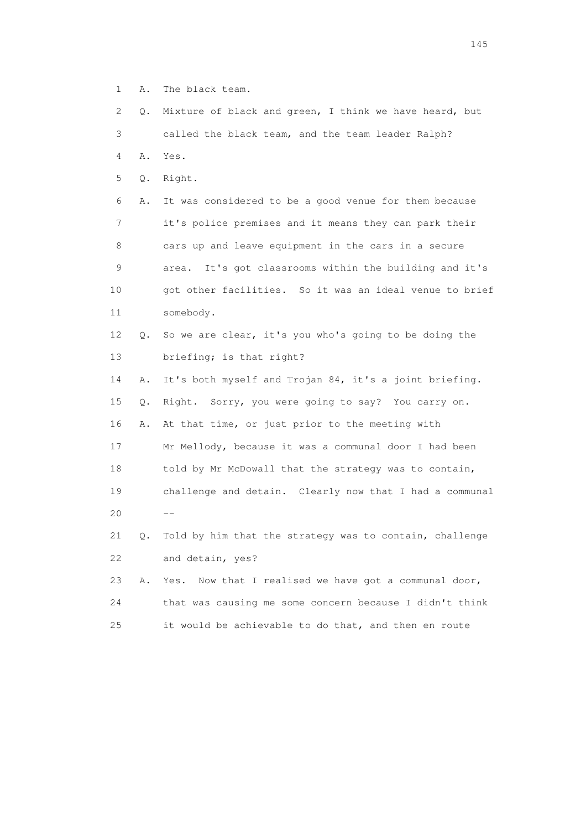- 1 A. The black team.
- 2 Q. Mixture of black and green, I think we have heard, but 3 called the black team, and the team leader Ralph? 4 A. Yes. 5 Q. Right. 6 A. It was considered to be a good venue for them because 7 it's police premises and it means they can park their 8 cars up and leave equipment in the cars in a secure 9 area. It's got classrooms within the building and it's 10 got other facilities. So it was an ideal venue to brief
- 11 somebody.
- 12 Q. So we are clear, it's you who's going to be doing the 13 briefing; is that right?
- 14 A. It's both myself and Trojan 84, it's a joint briefing. 15 Q. Right. Sorry, you were going to say? You carry on. 16 A. At that time, or just prior to the meeting with 17 Mr Mellody, because it was a communal door I had been 18 told by Mr McDowall that the strategy was to contain, 19 challenge and detain. Clearly now that I had a communal  $20$  --
	- 21 Q. Told by him that the strategy was to contain, challenge 22 and detain, yes?
	- 23 A. Yes. Now that I realised we have got a communal door, 24 that was causing me some concern because I didn't think 25 it would be achievable to do that, and then en route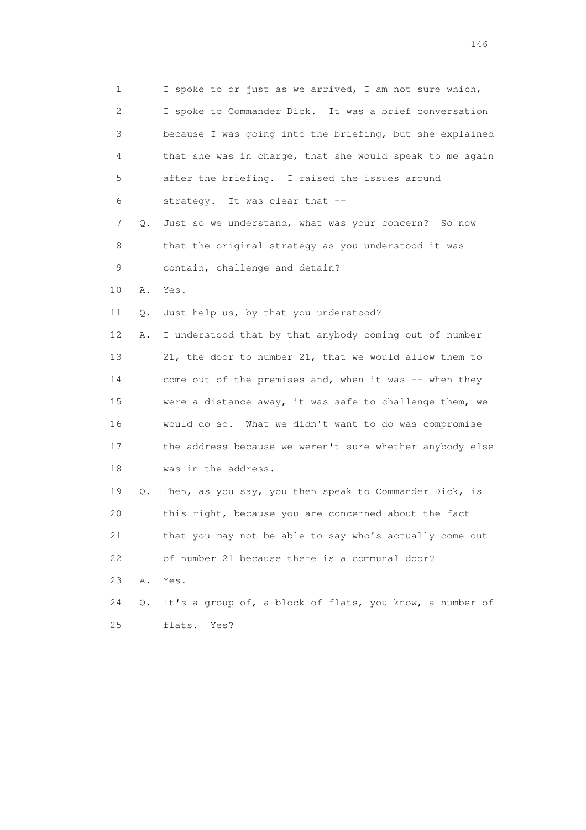1 I spoke to or just as we arrived, I am not sure which, 2 I spoke to Commander Dick. It was a brief conversation 3 because I was going into the briefing, but she explained 4 that she was in charge, that she would speak to me again 5 after the briefing. I raised the issues around 6 strategy. It was clear that -- 7 Q. Just so we understand, what was your concern? So now 8 that the original strategy as you understood it was 9 contain, challenge and detain? 10 A. Yes. 11 Q. Just help us, by that you understood? 12 A. I understood that by that anybody coming out of number 13 21, the door to number 21, that we would allow them to 14 come out of the premises and, when it was -- when they 15 were a distance away, it was safe to challenge them, we 16 would do so. What we didn't want to do was compromise 17 the address because we weren't sure whether anybody else 18 was in the address. 19 Q. Then, as you say, you then speak to Commander Dick, is 20 this right, because you are concerned about the fact 21 that you may not be able to say who's actually come out 22 of number 21 because there is a communal door? 23 A. Yes. 24 Q. It's a group of, a block of flats, you know, a number of 25 flats. Yes?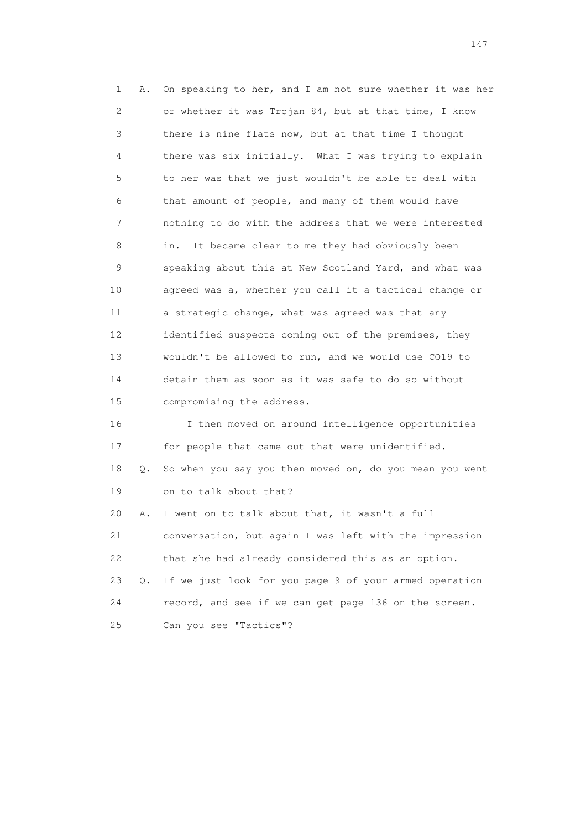1 A. On speaking to her, and I am not sure whether it was her 2 or whether it was Trojan 84, but at that time, I know 3 there is nine flats now, but at that time I thought 4 there was six initially. What I was trying to explain 5 to her was that we just wouldn't be able to deal with 6 that amount of people, and many of them would have 7 nothing to do with the address that we were interested 8 in. It became clear to me they had obviously been 9 speaking about this at New Scotland Yard, and what was 10 agreed was a, whether you call it a tactical change or 11 a strategic change, what was agreed was that any 12 identified suspects coming out of the premises, they 13 wouldn't be allowed to run, and we would use CO19 to 14 detain them as soon as it was safe to do so without 15 compromising the address. 16 I then moved on around intelligence opportunities 17 for people that came out that were unidentified. 18 Q. So when you say you then moved on, do you mean you went 19 on to talk about that? 20 A. I went on to talk about that, it wasn't a full 21 conversation, but again I was left with the impression

 22 that she had already considered this as an option. 23 Q. If we just look for you page 9 of your armed operation 24 record, and see if we can get page 136 on the screen. 25 Can you see "Tactics"?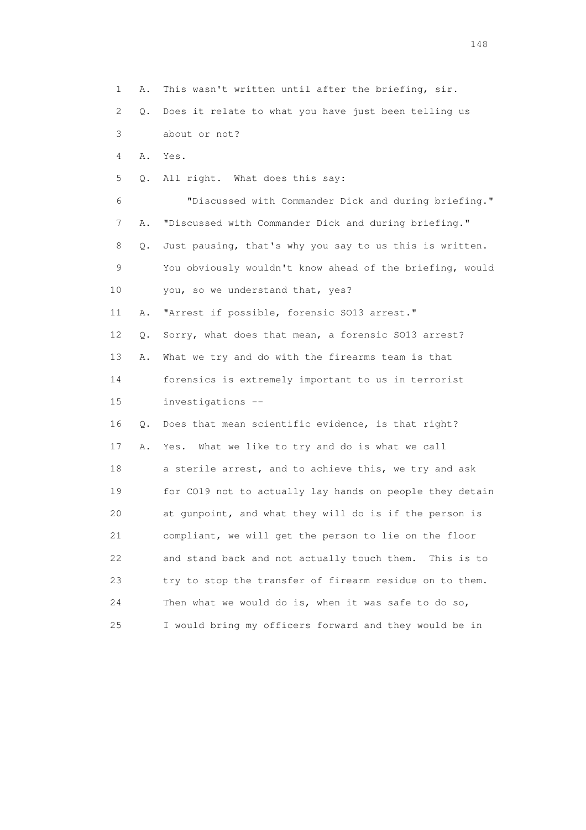1 A. This wasn't written until after the briefing, sir. 2 Q. Does it relate to what you have just been telling us 3 about or not? 4 A. Yes. 5 Q. All right. What does this say: 6 "Discussed with Commander Dick and during briefing." 7 A. "Discussed with Commander Dick and during briefing." 8 Q. Just pausing, that's why you say to us this is written. 9 You obviously wouldn't know ahead of the briefing, would 10 you, so we understand that, yes? 11 A. "Arrest if possible, forensic SO13 arrest." 12 Q. Sorry, what does that mean, a forensic SO13 arrest? 13 A. What we try and do with the firearms team is that 14 forensics is extremely important to us in terrorist 15 investigations -- 16 Q. Does that mean scientific evidence, is that right? 17 A. Yes. What we like to try and do is what we call 18 a sterile arrest, and to achieve this, we try and ask 19 for CO19 not to actually lay hands on people they detain 20 at gunpoint, and what they will do is if the person is 21 compliant, we will get the person to lie on the floor 22 and stand back and not actually touch them. This is to 23 try to stop the transfer of firearm residue on to them. 24 Then what we would do is, when it was safe to do so, 25 I would bring my officers forward and they would be in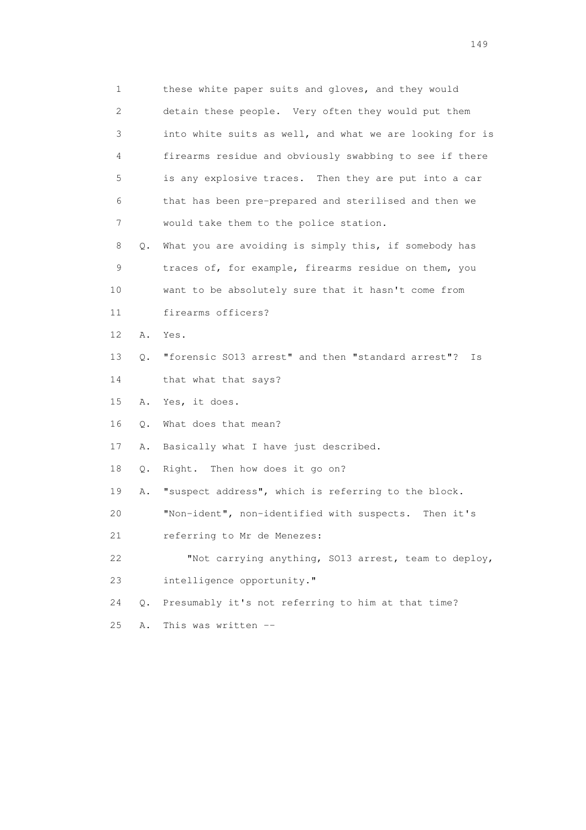1 these white paper suits and gloves, and they would 2 detain these people. Very often they would put them 3 into white suits as well, and what we are looking for is 4 firearms residue and obviously swabbing to see if there 5 is any explosive traces. Then they are put into a car 6 that has been pre-prepared and sterilised and then we 7 would take them to the police station. 8 Q. What you are avoiding is simply this, if somebody has 9 traces of, for example, firearms residue on them, you 10 want to be absolutely sure that it hasn't come from 11 firearms officers? 12 A. Yes. 13 Q. "forensic SO13 arrest" and then "standard arrest"? Is 14 that what that says? 15 A. Yes, it does. 16 Q. What does that mean? 17 A. Basically what I have just described. 18 Q. Right. Then how does it go on? 19 A. "suspect address", which is referring to the block. 20 "Non-ident", non-identified with suspects. Then it's 21 referring to Mr de Menezes: 22 "Not carrying anything, SO13 arrest, team to deploy, 23 intelligence opportunity." 24 Q. Presumably it's not referring to him at that time? 25 A. This was written --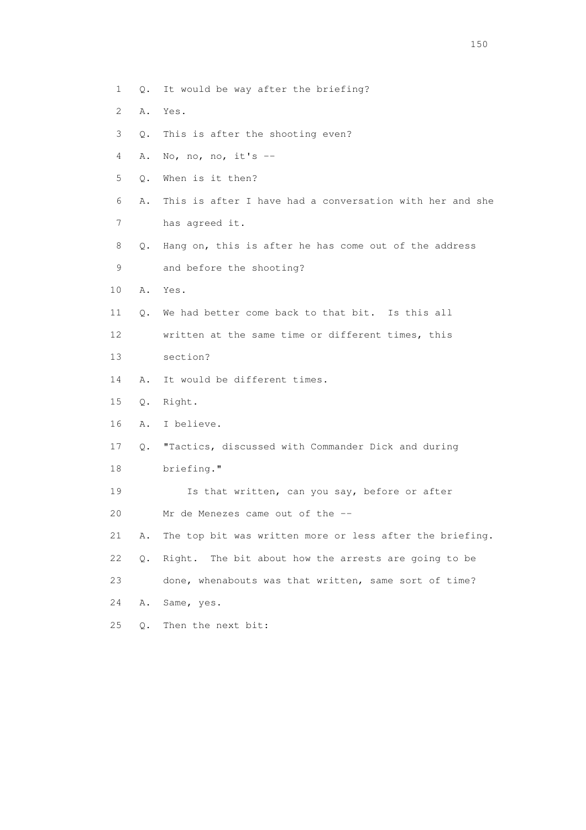- 1 Q. It would be way after the briefing?
- 2 A. Yes.
- 3 Q. This is after the shooting even?
- 4 A. No, no, no, it's --
- 5 Q. When is it then?
- 6 A. This is after I have had a conversation with her and she
- 7 has agreed it.
- 8 Q. Hang on, this is after he has come out of the address 9 and before the shooting?
- 10 A. Yes.
- 11 Q. We had better come back to that bit. Is this all
- 12 written at the same time or different times, this
- 13 section?
- 14 A. It would be different times.
- 15 Q. Right.
- 16 A. I believe.
- 17 Q. "Tactics, discussed with Commander Dick and during
- 18 briefing."
- 19 Is that written, can you say, before or after 20 Mr de Menezes came out of the --
- 21 A. The top bit was written more or less after the briefing.
- 22 Q. Right. The bit about how the arrests are going to be
- 23 done, whenabouts was that written, same sort of time?
- 24 A. Same, yes.
- 25 Q. Then the next bit: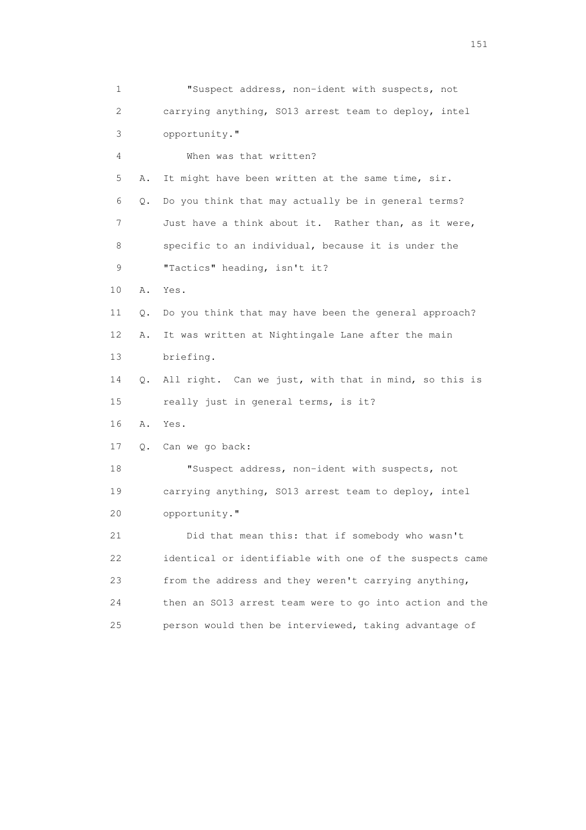1 "Suspect address, non-ident with suspects, not 2 carrying anything, SO13 arrest team to deploy, intel 3 opportunity." 4 When was that written? 5 A. It might have been written at the same time, sir. 6 Q. Do you think that may actually be in general terms? 7 Just have a think about it. Rather than, as it were, 8 specific to an individual, because it is under the 9 "Tactics" heading, isn't it? 10 A. Yes. 11 Q. Do you think that may have been the general approach? 12 A. It was written at Nightingale Lane after the main 13 briefing. 14 Q. All right. Can we just, with that in mind, so this is 15 really just in general terms, is it? 16 A. Yes. 17 Q. Can we go back: 18 "Suspect address, non-ident with suspects, not 19 carrying anything, SO13 arrest team to deploy, intel 20 opportunity." 21 Did that mean this: that if somebody who wasn't 22 identical or identifiable with one of the suspects came 23 from the address and they weren't carrying anything, 24 then an SO13 arrest team were to go into action and the 25 person would then be interviewed, taking advantage of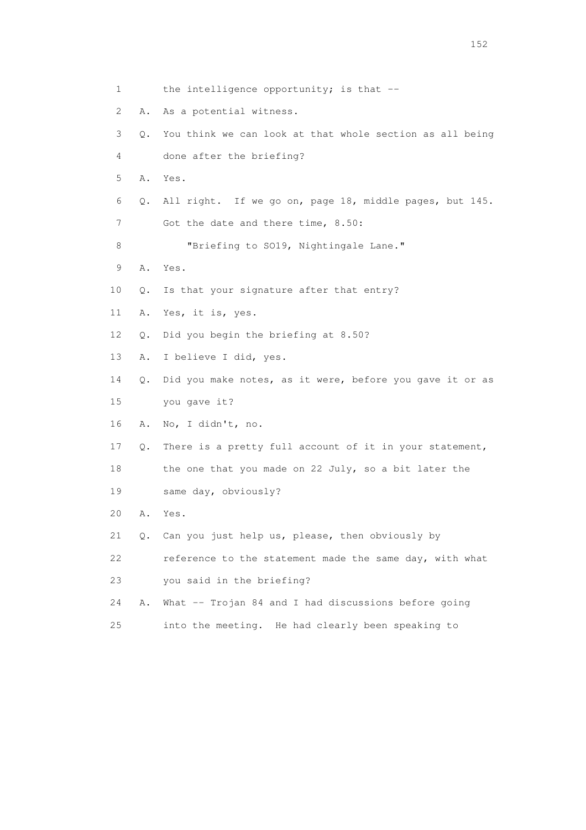1 the intelligence opportunity; is that -- 2 A. As a potential witness. 3 Q. You think we can look at that whole section as all being 4 done after the briefing? 5 A. Yes. 6 Q. All right. If we go on, page 18, middle pages, but 145. 7 Got the date and there time, 8.50: 8 "Briefing to SO19, Nightingale Lane." 9 A. Yes. 10 Q. Is that your signature after that entry? 11 A. Yes, it is, yes. 12 Q. Did you begin the briefing at 8.50? 13 A. I believe I did, yes. 14 Q. Did you make notes, as it were, before you gave it or as 15 you gave it? 16 A. No, I didn't, no. 17 Q. There is a pretty full account of it in your statement, 18 the one that you made on 22 July, so a bit later the 19 same day, obviously? 20 A. Yes. 21 Q. Can you just help us, please, then obviously by 22 reference to the statement made the same day, with what 23 you said in the briefing? 24 A. What -- Trojan 84 and I had discussions before going 25 into the meeting. He had clearly been speaking to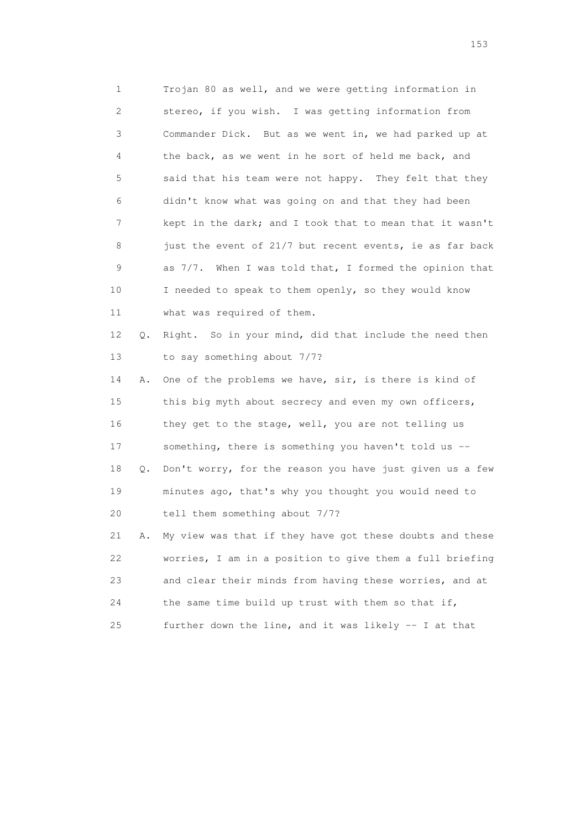1 Trojan 80 as well, and we were getting information in 2 stereo, if you wish. I was getting information from 3 Commander Dick. But as we went in, we had parked up at 4 the back, as we went in he sort of held me back, and 5 said that his team were not happy. They felt that they 6 didn't know what was going on and that they had been 7 kept in the dark; and I took that to mean that it wasn't 8 just the event of 21/7 but recent events, ie as far back 9 as 7/7. When I was told that, I formed the opinion that 10 I needed to speak to them openly, so they would know 11 what was required of them. 12 Q. Right. So in your mind, did that include the need then 13 to say something about 7/7?

 14 A. One of the problems we have, sir, is there is kind of 15 this big myth about secrecy and even my own officers, 16 they get to the stage, well, you are not telling us 17 something, there is something you haven't told us -- 18 Q. Don't worry, for the reason you have just given us a few 19 minutes ago, that's why you thought you would need to 20 tell them something about 7/7? 21 A. My view was that if they have got these doubts and these

 22 worries, I am in a position to give them a full briefing 23 and clear their minds from having these worries, and at 24 the same time build up trust with them so that if, 25 further down the line, and it was likely -- I at that

n 153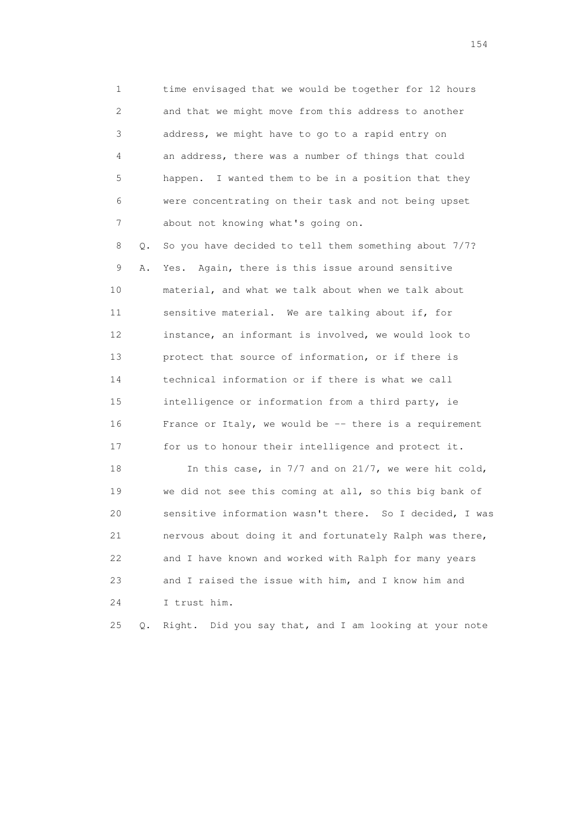1 time envisaged that we would be together for 12 hours 2 and that we might move from this address to another 3 address, we might have to go to a rapid entry on 4 an address, there was a number of things that could 5 happen. I wanted them to be in a position that they 6 were concentrating on their task and not being upset 7 about not knowing what's going on.

 8 Q. So you have decided to tell them something about 7/7? 9 A. Yes. Again, there is this issue around sensitive 10 material, and what we talk about when we talk about 11 sensitive material. We are talking about if, for 12 instance, an informant is involved, we would look to 13 protect that source of information, or if there is 14 technical information or if there is what we call 15 intelligence or information from a third party, ie 16 France or Italy, we would be -- there is a requirement 17 for us to honour their intelligence and protect it.

18 In this case, in 7/7 and on 21/7, we were hit cold, 19 we did not see this coming at all, so this big bank of 20 sensitive information wasn't there. So I decided, I was 21 nervous about doing it and fortunately Ralph was there, 22 and I have known and worked with Ralph for many years 23 and I raised the issue with him, and I know him and 24 I trust him.

25 Q. Right. Did you say that, and I am looking at your note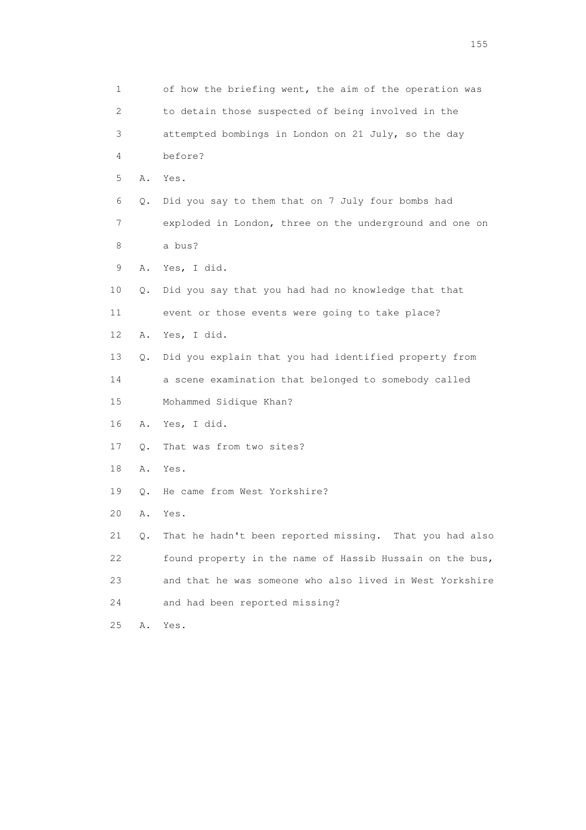| $\mathbf 1$ |    | of how the briefing went, the aim of the operation was   |
|-------------|----|----------------------------------------------------------|
| 2           |    | to detain those suspected of being involved in the       |
| 3           |    | attempted bombings in London on 21 July, so the day      |
| 4           |    | before?                                                  |
| 5           | Α. | Yes.                                                     |
| 6           | Q. | Did you say to them that on 7 July four bombs had        |
| 7           |    | exploded in London, three on the underground and one on  |
| 8           |    | a bus?                                                   |
| 9           | Α. | Yes, I did.                                              |
| 10          | Q. | Did you say that you had had no knowledge that that      |
| 11          |    | event or those events were going to take place?          |
| 12          | Α. | Yes, I did.                                              |
| 13          | Q. | Did you explain that you had identified property from    |
| 14          |    | a scene examination that belonged to somebody called     |
| 15          |    | Mohammed Sidique Khan?                                   |
| 16          | Α. | Yes, I did.                                              |
| 17          | Q. | That was from two sites?                                 |
| 18          | Α. | Yes.                                                     |
| 19          | Q. | He came from West Yorkshire?                             |
| 20          | Α. | Yes.                                                     |
| 21          | Q. | That he hadn't been reported missing. That you had also  |
| 22          |    | found property in the name of Hassib Hussain on the bus, |
| 23          |    | and that he was someone who also lived in West Yorkshire |
| 24          |    | and had been reported missing?                           |
| 25          | Α. | Yes.                                                     |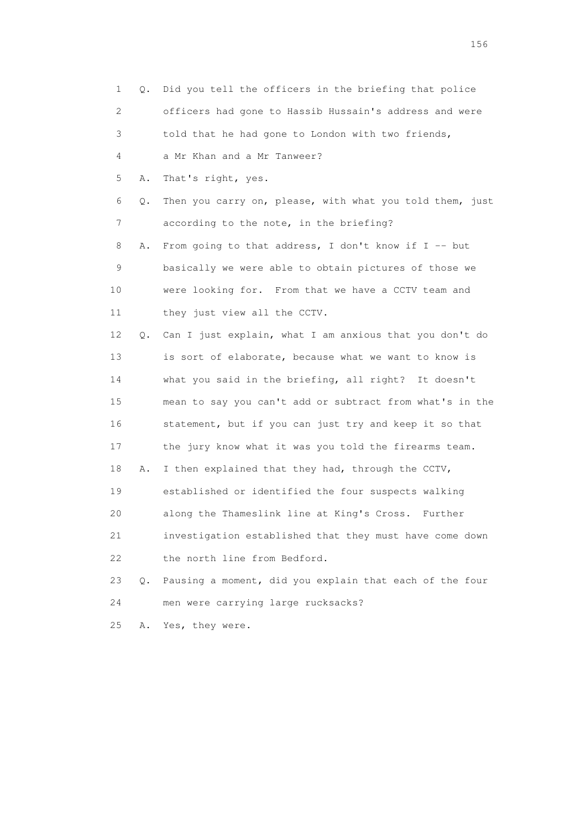| 1  | 0. | Did you tell the officers in the briefing that police    |
|----|----|----------------------------------------------------------|
| 2  |    | officers had gone to Hassib Hussain's address and were   |
| 3  |    | told that he had gone to London with two friends,        |
| 4  |    | a Mr Khan and a Mr Tanweer?                              |
| 5  | Α. | That's right, yes.                                       |
| 6  | Q. | Then you carry on, please, with what you told them, just |
| 7  |    | according to the note, in the briefing?                  |
| 8  | Α. | From going to that address, I don't know if I -- but     |
| 9  |    | basically we were able to obtain pictures of those we    |
| 10 |    | were looking for. From that we have a CCTV team and      |
| 11 |    | they just view all the CCTV.                             |
| 12 | Q. | Can I just explain, what I am anxious that you don't do  |
| 13 |    | is sort of elaborate, because what we want to know is    |
| 14 |    | what you said in the briefing, all right? It doesn't     |
| 15 |    | mean to say you can't add or subtract from what's in the |
| 16 |    | statement, but if you can just try and keep it so that   |
| 17 |    | the jury know what it was you told the firearms team.    |
| 18 | Α. | I then explained that they had, through the CCTV,        |
| 19 |    | established or identified the four suspects walking      |
| 20 |    | along the Thameslink line at King's Cross.<br>Further    |
| 21 |    | investigation established that they must have come down  |
| 22 |    | the north line from Bedford.                             |
| 23 | Q. | Pausing a moment, did you explain that each of the four  |
| 24 |    | men were carrying large rucksacks?                       |
| 25 | Α. | Yes, they were.                                          |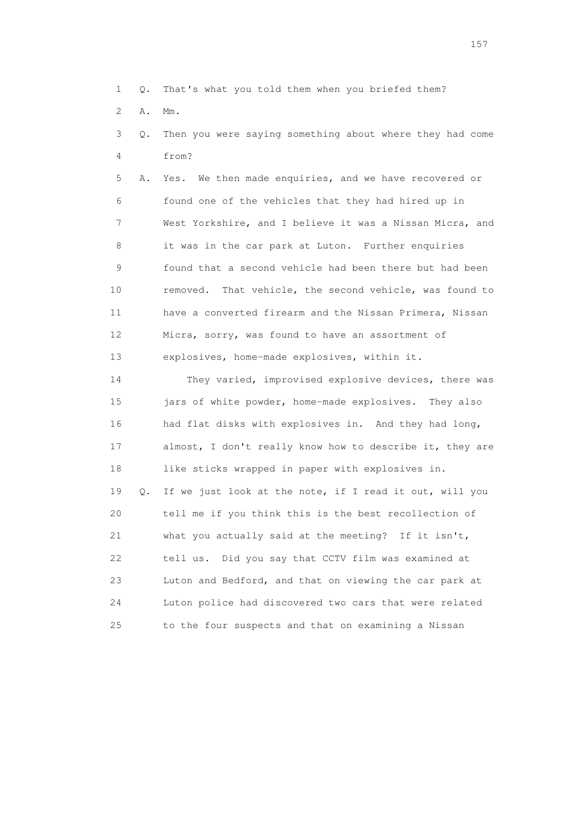1 Q. That's what you told them when you briefed them?

2 A. Mm.

 3 Q. Then you were saying something about where they had come 4 from?

 5 A. Yes. We then made enquiries, and we have recovered or 6 found one of the vehicles that they had hired up in 7 West Yorkshire, and I believe it was a Nissan Micra, and 8 it was in the car park at Luton. Further enquiries 9 found that a second vehicle had been there but had been 10 removed. That vehicle, the second vehicle, was found to 11 have a converted firearm and the Nissan Primera, Nissan 12 Micra, sorry, was found to have an assortment of 13 explosives, home-made explosives, within it.

 14 They varied, improvised explosive devices, there was 15 jars of white powder, home-made explosives. They also 16 had flat disks with explosives in. And they had long, 17 almost, I don't really know how to describe it, they are 18 like sticks wrapped in paper with explosives in. 19 Q. If we just look at the note, if I read it out, will you 20 tell me if you think this is the best recollection of 21 what you actually said at the meeting? If it isn't, 22 tell us. Did you say that CCTV film was examined at 23 Luton and Bedford, and that on viewing the car park at 24 Luton police had discovered two cars that were related 25 to the four suspects and that on examining a Nissan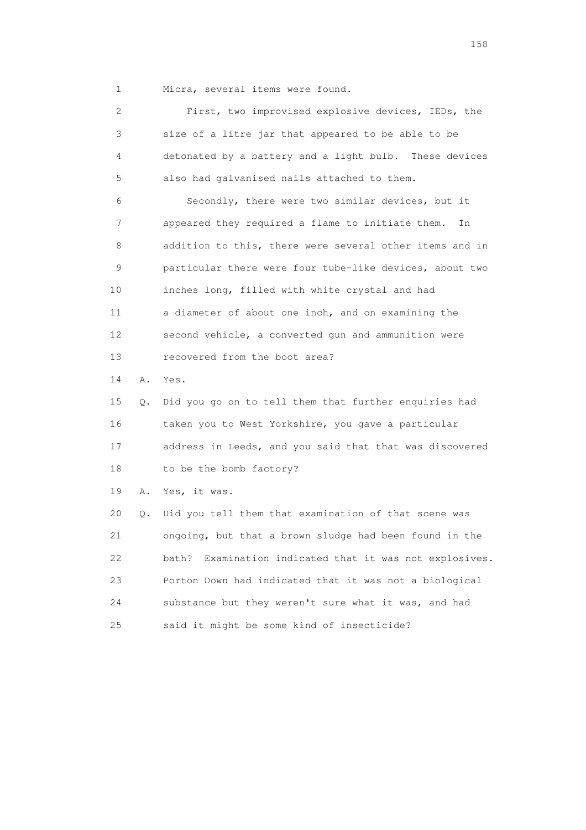1 Micra, several items were found.

| $\overline{2}$  |    | First, two improvised explosive devices, IEDs, the         |
|-----------------|----|------------------------------------------------------------|
| 3               |    | size of a litre jar that appeared to be able to be         |
| 4               |    | detonated by a battery and a light bulb. These devices     |
| 5               |    | also had galvanised nails attached to them.                |
| 6               |    | Secondly, there were two similar devices, but it           |
| 7               |    | appeared they required a flame to initiate them.<br>In     |
| 8               |    | addition to this, there were several other items and in    |
| 9               |    | particular there were four tube-like devices, about two    |
| 10              |    | inches long, filled with white crystal and had             |
| 11              |    | a diameter of about one inch, and on examining the         |
| 12 <sup>°</sup> |    | second vehicle, a converted qun and ammunition were        |
| 13              |    | recovered from the boot area?                              |
| 14              | Α. | Yes.                                                       |
| 15              | Q. | Did you go on to tell them that further enquiries had      |
| 16              |    | taken you to West Yorkshire, you gave a particular         |
| 17              |    | address in Leeds, and you said that that was discovered    |
| 18              |    | to be the bomb factory?                                    |
| 19              | Α. | Yes, it was.                                               |
| 20              | Q. | Did you tell them that examination of that scene was       |
| 21              |    | ongoing, but that a brown sludge had been found in the     |
| 22              |    | Examination indicated that it was not explosives.<br>bath? |
| 23              |    | Porton Down had indicated that it was not a biological     |
| 24              |    | substance but they weren't sure what it was, and had       |
| 25              |    | said it might be some kind of insecticide?                 |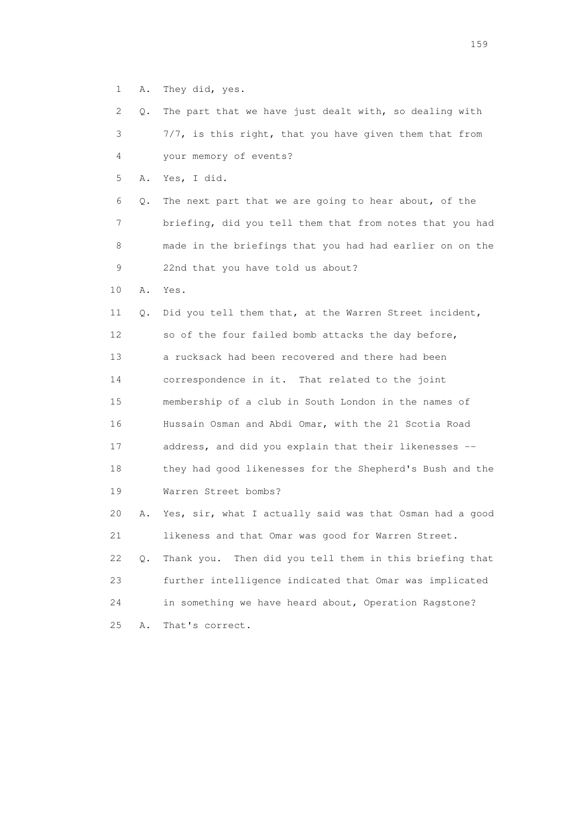1 A. They did, yes.

 2 Q. The part that we have just dealt with, so dealing with 3 7/7, is this right, that you have given them that from 4 your memory of events?

5 A. Yes, I did.

 6 Q. The next part that we are going to hear about, of the 7 briefing, did you tell them that from notes that you had 8 made in the briefings that you had had earlier on on the 9 22nd that you have told us about?

10 A. Yes.

 11 Q. Did you tell them that, at the Warren Street incident, 12 so of the four failed bomb attacks the day before, 13 a rucksack had been recovered and there had been 14 correspondence in it. That related to the joint 15 membership of a club in South London in the names of 16 Hussain Osman and Abdi Omar, with the 21 Scotia Road 17 address, and did you explain that their likenesses -- 18 they had good likenesses for the Shepherd's Bush and the 19 Warren Street bombs? 20 A. Yes, sir, what I actually said was that Osman had a good 21 likeness and that Omar was good for Warren Street. 22 Q. Thank you. Then did you tell them in this briefing that 23 further intelligence indicated that Omar was implicated 24 in something we have heard about, Operation Ragstone?

25 A. That's correct.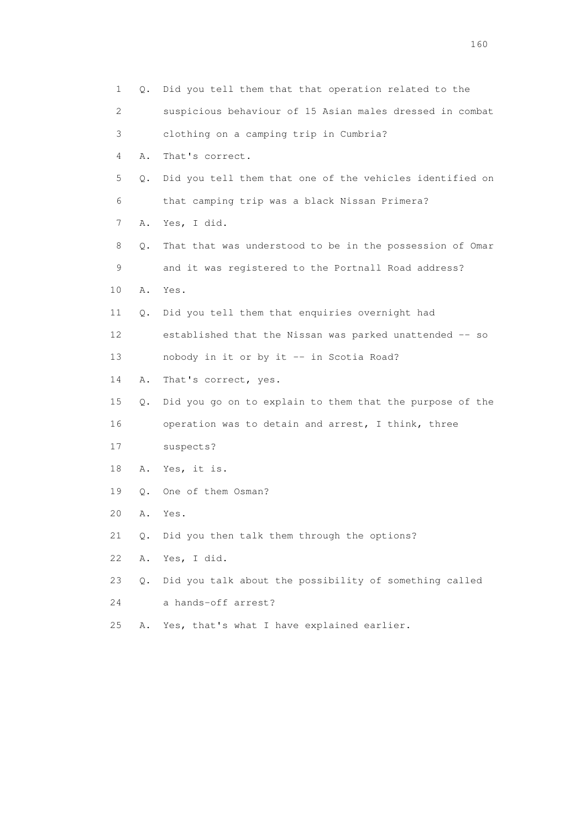| 1  | О.    | Did you tell them that that operation related to the     |
|----|-------|----------------------------------------------------------|
| 2  |       | suspicious behaviour of 15 Asian males dressed in combat |
| 3  |       | clothing on a camping trip in Cumbria?                   |
| 4  | Α.    | That's correct.                                          |
| 5  | Q.    | Did you tell them that one of the vehicles identified on |
| 6  |       | that camping trip was a black Nissan Primera?            |
| 7  | Α.    | Yes, I did.                                              |
| 8  | Q.    | That that was understood to be in the possession of Omar |
| 9  |       | and it was registered to the Portnall Road address?      |
| 10 | Α.    | Yes.                                                     |
| 11 | Q.    | Did you tell them that enquiries overnight had           |
| 12 |       | established that the Nissan was parked unattended -- so  |
| 13 |       | nobody in it or by it -- in Scotia Road?                 |
| 14 | Α.    | That's correct, yes.                                     |
| 15 | Q.    | Did you go on to explain to them that the purpose of the |
| 16 |       | operation was to detain and arrest, I think, three       |
| 17 |       | suspects?                                                |
| 18 | Α.    | Yes, it is.                                              |
| 19 | Q.    | One of them Osman?                                       |
| 20 | Α.    | Yes.                                                     |
| 21 | $Q$ . | Did you then talk them through the options?              |
| 22 | Α.    | Yes, I did.                                              |
| 23 | Q.    | Did you talk about the possibility of something called   |
| 24 |       | a hands-off arrest?                                      |
| 25 | Α.    | Yes, that's what I have explained earlier.               |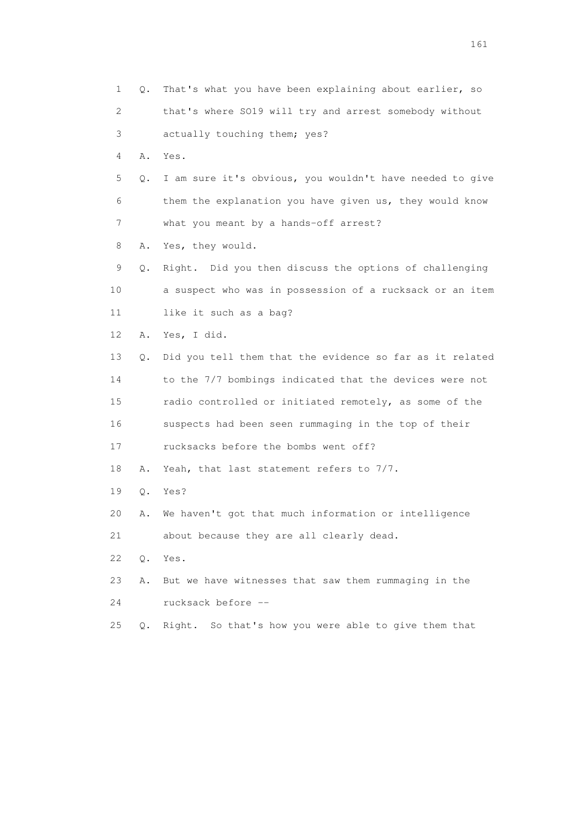1 Q. That's what you have been explaining about earlier, so 2 that's where SO19 will try and arrest somebody without 3 actually touching them; yes? 4 A. Yes. 5 Q. I am sure it's obvious, you wouldn't have needed to give 6 them the explanation you have given us, they would know 7 what you meant by a hands-off arrest? 8 A. Yes, they would. 9 Q. Right. Did you then discuss the options of challenging 10 a suspect who was in possession of a rucksack or an item 11 like it such as a bag? 12 A. Yes, I did. 13 Q. Did you tell them that the evidence so far as it related 14 to the 7/7 bombings indicated that the devices were not 15 radio controlled or initiated remotely, as some of the 16 suspects had been seen rummaging in the top of their 17 rucksacks before the bombs went off? 18 A. Yeah, that last statement refers to 7/7. 19 Q. Yes? 20 A. We haven't got that much information or intelligence 21 about because they are all clearly dead. 22 Q. Yes. 23 A. But we have witnesses that saw them rummaging in the 24 rucksack before -- 25 Q. Right. So that's how you were able to give them that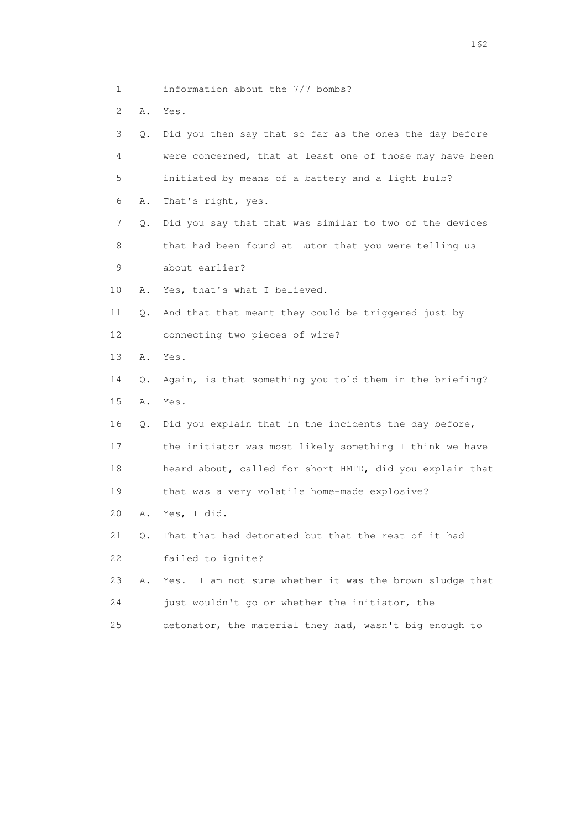- 1 information about the 7/7 bombs?
- 2 A. Yes.

| 3               | Q. | Did you then say that so far as the ones the day before  |
|-----------------|----|----------------------------------------------------------|
| 4               |    | were concerned, that at least one of those may have been |
| 5               |    | initiated by means of a battery and a light bulb?        |
| 6               | Α. | That's right, yes.                                       |
| 7               | О. | Did you say that that was similar to two of the devices  |
| 8               |    | that had been found at Luton that you were telling us    |
| 9               |    | about earlier?                                           |
| 10              | Α. | Yes, that's what I believed.                             |
| 11              | Q. | And that that meant they could be triggered just by      |
| 12 <sup>°</sup> |    | connecting two pieces of wire?                           |
| 13              | Α. | Yes.                                                     |
| 14              | О. | Again, is that something you told them in the briefing?  |
| 15              | Α. | Yes.                                                     |
| 16              | О. | Did you explain that in the incidents the day before,    |
| 17              |    | the initiator was most likely something I think we have  |
| 18              |    | heard about, called for short HMTD, did you explain that |
| 19              |    | that was a very volatile home-made explosive?            |
| 20              | Α. | Yes, I did.                                              |
| 21              | Q. | That that had detonated but that the rest of it had      |
| 22              |    | failed to ignite?                                        |
| 23              | Α. | Yes. I am not sure whether it was the brown sludge that  |
| 24              |    | just wouldn't go or whether the initiator, the           |
| 25              |    | detonator, the material they had, wasn't big enough to   |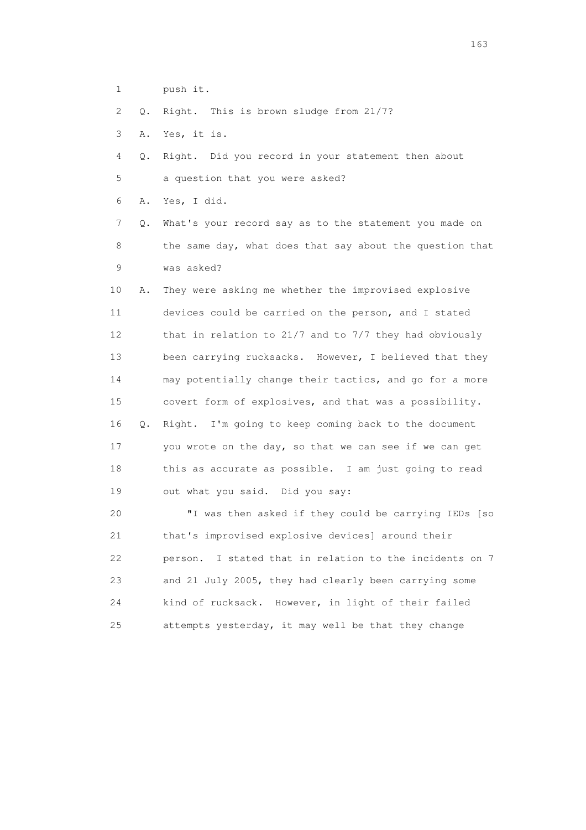- 1 push it.
- 2 Q. Right. This is brown sludge from 21/7?
- 3 A. Yes, it is.
- 4 Q. Right. Did you record in your statement then about 5 a question that you were asked?
- 6 A. Yes, I did.
- 7 Q. What's your record say as to the statement you made on 8 the same day, what does that say about the question that 9 was asked?

 10 A. They were asking me whether the improvised explosive 11 devices could be carried on the person, and I stated 12 that in relation to 21/7 and to 7/7 they had obviously 13 been carrying rucksacks. However, I believed that they 14 may potentially change their tactics, and go for a more 15 covert form of explosives, and that was a possibility. 16 Q. Right. I'm going to keep coming back to the document 17 you wrote on the day, so that we can see if we can get 18 this as accurate as possible. I am just going to read 19 out what you said. Did you say:

 20 "I was then asked if they could be carrying IEDs [so 21 that's improvised explosive devices] around their 22 person. I stated that in relation to the incidents on 7 23 and 21 July 2005, they had clearly been carrying some 24 kind of rucksack. However, in light of their failed 25 attempts yesterday, it may well be that they change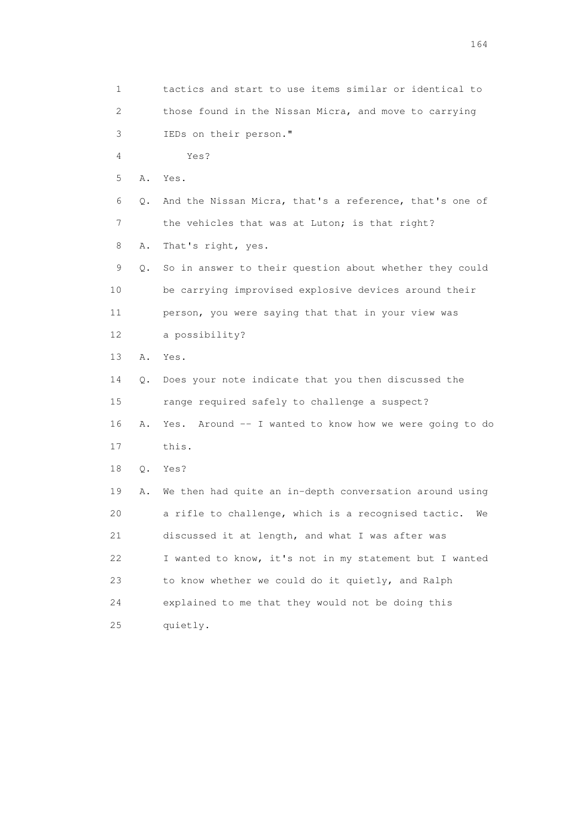1 tactics and start to use items similar or identical to 2 those found in the Nissan Micra, and move to carrying 3 IEDs on their person." 4 Yes? 5 A. Yes. 6 Q. And the Nissan Micra, that's a reference, that's one of 7 the vehicles that was at Luton; is that right? 8 A. That's right, yes. 9 Q. So in answer to their question about whether they could 10 be carrying improvised explosive devices around their 11 person, you were saying that that in your view was 12 a possibility? 13 A. Yes. 14 Q. Does your note indicate that you then discussed the 15 range required safely to challenge a suspect? 16 A. Yes. Around -- I wanted to know how we were going to do 17 this. 18 Q. Yes? 19 A. We then had quite an in-depth conversation around using 20 a rifle to challenge, which is a recognised tactic. We 21 discussed it at length, and what I was after was 22 I wanted to know, it's not in my statement but I wanted 23 to know whether we could do it quietly, and Ralph 24 explained to me that they would not be doing this 25 quietly.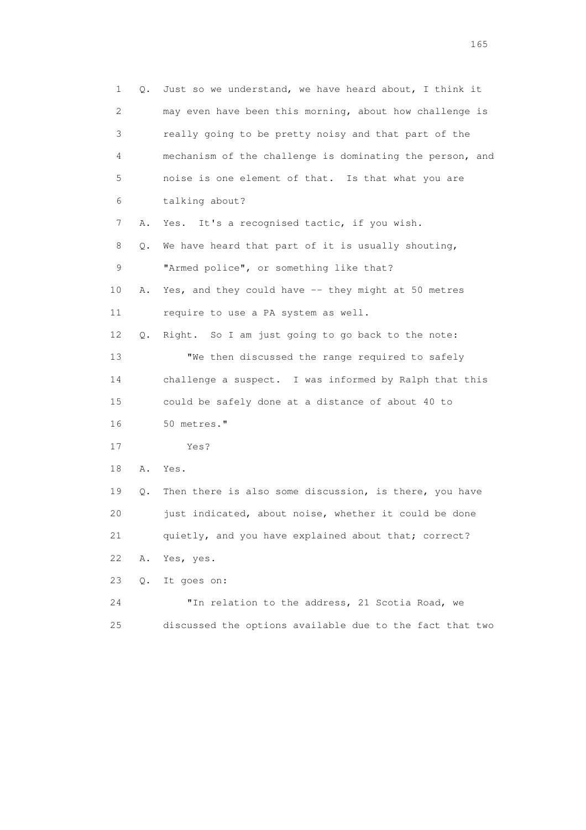1 Q. Just so we understand, we have heard about, I think it 2 may even have been this morning, about how challenge is 3 really going to be pretty noisy and that part of the 4 mechanism of the challenge is dominating the person, and 5 noise is one element of that. Is that what you are 6 talking about? 7 A. Yes. It's a recognised tactic, if you wish. 8 Q. We have heard that part of it is usually shouting, 9 "Armed police", or something like that? 10 A. Yes, and they could have -- they might at 50 metres 11 require to use a PA system as well. 12 Q. Right. So I am just going to go back to the note: 13 "We then discussed the range required to safely 14 challenge a suspect. I was informed by Ralph that this 15 could be safely done at a distance of about 40 to 16 50 metres." 17 Yes? 18 A. Yes. 19 Q. Then there is also some discussion, is there, you have 20 just indicated, about noise, whether it could be done 21 quietly, and you have explained about that; correct? 22 A. Yes, yes. 23 Q. It goes on: 24 "In relation to the address, 21 Scotia Road, we 25 discussed the options available due to the fact that two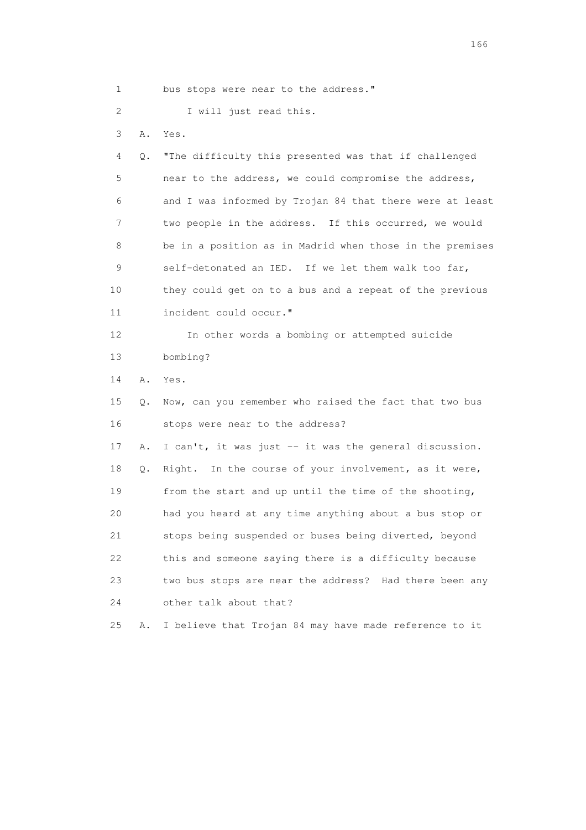1 bus stops were near to the address."

2 I will just read this.

3 A. Yes.

 4 Q. "The difficulty this presented was that if challenged 5 near to the address, we could compromise the address, 6 and I was informed by Trojan 84 that there were at least 7 two people in the address. If this occurred, we would 8 be in a position as in Madrid when those in the premises 9 self-detonated an IED. If we let them walk too far, 10 they could get on to a bus and a repeat of the previous 11 incident could occur."

 12 In other words a bombing or attempted suicide 13 bombing?

14 A. Yes.

 15 Q. Now, can you remember who raised the fact that two bus 16 stops were near to the address?

 17 A. I can't, it was just -- it was the general discussion. 18 Q. Right. In the course of your involvement, as it were, 19 from the start and up until the time of the shooting, 20 had you heard at any time anything about a bus stop or 21 stops being suspended or buses being diverted, beyond 22 this and someone saying there is a difficulty because 23 two bus stops are near the address? Had there been any 24 other talk about that?

25 A. I believe that Trojan 84 may have made reference to it

<u>166</u> **166**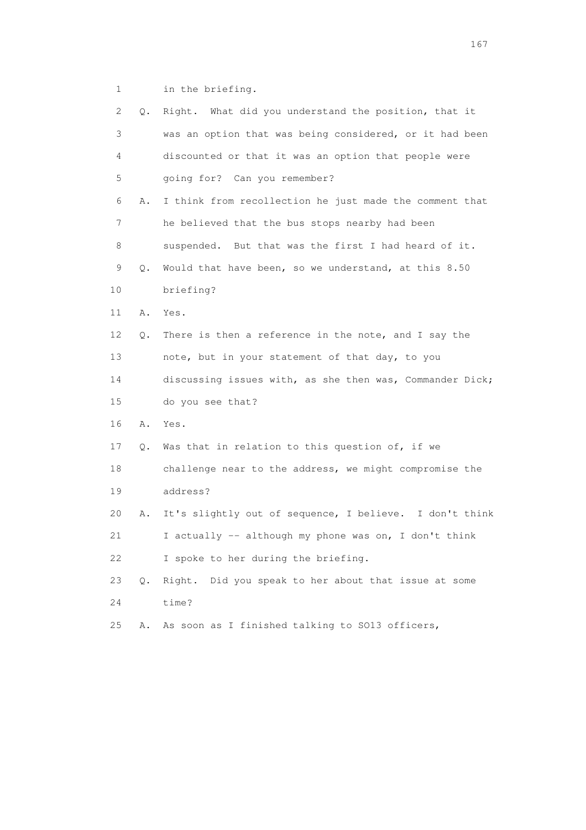1 in the briefing.

| 2  | Q.        | Right. What did you understand the position, that it     |
|----|-----------|----------------------------------------------------------|
| 3  |           | was an option that was being considered, or it had been  |
| 4  |           | discounted or that it was an option that people were     |
| 5  |           | going for? Can you remember?                             |
| 6  | Α.        | I think from recollection he just made the comment that  |
| 7  |           | he believed that the bus stops nearby had been           |
| 8  |           | suspended. But that was the first I had heard of it.     |
| 9  | Q.        | Would that have been, so we understand, at this 8.50     |
| 10 |           | briefing?                                                |
| 11 | Α.        | Yes.                                                     |
| 12 | Q.        | There is then a reference in the note, and I say the     |
| 13 |           | note, but in your statement of that day, to you          |
| 14 |           | discussing issues with, as she then was, Commander Dick; |
| 15 |           | do you see that?                                         |
| 16 | Α.        | Yes.                                                     |
| 17 | Q.        | Was that in relation to this question of, if we          |
| 18 |           | challenge near to the address, we might compromise the   |
| 19 |           | address?                                                 |
| 20 | Α.        | It's slightly out of sequence, I believe. I don't think  |
| 21 |           | I actually -- although my phone was on, I don't think    |
| 22 |           | I spoke to her during the briefing.                      |
| 23 | $\circ$ . | Did you speak to her about that issue at some<br>Right.  |
| 24 |           | time?                                                    |
| 25 | Α.        | As soon as I finished talking to SO13 officers,          |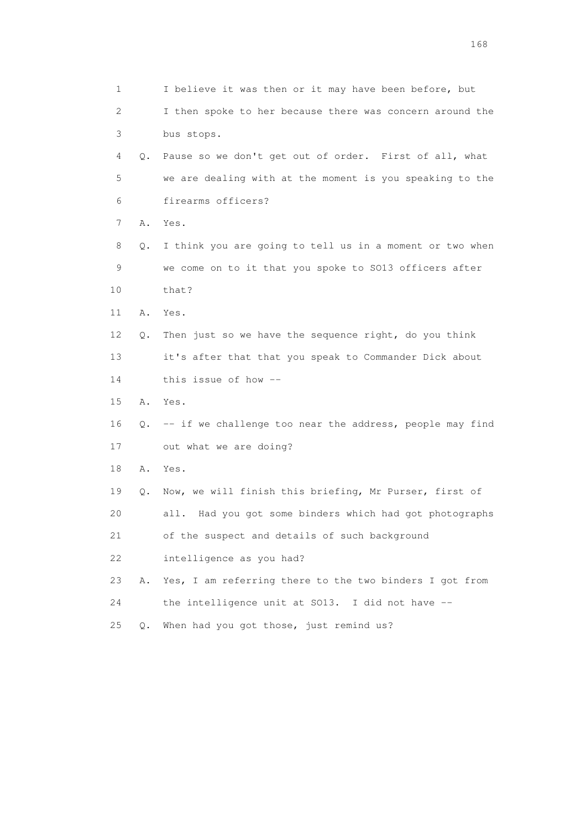| $\mathbf 1$ |    | I believe it was then or it may have been before, but      |
|-------------|----|------------------------------------------------------------|
| 2           |    | I then spoke to her because there was concern around the   |
| 3           |    | bus stops.                                                 |
| 4           | 0. | Pause so we don't get out of order. First of all, what     |
| 5           |    | we are dealing with at the moment is you speaking to the   |
| 6           |    | firearms officers?                                         |
| 7           | Α. | Yes.                                                       |
| 8           | Q. | I think you are going to tell us in a moment or two when   |
| 9           |    | we come on to it that you spoke to SO13 officers after     |
| 10          |    | that?                                                      |
| 11          | Α. | Yes.                                                       |
| 12          | Q. | Then just so we have the sequence right, do you think      |
| 13          |    | it's after that that you speak to Commander Dick about     |
| 14          |    | this issue of how --                                       |
| 15          | Α. | Yes.                                                       |
| 16          | Q. | -- if we challenge too near the address, people may find   |
| 17          |    | out what we are doing?                                     |
| 18          | Α. | Yes.                                                       |
| 19          | Q. | Now, we will finish this briefing, Mr Purser, first of     |
| 20          |    | Had you got some binders which had got photographs<br>all. |
| 21          |    | of the suspect and details of such background              |
| 22          |    | intelligence as you had?                                   |
| 23          | Α. | Yes, I am referring there to the two binders I got from    |
| 24          |    | the intelligence unit at SO13. I did not have --           |
| 25          | Q. | When had you got those, just remind us?                    |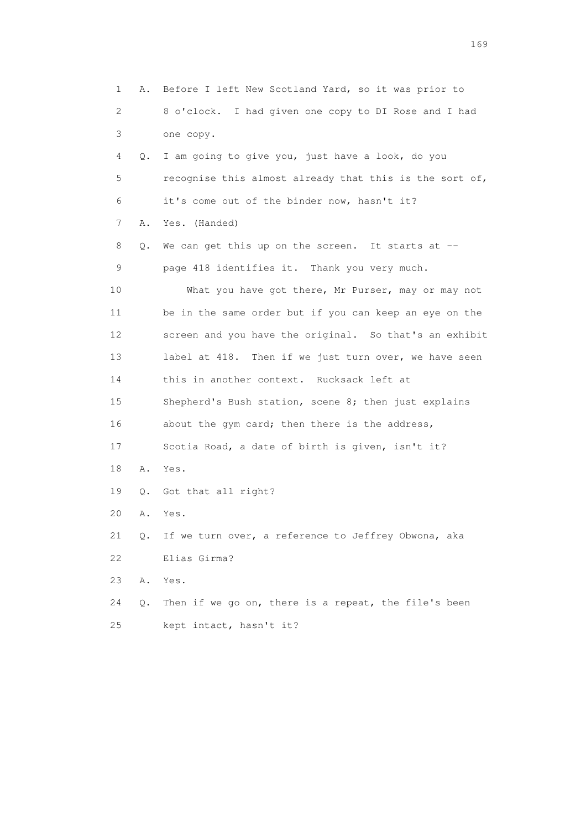1 A. Before I left New Scotland Yard, so it was prior to 2 8 o'clock. I had given one copy to DI Rose and I had 3 one copy. 4 Q. I am going to give you, just have a look, do you 5 recognise this almost already that this is the sort of, 6 it's come out of the binder now, hasn't it? 7 A. Yes. (Handed) 8 Q. We can get this up on the screen. It starts at -- 9 page 418 identifies it. Thank you very much. 10 What you have got there, Mr Purser, may or may not 11 be in the same order but if you can keep an eye on the 12 screen and you have the original. So that's an exhibit 13 label at 418. Then if we just turn over, we have seen 14 this in another context. Rucksack left at 15 Shepherd's Bush station, scene 8; then just explains 16 about the gym card; then there is the address, 17 Scotia Road, a date of birth is given, isn't it? 18 A. Yes. 19 Q. Got that all right? 20 A. Yes. 21 Q. If we turn over, a reference to Jeffrey Obwona, aka 22 Elias Girma? 23 A. Yes. 24 Q. Then if we go on, there is a repeat, the file's been 25 kept intact, hasn't it?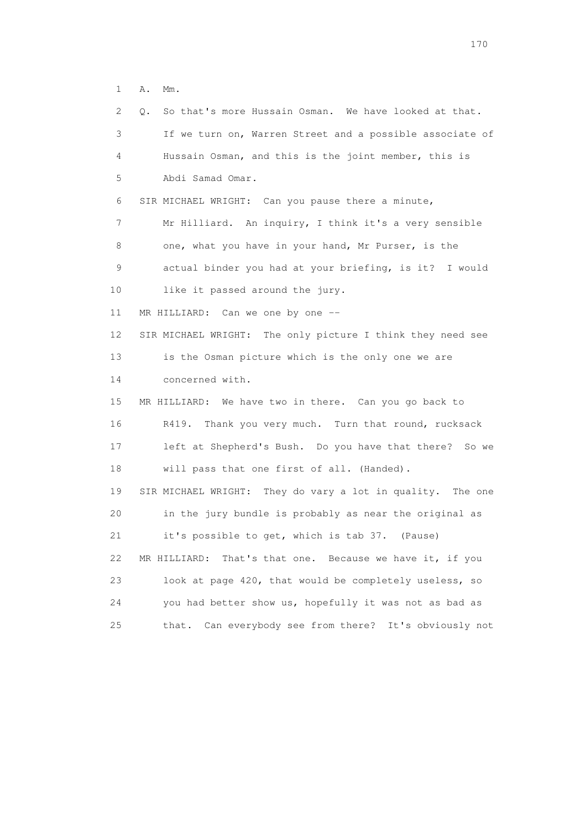1 A. Mm.

| 2. | So that's more Hussain Osman. We have looked at that.<br>0. |
|----|-------------------------------------------------------------|
| 3  | If we turn on, Warren Street and a possible associate of    |
| 4  | Hussain Osman, and this is the joint member, this is        |
| 5  | Abdi Samad Omar.                                            |
| 6  | SIR MICHAEL WRIGHT: Can you pause there a minute,           |
| 7  | Mr Hilliard. An inquiry, I think it's a very sensible       |
| 8  | one, what you have in your hand, Mr Purser, is the          |
| 9  | actual binder you had at your briefing, is it? I would      |
| 10 | like it passed around the jury.                             |
| 11 | MR HILLIARD: Can we one by one --                           |
| 12 | SIR MICHAEL WRIGHT: The only picture I think they need see  |
| 13 | is the Osman picture which is the only one we are           |
| 14 | concerned with.                                             |
| 15 | MR HILLIARD: We have two in there. Can you go back to       |
| 16 | R419.<br>Thank you very much. Turn that round, rucksack     |
| 17 | left at Shepherd's Bush. Do you have that there? So we      |
| 18 | will pass that one first of all. (Handed).                  |
| 19 | SIR MICHAEL WRIGHT: They do vary a lot in quality. The one  |
| 20 | in the jury bundle is probably as near the original as      |
| 21 | it's possible to get, which is tab 37. (Pause)              |
| 22 | That's that one. Because we have it, if you<br>MR HILLIARD: |
| 23 | look at page 420, that would be completely useless, so      |
| 24 | you had better show us, hopefully it was not as bad as      |
| 25 | Can everybody see from there? It's obviously not<br>that.   |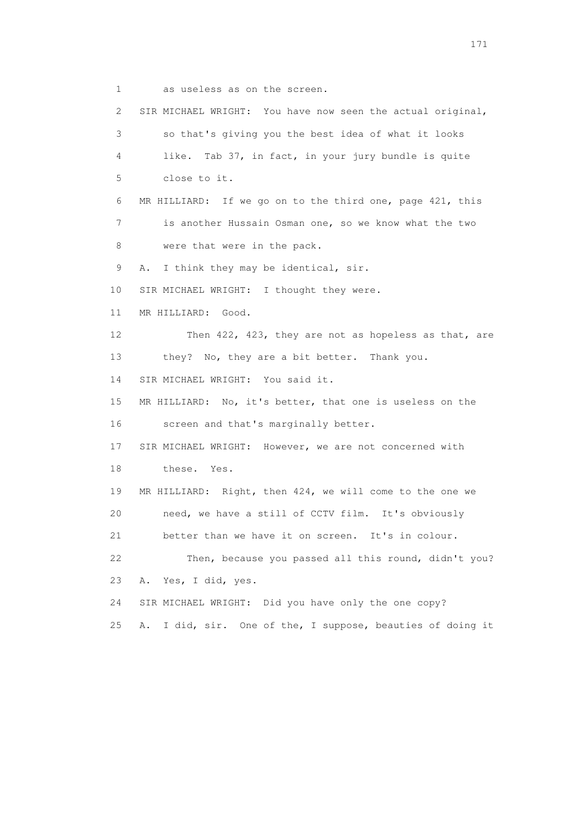1 as useless as on the screen.

 2 SIR MICHAEL WRIGHT: You have now seen the actual original, 3 so that's giving you the best idea of what it looks 4 like. Tab 37, in fact, in your jury bundle is quite 5 close to it. 6 MR HILLIARD: If we go on to the third one, page 421, this 7 is another Hussain Osman one, so we know what the two 8 were that were in the pack. 9 A. I think they may be identical, sir. 10 SIR MICHAEL WRIGHT: I thought they were. 11 MR HILLIARD: Good. 12 Then 422, 423, they are not as hopeless as that, are 13 they? No, they are a bit better. Thank you. 14 SIR MICHAEL WRIGHT: You said it. 15 MR HILLIARD: No, it's better, that one is useless on the 16 screen and that's marginally better. 17 SIR MICHAEL WRIGHT: However, we are not concerned with 18 these. Yes. 19 MR HILLIARD: Right, then 424, we will come to the one we 20 need, we have a still of CCTV film. It's obviously 21 better than we have it on screen. It's in colour. 22 Then, because you passed all this round, didn't you? 23 A. Yes, I did, yes. 24 SIR MICHAEL WRIGHT: Did you have only the one copy? 25 A. I did, sir. One of the, I suppose, beauties of doing it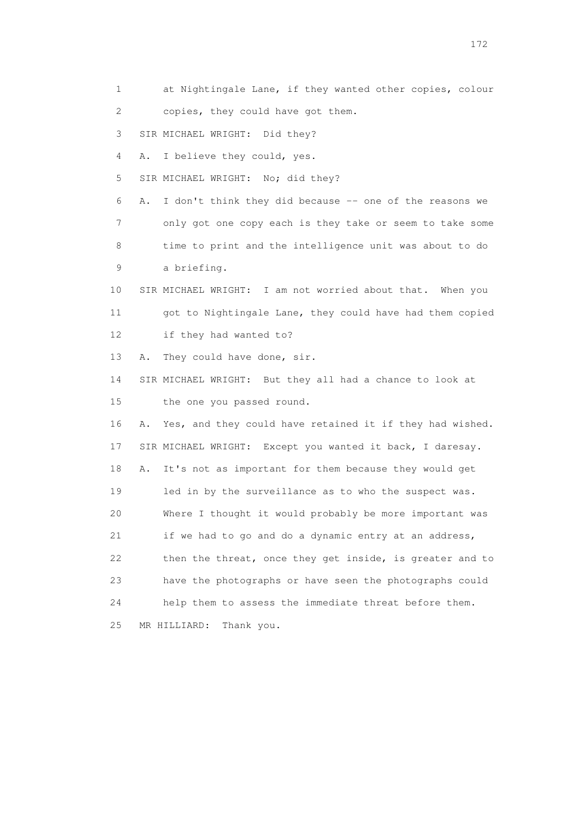1 at Nightingale Lane, if they wanted other copies, colour 2 copies, they could have got them. 3 SIR MICHAEL WRIGHT: Did they? 4 A. I believe they could, yes. 5 SIR MICHAEL WRIGHT: No; did they? 6 A. I don't think they did because -- one of the reasons we 7 only got one copy each is they take or seem to take some 8 time to print and the intelligence unit was about to do 9 a briefing. 10 SIR MICHAEL WRIGHT: I am not worried about that. When you 11 got to Nightingale Lane, they could have had them copied 12 if they had wanted to? 13 A. They could have done, sir. 14 SIR MICHAEL WRIGHT: But they all had a chance to look at 15 the one you passed round. 16 A. Yes, and they could have retained it if they had wished. 17 SIR MICHAEL WRIGHT: Except you wanted it back, I daresay. 18 A. It's not as important for them because they would get 19 led in by the surveillance as to who the suspect was. 20 Where I thought it would probably be more important was 21 if we had to go and do a dynamic entry at an address, 22 then the threat, once they get inside, is greater and to 23 have the photographs or have seen the photographs could 24 help them to assess the immediate threat before them. 25 MR HILLIARD: Thank you.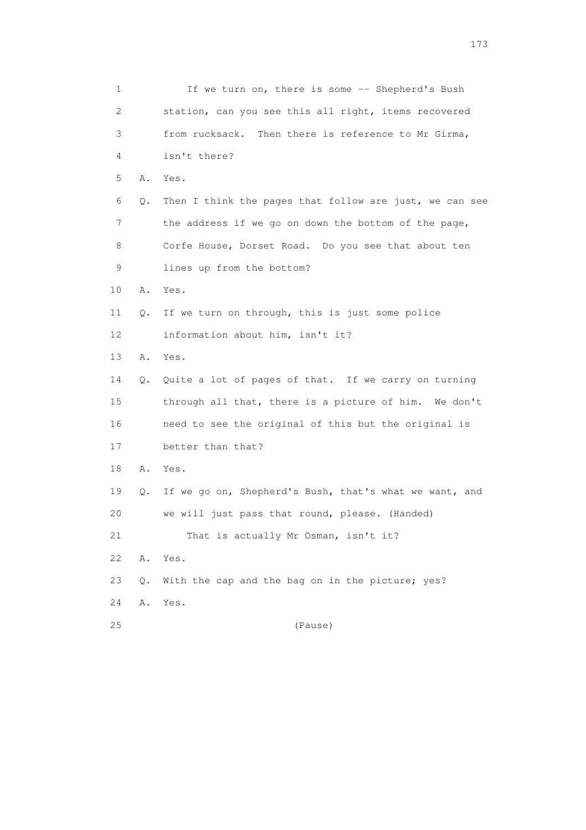| 1  |    | If we turn on, there is some -- Shepherd's Bush         |
|----|----|---------------------------------------------------------|
| 2  |    | station, can you see this all right, items recovered    |
| 3  |    | from rucksack. Then there is reference to Mr Girma,     |
| 4  |    | isn't there?                                            |
| 5  | Α. | Yes.                                                    |
| 6  | Q. | Then I think the pages that follow are just, we can see |
| 7  |    | the address if we go on down the bottom of the page,    |
| 8  |    | Corfe House, Dorset Road. Do you see that about ten     |
| 9  |    | lines up from the bottom?                               |
| 10 | Α. | Yes.                                                    |
| 11 | Q. | If we turn on through, this is just some police         |
| 12 |    | information about him, isn't it?                        |
| 13 | Α. | Yes.                                                    |
| 14 | Q. | Quite a lot of pages of that. If we carry on turning    |
| 15 |    | through all that, there is a picture of him. We don't   |
| 16 |    | need to see the original of this but the original is    |
| 17 |    | better than that?                                       |
| 18 | Α. | Yes.                                                    |
| 19 | Q. | If we go on, Shepherd's Bush, that's what we want, and  |
| 20 |    | we will just pass that round, please. (Handed)          |
| 21 |    | That is actually Mr Osman, isn't it?                    |
| 22 | Α. | Yes.                                                    |
| 23 | Q. | With the cap and the bag on in the picture; yes?        |
| 24 | Α. | Yes.                                                    |
| 25 |    | (Pause)                                                 |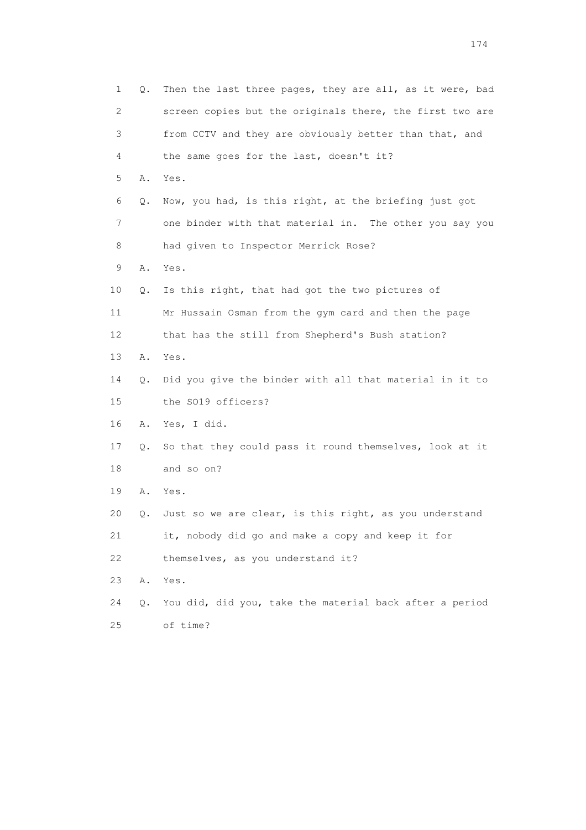| 1              | Q. | Then the last three pages, they are all, as it were, bad |
|----------------|----|----------------------------------------------------------|
| $\overline{2}$ |    | screen copies but the originals there, the first two are |
| 3              |    | from CCTV and they are obviously better than that, and   |
| 4              |    | the same goes for the last, doesn't it?                  |
| 5              | Α. | Yes.                                                     |
| 6              | Q. | Now, you had, is this right, at the briefing just got    |
| 7              |    | one binder with that material in. The other you say you  |
| 8              |    | had given to Inspector Merrick Rose?                     |
| 9              | Α. | Yes.                                                     |
| 10             | Q. | Is this right, that had got the two pictures of          |
| 11             |    | Mr Hussain Osman from the gym card and then the page     |
| 12             |    | that has the still from Shepherd's Bush station?         |
| 13             | Α. | Yes.                                                     |
| 14             | Q. | Did you give the binder with all that material in it to  |
| 15             |    | the SO19 officers?                                       |
| 16             | Α. | Yes, I did.                                              |
| 17             | Q. | So that they could pass it round themselves, look at it  |
| 18             |    | and so on?                                               |
| 19             | Α. | Yes.                                                     |
| 20             | Q. | Just so we are clear, is this right, as you understand   |
| 21             |    | it, nobody did go and make a copy and keep it for        |
| 22             |    | themselves, as you understand it?                        |
| 23             | Α. | Yes.                                                     |
| 24             | Q. | You did, did you, take the material back after a period  |
| 25             |    | of time?                                                 |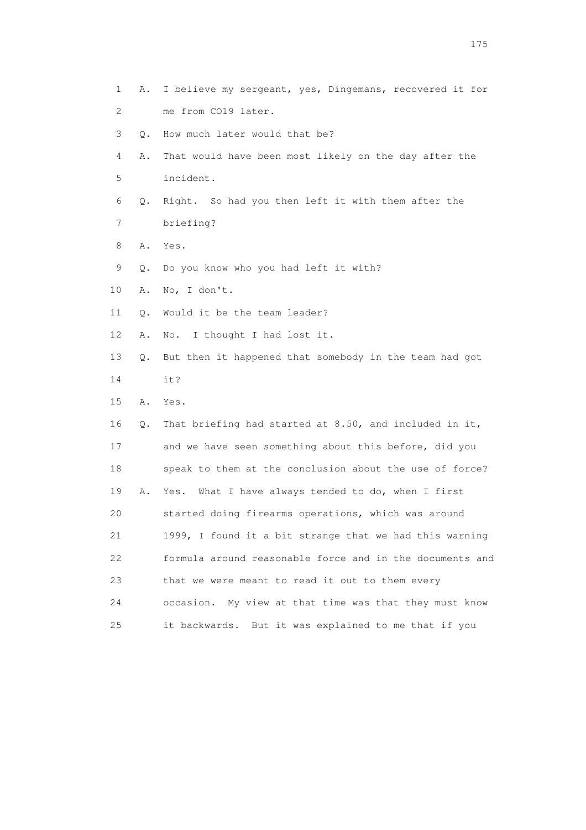1 A. I believe my sergeant, yes, Dingemans, recovered it for 2 me from CO19 later. 3 Q. How much later would that be? 4 A. That would have been most likely on the day after the 5 incident. 6 Q. Right. So had you then left it with them after the 7 briefing? 8 A. Yes. 9 Q. Do you know who you had left it with? 10 A. No, I don't. 11 Q. Would it be the team leader? 12 A. No. I thought I had lost it. 13 Q. But then it happened that somebody in the team had got 14 it? 15 A. Yes. 16 Q. That briefing had started at 8.50, and included in it, 17 and we have seen something about this before, did you 18 speak to them at the conclusion about the use of force? 19 A. Yes. What I have always tended to do, when I first 20 started doing firearms operations, which was around 21 1999, I found it a bit strange that we had this warning 22 formula around reasonable force and in the documents and 23 that we were meant to read it out to them every 24 occasion. My view at that time was that they must know 25 it backwards. But it was explained to me that if you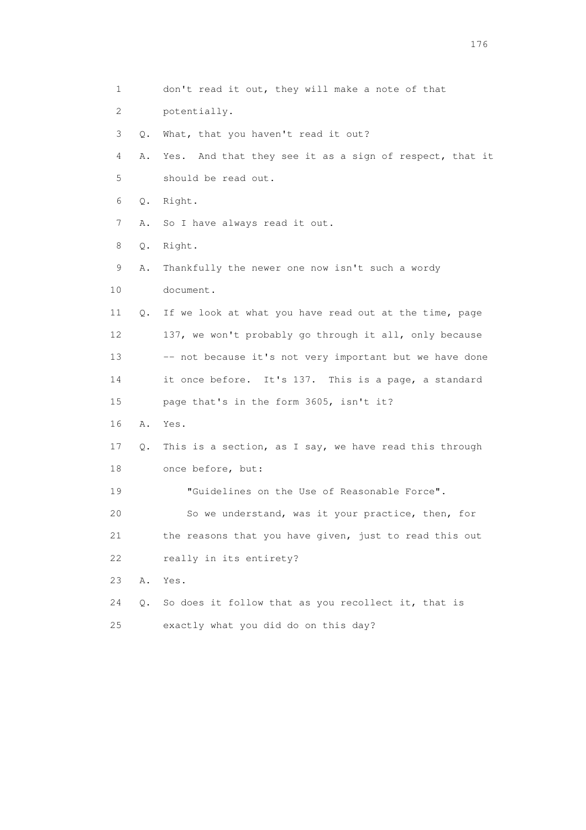1 don't read it out, they will make a note of that 2 potentially. 3 Q. What, that you haven't read it out? 4 A. Yes. And that they see it as a sign of respect, that it 5 should be read out. 6 Q. Right. 7 A. So I have always read it out. 8 Q. Right. 9 A. Thankfully the newer one now isn't such a wordy 10 document. 11 Q. If we look at what you have read out at the time, page 12 137, we won't probably go through it all, only because 13 -- not because it's not very important but we have done 14 it once before. It's 137. This is a page, a standard 15 page that's in the form 3605, isn't it? 16 A. Yes. 17 Q. This is a section, as I say, we have read this through 18 once before, but: 19 "Guidelines on the Use of Reasonable Force". 20 So we understand, was it your practice, then, for 21 the reasons that you have given, just to read this out 22 really in its entirety? 23 A. Yes. 24 Q. So does it follow that as you recollect it, that is 25 exactly what you did do on this day?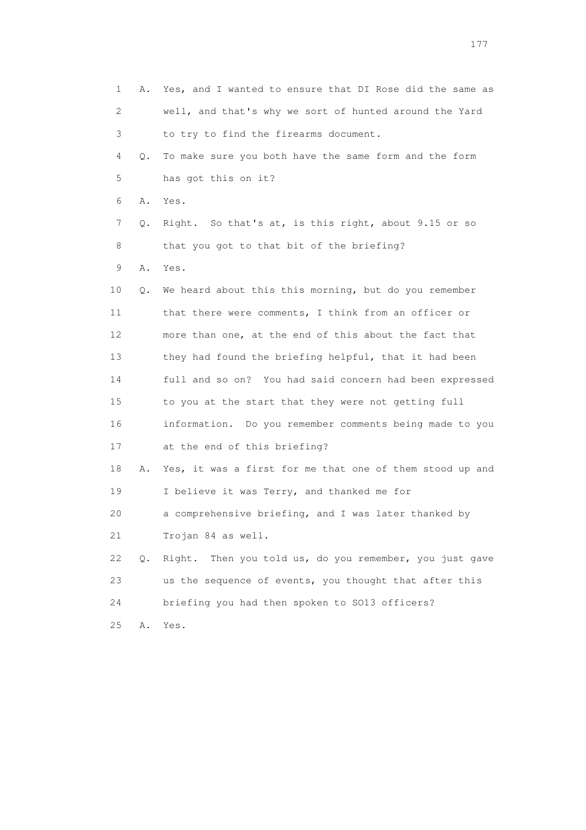1 A. Yes, and I wanted to ensure that DI Rose did the same as 2 well, and that's why we sort of hunted around the Yard 3 to try to find the firearms document. 4 Q. To make sure you both have the same form and the form 5 has got this on it? 6 A. Yes. 7 Q. Right. So that's at, is this right, about 9.15 or so 8 that you got to that bit of the briefing? 9 A. Yes. 10 Q. We heard about this this morning, but do you remember 11 that there were comments, I think from an officer or 12 more than one, at the end of this about the fact that 13 they had found the briefing helpful, that it had been 14 full and so on? You had said concern had been expressed 15 to you at the start that they were not getting full 16 information. Do you remember comments being made to you 17 at the end of this briefing? 18 A. Yes, it was a first for me that one of them stood up and 19 I believe it was Terry, and thanked me for 20 a comprehensive briefing, and I was later thanked by 21 Trojan 84 as well. 22 Q. Right. Then you told us, do you remember, you just gave 23 us the sequence of events, you thought that after this 24 briefing you had then spoken to SO13 officers? 25 A. Yes.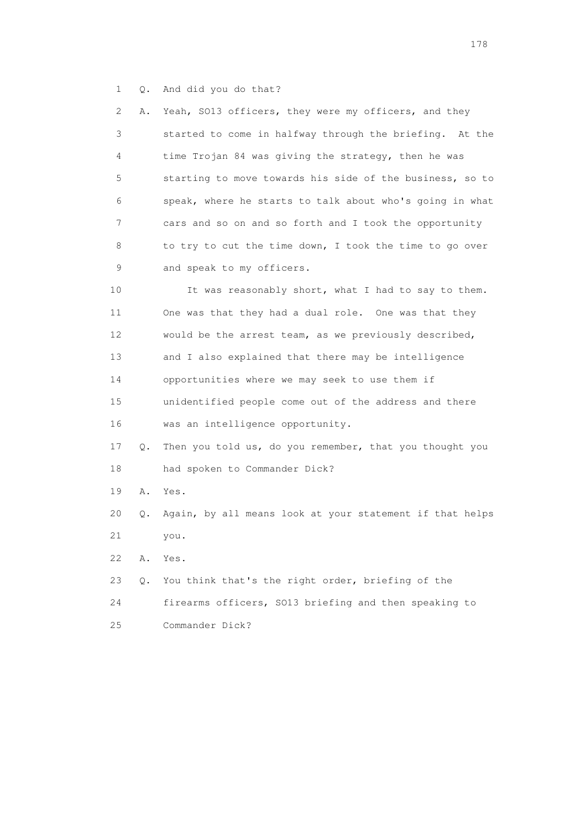1 Q. And did you do that?

| 2 | A. Yeah, SO13 officers, they were my officers, and they  |
|---|----------------------------------------------------------|
| 3 | started to come in halfway through the briefing. At the  |
| 4 | time Trojan 84 was giving the strategy, then he was      |
| 5 | starting to move towards his side of the business, so to |
| 6 | speak, where he starts to talk about who's going in what |
| 7 | cars and so on and so forth and I took the opportunity   |
| 8 | to try to cut the time down, I took the time to go over  |
| 9 | and speak to my officers.                                |

10 It was reasonably short, what I had to say to them. 11 One was that they had a dual role. One was that they 12 would be the arrest team, as we previously described, 13 and I also explained that there may be intelligence 14 opportunities where we may seek to use them if 15 unidentified people come out of the address and there 16 was an intelligence opportunity.

- 17 Q. Then you told us, do you remember, that you thought you 18 had spoken to Commander Dick?
- 19 A. Yes.
- 20 Q. Again, by all means look at your statement if that helps 21 you.
- 22 A. Yes.
- 23 Q. You think that's the right order, briefing of the 24 firearms officers, SO13 briefing and then speaking to 25 Commander Dick?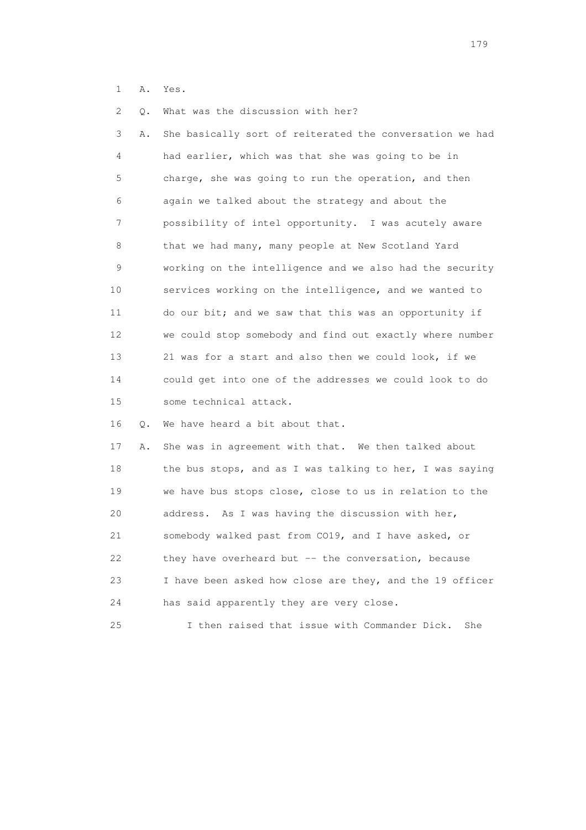1 A. Yes.

2 Q. What was the discussion with her?

 3 A. She basically sort of reiterated the conversation we had 4 had earlier, which was that she was going to be in 5 charge, she was going to run the operation, and then 6 again we talked about the strategy and about the 7 possibility of intel opportunity. I was acutely aware 8 that we had many, many people at New Scotland Yard 9 working on the intelligence and we also had the security 10 services working on the intelligence, and we wanted to 11 do our bit; and we saw that this was an opportunity if 12 we could stop somebody and find out exactly where number 13 21 was for a start and also then we could look, if we 14 could get into one of the addresses we could look to do 15 some technical attack.

16 Q. We have heard a bit about that.

 17 A. She was in agreement with that. We then talked about 18 the bus stops, and as I was talking to her, I was saying 19 we have bus stops close, close to us in relation to the 20 address. As I was having the discussion with her, 21 somebody walked past from CO19, and I have asked, or 22 they have overheard but -- the conversation, because 23 I have been asked how close are they, and the 19 officer 24 has said apparently they are very close.

25 I then raised that issue with Commander Dick. She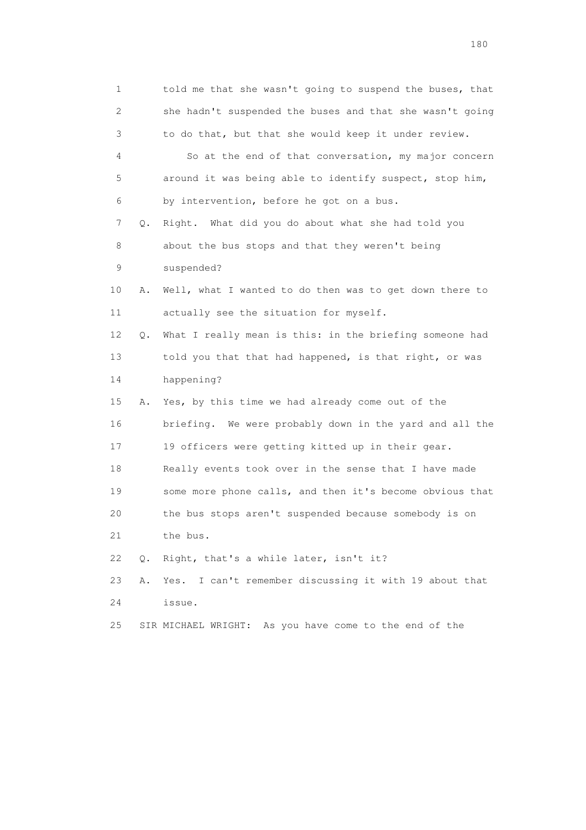1 told me that she wasn't going to suspend the buses, that 2 she hadn't suspended the buses and that she wasn't going 3 to do that, but that she would keep it under review. 4 So at the end of that conversation, my major concern 5 around it was being able to identify suspect, stop him, 6 by intervention, before he got on a bus. 7 Q. Right. What did you do about what she had told you 8 about the bus stops and that they weren't being 9 suspended? 10 A. Well, what I wanted to do then was to get down there to 11 actually see the situation for myself. 12 Q. What I really mean is this: in the briefing someone had 13 told you that that had happened, is that right, or was 14 happening? 15 A. Yes, by this time we had already come out of the 16 briefing. We were probably down in the yard and all the 17 19 officers were getting kitted up in their gear. 18 Really events took over in the sense that I have made 19 some more phone calls, and then it's become obvious that 20 the bus stops aren't suspended because somebody is on 21 the bus. 22 Q. Right, that's a while later, isn't it? 23 A. Yes. I can't remember discussing it with 19 about that 24 issue. 25 SIR MICHAEL WRIGHT: As you have come to the end of the

180 and 180 and 180 and 180 and 180 and 180 and 180 and 180 and 180 and 180 and 180 and 180 and 180 and 180 and 180 and 180 and 180 and 180 and 180 and 180 and 180 and 180 and 180 and 180 and 180 and 180 and 180 and 180 an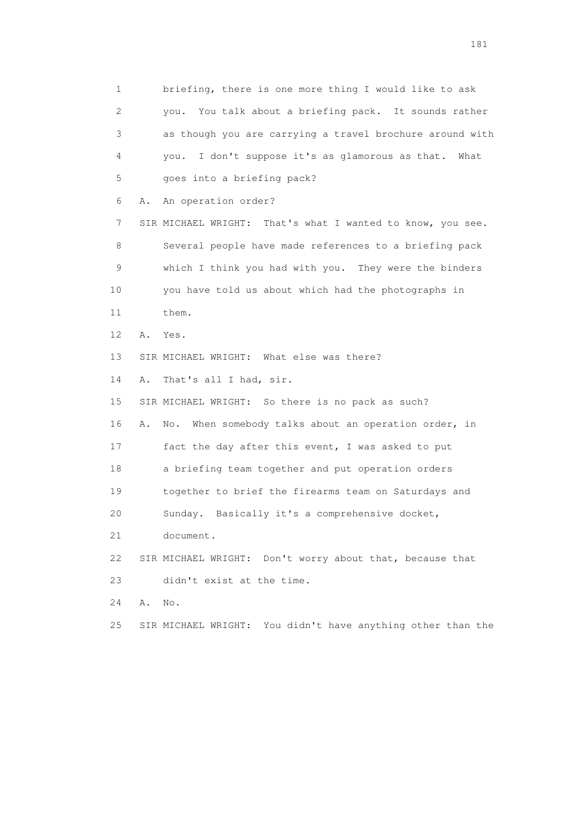1 briefing, there is one more thing I would like to ask 2 you. You talk about a briefing pack. It sounds rather 3 as though you are carrying a travel brochure around with 4 you. I don't suppose it's as glamorous as that. What 5 goes into a briefing pack? 6 A. An operation order? 7 SIR MICHAEL WRIGHT: That's what I wanted to know, you see. 8 Several people have made references to a briefing pack 9 which I think you had with you. They were the binders 10 you have told us about which had the photographs in 11 them. 12 A. Yes. 13 SIR MICHAEL WRIGHT: What else was there? 14 A. That's all I had, sir. 15 SIR MICHAEL WRIGHT: So there is no pack as such? 16 A. No. When somebody talks about an operation order, in 17 fact the day after this event, I was asked to put 18 a briefing team together and put operation orders 19 together to brief the firearms team on Saturdays and 20 Sunday. Basically it's a comprehensive docket, 21 document. 22 SIR MICHAEL WRIGHT: Don't worry about that, because that 23 didn't exist at the time. 24 A. No. 25 SIR MICHAEL WRIGHT: You didn't have anything other than the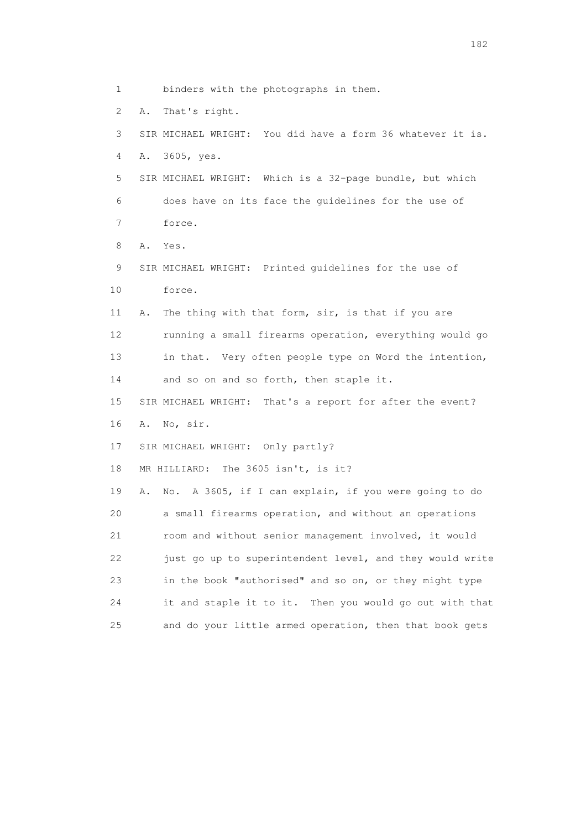1 binders with the photographs in them.

2 A. That's right.

 3 SIR MICHAEL WRIGHT: You did have a form 36 whatever it is. 4 A. 3605, yes.

 5 SIR MICHAEL WRIGHT: Which is a 32-page bundle, but which 6 does have on its face the guidelines for the use of 7 force.

8 A. Yes.

 9 SIR MICHAEL WRIGHT: Printed guidelines for the use of 10 force.

 11 A. The thing with that form, sir, is that if you are 12 running a small firearms operation, everything would go 13 in that. Very often people type on Word the intention, 14 and so on and so forth, then staple it.

 15 SIR MICHAEL WRIGHT: That's a report for after the event? 16 A. No, sir.

17 SIR MICHAEL WRIGHT: Only partly?

18 MR HILLIARD: The 3605 isn't, is it?

 19 A. No. A 3605, if I can explain, if you were going to do 20 a small firearms operation, and without an operations 21 room and without senior management involved, it would 22 just go up to superintendent level, and they would write 23 in the book "authorised" and so on, or they might type 24 it and staple it to it. Then you would go out with that 25 and do your little armed operation, then that book gets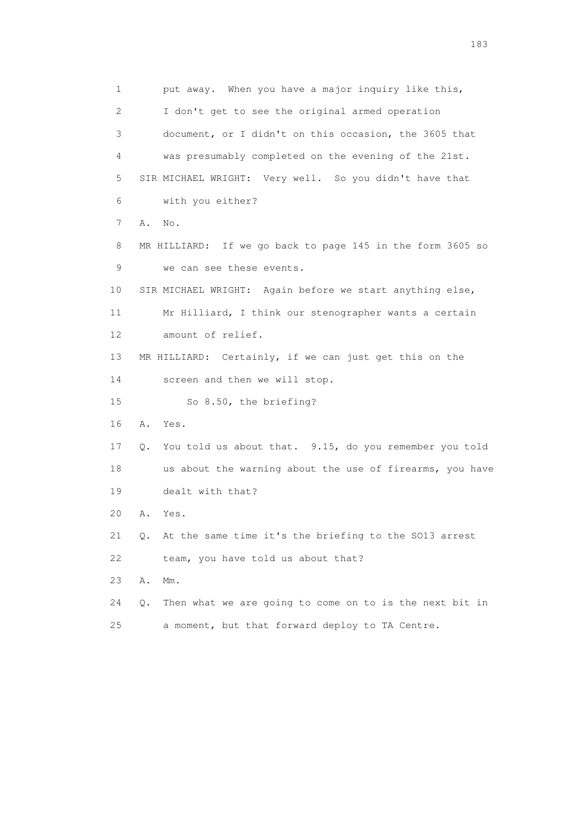1 put away. When you have a major inquiry like this, 2 I don't get to see the original armed operation 3 document, or I didn't on this occasion, the 3605 that 4 was presumably completed on the evening of the 21st. 5 SIR MICHAEL WRIGHT: Very well. So you didn't have that 6 with you either? 7 A. No. 8 MR HILLIARD: If we go back to page 145 in the form 3605 so 9 we can see these events. 10 SIR MICHAEL WRIGHT: Again before we start anything else, 11 Mr Hilliard, I think our stenographer wants a certain 12 amount of relief. 13 MR HILLIARD: Certainly, if we can just get this on the 14 screen and then we will stop. 15 So 8.50, the briefing? 16 A. Yes. 17 Q. You told us about that. 9.15, do you remember you told 18 us about the warning about the use of firearms, you have 19 dealt with that? 20 A. Yes. 21 Q. At the same time it's the briefing to the SO13 arrest 22 team, you have told us about that? 23 A. Mm. 24 Q. Then what we are going to come on to is the next bit in

25 a moment, but that forward deploy to TA Centre.

183 and the contract of the contract of the contract of the contract of the contract of the contract of the contract of the contract of the contract of the contract of the contract of the contract of the contract of the co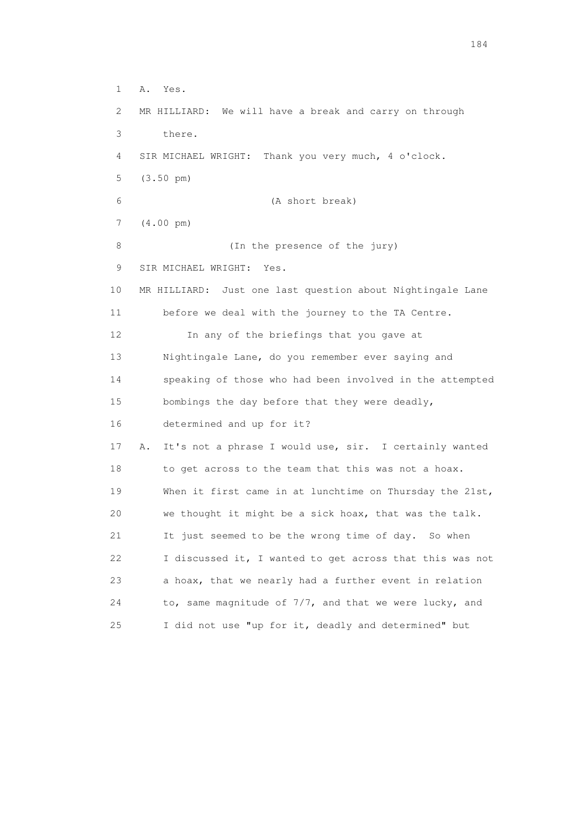1 A. Yes. 2 MR HILLIARD: We will have a break and carry on through 3 there. 4 SIR MICHAEL WRIGHT: Thank you very much, 4 o'clock. 5 (3.50 pm) 6 (A short break) 7 (4.00 pm) 8 (In the presence of the jury) 9 SIR MICHAEL WRIGHT: Yes. 10 MR HILLIARD: Just one last question about Nightingale Lane 11 before we deal with the journey to the TA Centre. 12 In any of the briefings that you gave at 13 Nightingale Lane, do you remember ever saying and 14 speaking of those who had been involved in the attempted 15 bombings the day before that they were deadly, 16 determined and up for it? 17 A. It's not a phrase I would use, sir. I certainly wanted 18 to get across to the team that this was not a hoax. 19 When it first came in at lunchtime on Thursday the 21st, 20 we thought it might be a sick hoax, that was the talk. 21 It just seemed to be the wrong time of day. So when 22 I discussed it, I wanted to get across that this was not 23 a hoax, that we nearly had a further event in relation 24 to, same magnitude of 7/7, and that we were lucky, and 25 I did not use "up for it, deadly and determined" but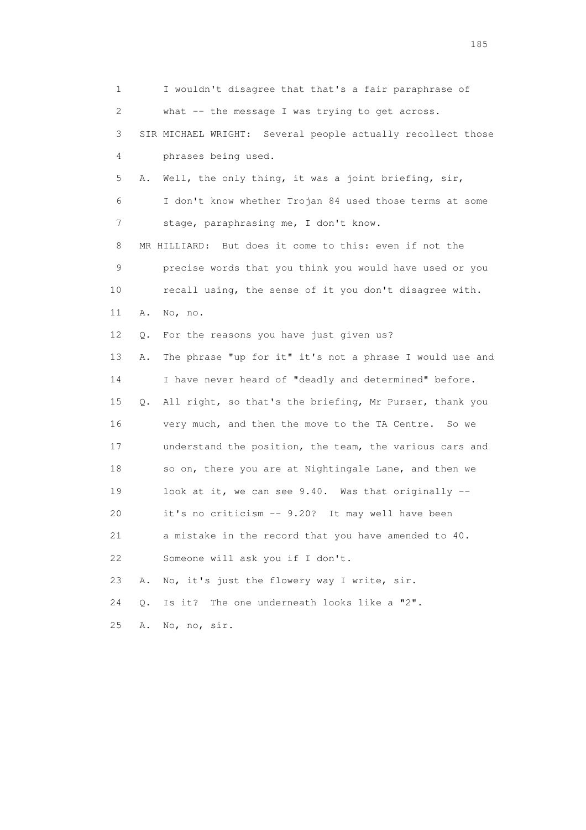1 I wouldn't disagree that that's a fair paraphrase of 2 what -- the message I was trying to get across. 3 SIR MICHAEL WRIGHT: Several people actually recollect those 4 phrases being used. 5 A. Well, the only thing, it was a joint briefing, sir, 6 I don't know whether Trojan 84 used those terms at some 7 stage, paraphrasing me, I don't know. 8 MR HILLIARD: But does it come to this: even if not the 9 precise words that you think you would have used or you 10 recall using, the sense of it you don't disagree with. 11 A. No, no. 12 Q. For the reasons you have just given us? 13 A. The phrase "up for it" it's not a phrase I would use and 14 I have never heard of "deadly and determined" before. 15 Q. All right, so that's the briefing, Mr Purser, thank you 16 very much, and then the move to the TA Centre. So we 17 understand the position, the team, the various cars and 18 so on, there you are at Nightingale Lane, and then we 19 look at it, we can see 9.40. Was that originally -- 20 it's no criticism -- 9.20? It may well have been 21 a mistake in the record that you have amended to 40. 22 Someone will ask you if I don't. 23 A. No, it's just the flowery way I write, sir. 24 Q. Is it? The one underneath looks like a "2". 25 A. No, no, sir.

<u>185</u>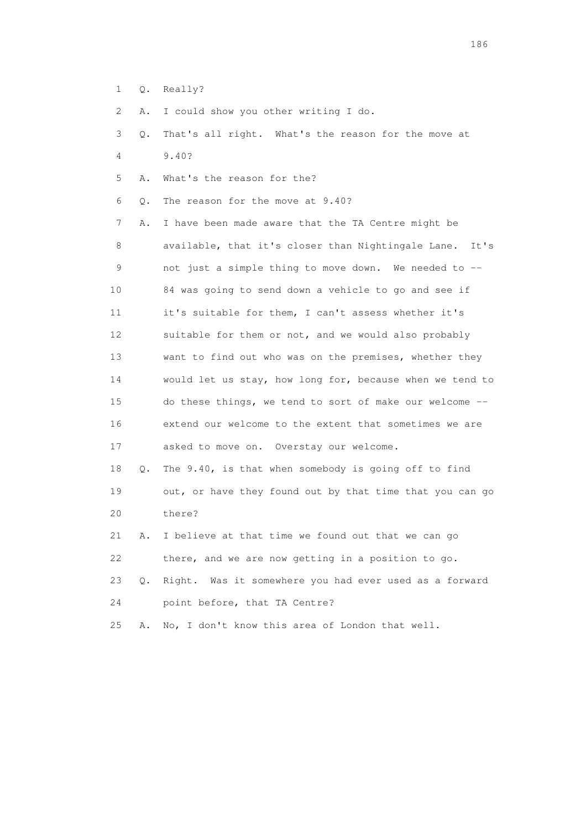1 Q. Really?

2 A. I could show you other writing I do.

 3 Q. That's all right. What's the reason for the move at 4 9.40?

5 A. What's the reason for the?

6 Q. The reason for the move at 9.40?

 7 A. I have been made aware that the TA Centre might be 8 available, that it's closer than Nightingale Lane. It's 9 not just a simple thing to move down. We needed to -- 10 84 was going to send down a vehicle to go and see if 11 it's suitable for them, I can't assess whether it's 12 suitable for them or not, and we would also probably 13 want to find out who was on the premises, whether they 14 would let us stay, how long for, because when we tend to 15 do these things, we tend to sort of make our welcome -- 16 extend our welcome to the extent that sometimes we are 17 asked to move on. Overstay our welcome.

 18 Q. The 9.40, is that when somebody is going off to find 19 out, or have they found out by that time that you can go 20 there?

 21 A. I believe at that time we found out that we can go 22 there, and we are now getting in a position to go.

 23 Q. Right. Was it somewhere you had ever used as a forward 24 point before, that TA Centre?

25 A. No, I don't know this area of London that well.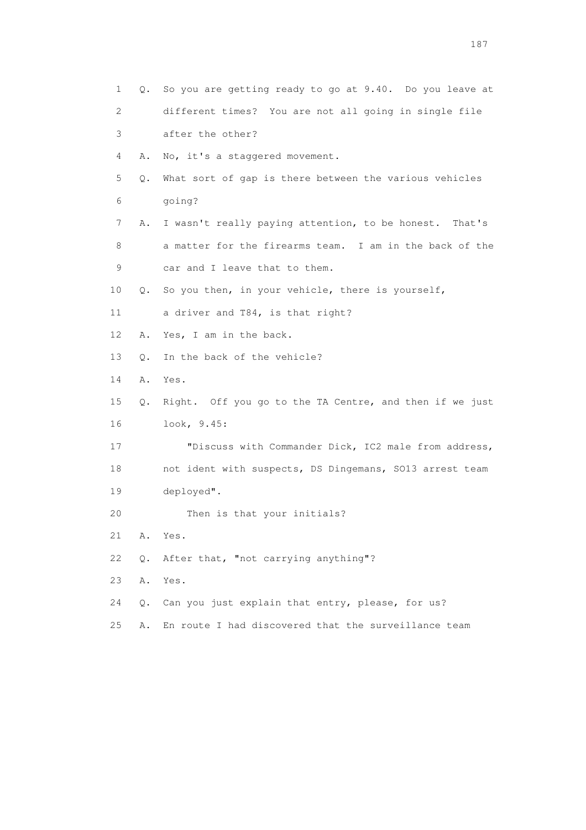| 1  | Q. | So you are getting ready to go at 9.40. Do you leave at |
|----|----|---------------------------------------------------------|
| 2  |    | different times? You are not all going in single file   |
| 3  |    | after the other?                                        |
| 4  | Α. | No, it's a staggered movement.                          |
| 5  | Q. | What sort of gap is there between the various vehicles  |
| 6  |    | qoing?                                                  |
| 7  | Α. | I wasn't really paying attention, to be honest. That's  |
| 8  |    | a matter for the firearms team. I am in the back of the |
| 9  |    | car and I leave that to them.                           |
| 10 | Q. | So you then, in your vehicle, there is yourself,        |
| 11 |    | a driver and T84, is that right?                        |
| 12 | Α. | Yes, I am in the back.                                  |
| 13 | О. | In the back of the vehicle?                             |
| 14 | Α. | Yes.                                                    |
| 15 | Q. | Right. Off you go to the TA Centre, and then if we just |
| 16 |    | look, 9.45:                                             |
| 17 |    | "Discuss with Commander Dick, IC2 male from address,    |
| 18 |    | not ident with suspects, DS Dingemans, SO13 arrest team |
| 19 |    | deployed".                                              |
| 20 |    | Then is that your initials?                             |
| 21 | Α. | Yes.                                                    |
| 22 | Q. | After that, "not carrying anything"?                    |
| 23 | Α. | Yes.                                                    |
| 24 | О. | Can you just explain that entry, please, for us?        |
| 25 | Α. | En route I had discovered that the surveillance team    |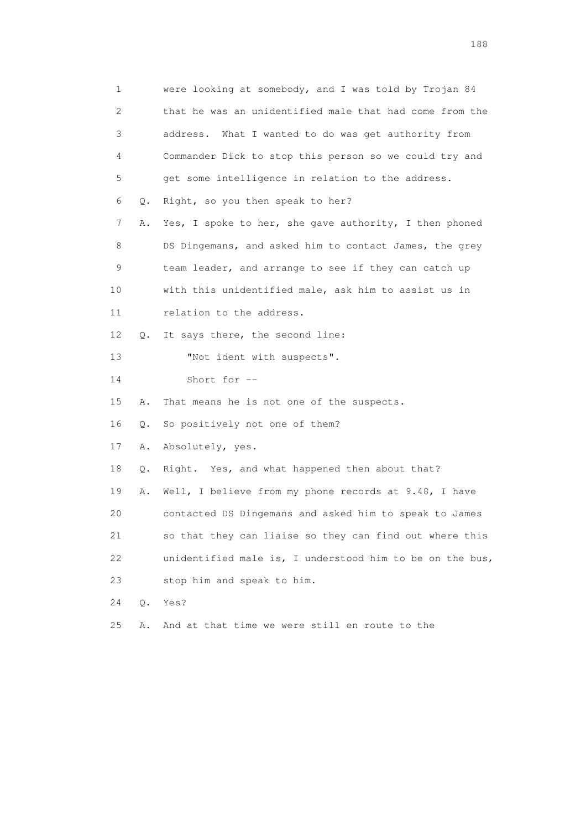1 were looking at somebody, and I was told by Trojan 84 2 that he was an unidentified male that had come from the 3 address. What I wanted to do was get authority from 4 Commander Dick to stop this person so we could try and 5 get some intelligence in relation to the address. 6 Q. Right, so you then speak to her? 7 A. Yes, I spoke to her, she gave authority, I then phoned 8 DS Dingemans, and asked him to contact James, the grey 9 team leader, and arrange to see if they can catch up 10 with this unidentified male, ask him to assist us in 11 relation to the address. 12 Q. It says there, the second line: 13 "Not ident with suspects". 14 Short for -- 15 A. That means he is not one of the suspects. 16 Q. So positively not one of them? 17 A. Absolutely, yes. 18 Q. Right. Yes, and what happened then about that? 19 A. Well, I believe from my phone records at 9.48, I have 20 contacted DS Dingemans and asked him to speak to James 21 so that they can liaise so they can find out where this 22 unidentified male is, I understood him to be on the bus, 23 stop him and speak to him. 24 Q. Yes? 25 A. And at that time we were still en route to the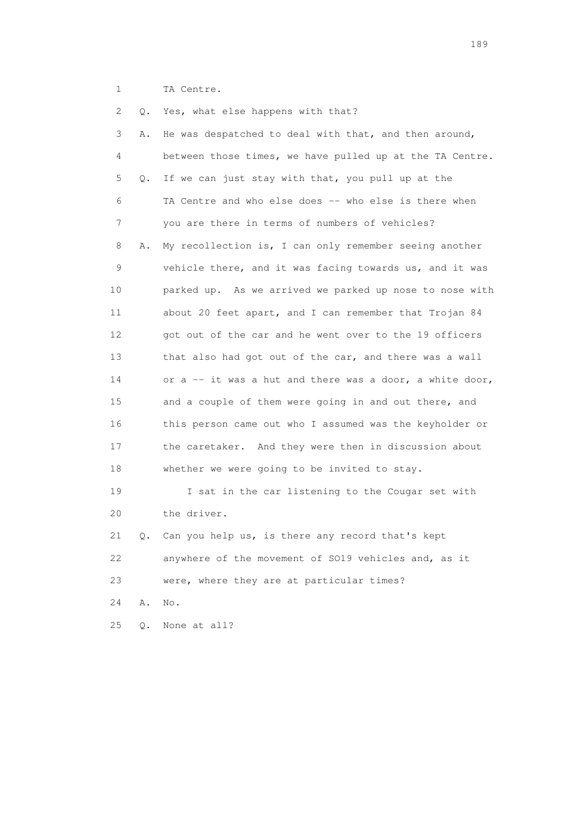1 TA Centre.

| 2  | Q. | Yes, what else happens with that?                          |
|----|----|------------------------------------------------------------|
| 3  | Α. | He was despatched to deal with that, and then around,      |
| 4  |    | between those times, we have pulled up at the TA Centre.   |
| 5  | Q. | If we can just stay with that, you pull up at the          |
| 6  |    | TA Centre and who else does -- who else is there when      |
| 7  |    | you are there in terms of numbers of vehicles?             |
| 8  | Α. | My recollection is, I can only remember seeing another     |
| 9  |    | vehicle there, and it was facing towards us, and it was    |
| 10 |    | parked up. As we arrived we parked up nose to nose with    |
| 11 |    | about 20 feet apart, and I can remember that Trojan 84     |
| 12 |    | got out of the car and he went over to the 19 officers     |
| 13 |    | that also had got out of the car, and there was a wall     |
| 14 |    | or $a - i t$ was a hut and there was a door, a white door, |
| 15 |    | and a couple of them were going in and out there, and      |
| 16 |    | this person came out who I assumed was the keyholder or    |
| 17 |    | the caretaker. And they were then in discussion about      |
| 18 |    | whether we were going to be invited to stay.               |
| 19 |    | I sat in the car listening to the Cougar set with          |
| 20 |    | the driver.                                                |
| 21 | Q. | Can you help us, is there any record that's kept           |
| 22 |    | anywhere of the movement of SO19 vehicles and, as it       |
| 23 |    | were, where they are at particular times?                  |
| 24 | Α. | No.                                                        |
| 25 | Q. | None at all?                                               |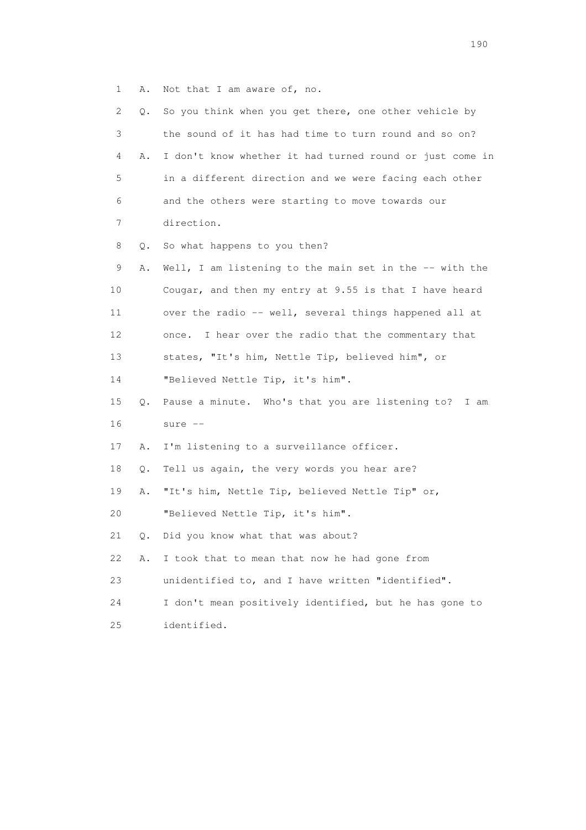1 A. Not that I am aware of, no.

| 2               | Q.        | So you think when you get there, one other vehicle by    |
|-----------------|-----------|----------------------------------------------------------|
| 3               |           | the sound of it has had time to turn round and so on?    |
| 4               | Α.        | I don't know whether it had turned round or just come in |
| 5               |           | in a different direction and we were facing each other   |
| 6               |           | and the others were starting to move towards our         |
| 7               |           | direction.                                               |
| 8               | Q.        | So what happens to you then?                             |
| 9               | Α.        | Well, I am listening to the main set in the -- with the  |
| 10              |           | Cougar, and then my entry at 9.55 is that I have heard   |
| 11              |           | over the radio -- well, several things happened all at   |
| 12 <sup>°</sup> |           | I hear over the radio that the commentary that<br>once.  |
| 13              |           | states, "It's him, Nettle Tip, believed him", or         |
| 14              |           | "Believed Nettle Tip, it's him".                         |
| 15              | Q.        | Pause a minute. Who's that you are listening to? I am    |
| 16              |           | sure $--$                                                |
| 17              | Α.        | I'm listening to a surveillance officer.                 |
| 18              | Q.        | Tell us again, the very words you hear are?              |
| 19              | Α.        | "It's him, Nettle Tip, believed Nettle Tip" or,          |
| 20              |           | "Believed Nettle Tip, it's him".                         |
| 21              | $\circ$ . | Did you know what that was about?                        |
| 22              | Α.        | I took that to mean that now he had gone from            |
| 23              |           | unidentified to, and I have written "identified".        |
| 24              |           | I don't mean positively identified, but he has gone to   |
| 25              |           | identified.                                              |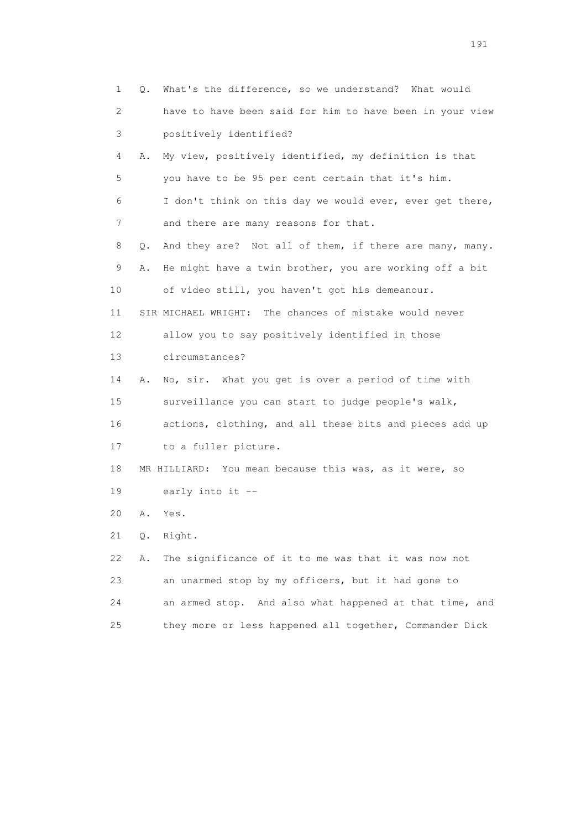1 Q. What's the difference, so we understand? What would 2 have to have been said for him to have been in your view 3 positively identified? 4 A. My view, positively identified, my definition is that 5 you have to be 95 per cent certain that it's him. 6 I don't think on this day we would ever, ever get there, 7 and there are many reasons for that. 8 Q. And they are? Not all of them, if there are many, many. 9 A. He might have a twin brother, you are working off a bit 10 of video still, you haven't got his demeanour. 11 SIR MICHAEL WRIGHT: The chances of mistake would never 12 allow you to say positively identified in those 13 circumstances? 14 A. No, sir. What you get is over a period of time with 15 surveillance you can start to judge people's walk, 16 actions, clothing, and all these bits and pieces add up 17 to a fuller picture. 18 MR HILLIARD: You mean because this was, as it were, so 19 early into it -- 20 A. Yes. 21 Q. Right. 22 A. The significance of it to me was that it was now not 23 an unarmed stop by my officers, but it had gone to 24 an armed stop. And also what happened at that time, and 25 they more or less happened all together, Commander Dick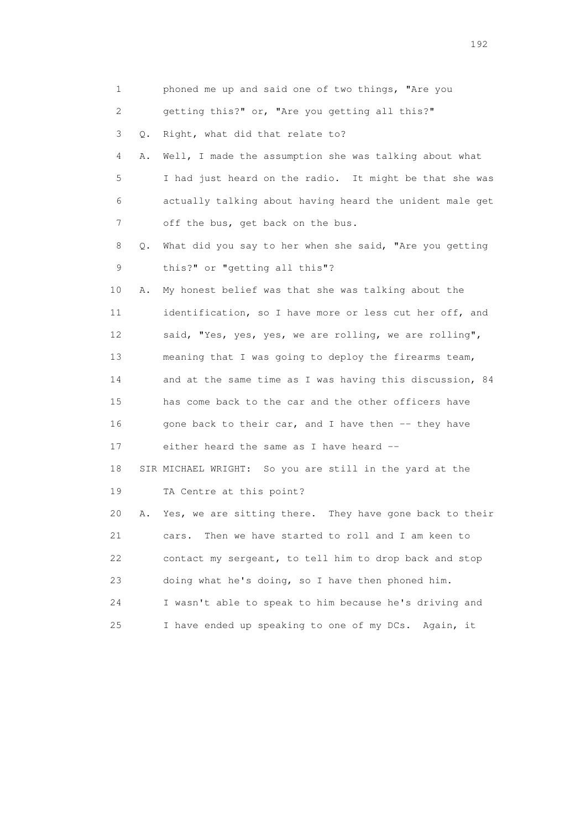| 1                         |    | phoned me up and said one of two things, "Are you        |
|---------------------------|----|----------------------------------------------------------|
| $\mathbf{2}^{\mathsf{I}}$ |    | getting this?" or, "Are you getting all this?"           |
| 3                         | Q. | Right, what did that relate to?                          |
| 4                         | Α. | Well, I made the assumption she was talking about what   |
| 5                         |    | I had just heard on the radio. It might be that she was  |
| 6                         |    | actually talking about having heard the unident male get |
| 7                         |    | off the bus, get back on the bus.                        |
| 8                         | Q. | What did you say to her when she said, "Are you getting  |
| 9                         |    | this?" or "getting all this"?                            |
| 10                        | Α. | My honest belief was that she was talking about the      |
| 11                        |    | identification, so I have more or less cut her off, and  |
| 12 <sup>°</sup>           |    | said, "Yes, yes, yes, we are rolling, we are rolling",   |
| 13                        |    | meaning that I was going to deploy the firearms team,    |
| 14                        |    | and at the same time as I was having this discussion, 84 |
| 15                        |    | has come back to the car and the other officers have     |
| 16                        |    | gone back to their car, and I have then -- they have     |
| 17                        |    | either heard the same as I have heard --                 |
| 18                        |    | SIR MICHAEL WRIGHT: So you are still in the yard at the  |
| 19                        |    | TA Centre at this point?                                 |
| 20                        | Α. | Yes, we are sitting there. They have gone back to their  |
| 21                        |    | Then we have started to roll and I am keen to<br>cars.   |
| 22                        |    | contact my sergeant, to tell him to drop back and stop   |
| 23                        |    | doing what he's doing, so I have then phoned him.        |
| 24                        |    | I wasn't able to speak to him because he's driving and   |
| 25                        |    | I have ended up speaking to one of my DCs.<br>Again, it  |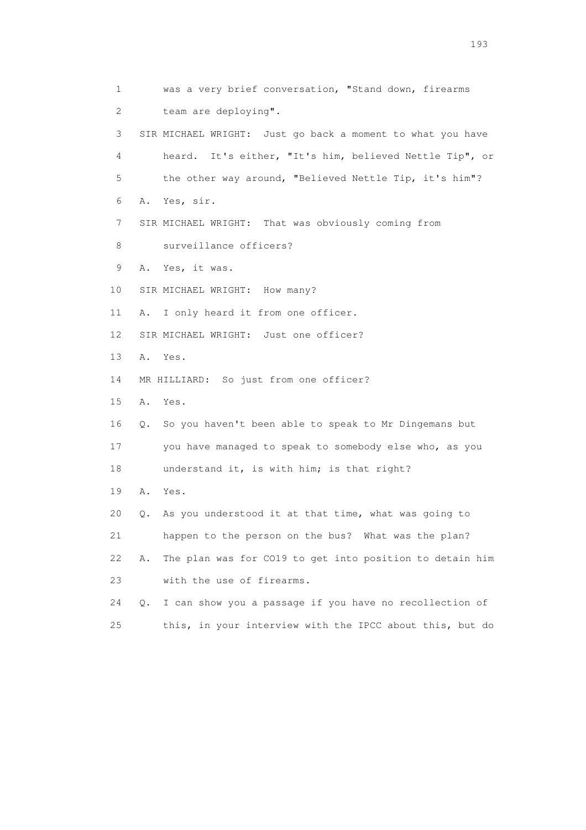1 was a very brief conversation, "Stand down, firearms 2 team are deploying". 3 SIR MICHAEL WRIGHT: Just go back a moment to what you have 4 heard. It's either, "It's him, believed Nettle Tip", or 5 the other way around, "Believed Nettle Tip, it's him"? 6 A. Yes, sir. 7 SIR MICHAEL WRIGHT: That was obviously coming from 8 surveillance officers? 9 A. Yes, it was. 10 SIR MICHAEL WRIGHT: How many? 11 A. I only heard it from one officer. 12 SIR MICHAEL WRIGHT: Just one officer? 13 A. Yes. 14 MR HILLIARD: So just from one officer? 15 A. Yes. 16 Q. So you haven't been able to speak to Mr Dingemans but 17 you have managed to speak to somebody else who, as you 18 understand it, is with him; is that right? 19 A. Yes. 20 Q. As you understood it at that time, what was going to 21 happen to the person on the bus? What was the plan? 22 A. The plan was for CO19 to get into position to detain him 23 with the use of firearms. 24 Q. I can show you a passage if you have no recollection of 25 this, in your interview with the IPCC about this, but do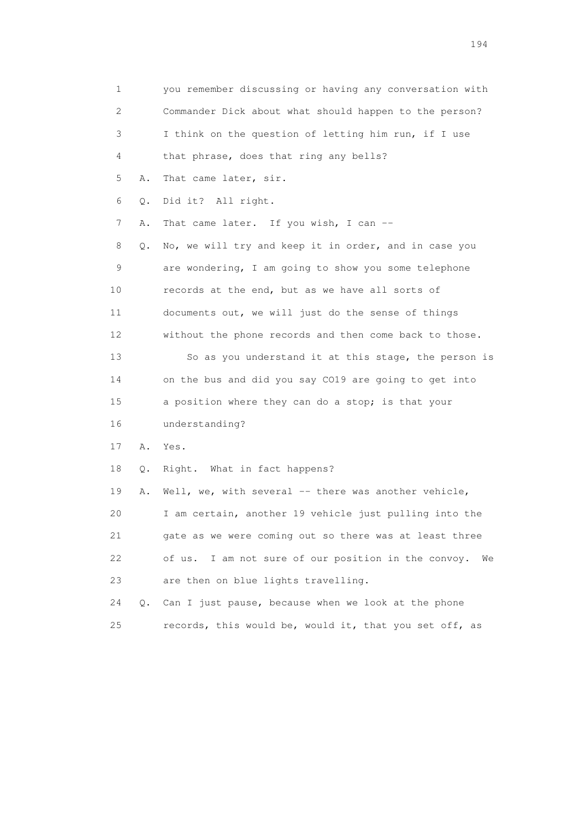1 you remember discussing or having any conversation with 2 Commander Dick about what should happen to the person? 3 I think on the question of letting him run, if I use 4 that phrase, does that ring any bells? 5 A. That came later, sir. 6 Q. Did it? All right. 7 A. That came later. If you wish, I can -- 8 Q. No, we will try and keep it in order, and in case you 9 are wondering, I am going to show you some telephone 10 records at the end, but as we have all sorts of 11 documents out, we will just do the sense of things 12 without the phone records and then come back to those. 13 So as you understand it at this stage, the person is 14 on the bus and did you say CO19 are going to get into 15 a position where they can do a stop; is that your 16 understanding? 17 A. Yes. 18 Q. Right. What in fact happens? 19 A. Well, we, with several -- there was another vehicle, 20 I am certain, another 19 vehicle just pulling into the 21 gate as we were coming out so there was at least three 22 of us. I am not sure of our position in the convoy. We 23 are then on blue lights travelling. 24 Q. Can I just pause, because when we look at the phone 25 records, this would be, would it, that you set off, as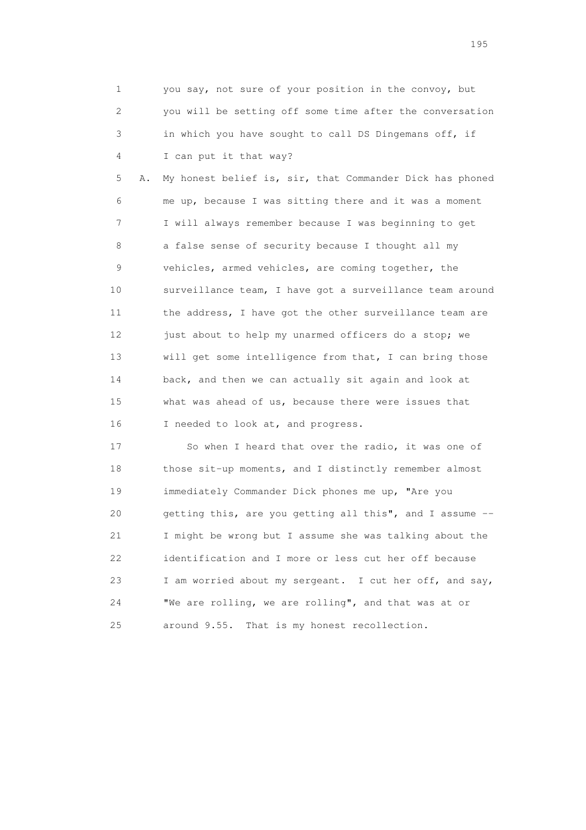1 you say, not sure of your position in the convoy, but 2 you will be setting off some time after the conversation 3 in which you have sought to call DS Dingemans off, if 4 I can put it that way?

 5 A. My honest belief is, sir, that Commander Dick has phoned 6 me up, because I was sitting there and it was a moment 7 I will always remember because I was beginning to get 8 a false sense of security because I thought all my 9 vehicles, armed vehicles, are coming together, the 10 surveillance team, I have got a surveillance team around 11 the address, I have got the other surveillance team are 12 just about to help my unarmed officers do a stop; we 13 will get some intelligence from that, I can bring those 14 back, and then we can actually sit again and look at 15 what was ahead of us, because there were issues that 16 I needed to look at, and progress.

17 So when I heard that over the radio, it was one of 18 those sit-up moments, and I distinctly remember almost 19 immediately Commander Dick phones me up, "Are you 20 getting this, are you getting all this", and I assume -- 21 I might be wrong but I assume she was talking about the 22 identification and I more or less cut her off because 23 I am worried about my sergeant. I cut her off, and say, 24 "We are rolling, we are rolling", and that was at or 25 around 9.55. That is my honest recollection.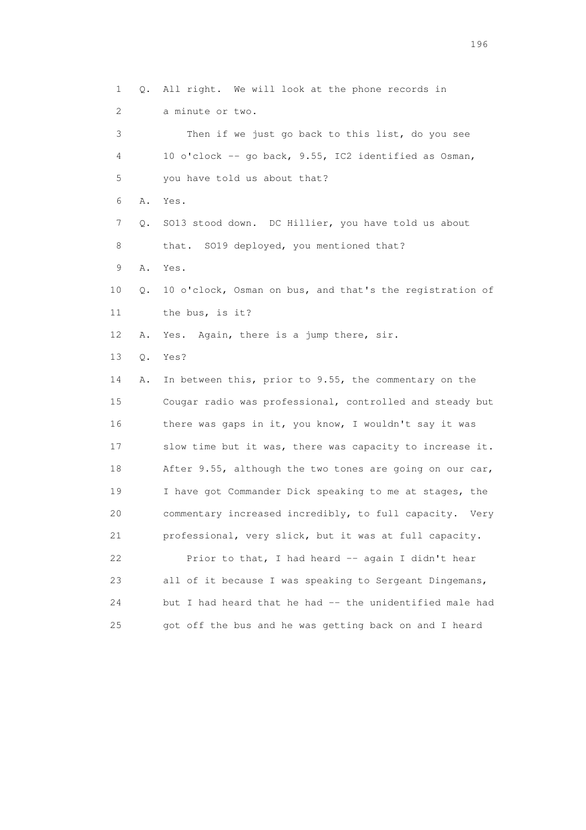1 Q. All right. We will look at the phone records in 2 a minute or two. 3 Then if we just go back to this list, do you see 4 10 o'clock -- go back, 9.55, IC2 identified as Osman, 5 you have told us about that? 6 A. Yes. 7 Q. SO13 stood down. DC Hillier, you have told us about 8 that. SO19 deployed, you mentioned that? 9 A. Yes. 10 Q. 10 o'clock, Osman on bus, and that's the registration of 11 the bus, is it? 12 A. Yes. Again, there is a jump there, sir. 13 Q. Yes? 14 A. In between this, prior to 9.55, the commentary on the 15 Cougar radio was professional, controlled and steady but 16 there was gaps in it, you know, I wouldn't say it was 17 slow time but it was, there was capacity to increase it. 18 After 9.55, although the two tones are going on our car, 19 I have got Commander Dick speaking to me at stages, the 20 commentary increased incredibly, to full capacity. Very 21 professional, very slick, but it was at full capacity. 22 Prior to that, I had heard -- again I didn't hear 23 all of it because I was speaking to Sergeant Dingemans, 24 but I had heard that he had -- the unidentified male had 25 got off the bus and he was getting back on and I heard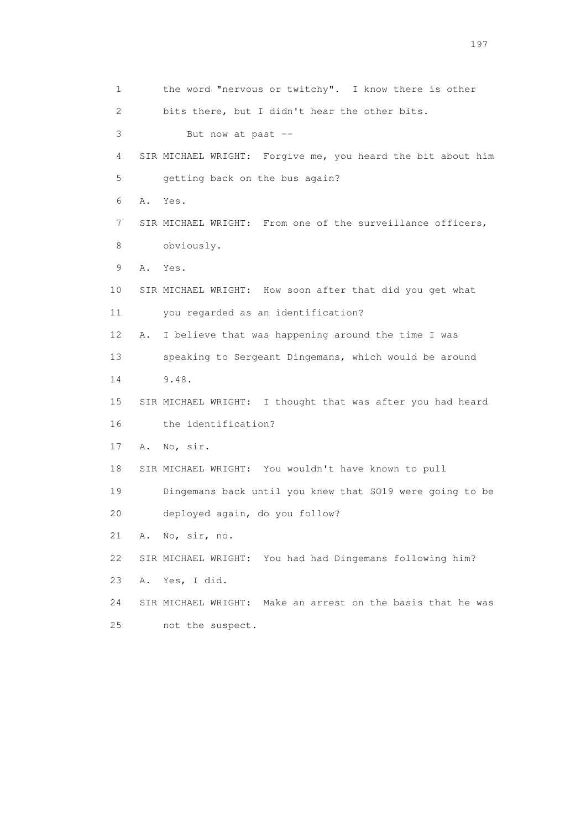1 the word "nervous or twitchy". I know there is other 2 bits there, but I didn't hear the other bits. 3 But now at past -- 4 SIR MICHAEL WRIGHT: Forgive me, you heard the bit about him 5 getting back on the bus again? 6 A. Yes. 7 SIR MICHAEL WRIGHT: From one of the surveillance officers, 8 obviously. 9 A. Yes. 10 SIR MICHAEL WRIGHT: How soon after that did you get what 11 you regarded as an identification? 12 A. I believe that was happening around the time I was 13 speaking to Sergeant Dingemans, which would be around 14 9.48. 15 SIR MICHAEL WRIGHT: I thought that was after you had heard 16 the identification? 17 A. No, sir. 18 SIR MICHAEL WRIGHT: You wouldn't have known to pull 19 Dingemans back until you knew that SO19 were going to be 20 deployed again, do you follow? 21 A. No, sir, no. 22 SIR MICHAEL WRIGHT: You had had Dingemans following him? 23 A. Yes, I did. 24 SIR MICHAEL WRIGHT: Make an arrest on the basis that he was 25 not the suspect.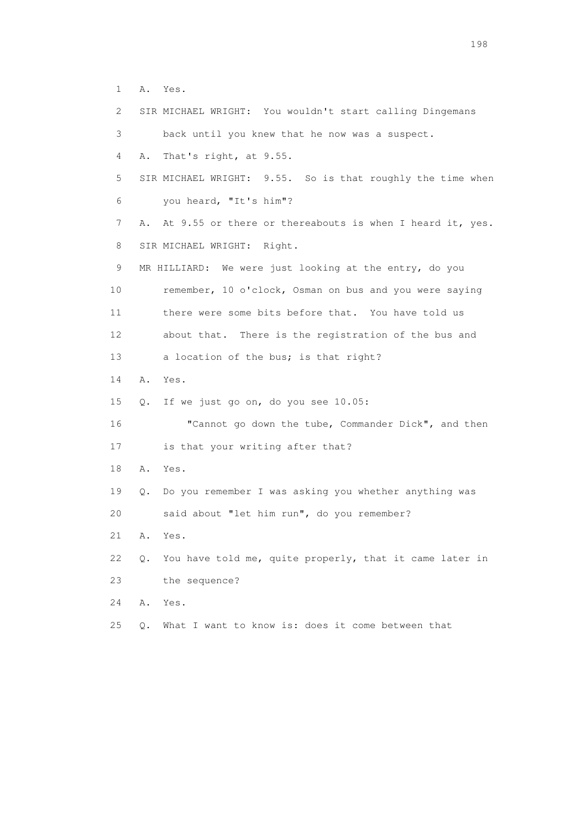1 A. Yes.

 2 SIR MICHAEL WRIGHT: You wouldn't start calling Dingemans 3 back until you knew that he now was a suspect. 4 A. That's right, at 9.55. 5 SIR MICHAEL WRIGHT: 9.55. So is that roughly the time when 6 you heard, "It's him"? 7 A. At 9.55 or there or thereabouts is when I heard it, yes. 8 SIR MICHAEL WRIGHT: Right. 9 MR HILLIARD: We were just looking at the entry, do you 10 remember, 10 o'clock, Osman on bus and you were saying 11 there were some bits before that. You have told us 12 about that. There is the registration of the bus and 13 a location of the bus; is that right? 14 A. Yes. 15 Q. If we just go on, do you see 10.05: 16 "Cannot go down the tube, Commander Dick", and then 17 is that your writing after that? 18 A. Yes. 19 Q. Do you remember I was asking you whether anything was 20 said about "let him run", do you remember? 21 A. Yes. 22 Q. You have told me, quite properly, that it came later in 23 the sequence? 24 A. Yes.

25 Q. What I want to know is: does it come between that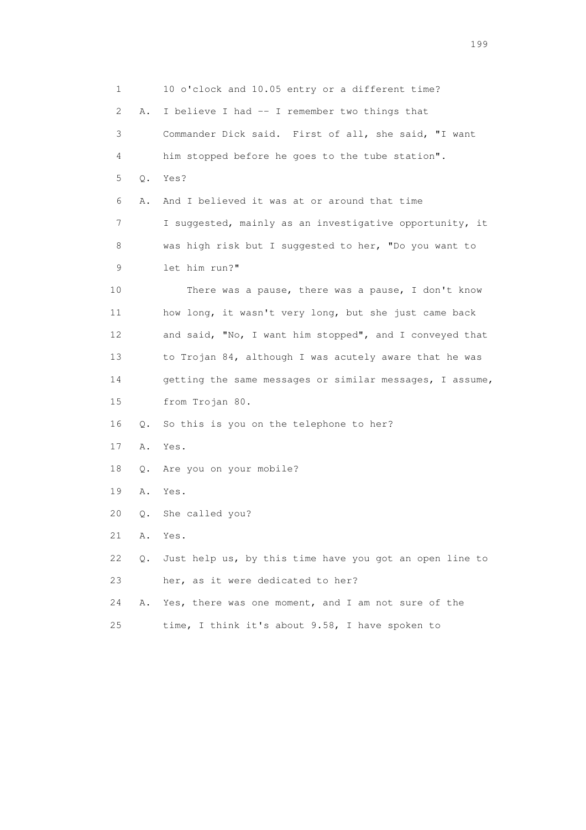1 10 o'clock and 10.05 entry or a different time? 2 A. I believe I had -- I remember two things that 3 Commander Dick said. First of all, she said, "I want 4 him stopped before he goes to the tube station". 5 Q. Yes? 6 A. And I believed it was at or around that time 7 I suggested, mainly as an investigative opportunity, it 8 was high risk but I suggested to her, "Do you want to 9 let him run?" 10 There was a pause, there was a pause, I don't know 11 how long, it wasn't very long, but she just came back 12 and said, "No, I want him stopped", and I conveyed that 13 to Trojan 84, although I was acutely aware that he was 14 getting the same messages or similar messages, I assume, 15 from Trojan 80. 16 Q. So this is you on the telephone to her? 17 A. Yes. 18 Q. Are you on your mobile? 19 A. Yes. 20 Q. She called you? 21 A. Yes. 22 Q. Just help us, by this time have you got an open line to 23 her, as it were dedicated to her? 24 A. Yes, there was one moment, and I am not sure of the 25 time, I think it's about 9.58, I have spoken to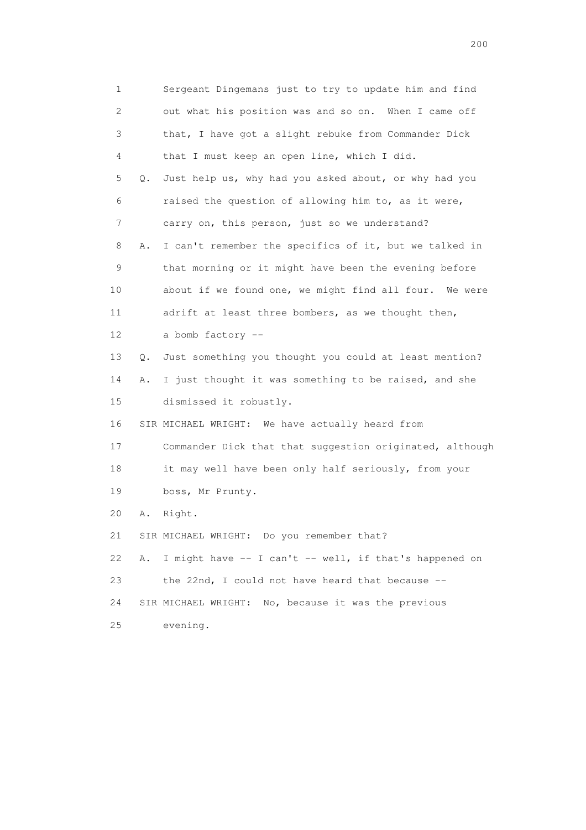1 Sergeant Dingemans just to try to update him and find 2 out what his position was and so on. When I came off 3 that, I have got a slight rebuke from Commander Dick 4 that I must keep an open line, which I did. 5 Q. Just help us, why had you asked about, or why had you 6 raised the question of allowing him to, as it were, 7 carry on, this person, just so we understand? 8 A. I can't remember the specifics of it, but we talked in 9 that morning or it might have been the evening before 10 about if we found one, we might find all four. We were 11 adrift at least three bombers, as we thought then, 12 a bomb factory -- 13 Q. Just something you thought you could at least mention? 14 A. I just thought it was something to be raised, and she 15 dismissed it robustly. 16 SIR MICHAEL WRIGHT: We have actually heard from 17 Commander Dick that that suggestion originated, although 18 it may well have been only half seriously, from your 19 boss, Mr Prunty. 20 A. Right. 21 SIR MICHAEL WRIGHT: Do you remember that? 22 A. I might have -- I can't -- well, if that's happened on 23 the 22nd, I could not have heard that because -- 24 SIR MICHAEL WRIGHT: No, because it was the previous 25 evening.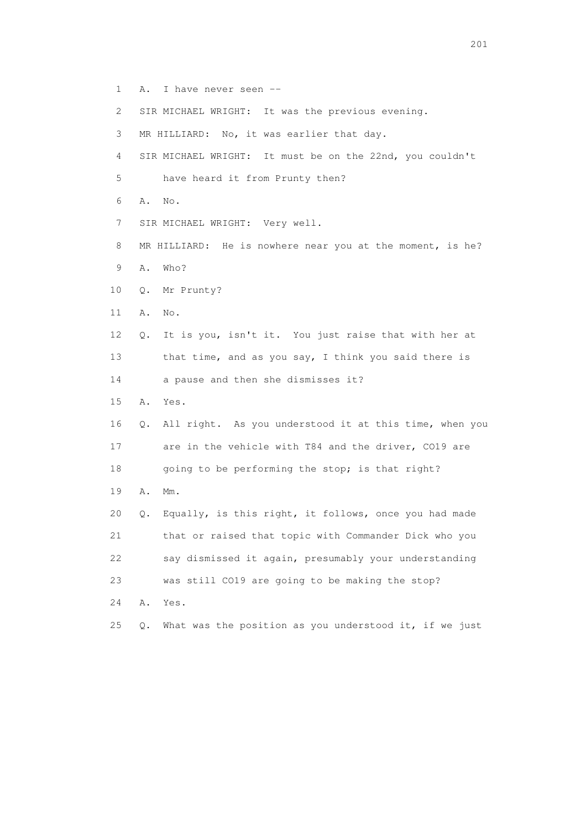- 1 A. I have never seen --
- 2 SIR MICHAEL WRIGHT: It was the previous evening.
- 3 MR HILLIARD: No, it was earlier that day.
- 4 SIR MICHAEL WRIGHT: It must be on the 22nd, you couldn't
- 5 have heard it from Prunty then?
- 6 A. No.
- 7 SIR MICHAEL WRIGHT: Very well.
- 8 MR HILLIARD: He is nowhere near you at the moment, is he? 9 A. Who?
- 
- 10 Q. Mr Prunty?
- 11 A. No.
- 12 Q. It is you, isn't it. You just raise that with her at 13 that time, and as you say, I think you said there is
- 14 a pause and then she dismisses it?
- 15 A. Yes.
- 16 Q. All right. As you understood it at this time, when you 17 are in the vehicle with T84 and the driver, CO19 are 18 going to be performing the stop; is that right?
- 19 A. Mm.
- 20 Q. Equally, is this right, it follows, once you had made 21 that or raised that topic with Commander Dick who you 22 say dismissed it again, presumably your understanding 23 was still CO19 are going to be making the stop?
- 24 A. Yes.
- 25 Q. What was the position as you understood it, if we just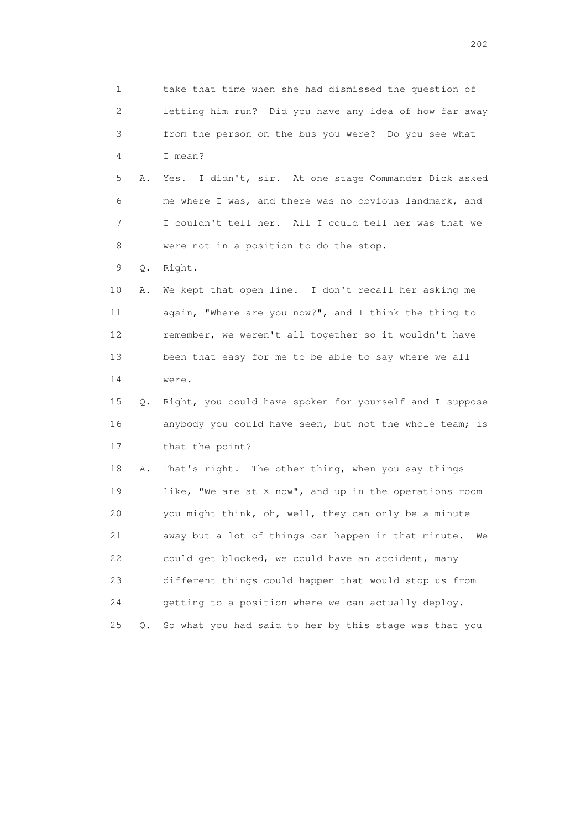1 take that time when she had dismissed the question of 2 letting him run? Did you have any idea of how far away 3 from the person on the bus you were? Do you see what 4 I mean? 5 A. Yes. I didn't, sir. At one stage Commander Dick asked 6 me where I was, and there was no obvious landmark, and 7 I couldn't tell her. All I could tell her was that we 8 were not in a position to do the stop. 9 Q. Right. 10 A. We kept that open line. I don't recall her asking me 11 again, "Where are you now?", and I think the thing to 12 remember, we weren't all together so it wouldn't have 13 been that easy for me to be able to say where we all 14 were. 15 Q. Right, you could have spoken for yourself and I suppose 16 anybody you could have seen, but not the whole team; is 17 that the point? 18 A. That's right. The other thing, when you say things 19 like, "We are at X now", and up in the operations room 20 you might think, oh, well, they can only be a minute 21 away but a lot of things can happen in that minute. We 22 could get blocked, we could have an accident, many 23 different things could happen that would stop us from 24 getting to a position where we can actually deploy. 25 Q. So what you had said to her by this stage was that you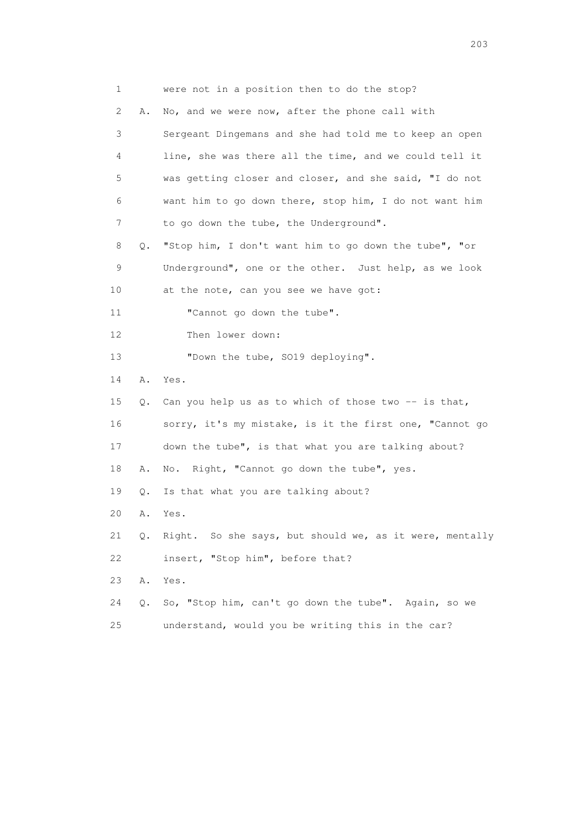| 1                         |    | were not in a position then to do the stop?             |
|---------------------------|----|---------------------------------------------------------|
| $\mathbf{2}^{\mathsf{I}}$ | Α. | No, and we were now, after the phone call with          |
| 3                         |    | Sergeant Dingemans and she had told me to keep an open  |
| 4                         |    | line, she was there all the time, and we could tell it  |
| 5                         |    | was getting closer and closer, and she said, "I do not  |
| 6                         |    | want him to go down there, stop him, I do not want him  |
| 7                         |    | to go down the tube, the Underground".                  |
| 8                         | Q. | "Stop him, I don't want him to go down the tube", "or   |
| 9                         |    | Underground", one or the other. Just help, as we look   |
| 10 <sub>o</sub>           |    | at the note, can you see we have got:                   |
| 11                        |    | "Cannot go down the tube".                              |
| 12                        |    | Then lower down:                                        |
| 13                        |    | "Down the tube, SO19 deploying".                        |
| 14                        | Α. | Yes.                                                    |
| 15                        | Q. | Can you help us as to which of those two -- is that,    |
| 16                        |    | sorry, it's my mistake, is it the first one, "Cannot go |
| 17                        |    | down the tube", is that what you are talking about?     |
| 18                        | Α. | No. Right, "Cannot go down the tube", yes.              |
| 19                        | Q. | Is that what you are talking about?                     |
| 20                        | Α. | Yes.                                                    |
| 21                        | Q. | Right. So she says, but should we, as it were, mentally |
| 22                        |    | insert, "Stop him", before that?                        |
| 23                        | Α. | Yes.                                                    |
| 24                        | Q. | So, "Stop him, can't go down the tube". Again, so we    |
| 25                        |    | understand, would you be writing this in the car?       |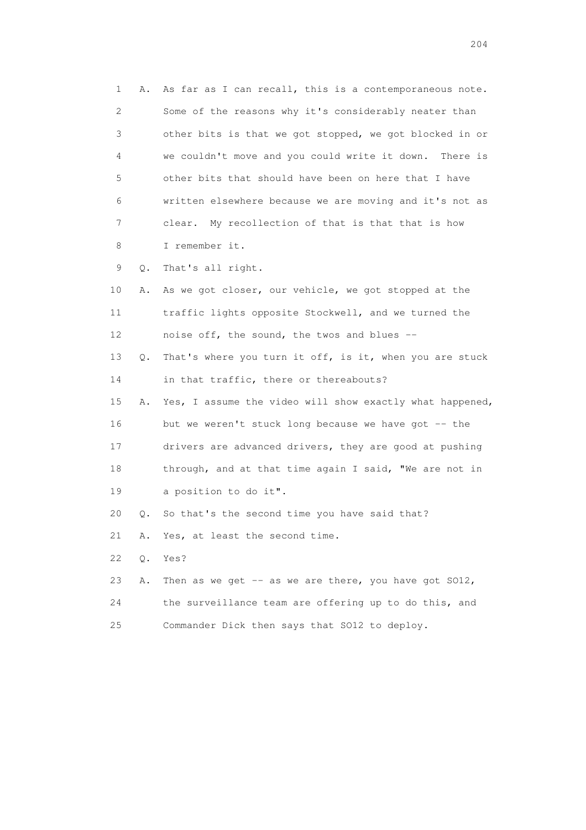1 A. As far as I can recall, this is a contemporaneous note. 2 Some of the reasons why it's considerably neater than 3 other bits is that we got stopped, we got blocked in or 4 we couldn't move and you could write it down. There is 5 other bits that should have been on here that I have 6 written elsewhere because we are moving and it's not as 7 clear. My recollection of that is that that is how 8 I remember it. 9 Q. That's all right. 10 A. As we got closer, our vehicle, we got stopped at the 11 traffic lights opposite Stockwell, and we turned the 12 noise off, the sound, the twos and blues -- 13 Q. That's where you turn it off, is it, when you are stuck 14 in that traffic, there or thereabouts? 15 A. Yes, I assume the video will show exactly what happened, 16 but we weren't stuck long because we have got -- the 17 drivers are advanced drivers, they are good at pushing 18 through, and at that time again I said, "We are not in 19 a position to do it". 20 Q. So that's the second time you have said that? 21 A. Yes, at least the second time. 22 Q. Yes? 23 A. Then as we get  $-$  as we are there, you have got  $S012$ , 24 the surveillance team are offering up to do this, and 25 Commander Dick then says that SO12 to deploy.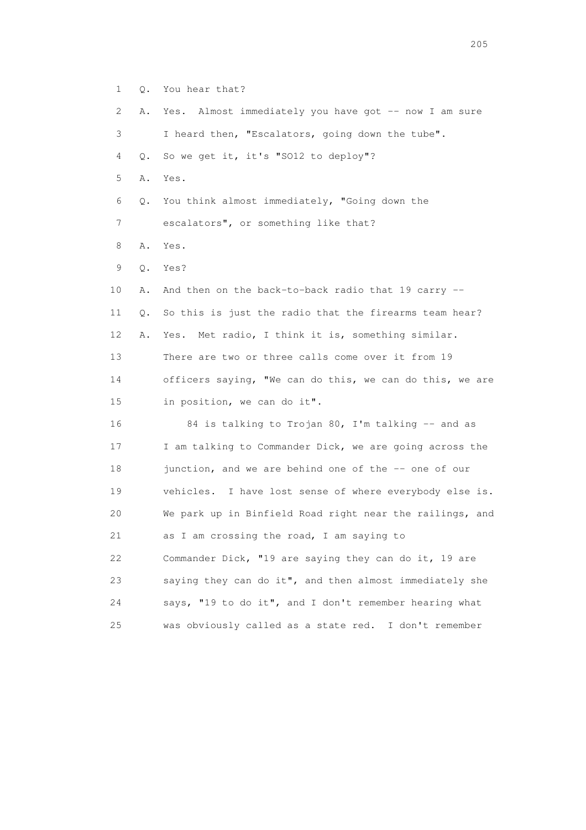| 1  | Q. | You hear that?                                           |
|----|----|----------------------------------------------------------|
| 2  | Α. | Yes. Almost immediately you have got -- now I am sure    |
| 3  |    | I heard then, "Escalators, going down the tube".         |
| 4  | О. | So we get it, it's "SO12 to deploy"?                     |
| 5  | Α. | Yes.                                                     |
| 6  | Q. | You think almost immediately, "Going down the            |
| 7  |    | escalators", or something like that?                     |
| 8  | Α. | Yes.                                                     |
| 9  | Q. | Yes?                                                     |
| 10 | Α. | And then on the back-to-back radio that 19 carry --      |
| 11 | Q. | So this is just the radio that the firearms team hear?   |
| 12 | Α. | Yes. Met radio, I think it is, something similar.        |
| 13 |    | There are two or three calls come over it from 19        |
| 14 |    | officers saying, "We can do this, we can do this, we are |
| 15 |    | in position, we can do it".                              |
| 16 |    | 84 is talking to Trojan 80, I'm talking -- and as        |
| 17 |    | I am talking to Commander Dick, we are going across the  |
| 18 |    | junction, and we are behind one of the -- one of our     |
| 19 |    | vehicles. I have lost sense of where everybody else is.  |
| 20 |    | We park up in Binfield Road right near the railings, and |
| 21 |    | as I am crossing the road, I am saying to                |
| 22 |    | Commander Dick, "19 are saying they can do it, 19 are    |
| 23 |    | saying they can do it", and then almost immediately she  |
| 24 |    | says, "19 to do it", and I don't remember hearing what   |
| 25 |    | was obviously called as a state red.<br>I don't remember |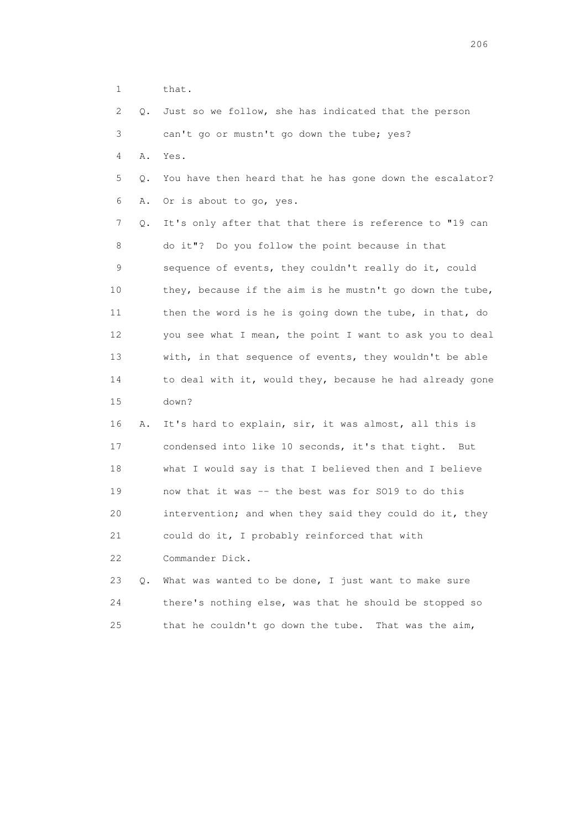1 that.

|  |  | 2 Q. Just so we follow, she has indicated that the person |  |  |  |  |
|--|--|-----------------------------------------------------------|--|--|--|--|
|  |  | can't go or mustn't go down the tube; yes?                |  |  |  |  |

4 A. Yes.

 5 Q. You have then heard that he has gone down the escalator? 6 A. Or is about to go, yes.

 7 Q. It's only after that that there is reference to "19 can 8 do it"? Do you follow the point because in that 9 sequence of events, they couldn't really do it, could 10 they, because if the aim is he mustn't go down the tube, 11 then the word is he is going down the tube, in that, do 12 you see what I mean, the point I want to ask you to deal 13 with, in that sequence of events, they wouldn't be able 14 to deal with it, would they, because he had already gone 15 down?

| 16 | A. It's hard to explain, sir, it was almost, all this is |
|----|----------------------------------------------------------|
| 17 | condensed into like 10 seconds, it's that tight.<br>But  |
| 18 | what I would say is that I believed then and I believe   |
| 19 | now that it was -- the best was for SO19 to do this      |
| 20 | intervention; and when they said they could do it, they  |
| 21 | could do it, I probably reinforced that with             |
| 22 | Commander Dick.                                          |

 23 Q. What was wanted to be done, I just want to make sure 24 there's nothing else, was that he should be stopped so 25 that he couldn't go down the tube. That was the aim,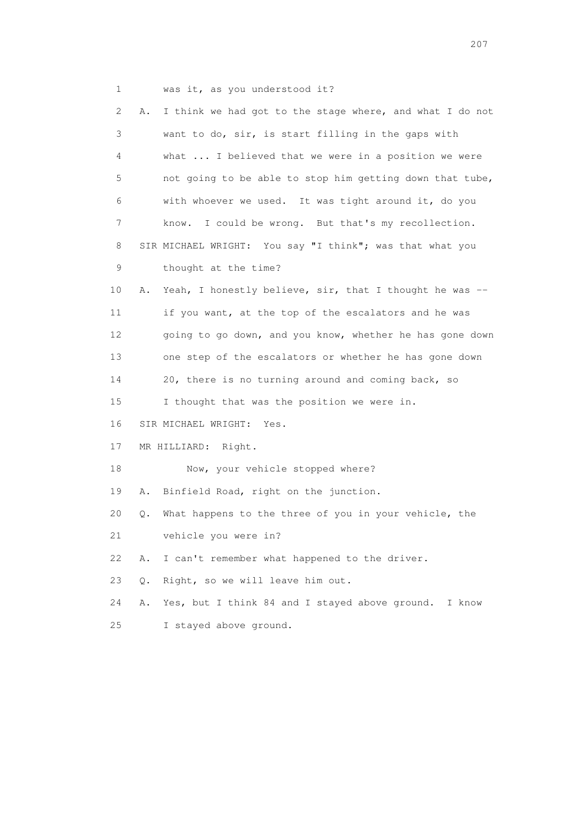1 was it, as you understood it?

| 2  | Α.    | I think we had got to the stage where, and what I do not |
|----|-------|----------------------------------------------------------|
| 3  |       | want to do, sir, is start filling in the gaps with       |
| 4  |       | what  I believed that we were in a position we were      |
| 5  |       | not going to be able to stop him getting down that tube, |
| 6  |       | with whoever we used. It was tight around it, do you     |
| 7  |       | I could be wrong. But that's my recollection.<br>know.   |
| 8  |       | SIR MICHAEL WRIGHT: You say "I think"; was that what you |
| 9  |       | thought at the time?                                     |
| 10 | Α.    | Yeah, I honestly believe, sir, that I thought he was --  |
| 11 |       | if you want, at the top of the escalators and he was     |
| 12 |       | going to go down, and you know, whether he has gone down |
| 13 |       | one step of the escalators or whether he has gone down   |
| 14 |       | 20, there is no turning around and coming back, so       |
| 15 |       | I thought that was the position we were in.              |
| 16 |       | SIR MICHAEL WRIGHT:<br>Yes.                              |
| 17 |       | MR HILLIARD: Right.                                      |
| 18 |       | Now, your vehicle stopped where?                         |
| 19 | Α.    | Binfield Road, right on the junction.                    |
| 20 | Q.    | What happens to the three of you in your vehicle, the    |
| 21 |       | vehicle you were in?                                     |
| 22 | Α.    | I can't remember what happened to the driver.            |
| 23 | $Q$ . | Right, so we will leave him out.                         |
| 24 | Α.    | Yes, but I think 84 and I stayed above ground.<br>I know |
| 25 |       | I stayed above ground.                                   |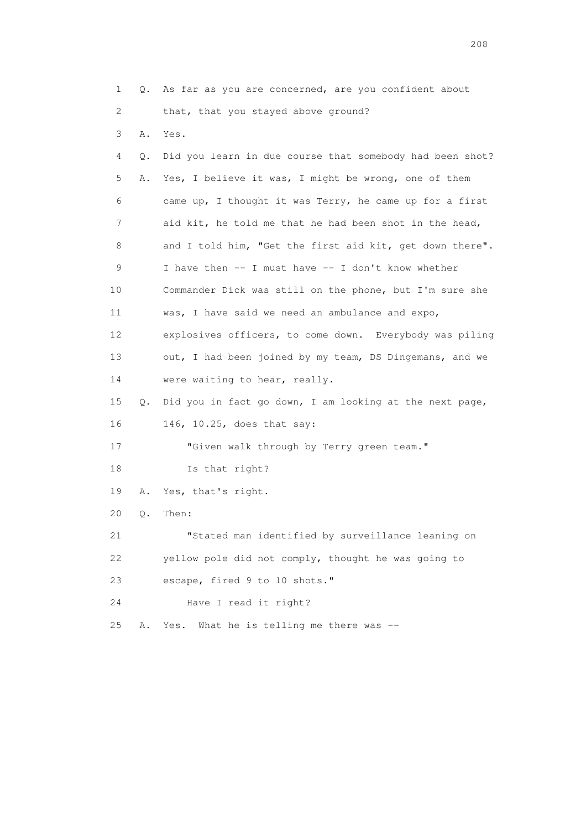1 Q. As far as you are concerned, are you confident about 2 that, that you stayed above ground? 3 A. Yes. 4 Q. Did you learn in due course that somebody had been shot? 5 A. Yes, I believe it was, I might be wrong, one of them 6 came up, I thought it was Terry, he came up for a first 7 aid kit, he told me that he had been shot in the head, 8 and I told him, "Get the first aid kit, get down there". 9 I have then -- I must have -- I don't know whether 10 Commander Dick was still on the phone, but I'm sure she 11 was, I have said we need an ambulance and expo, 12 explosives officers, to come down. Everybody was piling 13 out, I had been joined by my team, DS Dingemans, and we 14 were waiting to hear, really. 15 Q. Did you in fact go down, I am looking at the next page, 16 146, 10.25, does that say: 17 "Given walk through by Terry green team." 18 Is that right? 19 A. Yes, that's right. 20 Q. Then: 21 "Stated man identified by surveillance leaning on 22 yellow pole did not comply, thought he was going to 23 escape, fired 9 to 10 shots." 24 Have I read it right? 25 A. Yes. What he is telling me there was --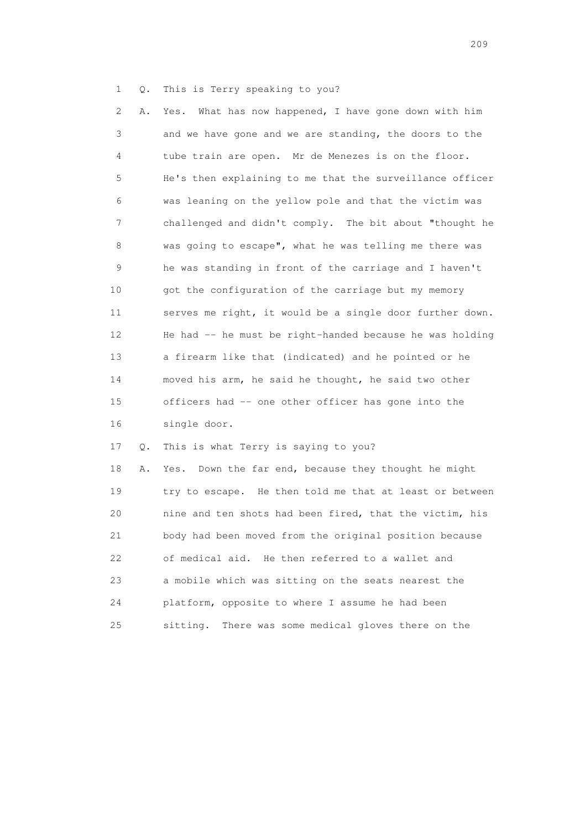1 Q. This is Terry speaking to you?

 2 A. Yes. What has now happened, I have gone down with him 3 and we have gone and we are standing, the doors to the 4 tube train are open. Mr de Menezes is on the floor. 5 He's then explaining to me that the surveillance officer 6 was leaning on the yellow pole and that the victim was 7 challenged and didn't comply. The bit about "thought he 8 was going to escape", what he was telling me there was 9 he was standing in front of the carriage and I haven't 10 got the configuration of the carriage but my memory 11 serves me right, it would be a single door further down. 12 He had -- he must be right-handed because he was holding 13 a firearm like that (indicated) and he pointed or he 14 moved his arm, he said he thought, he said two other 15 officers had -- one other officer has gone into the 16 single door.

17 Q. This is what Terry is saying to you?

 18 A. Yes. Down the far end, because they thought he might 19 try to escape. He then told me that at least or between 20 nine and ten shots had been fired, that the victim, his 21 body had been moved from the original position because 22 of medical aid. He then referred to a wallet and 23 a mobile which was sitting on the seats nearest the 24 platform, opposite to where I assume he had been 25 sitting. There was some medical gloves there on the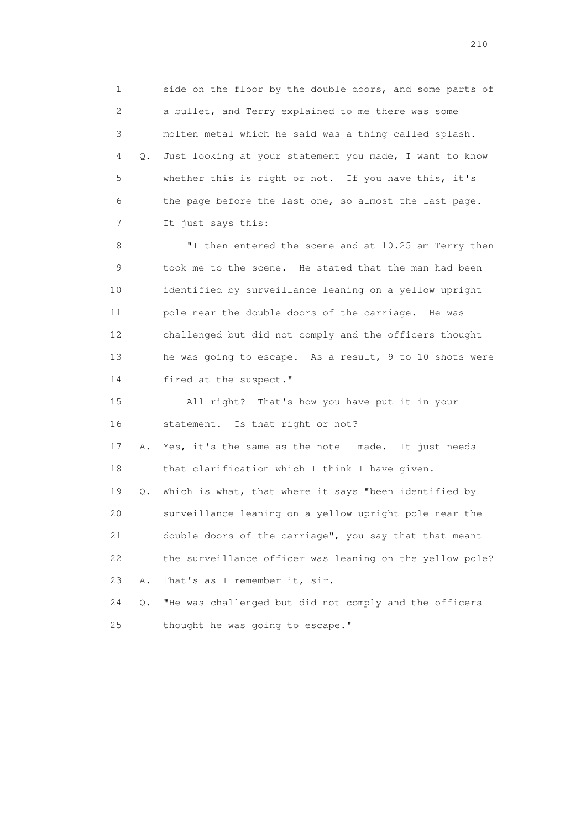1 side on the floor by the double doors, and some parts of 2 a bullet, and Terry explained to me there was some 3 molten metal which he said was a thing called splash. 4 Q. Just looking at your statement you made, I want to know 5 whether this is right or not. If you have this, it's 6 the page before the last one, so almost the last page. 7 It just says this:

 8 "I then entered the scene and at 10.25 am Terry then 9 took me to the scene. He stated that the man had been 10 identified by surveillance leaning on a yellow upright 11 pole near the double doors of the carriage. He was 12 challenged but did not comply and the officers thought 13 he was going to escape. As a result, 9 to 10 shots were 14 fired at the suspect."

 15 All right? That's how you have put it in your 16 statement. Is that right or not?

 17 A. Yes, it's the same as the note I made. It just needs 18 that clarification which I think I have given.

 19 Q. Which is what, that where it says "been identified by 20 surveillance leaning on a yellow upright pole near the 21 double doors of the carriage", you say that that meant 22 the surveillance officer was leaning on the yellow pole? 23 A. That's as I remember it, sir.

 24 Q. "He was challenged but did not comply and the officers 25 thought he was going to escape."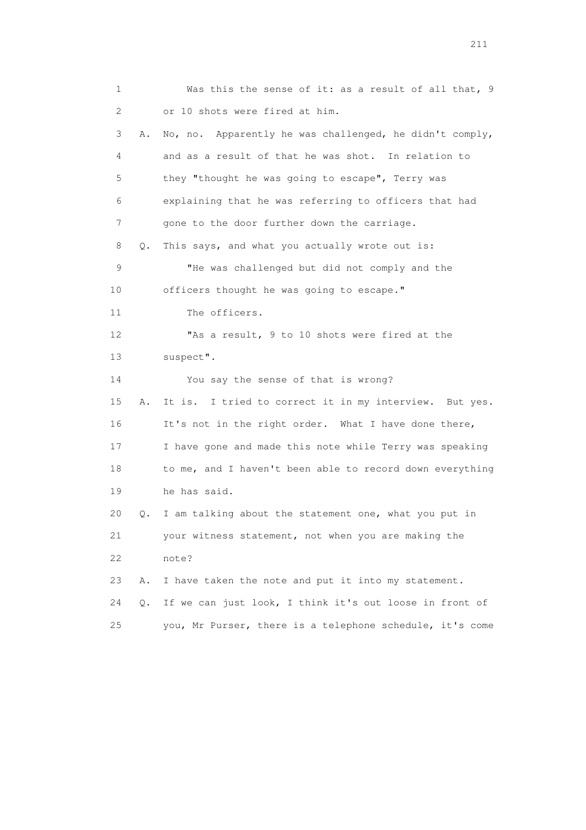1 Was this the sense of it: as a result of all that, 9 2 or 10 shots were fired at him. 3 A. No, no. Apparently he was challenged, he didn't comply, 4 and as a result of that he was shot. In relation to 5 they "thought he was going to escape", Terry was 6 explaining that he was referring to officers that had 7 gone to the door further down the carriage. 8 Q. This says, and what you actually wrote out is: 9 "He was challenged but did not comply and the 10 officers thought he was going to escape." 11 The officers. 12 "As a result, 9 to 10 shots were fired at the 13 suspect". 14 You say the sense of that is wrong? 15 A. It is. I tried to correct it in my interview. But yes. 16 It's not in the right order. What I have done there, 17 I have gone and made this note while Terry was speaking 18 to me, and I haven't been able to record down everything 19 he has said. 20 Q. I am talking about the statement one, what you put in 21 your witness statement, not when you are making the 22 note? 23 A. I have taken the note and put it into my statement. 24 Q. If we can just look, I think it's out loose in front of 25 you, Mr Purser, there is a telephone schedule, it's come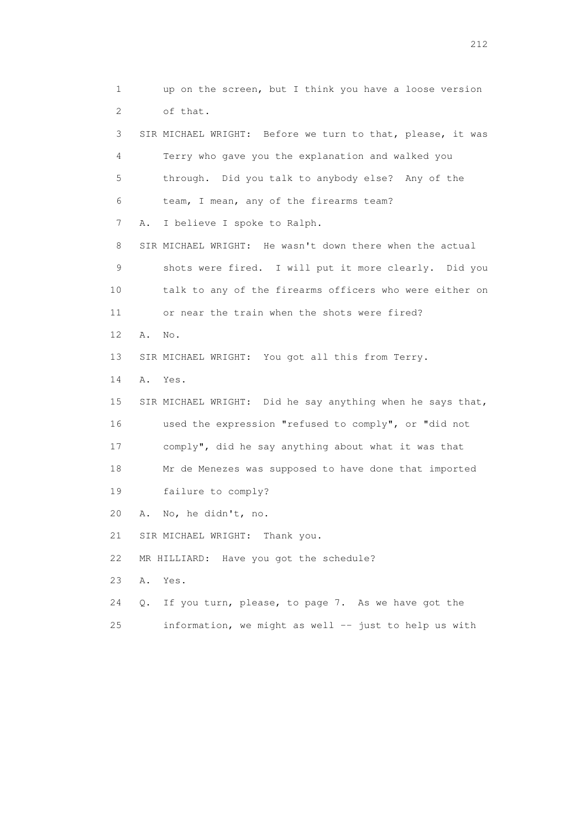1 up on the screen, but I think you have a loose version 2 of that. 3 SIR MICHAEL WRIGHT: Before we turn to that, please, it was 4 Terry who gave you the explanation and walked you 5 through. Did you talk to anybody else? Any of the 6 team, I mean, any of the firearms team? 7 A. I believe I spoke to Ralph. 8 SIR MICHAEL WRIGHT: He wasn't down there when the actual 9 shots were fired. I will put it more clearly. Did you 10 talk to any of the firearms officers who were either on 11 or near the train when the shots were fired? 12 A. No. 13 SIR MICHAEL WRIGHT: You got all this from Terry. 14 A. Yes. 15 SIR MICHAEL WRIGHT: Did he say anything when he says that, 16 used the expression "refused to comply", or "did not 17 comply", did he say anything about what it was that 18 Mr de Menezes was supposed to have done that imported 19 failure to comply? 20 A. No, he didn't, no. 21 SIR MICHAEL WRIGHT: Thank you. 22 MR HILLIARD: Have you got the schedule? 23 A. Yes. 24 Q. If you turn, please, to page 7. As we have got the 25 information, we might as well -- just to help us with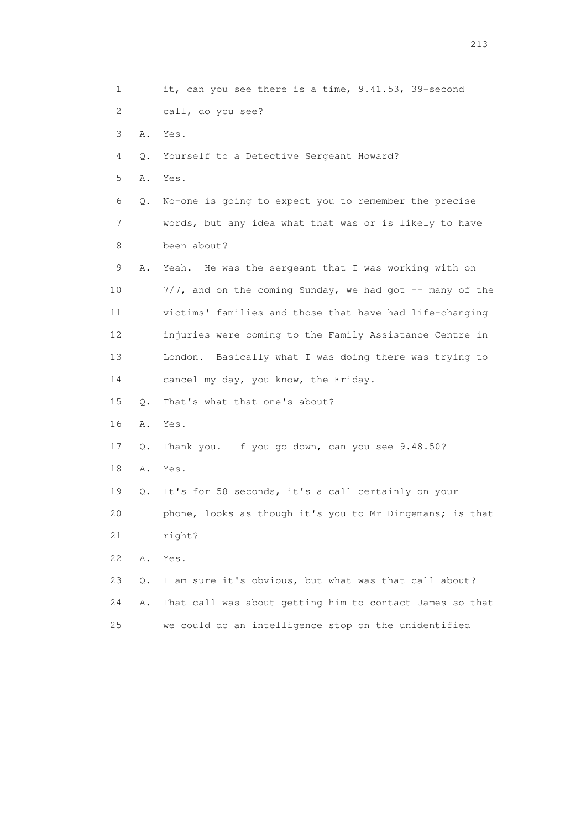1 it, can you see there is a time, 9.41.53, 39-second 2 call, do you see? 3 A. Yes. 4 Q. Yourself to a Detective Sergeant Howard? 5 A. Yes. 6 Q. No-one is going to expect you to remember the precise 7 words, but any idea what that was or is likely to have 8 been about? 9 A. Yeah. He was the sergeant that I was working with on 10 7/7, and on the coming Sunday, we had got -- many of the 11 victims' families and those that have had life-changing 12 injuries were coming to the Family Assistance Centre in 13 London. Basically what I was doing there was trying to 14 cancel my day, you know, the Friday. 15 Q. That's what that one's about? 16 A. Yes. 17 Q. Thank you. If you go down, can you see 9.48.50? 18 A. Yes. 19 Q. It's for 58 seconds, it's a call certainly on your 20 phone, looks as though it's you to Mr Dingemans; is that 21 right? 22 A. Yes. 23 Q. I am sure it's obvious, but what was that call about? 24 A. That call was about getting him to contact James so that 25 we could do an intelligence stop on the unidentified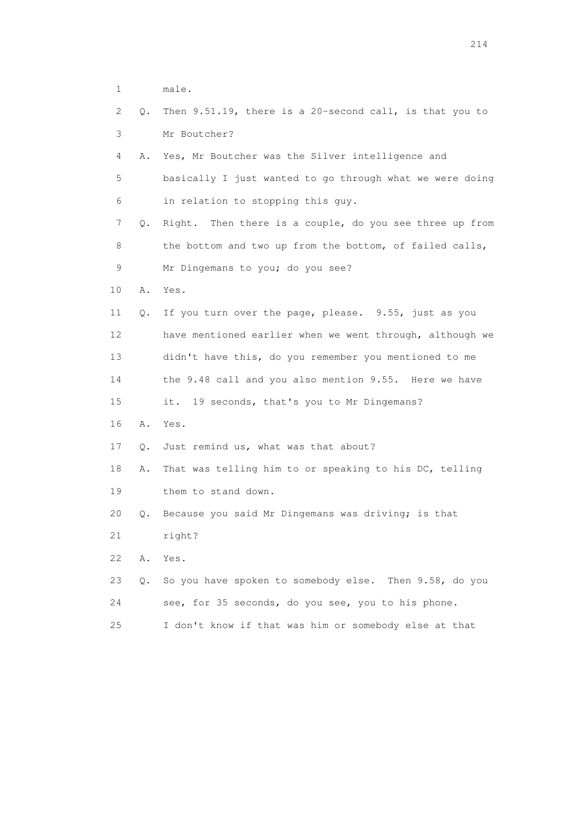- 1 male.
- 2 Q. Then 9.51.19, there is a 20-second call, is that you to 3 Mr Boutcher? 4 A. Yes, Mr Boutcher was the Silver intelligence and 5 basically I just wanted to go through what we were doing 6 in relation to stopping this guy.
- 7 Q. Right. Then there is a couple, do you see three up from 8 the bottom and two up from the bottom, of failed calls, 9 Mr Dingemans to you; do you see?
- 10 A. Yes.
- 11 Q. If you turn over the page, please. 9.55, just as you 12 have mentioned earlier when we went through, although we 13 didn't have this, do you remember you mentioned to me 14 the 9.48 call and you also mention 9.55. Here we have 15 it. 19 seconds, that's you to Mr Dingemans? 16 A. Yes.
- 17 Q. Just remind us, what was that about?
- 18 A. That was telling him to or speaking to his DC, telling 19 them to stand down.
- 20 Q. Because you said Mr Dingemans was driving; is that
- 21 right?
- 22 A. Yes.
- 23 Q. So you have spoken to somebody else. Then 9.58, do you 24 see, for 35 seconds, do you see, you to his phone.
- 25 I don't know if that was him or somebody else at that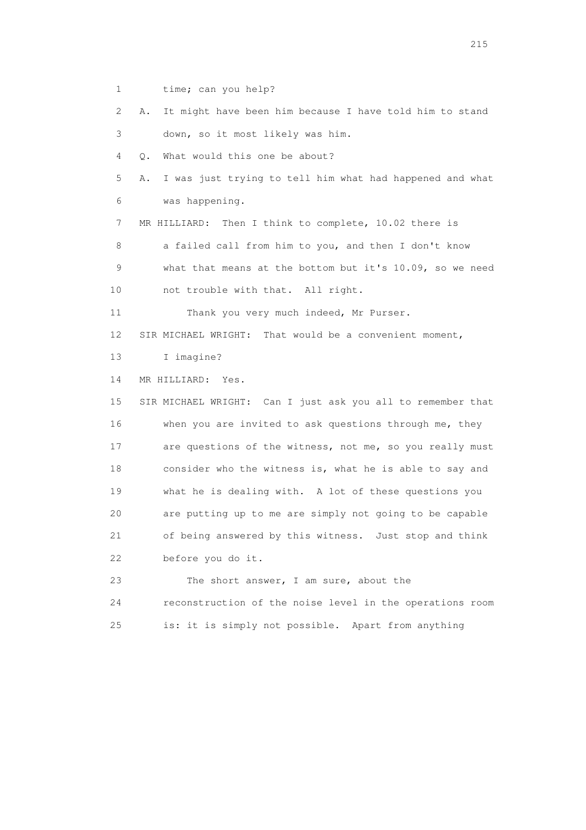1 time; can you help?

 2 A. It might have been him because I have told him to stand 3 down, so it most likely was him.

4 Q. What would this one be about?

 5 A. I was just trying to tell him what had happened and what 6 was happening.

7 MR HILLIARD: Then I think to complete, 10.02 there is

8 a failed call from him to you, and then I don't know

 9 what that means at the bottom but it's 10.09, so we need 10 not trouble with that. All right.

11 Thank you very much indeed, Mr Purser.

12 SIR MICHAEL WRIGHT: That would be a convenient moment,

13 I imagine?

14 MR HILLIARD: Yes.

 15 SIR MICHAEL WRIGHT: Can I just ask you all to remember that 16 when you are invited to ask questions through me, they 17 are questions of the witness, not me, so you really must 18 consider who the witness is, what he is able to say and 19 what he is dealing with. A lot of these questions you 20 are putting up to me are simply not going to be capable 21 of being answered by this witness. Just stop and think 22 before you do it.

 23 The short answer, I am sure, about the 24 reconstruction of the noise level in the operations room 25 is: it is simply not possible. Apart from anything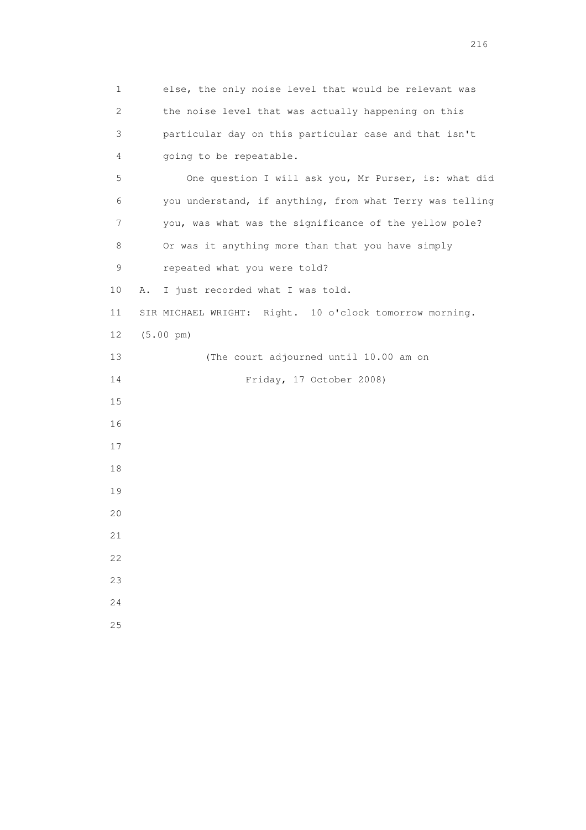1 else, the only noise level that would be relevant was 2 the noise level that was actually happening on this 3 particular day on this particular case and that isn't 4 going to be repeatable. 5 One question I will ask you, Mr Purser, is: what did 6 you understand, if anything, from what Terry was telling 7 you, was what was the significance of the yellow pole? 8 Or was it anything more than that you have simply 9 repeated what you were told? 10 A. I just recorded what I was told. 11 SIR MICHAEL WRIGHT: Right. 10 o'clock tomorrow morning. 12 (5.00 pm) 13 (The court adjourned until 10.00 am on 14 Friday, 17 October 2008) 15 16 17 18 19 20 21 22 23 24 25